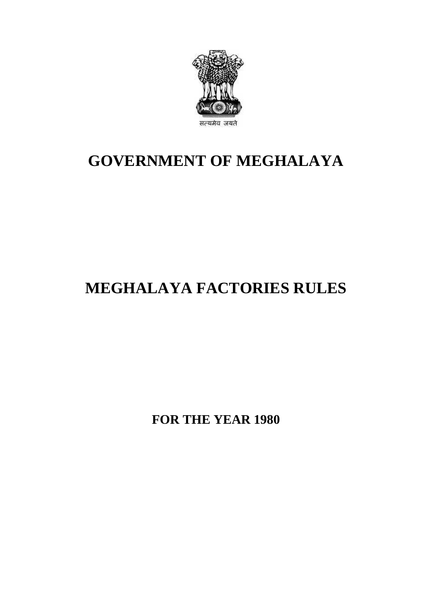

## **GOVERNMENT OF MEGHALAYA**

# **MEGHALAYA FACTORIES RULES**

**FOR THE YEAR 1980**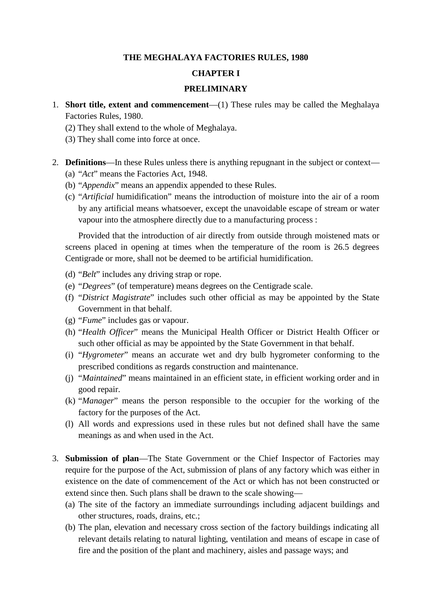#### **THE MEGHALAYA FACTORIES RULES, 1980**

#### **CHAPTER I**

#### **PRELIMINARY**

- 1. **Short title, extent and commencement**—(1) These rules may be called the Meghalaya Factories Rules, 1980. **EXAMPERT SHALL SET SHALL SHALL SHALL SHALL SHALL SHALL SHALL SHALL SHARE SHALL SHALL SHALL SHALL SHALL SHALL SHALL SHALL SHALL SHALL SHALL SHALL SHALL SHALL SHALL SHALL SHALL SHALL SHALL SHALL SHALL SHALL SHALL SHALL SHAL** 
	-
	- (3) They shall come into force at once.
- 2. **Definitions**—In these Rules unless there is anything repugnant in the subject or context— (a) "*Act*" means the Factories Act, 1948.
	- (b) "*Appendix*" means an appendix appended to these Rules.
	- (c) "*Artificial* humidification" means the introduction of moisture into the air of a room by any artificial means whatsoever, except the unavoidable escape of stream or water vapour into the atmosphere directly due to a manufacturing process : "Appendix" means an appendix appended to these Rules.<br>"Artificial humidification" means the introduction of moisture into the air of a room<br>by any artificial means whatsoever, except the unavoidable escape of stream or wat

screens placed in opening at times when the temperature of the room is 26.5 degrees Centigrade or more, shall not be deemed to be artificial humidification.

- (d) "*Belt*" includes any driving strap or rope.
- (e) "*Degrees*" (of temperature) means degrees on the Centigrade scale.
- (f) "*District Magistrate*" includes such other official as may be appointed by the State Government in that behalf.
- (g) "*Fume*" includes gas or vapour.
- (h) "*Health Officer*" means the Municipal Health Officer or District Health Officer or such other official as may be appointed by the State Government in that behalf.
- (i) "*Hygrometer*" means an accurate wet and dry bulb hygrometer conforming to the prescribed conditions as regards construction and maintenance.
- good repair.
- (k) "*Manager*" means the person responsible to the occupier for the working of the factory for the purposes of the Act.
- (j) "*Maintained*" means maintained in an efficient state, in efficient working order and in good repair.<br>
(k) "*Manager*" means the person responsible to the occupier for the working of the factory for the purposes of the meanings as and when used in the Act.
- 1. (1) All words and expressions used in these rules but not defined shall have the same<br>meanings as and when used in the Act.<br>3. **Submission of plan**—The State Government or the Chief Inspector of Factories may<br>require fo existence on the date of commencement of the Act or which has not been constructed or extend since then. Such plans shall be drawn to the scale showing— **Submission of plan**—The State Government or the Chief Inspector of Factories may require for the purpose of the Act, submission of plans of any factory which was either in existence on the date of commencement of the Act existence on the date of commencement of the Act or which has not been constructed or<br>extend since then. Such plans shall be drawn to the scale showing—<br>(a) The site of the factory an immediate surroundings including adjac
	- other structures, roads, drains, etc.;
	- example in the scale showing—<br>The site of the factory an immediate surroundings including adjacent buildings and<br>other structures, roads, drains, etc.;<br>The plan, elevation and necessary cross section of the factory buildin The site of the factory an immediate surroundings including adjacent build<br>other structures, roads, drains, etc.;<br>The plan, elevation and necessary cross section of the factory buildings indi-<br>relevant details relating to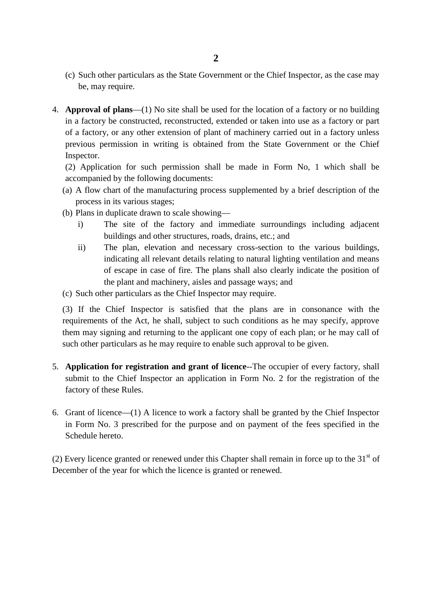- (c) Such other particulars as the State Government or the Chief Inspector, as the case may be, may require.
- 4. **Approval of plans**—(1) No site shall be used for the location of a factory or no building<br>
in a factory be constructed, reconstructed, extended or taken into use as a factory or part (c) Such other particulars as the State Government or the Chief Inspector, as the case may<br>be, may require.<br>**Approval of plans**—(1) No site shall be used for the location of a factory or no building<br>in a factory be constru previous permission in writing is obtained from the State Government or the Chief Inspector. In a factory be constructed, reconstructed, extended or taken into use as a factory or part<br>of a factory, or any other extension of plant of machinery carried out in a factory unless<br>previous permission in writing is obtai previous permission in writing is obtained from the State Government or the Chief Inspector.<br>
(2) Application for such permission shall be made in Form No, 1 which shall be accompanied by the following documents:<br>
(a) A fl

accompanied by the following documents:

- process in its various stages; (2) Application for such permission shall be made in Form<br>accompanied by the following documents:<br>(a) A flow chart of the manufacturing process supplemented by a<br>process in its various stages;<br>(b) Plans in duplicate drawn incompanied by the following documents:<br>
A flow chart of the manufacturing process supplemented by a brief description of the<br>
process in its various stages;<br>
Plans in duplicate drawn to scale showing—<br>
i) The site of the
- - buildings and other structures, roads, drains, etc.; and
- Frames in its various stages;<br>
Plans in duplicate drawn to scale showing—<br>
i) The site of the factory and immediate surroundings including adjacent<br>
buildings and other structures, roads, drains, etc.; and<br>
ii) The plan, e duplicate drawn to scale showing—<br>The site of the factory and immediate surroundings including adjacent<br>buildings and other structures, roads, drains, etc.; and<br>The plan, elevation and necessary cross-section to the variou The site of the factory and immediate surroundings including adjacent<br>buildings and other structures, roads, drains, etc.; and<br>The plan, elevation and necessary cross-section to the various buildings,<br>indicating all releva the plant and machinery, aisles and passage ways; and ii) The plan, elevation and necessary cross-section to the various buildings, indicating all relevant details relating to natural lighting ventilation and means of escape in case of fire. The plans shall also clearly indic
- 

(3) If the Chief Inspector is satisfied that the plans are in consonance with the requirements of the Act, he shall, subject to such conditions as he may specify, approve them may signing and returning to the applicant one copy of each plan; or he may call of such other particulars as he may require to enable such approval to be given.

- 5. **Application for registration and grant of licence**--The occupier of every factory, shall submit to the Chief Inspector an application in Form No. 2 for the registration of the factory of these Rules.<br>6. Grant of licenc submit to the Chief Inspector an application in Form No. 2 for the registration of the factory of these Rules.
- in Form No. 3 prescribed for the purpose and on payment of the fees specified in the Schedule hereto. 6. Grant of licence—(1) A licence to work a factory shall be granted by the Chief Inspector<br>in Form No. 3 prescribed for the purpose and on payment of the fees specified in the<br>Schedule hereto.<br>(2) Every licence granted o

December of the year for which the licence is granted or renewed.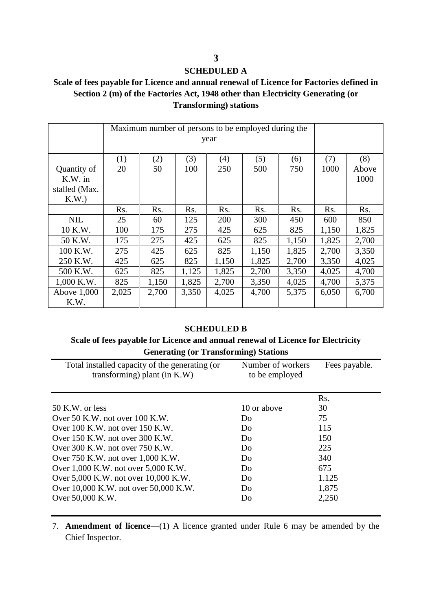#### **SCHEDULED A**

#### **Scale of fees payable for Licence and annual renewal of Licence for Factories defined in Section 2 (m) of the Factories Act, 1948 other than Electricity Generating (or Transforming) stations**

|                                                 | Maximum number of persons to be employed during the<br>year |       |       |                    |                                                                                 |       |                  |               |
|-------------------------------------------------|-------------------------------------------------------------|-------|-------|--------------------|---------------------------------------------------------------------------------|-------|------------------|---------------|
|                                                 |                                                             |       |       |                    |                                                                                 |       |                  |               |
|                                                 | (1)                                                         | (2)   | (3)   | (4)                | (5)                                                                             | (6)   | (7)              | (8)           |
| Quantity of<br>K.W. in<br>stalled (Max.<br>K.W. | 20                                                          | 50    | 100   | 250                | 500                                                                             | 750   | 1000             | Above<br>1000 |
|                                                 | Rs.                                                         | Rs.   | Rs.   | Rs.                | Rs.                                                                             | Rs.   | R <sub>s</sub> . | Rs.           |
| <b>NIL</b>                                      | 25                                                          | 60    | 125   | 200                | 300                                                                             | 450   | 600              | 850           |
| 10 K.W.                                         | 100                                                         | 175   | 275   | 425                | 625                                                                             | 825   | 1,150            | 1,825         |
| 50 K.W.                                         | 175                                                         | 275   | 425   | 625                | 825                                                                             | 1,150 | 1,825            | 2,700         |
| 100 K.W.                                        | 275                                                         | 425   | 625   | 825                | 1,150                                                                           | 1,825 | 2,700            | 3,350         |
| 250 K.W.                                        | 425                                                         | 625   | 825   | 1,150              | 1,825                                                                           | 2,700 | 3,350            | 4,025         |
| 500 K.W.                                        | 625                                                         | 825   | 1,125 | 1,825              | 2,700                                                                           | 3,350 | 4,025            | 4,700         |
| 1,000 K.W.                                      | 825                                                         | 1,150 | 1,825 | 2,700              | 3,350                                                                           | 4,025 | 4,700            | 5,375         |
| Above 1,000<br>K.W.                             | 2,025                                                       | 2,700 | 3,350 | 4,025              | 4,700                                                                           | 5,375 | 6,050            | 6,700         |
|                                                 |                                                             |       |       | <b>SCHEDULED B</b> |                                                                                 |       |                  |               |
|                                                 |                                                             |       |       |                    | Scale of fees payable for Licence and annual renewal of Licence for Electricity |       |                  |               |
|                                                 |                                                             |       |       |                    | <b>Generating (or Transforming) Stations</b>                                    |       |                  |               |

# **SCHEDULED B**<br> **Generating (or Transforming) Stations**<br> **Generating (or Transforming) Stations**<br> **Generating (or Command Stations**)

| <b>SCHEDULED B</b><br>Scale of fees payable for Licence and annual renewal of Licence for Electricity<br><b>Generating (or Transforming) Stations</b> |                                     |                  |  |  |
|-------------------------------------------------------------------------------------------------------------------------------------------------------|-------------------------------------|------------------|--|--|
| Total installed capacity of the generating (or<br>transforming) plant (in $K.W$ )                                                                     | Number of workers<br>to be employed | Fees payable.    |  |  |
|                                                                                                                                                       |                                     | R <sub>s</sub> . |  |  |
| $50$ K.W. or less                                                                                                                                     | 10 or above                         | 30               |  |  |
| Over 50 K.W. not over $100$ K.W.                                                                                                                      | Do                                  | 75               |  |  |
| Over $100$ K.W. not over $150$ K.W.                                                                                                                   | Do.                                 | 115              |  |  |
| Over $150$ K.W. not over $300$ K.W.                                                                                                                   | Do                                  | 150              |  |  |
| Over $300$ K.W. not over $750$ K.W.                                                                                                                   | Do                                  | 225              |  |  |
| Over 750 K.W. not over 1,000 K.W.                                                                                                                     | Do                                  | 340              |  |  |
| Over 1,000 K.W. not over 5,000 K.W.                                                                                                                   | Do                                  | 675              |  |  |
| Over 5,000 K.W. not over 10,000 K.W.                                                                                                                  | Do.                                 | 1.125            |  |  |
| Over 10,000 K.W. not over 50,000 K.W.                                                                                                                 | Do.                                 | 1,875            |  |  |
| Over 50,000 K.W.                                                                                                                                      | Do                                  | 2,250            |  |  |

7. **Amendment of licence**—(1) A licence granted under Rule 6 may be amended by the Chief Inspector.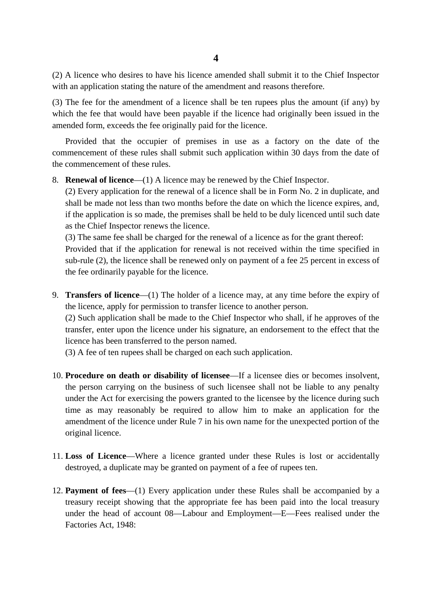(2) A licence who desires to have his licence amended shall submit it to the Chief Inspector 4<br>(2) A licence who desires to have his licence amended shall submit it to the Chie<br>with an application stating the nature of the amendment and reasons therefore.<br>(3) The fee for the amendment of a licence shall be ten rup

(3) The fee for the amendment of a licence shall be ten rupees plus the amount (if any) by which the fee that would have been payable if the licence had originally been issued in the amended form, exceeds the fee originally paid for the licence.

Provided that the occupier of premises in use as a factory on the date of the (3) The fee for the amendment of a licence shall be ten rupees plus the amount (if any) by which the fee that would have been payable if the licence had originally been issued in the amended form, exceeds the fee originall the commencement of these rules.

8. **Renewal of licence**—(1) A licence may be renewed by the Chief Inspector.

(2) Every application for the renewal of a licence shall be in Form No. 2 in duplicate, and shall be made not less than two months before the date on which the licence expires, and, if the application is so made, the prem shall be made not less than two months before the date on which the licence expires, and, if the application is so made, the premises shall be held to be duly licenced until such date as the Chief Inspector renews the licence. shall be made not less than two months before the date on which the licence expires, and, if the application is so made, the premises shall be held to be duly licenced until such date as the Chief Inspector renews the lic

if the application is so made, the premises shall be held to be duly licenced until such date<br>as the Chief Inspector renews the licence.<br>(3) The same fee shall be charged for the renewal of a licence as for the grant there the fee ordinarily payable for the licence. Provided that if the application for renewal is not received within the time specified in sub-rule (2), the licence shall be renewed only on payment of a fee 25 percent in excess of the fee ordinarily payable for the licen sub-rule (2), the licence shall be renewed only on payment of a fee 25 perce-<br>the fee ordinarily payable for the licence.<br>**Transfers of licence**—(1) The holder of a licence may, at any time before<br>the licence, apply for p

(2) Transfers of licence—(1) The holder of a licence may, at any time before the expiry of the licence, apply for permission to transfer licence to another person.<br>
(2) Such application shall be made to the Chief Inspector transfer, enter upon the licence under his signature, an endorsement to the effect that the licence has been transferred to the person named.

(3) A fee of ten rupees shall be charged on each such application.

- 10. **Procedure on death or disability of licensee**—If a licensee dies or becomes insolvent, the person carrying on the business of such licensee shall not be liable to any penalty (3) A fee of ten rupees shall be charged on each such application.<br> **Procedure on death or disability of licensee**—If a licensee dies or becomes insolvent,<br>
the person carrying on the business of such licensee shall not be time as may reasonably be required to allow him to make an application for the amendment of the licence under Rule 7 in his own name for the unexpected portion of the the person carrying<br>under the Act for exercitive as may reason<br>amendment of the licence. 11. **Loss of Licence—Where a** licence granted under these Rules is lost or accidentally in Loss of Licence—Where a licence granted under these Rules is lost or accidentally
- destroyed, a duplicate may be granted on payment of a fee of rupees ten.
- 12. **Payment of fees**—(1) Every application under these Rules shall be accompanied by a treasury receipt showing that the appropriate fee has been paid into the local treasury under the head of account 08—Labour and Employment—E—Fees realised under the Factories Act, 1948: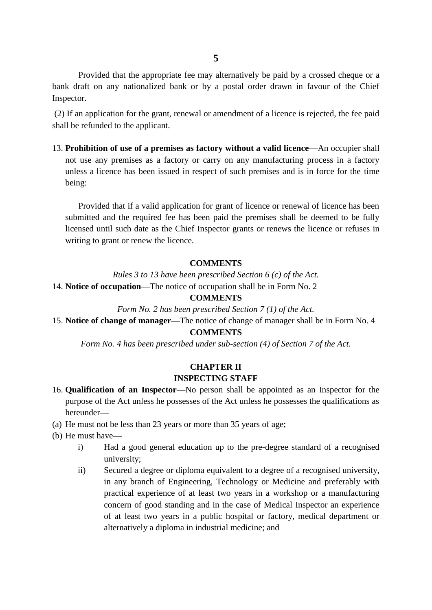Provided that the appropriate fee may alternatively be paid by a crossed cheque or a bank draft on any nationalized bank or by a postal order drawn in favour of the Chief Inspector.

(2) If an application for the grant, renewal or amendment of a licence is rejected, the fee paid shall be refunded to the applicant.

13. **Prohibition of use of a premises as factory without a valid licence**—An occupier shall not use any premises as a factory or carry on any manufacturing process in a factory If the refunded to the applicant.<br> **Prohibition of use of a premises as factory without a valid licence**—An occupier shall<br>
not use any premises as a factory or carry on any manufacturing process in a factory<br>
unless a lic being:

Provided that if a valid application for grant of licence or renewal of licence has been submitted and the required fee has been paid the premises shall be deemed to be fully Provided that if a valid application for grant of licence or renewal of licence has been<br>submitted and the required fee has been paid the premises shall be deemed to be fully<br>licensed until such date as the Chief Inspector writing to grant or renew the licence. *Rules 3 to 13 have been prescribed Section 6 (c) of the Act.*<br>
14. **Notice of occupation**—The notice of occupation shall be in Form No. 2

#### **COMMENTS**

#### **COMMENTS**

**Form No. 2 has been prescribed Section 6 (c) of the Act.**<br> **Form No. 2 Form No. 2 Form No. 2 Form No. 2 Form No. 2 Form No. 2 has been prescribed Section 7 (1) of the Act.**<br> **ge of manager**—The notice of chang 15. **Notice of change of manager**—The notice of change of manager shall be in Form No. 4 **COMMENTS**

*Form No. 4 has been prescribed under sub-section (4) of Section 7 of the Act.*

#### **CHAPTER II INSPECTING STAFF**

- 16. **Qualification of an Inspector—No person shall be appointed as an Inspector for the purpose of the Act unless he possesses of the Act unless he possesses the qualifications as INSPECTING STAFF**<br>16. **Qualification of an Inspector**—No person shall be appointed as<br>purpose of the Act unless he possesses of the Act unless he possesse<br>hereunder—<br>(a) He must not be less than 23 years or more than 35 y 16. **Qualification of an Inspector**—No person shall be appointed as an Inspector for the<br>purpose of the Act unless he possesses of the Act unless he possesses the qualifications as<br>hereunder—<br>(a) He must not be less than 2
- 
- 

hereunder—

- provide of the Act unless he possesses of the Act unless he possesses the qualifications as<br>
eunder—<br>
i) Had a good general education up to the pre-degree standard of a recognised<br>
university; university;
- iii) Secured a degree or diploma equivalent to a degree of a recognised university;<br>
Secured a degree or diploma equivalent to a degree of a recognised university,<br>
iii) Secured a degree or diploma equivalent to a degree o in any branch of Engineering, Technology or Medicine and preferably with practical experience of at least two years in a workshop or a manufacturing concern of good standing and in the case of Medical Inspector an experience of at least two years in a public hospital or factory, medical department or alternatively a diploma in industrial medicine; and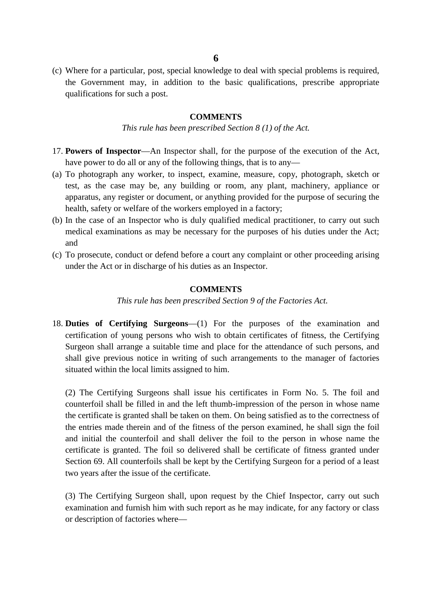(c) Where for a particular, post, special knowledge to deal with special problems is required, the Government may, in addition to the basic qualifications, prescribe appropriate qualifications for such a post.<br> **COMMENTS**<br> *This rule has been prescribed Section 8 (1) of the Act.* qualifications for such a post.

#### **COMMENTS**

- 17. **Powers of Inspector—An** Inspector shall, for the purpose of the execution of the Act, have power to do all or any of the following things, that is to any—
- This rule has been prescribed Section 8 (1) of the Act.<br>17. **Powers of Inspector**—An Inspector shall, for the purpose of the execution of the Act,<br>have power to do all or any of the following things, that is to any—<br>(a) To **Powers of Inspector**—An Inspector shall, for the purpose of the execution of the Act, have power to do all or any of the following things, that is to any—<br>To photograph any worker, to inspect, examine, measure, copy, phot apparatus, any register or document, or anything provided for the purpose of securing the health, safety or welfare of the workers employed in a factory; (a) To photograph any worker, to inspect, examine, measure, copy, photograph, sketch or test, as the case may be, any building or room, any plant, machinery, appliance or apparatus, any register or document, or anything pr
- medical examinations as may be necessary for the purposes of his duties under the Act; and (b) In the case of an Inspector who is duly qualified medical practitioner, to carry out such
- under the Act or in discharge of his duties as an Inspector. (c) To prosecute, conduct or defend before a court any complaint or other proceeding arising<br>under the Act or in discharge of his duties as an Inspector.<br>**COMMENTS**<br>This rule has been prescribed Section 9 of the Factories

#### **COMMENTS**

18. **Duties of Certifying Surgeons**—(1) For the purposes of the examination and certification of young persons who wish to obtain certificates of fitness, the Certifying Surgeon shall arrange a suitable time and place for the attendance of such persons, and shall give previous notice in writing of such arrangements to the manager of factories situated within the local limits assigned to him. Surgeon shall arrange a suitable time and place for the attendance of such persons, and shall give previous notice in writing of such arrangements to the manager of factories situated within the local limits assigned to hi

the certificate is granted shall be taken on them. On being satisfied as to the correctness of the entries made therein and of the fitness of the person examined, he shall sign the foil (2) The Certifying Surgeons shall issue his certificates in Form No. 5. The foil and counterfoil shall be filled in and the left thumb-impression of the person in whose name the certificate is granted shall be taken on the certificate is granted. The foil so delivered shall be certificate of fitness granted under Section 69. All counterfoils shall be kept by the Certifying Surgeon for a period of a least two years after the issue of the certificate.

(3) The Certifying Surgeon shall, upon request by the Chief Inspector, carry out such examination and furnish him with such report as he may indicate, for any factory or class or description of factories where—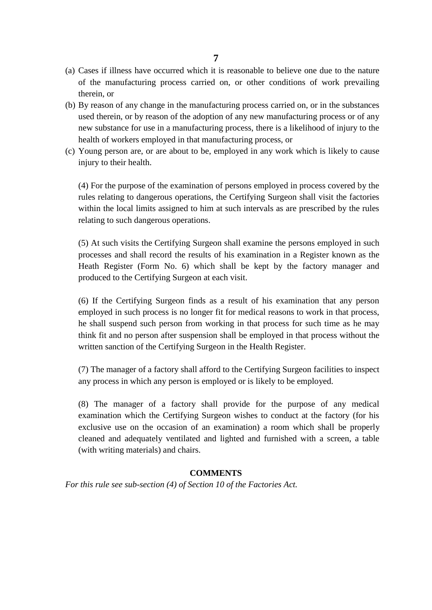- <sup>7</sup><br>
(a) Cases if illness have occurred which it is reasonable to believe one due to the nature<br>
of the manufacturing process carried on, or other conditions of work prevailing of the manufacturing process carried on, or other conditions of work prevailing therein, or (a) Cases if illness have occurred which it is reasonable to believe one due to the nature<br>of the manufacturing process carried on, or other conditions of work prevailing<br>therein, or<br>(b) By reason of any change in the manu
- Cases if illness have occurred which it is reasonable to believe one due to the nature<br>of the manufacturing process carried on, or other conditions of work prevailing<br>therein, or<br>By reason of any change in the manufacturin new substance for use in a manufacturing process, there is a likelihood of injury to the health of workers employed in that manufacturing process, or (b) By reason of any change in the manufacturing process carried on, or in the substances used therein, or by reason of the adoption of any new manufacturing process or of any
- injury to their health. (c) Young person are, or are about to be, employed in any work which is likely to cause

rules relating to dangerous operations, the Certifying Surgeon shall visit the factories (4) For the purpose of the examination of persons employed in process covered by the relating to such dangerous operations. rules relating to dangerous operations, the Certifying Surgeon shall visit the factories<br>within the local limits assigned to him at such intervals as are prescribed by the rules<br>relating to such dangerous operations.<br>(5) A

within the local limits assigned to him at such intervals as are prescribed by the rules<br>relating to such dangerous operations.<br>(5) At such visits the Certifying Surgeon shall examine the persons employed in such<br>processes Heath Register (Form No. 6) which shall be kept by the factory manager and produced to the Certifying Surgeon at each visit.

(6) If the Certifying Surgeon finds as a result of his examination that any person From Ro. 6) which shall be kept by the factory manager and produced to the Certifying Surgeon at each visit.<br>
(6) If the Certifying Surgeon finds as a result of his examination that any person employed in such process is n think fit and no person after suspension shall be employed in that process without the (6) If the Certifying Surgeon finds as a result of his examination employed in such process is no longer fit for medical reasons to work he shall suspend such person from working in that process for such think fit and no p the shall suspend such person from working in that process for such time as he may<br>think fit and no person after suspension shall be employed in that process without the<br>written sanction of the Certifying Surgeon in the He

any process in which any person is employed or is likely to be employed.

(8) The manager of a factory shall provide for the purpose of any medical examination which the Certifying Surgeon wishes to conduct at the factory (for his examination which any person is employed or is likely to be employed.<br>
(8) The manager of a factory shall provide for the purpose of any medical examination which the Certifying Surgeon wishes to conduct at the factory (fo cleaned and adequately ventilated and lighted and furnished with a screen, a table (with writing materials) and chairs.

#### **COMMENTS**

*For this rule see sub-section (4) of Section 10 of the Factories Act.*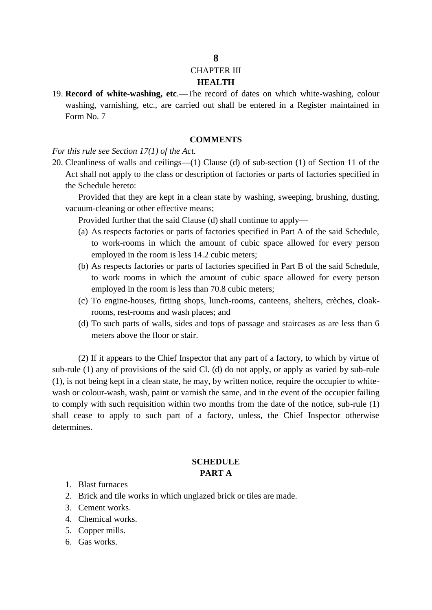#### CHAPTER III

#### **HEALTH**

19. **Record of white-washing, etc**.—The record of dates on which white-washing, colour washing, varnishing, etc., are carried out shall be entered in a Register maintained in Form No. 7 washing, varnishing, etc., are carried ou<br>Form No. 7<br>**COM**<br>*For this rule see Section 17(1) of the Act.*<br>20. Cleanliness of walls and ceilings—(1) Cl

#### **COMMENTS**

20. Cleanliness of walls and ceilings—(1) Clause (d) of sub-section (1) of Section 11 of the<br>20. Cleanliness of walls and ceilings—(1) Clause (d) of sub-section (1) of Section 11 of the<br>Act shall not apply to the class or Act shall not apply to the class or description of factories or parts of factories specified in the Schedule hereto: Cleanliness of walls and ceilings—(1) Clause (<br>Act shall not apply to the class or description of<br>the Schedule hereto:<br>Provided that they are kept in a clean state<br>vacuum-cleaning or other effective means;<br>Provided further

Provided that they are kept in a clean state by washing, sweeping, brushing, dusting,

Provided further that the said Clause (d) shall continue to apply—

- Schedule hereto:<br>
Provided that they are kept in a clean state by washing, sweeping, brushing, dusting,<br>
uum-cleaning or other effective means;<br>
Provided further that the said Clause (d) shall continue to apply—<br>
(a) As re employed in the room is less 14.2 cubic meters; Provided further that the said Clause (d) shall continue to apply—<br>
(a) As respects factories or parts of factories specified in Part A of the said Schedule,<br>
to work-rooms in which the amount of cubic space allowed for ev
- to work rooms in which the amount of cubic space allowed for every person employed in the room is less than 70.8 cubic meters; (b) As respects factories or parts of factories specified in Part B of the said Schedule, to work rooms in which the amount of cubic space allowed for every person employed in the room is less than 70.8 cubic meters; (c) T As respects factories or parts of factories specifie<br>to work rooms in which the amount of cubic<br>employed in the room is less than 70.8 cubic met<br>To engine-houses, fitting shops, lunch-rooms, c<br>rooms, rest-rooms and wash pl to work rooms in which the amount of cubic space allowed for every person employed in the room is less than 70.8 cubic meters;<br>
(c) To engine-houses, fitting shops, lunch-rooms, canteens, shelters, crèches, cloak-rooms, re
- 
- meters above the floor or stair.

(2) If it appears to the Chief Inspector that any part of a factory, to which by virtue of sub-rule (1) any of provisions of the said Cl. (d) do not apply, or apply as varied by sub-rule (1), is not being kept in a clean state, he may, by written notice, require the occupier to whitewash or colour-wash, wash, paint or varnish the same, and in the event of the occupier failing to comply with such requisition within two months from the date of the notice, sub-rule (1) shall cease to apply to such part of a factory, unless, the Chief Inspector otherwise determines.

#### **SCHEDULE PART A**

- 
- 1. Blast furnaces<br>2. Brick and tile works i **2.** Brick and tile works in which unglazed brick or tiles are made.<br>
2. Brick and tile works in which unglazed brick or tiles are made.<br>
3. Cement works. 1. Blast furnaces<br>2. Brick and tile works<br>3. Cement works.<br>4. Chemical works. 1. Blast furnaces<br>2. Brick and tile works i<br>3. Cement works.<br>4. Chemical works.<br>5. Copper mills. 1. Blast furnaces<br>2. Brick and tile wor<br>3. Cement works.<br>4. Chemical works.<br>5. Copper mills.<br>6. Gas works.
- 
- 
- 2. Brick and t<br>3. Cement wo<br>4. Chemical v<br>5. Copper mil<br>6. Gas works.
- 

#### **8**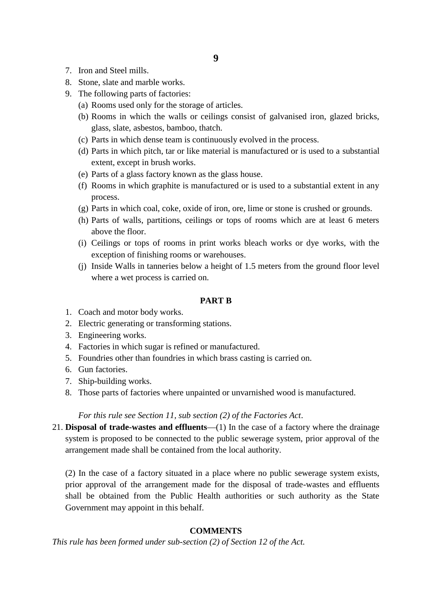- 
- 7. Iron and Steel mills.<br>8. Stone, slate and marble works.
- 9. The following parts of factories:
	- (a) Rooms used only for the storage of articles.
- (a) Trom and Steel mills.<br>
(b) Stone, slate and marble works.<br>
(a) Rooms used only for the storage of articles.<br>
(b) Rooms in which the walls or ceilings consist (b) Iron and Steel mills.<br>
Stone, slate and marble works.<br>
The following parts of factories:<br>
(a) Rooms used only for the storage of articles.<br>
(b) Rooms in which the walls or ceilings consist of galvanised iron, glazed br glass, slate, asbestos, bamboo, thatch. The following parts of factories:<br>
(a) Rooms used only for the storage of articles.<br>
(b) Rooms in which the walls or ceilings consist of galvanised iron, g<br>
glass, slate, asbestos, bamboo, thatch.<br>
(c) Parts in which dense
	-
	- (a) Rooms used only for the storage of articles.<br>
	(b) Rooms in which the walls or ceilings consist of galvanised iron, glazed bricks,<br>
	glass, slate, asbestos, bamboo, thatch.<br>
	(c) Parts in which dense team is continuously extent, except in brush works. (c) Parts in which dense team is continuously evolved in the process.<br>
	(d) Parts in which pitch, tar or like material is manufactured or is use<br>
	extent, except in brush works.<br>
	(e) Parts of a glass factory known as the gla (c) Parts in which dense team is continuously evolved in the process.<br>
	(d) Parts in which pitch, tar or like material is manufactured or is used to a substantial<br>
	extent, except in brush works.<br>
	(e) Parts of a glass factor
	-
	- process. (e) Parts of a glass factory known as the glass house.<br>
	(f) Rooms in which graphite is manufactured or is used to a substantial extent in any<br>
	process.<br>
	(g) Parts in which coal, coke, oxide of iron, ore, lime or stone is c (e) Parts of a glass factory known as the glass house.<br>
	(f) Rooms in which graphite is manufactured or is used to a substantial extent in any<br>
	process.<br>
	(g) Parts in which coal, coke, oxide of iron, ore, lime or stone is c
	-
	- above the floor. process.<br>
	(g) Parts in which coal, coke, oxide of iron, ore, lime or stone is crushed or grounds.<br>
	(h) Parts of walls, partitions, ceilings or tops of rooms which are at least 6 meters<br>
	above the floor.<br>
	(i) Ceilings or to (h) Parts of walls, partitions, ceilings or tops of rooms which are at least 6 meters<br>above the floor.<br>(i) Ceilings or tops of rooms in print works bleach works or dye works, with the<br>exception of finishing rooms or wareh
	- exception of finishing rooms or warehouses.
- where a wet process is carried on. 1. Coach and motor body works.<br>2. Electric generating or transforming 2. Electric generating or transforming stations.<br>
2. Electric generating or transforming stations.<br>
2. Electric generating or transforming stations.

#### **PART B**

- 1. Coach and motor body v<br>
2. Electric generating or tra<br>
3. Engineering works.<br>
4. Factories in which sugar
- 
- 
- 
- **FART B**<br>1. Coach and motor body works.<br>2. Electric generating or transforming stations.<br>3. Engineering works.<br>4. Factories in which sugar is refined or manufactured.<br>5. Foundries other than foundries in which brass castin 1. Coach and motor body works.<br>
2. Electric generating or transforming stations.<br>
3. Engineering works.<br>
4. Factories in which sugar is refined or manufactured.<br>
5. Foundries other than foundries in which brass casting is 2. Electric generating<br>3. Engineering works<br>4. Factories in which<br>5. Foundries other tha<br>6. Gun factories.<br>7. Ship-building worl
- 
- 
- 3. Engineering works.<br>4. Factories in which sugar i<br>5. Foundries other than foun<br>6. Gun factories.<br>7. Ship-building works.<br>8. Those parts of factories w 4. Factories in which sugar is refined or manufactured.<br>5. Foundries other than foundries in which brass casting is carried on.<br>6. Gun factories.<br>7. Ship-building works.<br>8. Those parts of factories where unpainted or unvar

*For this rule see Section 11, sub section (2) of the Factories Act.* 21. **Disposal of trade-wastes and effluents**—(1) In the case of a factory where the drainage system is proposed to be connected to the public sewerage s system is proposed to be connected to the public sewerage system, prior approval of the arrangement made shall be contained from the local authority. 21. **Disposal of trade-wastes and effluents**—(1) In the case of a factory where the drainage system is proposed to be connected to the public sewerage system, prior approval of the arrangement made shall be contained from

prior approval of the arrangement made for the disposal of trade-wastes and effluents shall be obtained from the Public Health authorities or such authority as the State (2) In the case of a factory situated in a pl<br>prior approval of the arrangement made for<br>shall be obtained from the Public Health<br>Government may appoint in this behalf. Government may appoint in this behalf.<br> **COMMENTS**<br> *This rule has been formed under sub-section (2) of Section 12 of the Act.* 

#### **COMMENTS**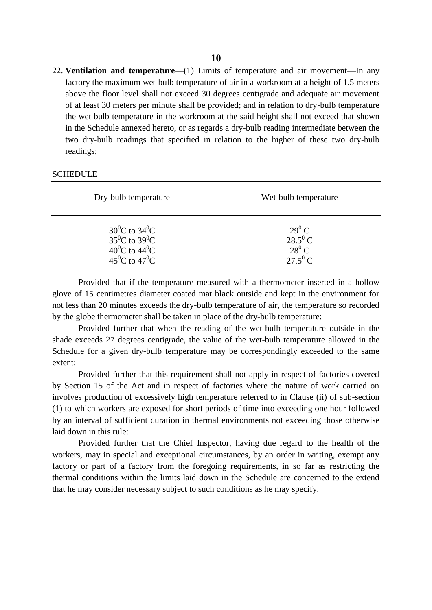22. **Ventilation and temperature**—(1) Limits of temperature and air movement—In any **factory the maximum wet-bulb temperature** (1) Limits of temperature and air movement—In any factory the maximum wet-bulb temperature of air in a workroom at a height of 1.5 meters above the floor level shall not exceed 30 above the floor level shall not exceed 30 degrees centigrade and adequate air movement of at least 30 meters per minute shall be provided; and in relation to dry-bulb temperature the wet bulb temperature in the workroom at the said height shall not exceed that shown in the Schedule annexed hereto, or as regards a dry-bulb reading intermediate between the two dry-bulb readings that specified in relation to the higher of these two dry-bulb readings;

| Dry-bulb temperature                                                                               | Wet-bulb temperature                                                                                                                                                           |
|----------------------------------------------------------------------------------------------------|--------------------------------------------------------------------------------------------------------------------------------------------------------------------------------|
| $30^0C$ to $34^0C$<br>$35^0C$ to $39^0C$<br>$40^0C$ to $44^0C$<br>$45^{\circ}$ C to $47^{\circ}$ C | $29^0$ C<br>$28.5^0 C$<br>$28^0$ C<br>$27.5^0C$                                                                                                                                |
|                                                                                                    | Provided that if the temperature measured with a thermometer inserted in a hollow<br>glove of 15 centimetres diameter coated mat black outside and kept in the environment for |

#### **SCHEDULE**

glove of 15 centimetres diameter coated mat black outside and kept in the environment for not less than 20 minutes exceeds the dry-bulb temperature of air, the temperature so recorded Provided that if the temperature measured with a thermometer inserted if glove of 15 centimetres diameter coated mat black outside and kept in the environt less than 20 minutes exceeds the dry-bulb temperature of air, the Provided that if the temperature measured with a thermometer inserted in a hollow<br>glove of 15 centimetres diameter coated mat black outside and kept in the environment for<br>not less than 20 minutes exceeds the dry-bulb temp

not less than 20 minutes exceeds the dry-bulb temperature of air, the temperature so recorded<br>by the globe thermometer shall be taken in place of the dry-bulb temperature:<br>Provided further that when the reading of the wetextent:

Provided further that this requirement shall not apply in respect of factories covered by Section 15 of the Act and in respect of factories where the nature of work carried on involves production of excessively high temperature referred to in Clause (ii) of sub-section (1) to which workers are exposed for short periods of time into exceeding one hour followed by an interval of sufficient duration in thermal environments not exceeding those otherwise laid down in this rule:

Provided further that the Chief Inspector, having due regard to the health of the workers, may in special and exceptional circumstances, by an order in writing, exempt any factory or part of a factory from the foregoing requirements, in so far as restricting the Iaid down in this rule:<br>
Provided further that the Chief Inspector, having due regard to the health of the<br>
workers, may in special and exceptional circumstances, by an order in writing, exempt any<br>
factory or part of a fa that he may consider necessary subject to such conditions as he may specify.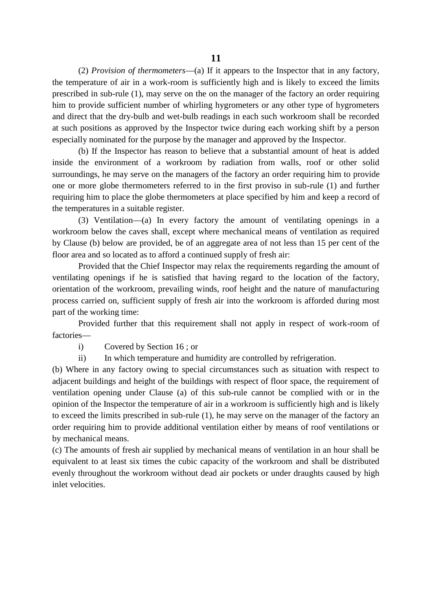(2) *Provision of thermometers*—(a) If it appears to the Inspector that in any factory, the temperature of air in a work-room is sufficiently high and is likely to exceed the limits prescribed in sub-rule (1), may serve on the temperature of air in a work-room is sufficiently high and is likely to exceed the limits **11**<br>(2) Provision of thermometers—(a) If it appears to the Inspector that in any factory,<br>the temperature of air in a work-room is sufficiently high and is likely to exceed the limits<br>prescribed in sub-rule (1), may serv 11<br>
(2) *Provision of thermometers*—(a) If it appears to the Inspector that in any factory,<br>
the temperature of air in a work-room is sufficiently high and is likely to exceed the limits<br>
prescribed in sub-rule (1), may se at such positions as approved by the Inspector twice during each working shift by a person especially nominated for the purpose by the manager and approved by the Inspector.

(b) If the Inspector has reason to believe that a substantial amount of heat is added inside the environment of a workroom by radiation from walls, roof or other solid surroundings, he may serve on the managers of the factory an order requiring him to provide one or more globe thermometers referred to in the first proviso in sub-rule (1) and further requiring him to place the globe thermometers at place specified by him and keep a record of the temperatures in a suitable register.

(3) Ventilation—(a) In every factory the amount of ventilating openings in a workroom below the caves shall, except where mechanical means of ventilation as required by Clause (b) below are provided, be of an aggregate area of not less than 15 per cent of the floor area and so located as to afford a continued supply of fresh air: (3) Ventilation—(a) In every factory the amount of ventilating openings in a om below the caves shall, except where mechanical means of ventilation as required use (b) below are provided, be of an aggregate area of not le

ventilating openings if he is satisfied that having regard to the location of the factory, orientation of the workroom, prevailing winds, roof height and the nature of manufacturing process carried on, sufficient supply of fresh air into the workroom is afforded during most part of the working time: carried on, sufficient supply of fresh as<br>the working time:<br>Provided further that this requirement<br>s—<br>i) Covered by Section 16 ; or<br>ii) In which temperature and humidi

Provided further that this requirement shall not apply in respect of work-room of factories in the working time:<br>
Provided further that this requirement shall not apply in respect of work-<br>
ii) Covered by Section 16; or<br>
ii) In which temperature and humidity are controlled by refrigeration.<br>
ere in any factory ow

Provided further that this requirement shall not apply in respect of work-room of<br>factories—<br>i) Covered by Section 16; or<br>ii) In which temperature and humidity are controlled by refrigeration.<br>(b) Where in any factory owin ventilation opening under Clause (a) of this sub-rule cannot be complied with or in the opinion of the Inspector the temperature of air in a workroom is sufficiently high and is likely to exceed the limits prescribed in sub-rule (1), he may serve on the manager of the factory an by mechanical means. (c) order requiring him to provide additional ventilation either by means of roof ventilations or<br>by mechanical means.<br>(c) The amounts of fresh air supplied by mechanical means of ventilation in an hour shall be<br>equivalent

to exceed the limits prescribed in sub-rule (1), he may serve on the manager of the factory an order requiring him to provide additional ventilation either by means of roof ventilations or by mechanical means.<br>(c) The amou order requiring him to provide additional ventilation either by means of roof ventilations or<br>by mechanical means.<br>(c) The amounts of fresh air supplied by mechanical means of ventilation in an hour shall be<br>equivalent to by mechanical<br>(c) The amount<br>equivalent to a<br>evenly through<br>inlet velocities.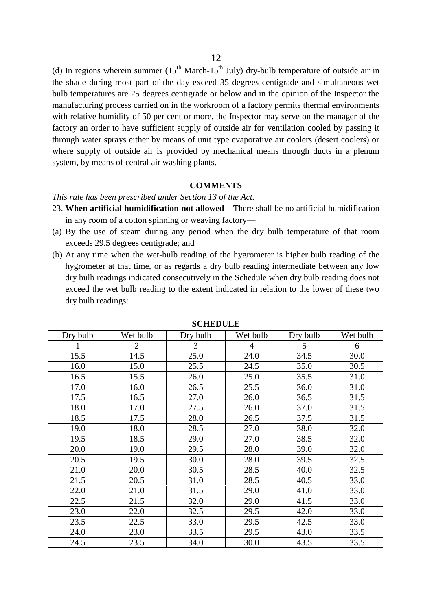(d) In regions wherein summer  $(15^{th}$  March-15<sup>th</sup> July) dry-bulb temperature of outside air in the shade during most part of the day exceed 35 degrees centigrade and simultaneous wet the shade during most part of the day exceed 35 degrees centigrade and simultaneous wet bulb temperatures are 25 degrees centigrade or below and in the opinion of the Inspector the **12**<br>(d) In regions wherein summer  $(15^{th}$  March- $15^{th}$  July) dry-bulb temperature of outside air in the shade during most part of the day exceed 35 degrees centigrade and simultaneous wet bulb temperatures are 25 degre (d) In regions wherein summer  $(15^{th}$  March- $15^{th}$  July) dry-bulb temperature of outside air in the shade during most part of the day exceed 35 degrees centigrade and simultaneous wet bulb temperatures are 25 degrees ce the shade during most part of the day exceed 35 degrees centigrade and simultaneous wet<br>bulb temperatures are 25 degrees centigrade or below and in the opinion of the Inspector the<br>manufacturing process carried on in the w bulb temperatures are 25 degrees centigrade or below and in the opinion of the Inspector the manufacturing process carried on in the workroom of a factory permits thermal environments with relative humidity of 50 per cent where supply of outside air is provided by mechanical means through ducts in a plenum<br>system, by means of central air washing plants.<br>**COMMENTS**<br>This rule has been prescribed under Section 13 of the Act.<br>23. **When artifici** with relative humidity of 50 per cent or more, the I<br>factory an order to have sufficient supply of outsid<br>through water sprays either by means of unit type<br>where supply of outside air is provided by mech<br>system, by means o

#### **COMMENTS**

- 23. **When artificial humidification not allowed**—There shall be no artificial humidification in any room of a cotton spinning or weaving factory— (a) By the use of steam during any period when the dry bulb temperature of that room exceeds 29.5 degrees centigrade; and
- exceeds 29.5 degrees centigrade; and
- (a) By the **artificial humidification not allowed**—There shall be no artificial humidification<br>in any room of a cotton spinning or weaving factory—<br>(a) By the use of steam during any period when the dry bulb temperature of hygrometer at that time, or as regards a dry bulb reading intermediate between any low dry bulb readings indicated consecutively in the Schedule when dry bulb reading does not exceed the wet bulb reading to the extent indicated in relation to the lower of these two dry bulb readings:

| Dry bulb | Wet bulb       | Dry bulb | Wet bulb       | Dry bulb | Wet bulb |
|----------|----------------|----------|----------------|----------|----------|
|          | $\overline{2}$ | 3        | $\overline{4}$ | 5        | 6        |
| 15.5     | 14.5           | 25.0     | 24.0           | 34.5     | 30.0     |
| 16.0     | 15.0           | 25.5     | 24.5           | 35.0     | 30.5     |
| 16.5     | 15.5           | 26.0     | 25.0           | 35.5     | 31.0     |
| 17.0     | 16.0           | 26.5     | 25.5           | 36.0     | 31.0     |
| 17.5     | 16.5           | 27.0     | 26.0           | 36.5     | 31.5     |
| 18.0     | 17.0           | 27.5     | 26.0           | 37.0     | 31.5     |
| 18.5     | 17.5           | 28.0     | 26.5           | 37.5     | 31.5     |
| 19.0     | 18.0           | 28.5     | 27.0           | 38.0     | 32.0     |
| 19.5     | 18.5           | 29.0     | 27.0           | 38.5     | 32.0     |
| 20.0     | 19.0           | 29.5     | 28.0           | 39.0     | 32.0     |
| 20.5     | 19.5           | 30.0     | 28.0           | 39.5     | 32.5     |
| 21.0     | 20.0           | 30.5     | 28.5           | 40.0     | 32.5     |
| 21.5     | 20.5           | 31.0     | 28.5           | 40.5     | 33.0     |
| 22.0     | 21.0           | 31.5     | 29.0           | 41.0     | 33.0     |
| 22.5     | 21.5           | 32.0     | 29.0           | 41.5     | 33.0     |
| 23.0     | 22.0           | 32.5     | 29.5           | 42.0     | 33.0     |
| 23.5     | 22.5           | 33.0     | 29.5           | 42.5     | 33.0     |
| 24.0     | 23.0           | 33.5     | 29.5           | 43.0     | 33.5     |
| 24.5     | 23.5           | 34.0     | 30.0           | 43.5     | 33.5     |

**SCHEDULE**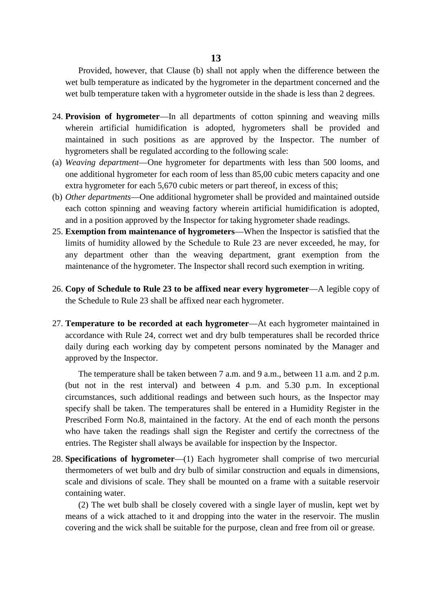Provided, however, that Clause (b) shall not apply when the difference between the 13<br>
Provided, however, that Clause (b) shall not apply when the difference between the<br>wet bulb temperature as indicated by the hygrometer in the department concerned and the<br>wet bulb temperature taken with a hygrometer ou Provided, however, that Clause (b) shall not apply when the difference between the wet bulb temperature as indicated by the hygrometer in the department concerned and the wet bulb temperature taken with a hygrometer outsid

- wet bulb temperature as indicated by the hygrometer in the department concerned and the wet bulb temperature taken with a hygrometer outside in the shade is less than 2 degrees.<br>**Provision of hygrometer**—In all departments maintained in such positions as are approved by the Inspector. The number of hygrometers shall be regulated according to the following scale: wherein artificial humidification is adopted, hygrometers shall be provided and maintained in such positions as are approved by the Inspector. The number of hygrometers shall be regulated according to the following scale:<br>
- (a) *Weaving department*—One hygrometer for departments with less than 500 looms, and extra hygrometer for each 5,670 cubic meters or part thereof, in excess of this;
- (b) *Other departments*—One additional hygrometer shall be provided and maintained outside each cotton spinning and weaving factory wherein artificial humidification is adopted, and in a position approved by the Inspector for taking hygrometer shade readings. extra hygrometer for each 5,670 cubic meters or part thereof, in excess of this;<br>
(b) *Other departments*—One additional hygrometer shall be provided and maintained outside<br>
each cotton spinning and weaving factory wherein
- limits of humidity allowed by the Schedule to Rule 23 are never exceeded, he may, for any department other than the weaving department, grant exemption from the and in a position approved by the Inspector for taking hygrometer shade readings.<br> **Exemption from maintenance of hygrometers**—When the Inspector is satisfied that the<br>
limits of humidity allowed by the Schedule to Rule 23 any department other than the weaving department, grant<br>maintenance of the hygrometer. The Inspector shall record such exe<br>Copy of Schedule to Rule 23 to be affixed near every hygrometer.<br>the Schedule to Rule 23 shall be a
- 26. **Copy of Schedule to Rule 23 to be affixed near every hygrometer**—A legible copy of the Schedule to Rule 23 shall be affixed near each hygrometer.<br>27. Temperature to be recorded at each hygrometer—At each hygrometer maintained in
- 26. **Copy of Schedule to Rule 23 to be affixed near every hygrometer**—A legible copy of the Schedule to Rule 23 shall be affixed near each hygrometer.<br>27. **Temperature to be recorded at each hygrometer**—At each hygrometer accordance with Rule 24, correct wet and dry bulb temperatures shall be recorded thrice approved by the Inspector. mperature to be recorded at each hygrometer—At each hygrometer maintained in ordance with Rule 24, correct wet and dry bulb temperatures shall be recorded thrice y during each working day by competent persons nominated by

accordance with Rule 24, correct wet and dry bulb temperatures shall be recorded thrice<br>daily during each working day by competent persons nominated by the Manager and<br>approved by the Inspector.<br>The temperature shall be ta circumstances, such additional readings and between such hours, as the Inspector may The temperature shall be taken between 7 a.m. and 9 a.m., between 11 a.m. and 2 p.m.<br>(but not in the rest interval) and between 4 p.m. and 5.30 p.m. In exceptional<br>circumstances, such additional readings and between such h The temperature shall be taken between 7 a.m. and 9 a.m., between 11 a.m. and 2 p.m.<br>(but not in the rest interval) and between 4 p.m. and 5.30 p.m. In exceptional<br>circumstances, such additional readings and between such h entries. The Register shall always be available for inspection by the Inspector.

28. **Specifications of hygrometer**—(1) Each hygrometer shall comprise of two mercurial Prescribed Form No.8, maintained in the factory. At the end of each month the persons<br>who have taken the readings shall sign the Register and certify the correctness of the<br>entries. The Register shall always be available f thermometers of wet bulb and dry bulb of similar construction and equals in dimensions, scale and divisions of scale. They shall be mounted on a frame with a suitable reservoir containing water.

(2) The wet bulb shall be closely covered with a single layer of muslin, kept wet by means of a wick attached to it and dropping into the water in the reservoir. The muslin covering and the wick shall be suitable for the purpose, clean and free from oil or grease.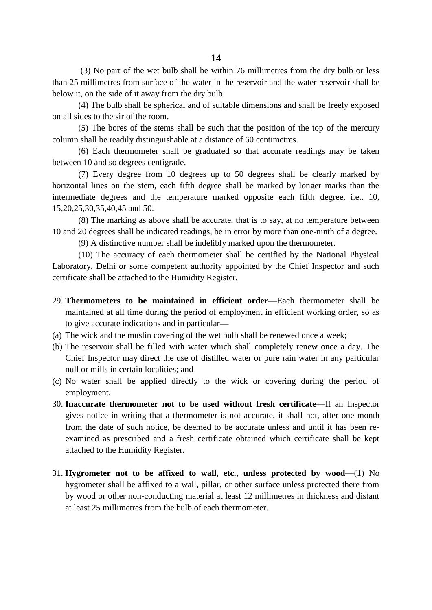(3) No part of the wet bulb shall be within 76 millimetres from the dry bulb or less than 25 millimetres from surface of the water in the reservoir and the water reservoir shall be below it, on the side of it away from the dry bulb. millimetres from surface of the water in the reservoir and the water reservoir shall be<br>t, on the side of it away from the dry bulb.<br>(4) The bulb shall be spherical and of suitable dimensions and shall be freely exposed<br>id

(4) The bulb shall be spherical and of suitable dimensions and shall be freely exposed on all sides to the sir of the room.

column shall be readily distinguishable at a distance of 60 centimetres.

(4) The bulb shall be spherical and of suitable dimensions and shall be freely exposed<br>ides to the sir of the room.<br>(5) The bores of the stems shall be such that the position of the top of the mercury<br>shall be readily dis

between 10 and so degrees centigrade.<br>
(7) Every degree from 10 degree<br>
horizontal lines on the stem, each fifth d<br>
intermediate degrees and the temperatur<br>
15,20,25,30,35,40,45 and 50.<br>
(8) The marking as above shall be (7) Every degree from 10 degrees up to 50 degrees shall be clearly marked by tal lines on the stem, each fifth degree shall be marked by longer marks than the diate degrees and the temperature marked opposite each fifth de horizontal lines on the stem, each fifth degree shall be marked by longer marks than the (6) Each thermometer shall be graduated so that accurate readings may be taken between 10 and so degrees centigrade.<br>
(7) Every degree from 10 degrees up to 50 degrees shall be clearly marked by horizontal lines on the st

10 and 20 degrees shall be indicated readings, be in error by more than one-ninth of a degree. intermediate degrees and the temperature marked opposite each fifth degree, i.e., 10, 15,20,25,30,35,40,45 and 50.<br>(8) The marking as above shall be accurate, that is to say, at no temperature between 10 and 20 degrees sha

(10) The accuracy of each thermometer shall be certified by the National Physical Laboratory, Delhi or some competent authority appointed by the Chief Inspector and such certificate shall be attached to the Humidity Register. 29. The maintained in efficient order—Each thermometer shall be maintained by the Chief Inspector and such certificate shall be attached to the Humidity Register.<br>29. Thermometers to be maintained in efficient order—Each t

- maintained at all time during the period of employment in efficient working order, so as to give accurate indications and in particular— (a) The mometers to be maintained in efficient order—Each thermometer shall maintained at all time during the period of employment in efficient working order, so to give accurate indications and in particular—<br>(a) The wick 29. **Thermometers to be maintained in efficient order**—Each thermometer shall be maintained at all time during the period of employment in efficient working order, so as to give accurate indications and in particular—<br>(a)
- 
- Chief Inspector may direct the use of distilled water or pure rain water in any particular null or mills in certain localities; and (a) The wick and the muslin covering of the wet bulb shall be renewed once a week;<br>
(b) The reservoir shall be filled with water which shall completely renew once a day. The<br>
Chief Inspector may direct the use of distilled
- employment.
- 30. **Inaccurate thermometer not to be used without fresh certificate**—If an Inspector null or mills in certain localities; and<br>No water shall be applied directly to the wick or covering during the period of<br>employment.<br>**Inaccurate thermometer not to be used without fresh certificate**—If an Inspector<br>gives n from the date of such notice, be deemed to be accurate unless and until it has been reexamined as prescribed and a fresh certificate obtained which certificate shall be kept attached to the Humidity Register. 1. **Hygrometer not to be affixed to wall, etc., unless protected by wood—(1)** No hygrometer shall be affixed to a wall, pillar, or other surface unless protected there from
- hygrometer shall be affixed to a wall, pillar, or other surface unless protected there from by wood or other non-conducting material at least 12 millimetres in thickness and distant Hygrometer not to be affixed to wall, etc., unless<br>hygrometer shall be affixed to a wall, pillar, or other surf<br>by wood or other non-conducting material at least 12 mill<br>at least 25 millimetres from the bulb of each thermo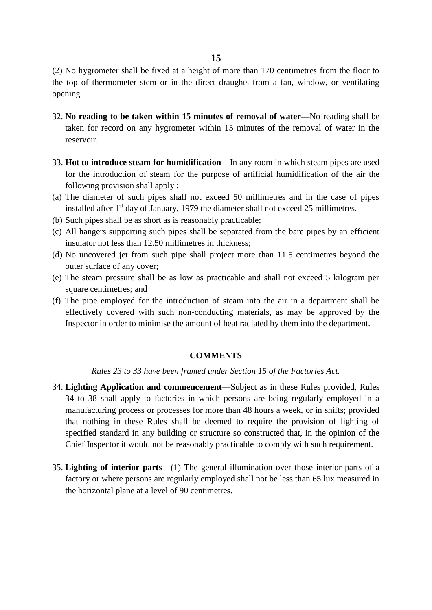(2) No hygrometer shall be fixed at a height of more than 170 centimetres from the floor to the top of thermometer stem or in the direct draughts from a fan, window, or ventilating opening.

- 32. **No reading to be taken within 15 minutes of removal of water**—No reading shall be taken for record on any hygrometer within 15 minutes of the removal of water in the reservoir.
- 33. **Hot to introduce steam for humidification**—In any room in which steam pipes are used for the introduction of steam for the purpose of artificial humidification of the air the following provision shall apply :
- (a) The diameter of such pipes shall not exceed 50 millimetres and in the case of pipes installed after  $1<sup>st</sup>$  day of January, 1979 the diameter shall not exceed 25 millimetres.
- (b) Such pipes shall be as short as is reasonably practicable;
- (c) All hangers supporting such pipes shall be separated from the bare pipes by an efficient insulator not less than 12.50 millimetres in thickness;
- (d) No uncovered jet from such pipe shall project more than 11.5 centimetres beyond the outer surface of any cover;
- (e) The steam pressure shall be as low as practicable and shall not exceed 5 kilogram per square centimetres; and
- (f) The pipe employed for the introduction of steam into the air in a department shall be effectively covered with such non-conducting materials, as may be approved by the Inspector in order to minimise the amount of heat radiated by them into the department.

#### **COMMENTS**

*Rules 23 to 33 have been framed under Section 15 of the Factories Act.*

- 34. **Lighting Application and commencement**—Subject as in these Rules provided, Rules 34 to 38 shall apply to factories in which persons are being regularly employed in a manufacturing process or processes for more than 48 hours a week, or in shifts; provided that nothing in these Rules shall be deemed to require the provision of lighting of specified standard in any building or structure so constructed that, in the opinion of the Chief Inspector it would not be reasonably practicable to comply with such requirement.
- 35. **Lighting of interior parts**—(1) The general illumination over those interior parts of a factory or where persons are regularly employed shall not be less than 65 lux measured in the horizontal plane at a level of 90 centimetres.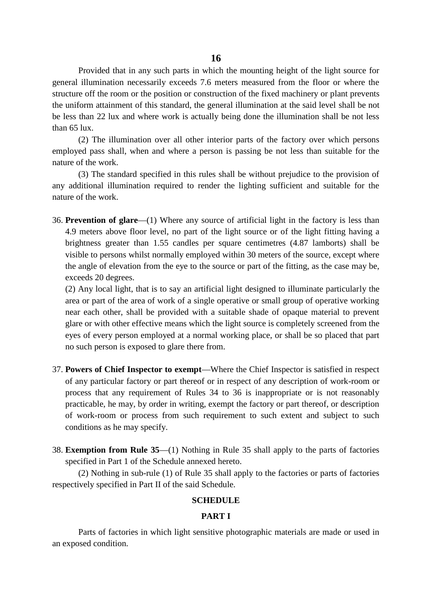Provided that in any such parts in which the mounting height of the light source for general illumination necessarily exceeds 7.6 meters measured from the floor or where the structure off the room or the position or construction of the fixed machinery or plant prevents the uniform attainment of this standard, the general illumination at the said level shall be not be less than 22 lux and where work is actually being done the illumination shall be not less than 65 lux.

(2) The illumination over all other interior parts of the factory over which persons employed pass shall, when and where a person is passing be not less than suitable for the nature of the work.

(3) The standard specified in this rules shall be without prejudice to the provision of any additional illumination required to render the lighting sufficient and suitable for the nature of the work.

36. **Prevention of glare**—(1) Where any source of artificial light in the factory is less than 4.9 meters above floor level, no part of the light source or of the light fitting having a brightness greater than 1.55 candles per square centimetres (4.87 lamborts) shall be visible to persons whilst normally employed within 30 meters of the source, except where the angle of elevation from the eye to the source or part of the fitting, as the case may be, exceeds 20 degrees.

(2) Any local light, that is to say an artificial light designed to illuminate particularly the area or part of the area of work of a single operative or small group of operative working near each other, shall be provided with a suitable shade of opaque material to prevent glare or with other effective means which the light source is completely screened from the eyes of every person employed at a normal working place, or shall be so placed that part no such person is exposed to glare there from.

- 37. **Powers of Chief Inspector to exempt**—Where the Chief Inspector is satisfied in respect of any particular factory or part thereof or in respect of any description of work-room or process that any requirement of Rules 34 to 36 is inappropriate or is not reasonably practicable, he may, by order in writing, exempt the factory or part thereof, or description of work-room or process from such requirement to such extent and subject to such conditions as he may specify.
- 38. **Exemption from Rule 35**—(1) Nothing in Rule 35 shall apply to the parts of factories specified in Part 1 of the Schedule annexed hereto.

(2) Nothing in sub-rule (1) of Rule 35 shall apply to the factories or parts of factories respectively specified in Part II of the said Schedule.

#### **SCHEDULE**

#### **PART I**

Parts of factories in which light sensitive photographic materials are made or used in an exposed condition.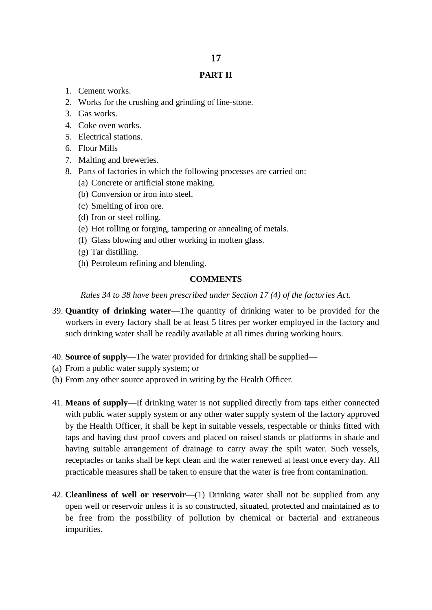#### **PART II**

- 1. Cement works.
- 2. Works for the crushing and grinding of line-stone.
- 3. Gas works.
- 4. Coke oven works.
- 5. Electrical stations.
- 6. Flour Mills
- 7. Malting and breweries.
- 8. Parts of factories in which the following processes are carried on:
	- (a) Concrete or artificial stone making.
	- (b) Conversion or iron into steel.
	- (c) Smelting of iron ore.
	- (d) Iron or steel rolling.
	- (e) Hot rolling or forging, tampering or annealing of metals.
	- (f) Glass blowing and other working in molten glass.
	- (g) Tar distilling.
	- (h) Petroleum refining and blending.

### **COMMENTS**

*Rules 34 to 38 have been prescribed under Section 17 (4) of the factories Act.*

- 39. **Quantity of drinking water**—The quantity of drinking water to be provided for the workers in every factory shall be at least 5 litres per worker employed in the factory and such drinking water shall be readily available at all times during working hours.
- 40. **Source of supply**—The water provided for drinking shall be supplied—
- (a) From a public water supply system; or
- (b) From any other source approved in writing by the Health Officer.
- 41. **Means of supply**—If drinking water is not supplied directly from taps either connected with public water supply system or any other water supply system of the factory approved by the Health Officer, it shall be kept in suitable vessels, respectable or thinks fitted with taps and having dust proof covers and placed on raised stands or platforms in shade and having suitable arrangement of drainage to carry away the spilt water. Such vessels, receptacles or tanks shall be kept clean and the water renewed at least once every day. All practicable measures shall be taken to ensure that the water is free from contamination.
- 42. **Cleanliness of well or reservoir**—(1) Drinking water shall not be supplied from any open well or reservoir unless it is so constructed, situated, protected and maintained as to be free from the possibility of pollution by chemical or bacterial and extraneous impurities.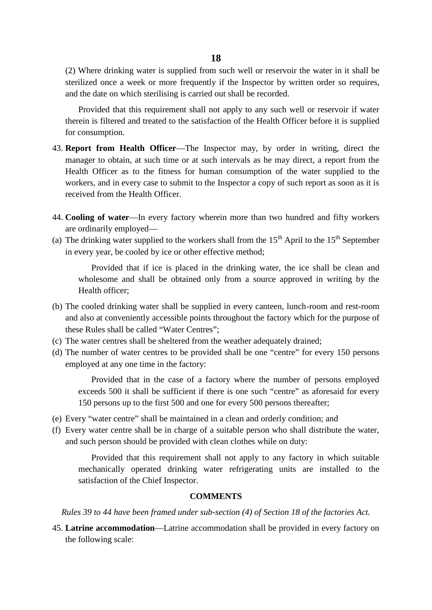(2) Where drinking water is supplied from such well or reservoir the water in it shall be sterilized once a week or more frequently if the Inspector by written order so requires, and the date on which sterilising is carried out shall be recorded.

Provided that this requirement shall not apply to any such well or reservoir if water therein is filtered and treated to the satisfaction of the Health Officer before it is supplied for consumption.

- 43. **Report from Health Officer**—The Inspector may, by order in writing, direct the manager to obtain, at such time or at such intervals as he may direct, a report from the Health Officer as to the fitness for human consumption of the water supplied to the workers, and in every case to submit to the Inspector a copy of such report as soon as it is received from the Health Officer.
- 44. **Cooling of water**—In every factory wherein more than two hundred and fifty workers are ordinarily employed—
- (a) The drinking water supplied to the workers shall from the  $15<sup>th</sup>$  April to the  $15<sup>th</sup>$  September in every year, be cooled by ice or other effective method;

Provided that if ice is placed in the drinking water, the ice shall be clean and wholesome and shall be obtained only from a source approved in writing by the Health officer;

- (b) The cooled drinking water shall be supplied in every canteen, lunch-room and rest-room and also at conveniently accessible points throughout the factory which for the purpose of these Rules shall be called "Water Centres";
- (c) The water centres shall be sheltered from the weather adequately drained;
- (d) The number of water centres to be provided shall be one "centre" for every 150 persons employed at any one time in the factory:

Provided that in the case of a factory where the number of persons employed exceeds 500 it shall be sufficient if there is one such "centre" as aforesaid for every 150 persons up to the first 500 and one for every 500 persons thereafter;

- (e) Every "water centre" shall be maintained in a clean and orderly condition; and
- (f) Every water centre shall be in charge of a suitable person who shall distribute the water, and such person should be provided with clean clothes while on duty:

Provided that this requirement shall not apply to any factory in which suitable mechanically operated drinking water refrigerating units are installed to the satisfaction of the Chief Inspector.

#### **COMMENTS**

*Rules 39 to 44 have been framed under sub-section (4) of Section 18 of the factories Act.*

45. **Latrine accommodation**—Latrine accommodation shall be provided in every factory on the following scale: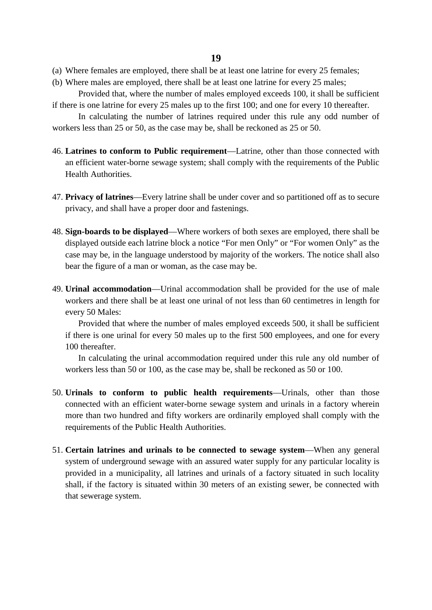- (a) Where females are employed, there shall be at least one latrine for every 25 females;
- (b) Where males are employed, there shall be at least one latrine for every 25 males;

Provided that, where the number of males employed exceeds 100, it shall be sufficient if there is one latrine for every 25 males up to the first 100; and one for every 10 thereafter.

In calculating the number of latrines required under this rule any odd number of workers less than 25 or 50, as the case may be, shall be reckoned as 25 or 50.

- 46. **Latrines to conform to Public requirement**—Latrine, other than those connected with an efficient water-borne sewage system; shall comply with the requirements of the Public Health Authorities.
- 47. **Privacy of latrines**—Every latrine shall be under cover and so partitioned off as to secure privacy, and shall have a proper door and fastenings.
- 48. **Sign-boards to be displayed**—Where workers of both sexes are employed, there shall be displayed outside each latrine block a notice "For men Only" or "For women Only" as the case may be, in the language understood by majority of the workers. The notice shall also bear the figure of a man or woman, as the case may be.
- 49. **Urinal accommodation**—Urinal accommodation shall be provided for the use of male workers and there shall be at least one urinal of not less than 60 centimetres in length for every 50 Males:

Provided that where the number of males employed exceeds 500, it shall be sufficient if there is one urinal for every 50 males up to the first 500 employees, and one for every 100 thereafter.

In calculating the urinal accommodation required under this rule any old number of workers less than 50 or 100, as the case may be, shall be reckoned as 50 or 100.

- 50. **Urinals to conform to public health requirements**—Urinals, other than those connected with an efficient water-borne sewage system and urinals in a factory wherein more than two hundred and fifty workers are ordinarily employed shall comply with the requirements of the Public Health Authorities.
- 51. **Certain latrines and urinals to be connected to sewage system**—When any general system of underground sewage with an assured water supply for any particular locality is provided in a municipality, all latrines and urinals of a factory situated in such locality shall, if the factory is situated within 30 meters of an existing sewer, be connected with that sewerage system.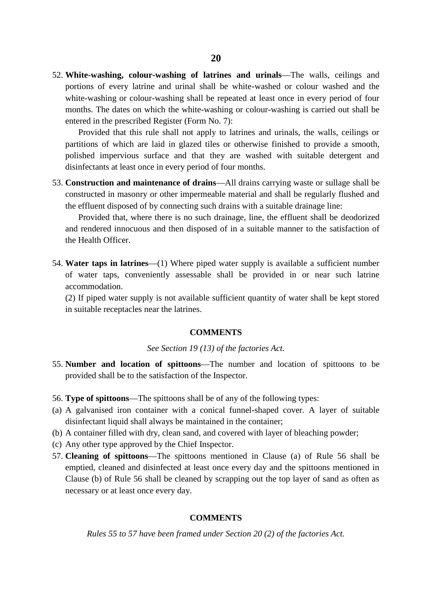52. **White-washing, colour-washing of latrines and urinals**—The walls, ceilings and portions of every latrine and urinal shall be white-washed or colour washed and the white-washing or colour-washing shall be repeated at least once in every period of four months. The dates on which the white-washing or colour-washing is carried out shall be entered in the prescribed Register (Form No. 7):

Provided that this rule shall not apply to latrines and urinals, the walls, ceilings or partitions of which are laid in glazed tiles or otherwise finished to provide a smooth, polished impervious surface and that they are washed with suitable detergent and disinfectants at least once in every period of four months.

53. **Construction and maintenance of drains**—All drains carrying waste or sullage shall be constructed in masonry or other impermeable material and shall be regularly flushed and the effluent disposed of by connecting such drains with a suitable drainage line:

Provided that, where there is no such drainage, line, the effluent shall be deodorized and rendered innocuous and then disposed of in a suitable manner to the satisfaction of the Health Officer.

54. **Water taps in latrines**—(1) Where piped water supply is available a sufficient number of water taps, conveniently assessable shall be provided in or near such latrine accommodation.

(2) If piped water supply is not available sufficient quantity of water shall be kept stored in suitable receptacles near the latrines.

#### **COMMENTS**

#### *See Section 19 (13) of the factories Act.*

- 55. **Number and location of spittoons**—The number and location of spittoons to be provided shall be to the satisfaction of the Inspector.
- 56. **Type of spittoons**—The spittoons shall be of any of the following types:
- (a) A galvanised iron container with a conical funnel-shaped cover. A layer of suitable disinfectant liquid shall always be maintained in the container;
- (b) A container filled with dry, clean sand, and covered with layer of bleaching powder;
- (c) Any other type approved by the Chief Inspector.
- 57. **Cleaning of spittoons**—The spittoons mentioned in Clause (a) of Rule 56 shall be emptied, cleaned and disinfected at least once every day and the spittoons mentioned in Clause (b) of Rule 56 shall be cleaned by scrapping out the top layer of sand as often as necessary or at least once every day.

#### **COMMENTS**

*Rules 55 to 57 have been framed under Section 20 (2) of the factories Act.*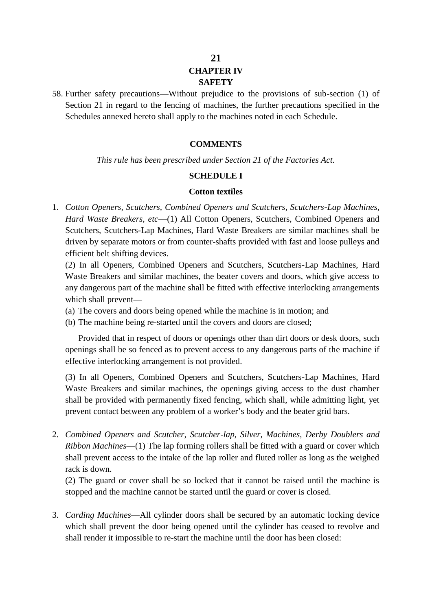#### **21 CHAPTER IV SAFETY**

58. Further safety precautions—Without prejudice to the provisions of sub-section (1) of Section 21 in regard to the fencing of machines, the further precautions specified in the Schedules annexed hereto shall apply to the machines noted in each Schedule.

#### **COMMENTS**

*This rule has been prescribed under Section 21 of the Factories Act.*

#### **SCHEDULE I**

#### **Cotton textiles**

1. *Cotton Openers, Scutchers, Combined Openers and Scutchers, Scutchers-Lap Machines, Hard Waste Breakers, etc*—(1) All Cotton Openers, Scutchers, Combined Openers and Scutchers, Scutchers-Lap Machines, Hard Waste Breakers are similar machines shall be driven by separate motors or from counter-shafts provided with fast and loose pulleys and efficient belt shifting devices.

(2) In all Openers, Combined Openers and Scutchers, Scutchers-Lap Machines, Hard Waste Breakers and similar machines, the beater covers and doors, which give access to any dangerous part of the machine shall be fitted with effective interlocking arrangements which shall prevent—

- (a) The covers and doors being opened while the machine is in motion; and
- (b) The machine being re-started until the covers and doors are closed;

Provided that in respect of doors or openings other than dirt doors or desk doors, such openings shall be so fenced as to prevent access to any dangerous parts of the machine if effective interlocking arrangement is not provided.

(3) In all Openers, Combined Openers and Scutchers, Scutchers-Lap Machines, Hard Waste Breakers and similar machines, the openings giving access to the dust chamber shall be provided with permanently fixed fencing, which shall, while admitting light, yet prevent contact between any problem of a worker's body and the beater grid bars.

2. *Combined Openers and Scutcher, Scutcher-lap, Silver, Machines, Derby Doublers and Ribbon Machines*—(1) The lap forming rollers shall be fitted with a guard or cover which shall prevent access to the intake of the lap roller and fluted roller as long as the weighed rack is down.

(2) The guard or cover shall be so locked that it cannot be raised until the machine is stopped and the machine cannot be started until the guard or cover is closed.

3. *Carding Machines*—All cylinder doors shall be secured by an automatic locking device which shall prevent the door being opened until the cylinder has ceased to revolve and shall render it impossible to re-start the machine until the door has been closed: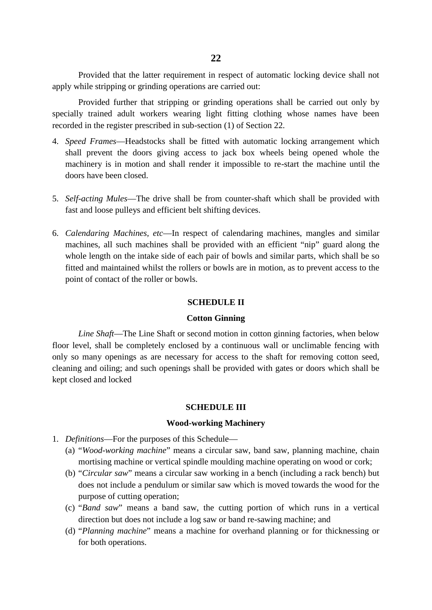Provided that the latter requirement in respect of automatic locking device shall not apply while stripping or grinding operations are carried out:

Provided further that stripping or grinding operations shall be carried out only by specially trained adult workers wearing light fitting clothing whose names have been recorded in the register prescribed in sub-section (1) of Section 22.

- 4. *Speed Frames*—Headstocks shall be fitted with automatic locking arrangement which shall prevent the doors giving access to jack box wheels being opened whole the machinery is in motion and shall render it impossible to re-start the machine until the doors have been closed.
- 5. *Self-acting Mules*—The drive shall be from counter-shaft which shall be provided with fast and loose pulleys and efficient belt shifting devices.
- 6. *Calendaring Machines, etc*—In respect of calendaring machines, mangles and similar machines, all such machines shall be provided with an efficient "nip" guard along the whole length on the intake side of each pair of bowls and similar parts, which shall be so fitted and maintained whilst the rollers or bowls are in motion, as to prevent access to the point of contact of the roller or bowls.

#### **SCHEDULE II**

#### **Cotton Ginning**

*Line Shaft*—The Line Shaft or second motion in cotton ginning factories, when below floor level, shall be completely enclosed by a continuous wall or unclimable fencing with only so many openings as are necessary for access to the shaft for removing cotton seed, cleaning and oiling; and such openings shall be provided with gates or doors which shall be kept closed and locked

#### **SCHEDULE III**

#### **Wood-working Machinery**

- 1. *Definitions*—For the purposes of this Schedule—
	- (a) "*Wood-working machine*" means a circular saw, band saw, planning machine, chain mortising machine or vertical spindle moulding machine operating on wood or cork;
	- (b) "*Circular saw*" means a circular saw working in a bench (including a rack bench) but does not include a pendulum or similar saw which is moved towards the wood for the purpose of cutting operation;
	- (c) "*Band saw*" means a band saw, the cutting portion of which runs in a vertical direction but does not include a log saw or band re-sawing machine; and
	- (d) "*Planning machine*" means a machine for overhand planning or for thicknessing or for both operations.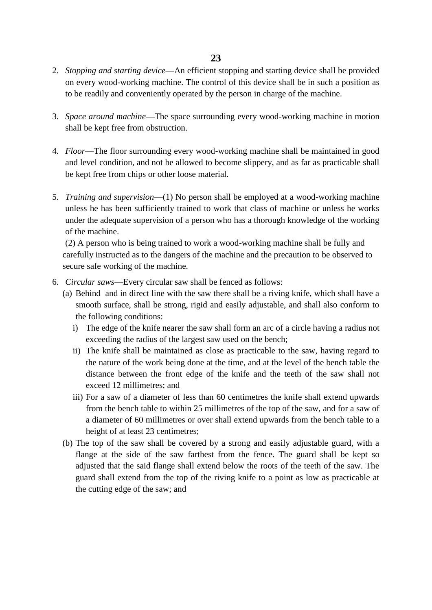- 2. *Stopping and starting device*—An efficient stopping and starting device shall be provided on every wood-working machine. The control of this device shall be in such a position as to be readily and conveniently operated by the person in charge of the machine.
- 3. *Space around machine*—The space surrounding every wood-working machine in motion shall be kept free from obstruction.
- 4. *Floor*—The floor surrounding every wood-working machine shall be maintained in good and level condition, and not be allowed to become slippery, and as far as practicable shall be kept free from chips or other loose material.
- 5. *Training and supervision*—(1) No person shall be employed at a wood-working machine unless he has been sufficiently trained to work that class of machine or unless he works under the adequate supervision of a person who has a thorough knowledge of the working of the machine.

(2) A person who is being trained to work a wood-working machine shall be fully and carefully instructed as to the dangers of the machine and the precaution to be observed to secure safe working of the machine.

- 6. *Circular saws*—Every circular saw shall be fenced as follows:
	- (a) Behind and in direct line with the saw there shall be a riving knife, which shall have a smooth surface, shall be strong, rigid and easily adjustable, and shall also conform to the following conditions:
		- i) The edge of the knife nearer the saw shall form an arc of a circle having a radius not exceeding the radius of the largest saw used on the bench;
		- ii) The knife shall be maintained as close as practicable to the saw, having regard to the nature of the work being done at the time, and at the level of the bench table the distance between the front edge of the knife and the teeth of the saw shall not exceed 12 millimetres; and
		- iii) For a saw of a diameter of less than 60 centimetres the knife shall extend upwards from the bench table to within 25 millimetres of the top of the saw, and for a saw of a diameter of 60 millimetres or over shall extend upwards from the bench table to a height of at least 23 centimetres;
	- (b) The top of the saw shall be covered by a strong and easily adjustable guard, with a flange at the side of the saw farthest from the fence. The guard shall be kept so adjusted that the said flange shall extend below the roots of the teeth of the saw. The guard shall extend from the top of the riving knife to a point as low as practicable at the cutting edge of the saw; and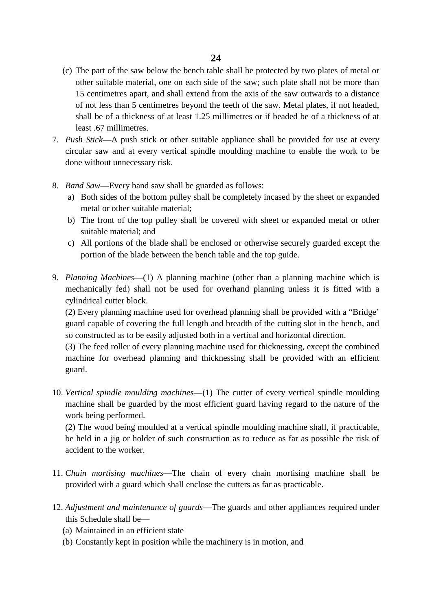- (c) The part of the saw below the bench table shall be protected by two plates of metal or other suitable material, one on each side of the saw; such plate shall not be more than 15 centimetres apart, and shall extend from the axis of the saw outwards to a distance of not less than 5 centimetres beyond the teeth of the saw. Metal plates, if not headed, shall be of a thickness of at least 1.25 millimetres or if beaded be of a thickness of at least .67 millimetres.
- 7. *Push Stick*—A push stick or other suitable appliance shall be provided for use at every circular saw and at every vertical spindle moulding machine to enable the work to be done without unnecessary risk.
- 8. *Band Saw*—Every band saw shall be guarded as follows:
	- a) Both sides of the bottom pulley shall be completely incased by the sheet or expanded metal or other suitable material;
	- b) The front of the top pulley shall be covered with sheet or expanded metal or other suitable material; and
	- c) All portions of the blade shall be enclosed or otherwise securely guarded except the portion of the blade between the bench table and the top guide.
- 9. *Planning Machines*—(1) A planning machine (other than a planning machine which is mechanically fed) shall not be used for overhand planning unless it is fitted with a cylindrical cutter block.

(2) Every planning machine used for overhead planning shall be provided with a "Bridge' guard capable of covering the full length and breadth of the cutting slot in the bench, and so constructed as to be easily adjusted both in a vertical and horizontal direction.

(3) The feed roller of every planning machine used for thicknessing, except the combined machine for overhead planning and thicknessing shall be provided with an efficient guard.

10. *Vertical spindle moulding machines*—(1) The cutter of every vertical spindle moulding machine shall be guarded by the most efficient guard having regard to the nature of the work being performed.

(2) The wood being moulded at a vertical spindle moulding machine shall, if practicable, be held in a jig or holder of such construction as to reduce as far as possible the risk of accident to the worker.

- 11. *Chain mortising machines*—The chain of every chain mortising machine shall be provided with a guard which shall enclose the cutters as far as practicable.
- 12. *Adjustment and maintenance of guards*—The guards and other appliances required under this Schedule shall be—
	- (a) Maintained in an efficient state
	- (b) Constantly kept in position while the machinery is in motion, and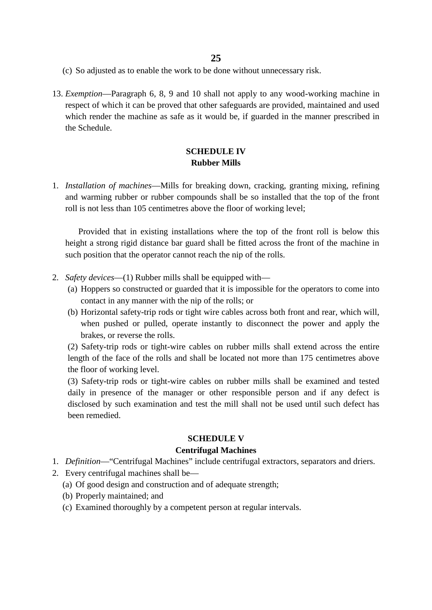- (c) So adjusted as to enable the work to be done without unnecessary risk.
- 13. *Exemption*—Paragraph 6, 8, 9 and 10 shall not apply to any wood-working machine in respect of which it can be proved that other safeguards are provided, maintained and used which render the machine as safe as it would be, if guarded in the manner prescribed in the Schedule.

#### **SCHEDULE IV Rubber Mills**

1. *Installation of machines*—Mills for breaking down, cracking, granting mixing, refining and warming rubber or rubber compounds shall be so installed that the top of the front roll is not less than 105 centimetres above the floor of working level;

Provided that in existing installations where the top of the front roll is below this height a strong rigid distance bar guard shall be fitted across the front of the machine in such position that the operator cannot reach the nip of the rolls.

- 2. *Safety devices*—(1) Rubber mills shall be equipped with—
	- (a) Hoppers so constructed or guarded that it is impossible for the operators to come into contact in any manner with the nip of the rolls; or
	- (b) Horizontal safety-trip rods or tight wire cables across both front and rear, which will, when pushed or pulled, operate instantly to disconnect the power and apply the brakes, or reverse the rolls.

(2) Safety-trip rods or tight-wire cables on rubber mills shall extend across the entire length of the face of the rolls and shall be located not more than 175 centimetres above the floor of working level.

(3) Safety-trip rods or tight-wire cables on rubber mills shall be examined and tested daily in presence of the manager or other responsible person and if any defect is disclosed by such examination and test the mill shall not be used until such defect has been remedied.

#### **SCHEDULE V**

#### **Centrifugal Machines**

- 1. *Definition*—"Centrifugal Machines" include centrifugal extractors, separators and driers.
- 2. Every centrifugal machines shall be—
	- (a) Of good design and construction and of adequate strength;
	- (b) Properly maintained; and
	- (c) Examined thoroughly by a competent person at regular intervals.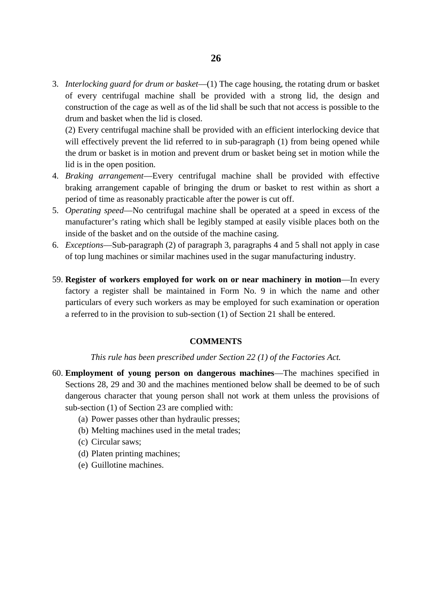3. *Interlocking guard for drum or basket*—(1) The cage housing, the rotating drum or basket of every centrifugal machine shall be provided with a strong lid, the design and construction of the cage as well as of the lid shall be such that not access is possible to the drum and basket when the lid is closed.

(2) Every centrifugal machine shall be provided with an efficient interlocking device that will effectively prevent the lid referred to in sub-paragraph (1) from being opened while the drum or basket is in motion and prevent drum or basket being set in motion while the lid is in the open position.

- 4. *Braking arrangement*—Every centrifugal machine shall be provided with effective braking arrangement capable of bringing the drum or basket to rest within as short a period of time as reasonably practicable after the power is cut off.
- 5. *Operating speed*—No centrifugal machine shall be operated at a speed in excess of the manufacturer's rating which shall be legibly stamped at easily visible places both on the inside of the basket and on the outside of the machine casing.
- 6. *Exceptions*—Sub-paragraph (2) of paragraph 3, paragraphs 4 and 5 shall not apply in case of top lung machines or similar machines used in the sugar manufacturing industry.
- 59. **Register of workers employed for work on or near machinery in motion**—In every factory a register shall be maintained in Form No. 9 in which the name and other particulars of every such workers as may be employed for such examination or operation a referred to in the provision to sub-section (1) of Section 21 shall be entered.

#### **COMMENTS**

#### *This rule has been prescribed under Section 22 (1) of the Factories Act.*

- 60. **Employment of young person on dangerous machines**—The machines specified in Sections 28, 29 and 30 and the machines mentioned below shall be deemed to be of such dangerous character that young person shall not work at them unless the provisions of sub-section (1) of Section 23 are complied with:
	- (a) Power passes other than hydraulic presses;
	- (b) Melting machines used in the metal trades;
	- (c) Circular saws;
	- (d) Platen printing machines;
	- (e) Guillotine machines.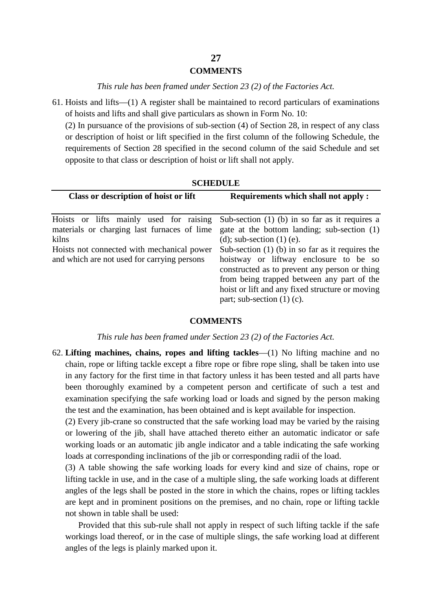#### **COMMENTS**

*This rule has been framed under Section 23 (2) of the Factories Act.*

61. Hoists and lifts—(1) A register shall be maintained to record particulars of examinations of hoists and lifts and shall give particulars as shown in Form No. 10:

(2) In pursuance of the provisions of sub-section (4) of Section 28, in respect of any class or description of hoist or lift specified in the first column of the following Schedule, the requirements of Section 28 specified in the second column of the said Schedule and set opposite to that class or description of hoist or lift shall not apply.

| Class or description of hoist or lift<br><b>Requirements which shall not apply :</b><br>Sub-section $(1)$ (b) in so far as it requires a<br>Hoists or lifts mainly used for raising<br>gate at the bottom landing; sub-section (1)<br>materials or charging last furnaces of lime<br>(d); sub-section $(1)$ (e).<br>kilns<br>Sub-section $(1)$ (b) in so far as it requires the<br>Hoists not connected with mechanical power<br>and which are not used for carrying persons<br>hoistway or liftway enclosure to be so<br>constructed as to prevent any person or thing |
|-------------------------------------------------------------------------------------------------------------------------------------------------------------------------------------------------------------------------------------------------------------------------------------------------------------------------------------------------------------------------------------------------------------------------------------------------------------------------------------------------------------------------------------------------------------------------|
|                                                                                                                                                                                                                                                                                                                                                                                                                                                                                                                                                                         |
| from being trapped between any part of the<br>hoist or lift and any fixed structure or moving<br>part; sub-section $(1)$ (c).                                                                                                                                                                                                                                                                                                                                                                                                                                           |

#### **SCHEDULE**

#### **COMMENTS**

*This rule has been framed under Section 23 (2) of the Factories Act.*

62. **Lifting machines, chains, ropes and lifting tackles**—(1) No lifting machine and no chain, rope or lifting tackle except a fibre rope or fibre rope sling, shall be taken into use in any factory for the first time in that factory unless it has been tested and all parts have been thoroughly examined by a competent person and certificate of such a test and examination specifying the safe working load or loads and signed by the person making the test and the examination, has been obtained and is kept available for inspection.

(2) Every jib-crane so constructed that the safe working load may be varied by the raising or lowering of the jib, shall have attached thereto either an automatic indicator or safe working loads or an automatic jib angle indicator and a table indicating the safe working loads at corresponding inclinations of the jib or corresponding radii of the load.

(3) A table showing the safe working loads for every kind and size of chains, rope or lifting tackle in use, and in the case of a multiple sling, the safe working loads at different angles of the legs shall be posted in the store in which the chains, ropes or lifting tackles are kept and in prominent positions on the premises, and no chain, rope or lifting tackle not shown in table shall be used:

Provided that this sub-rule shall not apply in respect of such lifting tackle if the safe workings load thereof, or in the case of multiple slings, the safe working load at different angles of the legs is plainly marked upon it.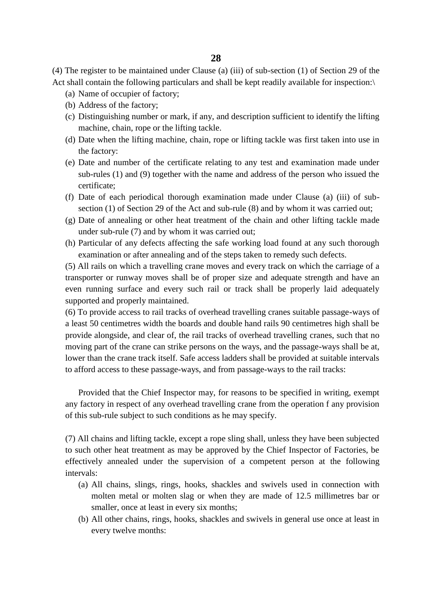(4) The register to be maintained under Clause (a) (iii) of sub-section (1) of Section 29 of the Act shall contain the following particulars and shall be kept readily available for inspection:\

- (a) Name of occupier of factory;
- (b) Address of the factory;
- (c) Distinguishing number or mark, if any, and description sufficient to identify the lifting machine, chain, rope or the lifting tackle.
- (d) Date when the lifting machine, chain, rope or lifting tackle was first taken into use in the factory:
- (e) Date and number of the certificate relating to any test and examination made under sub-rules (1) and (9) together with the name and address of the person who issued the certificate;
- (f) Date of each periodical thorough examination made under Clause (a) (iii) of sub section (1) of Section 29 of the Act and sub-rule (8) and by whom it was carried out;
- (g) Date of annealing or other heat treatment of the chain and other lifting tackle made under sub-rule (7) and by whom it was carried out;
- (h) Particular of any defects affecting the safe working load found at any such thorough examination or after annealing and of the steps taken to remedy such defects.

(5) All rails on which a travelling crane moves and every track on which the carriage of a transporter or runway moves shall be of proper size and adequate strength and have an even running surface and every such rail or track shall be properly laid adequately supported and properly maintained.

(6) To provide access to rail tracks of overhead travelling cranes suitable passage-ways of a least 50 centimetres width the boards and double hand rails 90 centimetres high shall be provide alongside, and clear of, the rail tracks of overhead travelling cranes, such that no moving part of the crane can strike persons on the ways, and the passage-ways shall be at, lower than the crane track itself. Safe access ladders shall be provided at suitable intervals to afford access to these passage-ways, and from passage-ways to the rail tracks:

Provided that the Chief Inspector may, for reasons to be specified in writing, exempt any factory in respect of any overhead travelling crane from the operation f any provision of this sub-rule subject to such conditions as he may specify.

(7) All chains and lifting tackle, except a rope sling shall, unless they have been subjected to such other heat treatment as may be approved by the Chief Inspector of Factories, be effectively annealed under the supervision of a competent person at the following intervals:

- (a) All chains, slings, rings, hooks, shackles and swivels used in connection with molten metal or molten slag or when they are made of 12.5 millimetres bar or smaller, once at least in every six months;
- (b) All other chains, rings, hooks, shackles and swivels in general use once at least in every twelve months: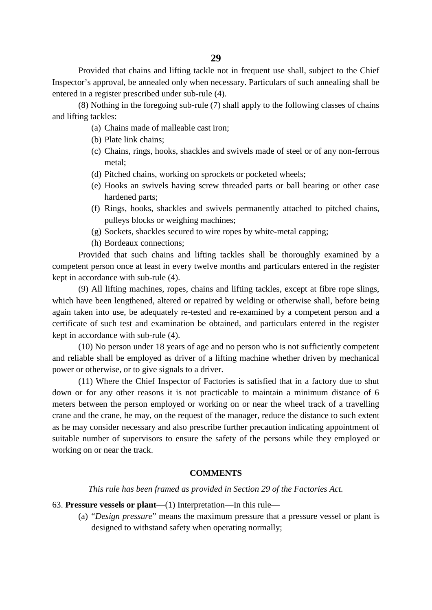Provided that chains and lifting tackle not in frequent use shall, subject to the Chief Inspector's approval, be annealed only when necessary. Particulars of such annealing shall be entered in a register prescribed under sub-rule (4).

(8) Nothing in the foregoing sub-rule (7) shall apply to the following classes of chains and lifting tackles:

- (a) Chains made of malleable cast iron;
- (b) Plate link chains;
- (c) Chains, rings, hooks, shackles and swivels made of steel or of any non-ferrous metal;
- (d) Pitched chains, working on sprockets or pocketed wheels;
- (e) Hooks an swivels having screw threaded parts or ball bearing or other case hardened parts;
- (f) Rings, hooks, shackles and swivels permanently attached to pitched chains, pulleys blocks or weighing machines;
- (g) Sockets, shackles secured to wire ropes by white-metal capping;
- (h) Bordeaux connections;

Provided that such chains and lifting tackles shall be thoroughly examined by a competent person once at least in every twelve months and particulars entered in the register kept in accordance with sub-rule (4).

(9) All lifting machines, ropes, chains and lifting tackles, except at fibre rope slings, which have been lengthened, altered or repaired by welding or otherwise shall, before being again taken into use, be adequately re-tested and re-examined by a competent person and a certificate of such test and examination be obtained, and particulars entered in the register kept in accordance with sub-rule (4).

(10) No person under 18 years of age and no person who is not sufficiently competent and reliable shall be employed as driver of a lifting machine whether driven by mechanical power or otherwise, or to give signals to a driver.

(11) Where the Chief Inspector of Factories is satisfied that in a factory due to shut down or for any other reasons it is not practicable to maintain a minimum distance of 6 meters between the person employed or working on or near the wheel track of a travelling crane and the crane, he may, on the request of the manager, reduce the distance to such extent as he may consider necessary and also prescribe further precaution indicating appointment of suitable number of supervisors to ensure the safety of the persons while they employed or working on or near the track.

#### **COMMENTS**

#### *This rule has been framed as provided in Section 29 of the Factories Act.*

#### 63. **Pressure vessels or plant**—(1) Interpretation—In this rule—

(a) "*Design pressure*" means the maximum pressure that a pressure vessel or plant is designed to withstand safety when operating normally;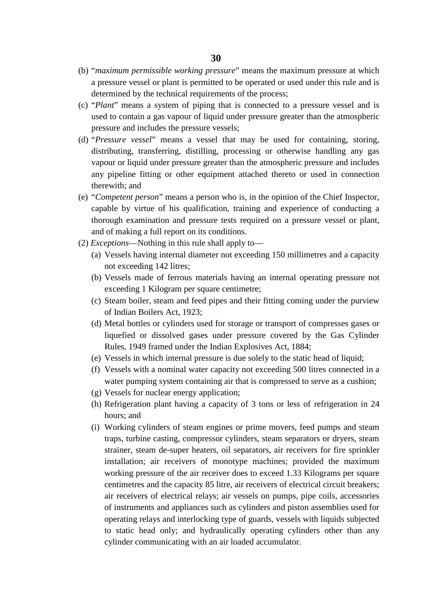- (b) "*maximum permissible working pressure*" means the maximum pressure at which a pressure vessel or plant is permitted to be operated or used under this rule and is determined by the technical requirements of the process;
- (c) "*Plant*" means a system of piping that is connected to a pressure vessel and is used to contain a gas vapour of liquid under pressure greater than the atmospheric pressure and includes the pressure vessels;
- (d) "*Pressure vessel*" means a vessel that may be used for containing, storing, distributing, transferring, distilling, processing or otherwise handling any gas vapour or liquid under pressure greater than the atmospheric pressure and includes any pipeline fitting or other equipment attached thereto or used in connection therewith; and
- (e) "*Competent person*" means a person who is, in the opinion of the Chief Inspector, capable by virtue of his qualification, training and experience of conducting a thorough examination and pressure tests required on a pressure vessel or plant, and of making a full report on its conditions.
- (2) *Exceptions*—Nothing in this rule shall apply to—
	- (a) Vessels having internal diameter not exceeding 150 millimetres and a capacity not exceeding 142 litres;
	- (b) Vessels made of ferrous materials having an internal operating pressure not exceeding 1 Kilogram per square centimetre;
	- (c) Steam boiler, steam and feed pipes and their fitting coming under the purview of Indian Boilers Act, 1923;
	- (d) Metal bottles or cylinders used for storage or transport of compresses gases or liquefied or dissolved gases under pressure covered by the Gas Cylinder Rules, 1949 framed under the Indian Explosives Act, 1884;
	- (e) Vessels in which internal pressure is due solely to the static head of liquid;
	- (f) Vessels with a nominal water capacity not exceeding 500 litres connected in a water pumping system containing air that is compressed to serve as a cushion;
	- (g) Vessels for nuclear energy application;
	- (h) Refrigeration plant having a capacity of 3 tons or less of refrigeration in 24 hours; and
	- (i) Working cylinders of steam engines or prime movers, feed pumps and steam traps, turbine casting, compressor cylinders, steam separators or dryers, steam strainer, steam de-super heaters, oil separators, air receivers for fire sprinkler installation; air receivers of monotype machines; provided the maximum working pressure of the air receiver does to exceed 1.33 Kilograms per square centimetres and the capacity 85 litre, air receivers of electrical circuit breakers; air receivers of electrical relays; air vessels on pumps, pipe coils, accessories of instruments and appliances such as cylinders and piston assemblies used for operating relays and interlocking type of guards, vessels with liquids subjected to static head only; and hydraulically operating cylinders other than any cylinder communicating with an air loaded accumulator.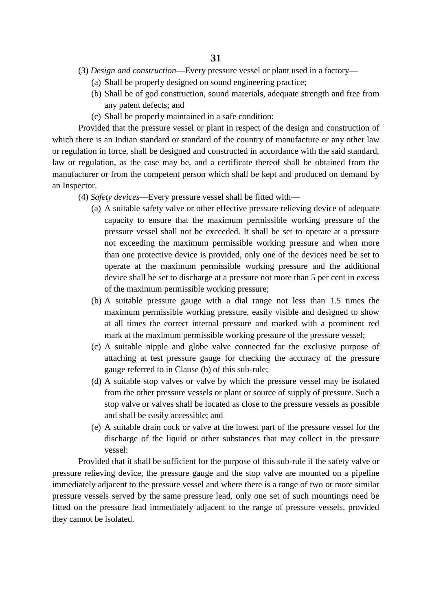- (3) *Design and construction*—Every pressure vessel or plant used in a factory—
	- (a) Shall be properly designed on sound engineering practice;
	- (b) Shall be of god construction, sound materials, adequate strength and free from any patent defects; and
	- (c) Shall be properly maintained in a safe condition:

Provided that the pressure vessel or plant in respect of the design and construction of which there is an Indian standard or standard of the country of manufacture or any other law or regulation in force, shall be designed and constructed in accordance with the said standard, law or regulation, as the case may be, and a certificate thereof shall be obtained from the manufacturer or from the competent person which shall be kept and produced on demand by an Inspector.

- (4) *Safety devices*—Every pressure vessel shall be fitted with—
	- (a) A suitable safety valve or other effective pressure relieving device of adequate capacity to ensure that the maximum permissible working pressure of the pressure vessel shall not be exceeded. It shall be set to operate at a pressure not exceeding the maximum permissible working pressure and when more than one protective device is provided, only one of the devices need be set to operate at the maximum permissible working pressure and the additional device shall be set to discharge at a pressure not more than 5 per cent in excess of the maximum permissible working pressure;
	- (b) A suitable pressure gauge with a dial range not less than 1.5 times the maximum permissible working pressure, easily visible and designed to show at all times the correct internal pressure and marked with a prominent red mark at the maximum permissible working pressure of the pressure vessel;
	- (c) A suitable nipple and globe valve connected for the exclusive purpose of attaching at test pressure gauge for checking the accuracy of the pressure gauge referred to in Clause (b) of this sub-rule;
	- (d) A suitable stop valves or valve by which the pressure vessel may be isolated from the other pressure vessels or plant or source of supply of pressure. Such a stop valve or valves shall be located as close to the pressure vessels as possible and shall be easily accessible; and
	- (e) A suitable drain cock or valve at the lowest part of the pressure vessel for the discharge of the liquid or other substances that may collect in the pressure vessel:

Provided that it shall be sufficient for the purpose of this sub-rule if the safety valve or pressure relieving device, the pressure gauge and the stop valve are mounted on a pipeline immediately adjacent to the pressure vessel and where there is a range of two or more similar pressure vessels served by the same pressure lead, only one set of such mountings need be fitted on the pressure lead immediately adjacent to the range of pressure vessels, provided they cannot be isolated.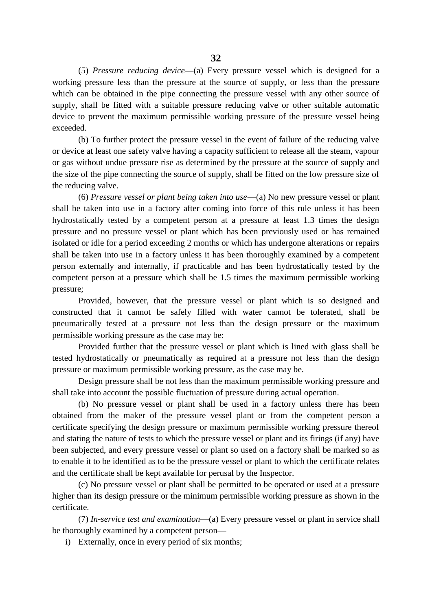(5) *Pressure reducing device*—(a) Every pressure vessel which is designed for a working pressure less than the pressure at the source of supply, or less than the pressure which can be obtained in the pipe connecting the pressure vessel with any other source of supply, shall be fitted with a suitable pressure reducing valve or other suitable automatic device to prevent the maximum permissible working pressure of the pressure vessel being exceeded.

(b) To further protect the pressure vessel in the event of failure of the reducing valve or device at least one safety valve having a capacity sufficient to release all the steam, vapour or gas without undue pressure rise as determined by the pressure at the source of supply and the size of the pipe connecting the source of supply, shall be fitted on the low pressure size of the reducing valve.

(6) *Pressure vessel or plant being taken into use*—(a) No new pressure vessel or plant shall be taken into use in a factory after coming into force of this rule unless it has been hydrostatically tested by a competent person at a pressure at least 1.3 times the design pressure and no pressure vessel or plant which has been previously used or has remained isolated or idle for a period exceeding 2 months or which has undergone alterations or repairs shall be taken into use in a factory unless it has been thoroughly examined by a competent person externally and internally, if practicable and has been hydrostatically tested by the competent person at a pressure which shall be 1.5 times the maximum permissible working pressure;

Provided, however, that the pressure vessel or plant which is so designed and constructed that it cannot be safely filled with water cannot be tolerated, shall be pneumatically tested at a pressure not less than the design pressure or the maximum permissible working pressure as the case may be:

Provided further that the pressure vessel or plant which is lined with glass shall be tested hydrostatically or pneumatically as required at a pressure not less than the design pressure or maximum permissible working pressure, as the case may be.

Design pressure shall be not less than the maximum permissible working pressure and shall take into account the possible fluctuation of pressure during actual operation.

(b) No pressure vessel or plant shall be used in a factory unless there has been obtained from the maker of the pressure vessel plant or from the competent person a certificate specifying the design pressure or maximum permissible working pressure thereof and stating the nature of tests to which the pressure vessel or plant and its firings (if any) have been subjected, and every pressure vessel or plant so used on a factory shall be marked so as to enable it to be identified as to be the pressure vessel or plant to which the certificate relates and the certificate shall be kept available for perusal by the Inspector.

(c) No pressure vessel or plant shall be permitted to be operated or used at a pressure higher than its design pressure or the minimum permissible working pressure as shown in the certificate.

(7) *In-service test and examination*—(a) Every pressure vessel or plant in service shall be thoroughly examined by a competent person—

i) Externally, once in every period of six months;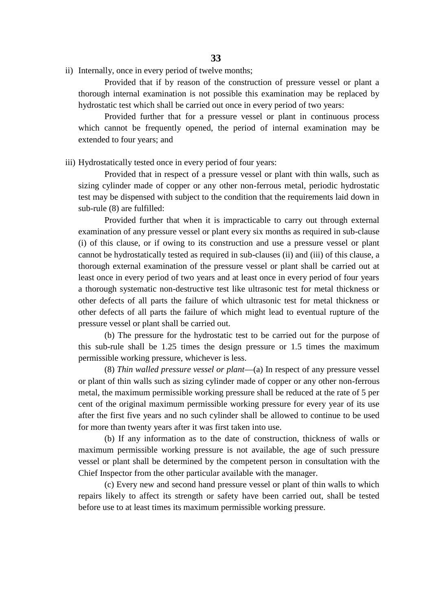Provided that if by reason of the construction of pressure vessel or plant a thorough internal examination is not possible this examination may be replaced by hydrostatic test which shall be carried out once in every period of two years:

Provided further that for a pressure vessel or plant in continuous process which cannot be frequently opened, the period of internal examination may be extended to four years; and

iii) Hydrostatically tested once in every period of four years:

Provided that in respect of a pressure vessel or plant with thin walls, such as sizing cylinder made of copper or any other non-ferrous metal, periodic hydrostatic test may be dispensed with subject to the condition that the requirements laid down in sub-rule (8) are fulfilled:

Provided further that when it is impracticable to carry out through external examination of any pressure vessel or plant every six months as required in sub-clause (i) of this clause, or if owing to its construction and use a pressure vessel or plant cannot be hydrostatically tested as required in sub-clauses (ii) and (iii) of this clause, a thorough external examination of the pressure vessel or plant shall be carried out at least once in every period of two years and at least once in every period of four years a thorough systematic non-destructive test like ultrasonic test for metal thickness or other defects of all parts the failure of which ultrasonic test for metal thickness or other defects of all parts the failure of which might lead to eventual rupture of the pressure vessel or plant shall be carried out.

(b) The pressure for the hydrostatic test to be carried out for the purpose of this sub-rule shall be 1.25 times the design pressure or 1.5 times the maximum permissible working pressure, whichever is less.

(8) *Thin walled pressure vessel or plant*—(a) In respect of any pressure vessel or plant of thin walls such as sizing cylinder made of copper or any other non-ferrous metal, the maximum permissible working pressure shall be reduced at the rate of 5 per cent of the original maximum permissible working pressure for every year of its use after the first five years and no such cylinder shall be allowed to continue to be used for more than twenty years after it was first taken into use.

(b) If any information as to the date of construction, thickness of walls or maximum permissible working pressure is not available, the age of such pressure vessel or plant shall be determined by the competent person in consultation with the Chief Inspector from the other particular available with the manager.

(c) Every new and second hand pressure vessel or plant of thin walls to which repairs likely to affect its strength or safety have been carried out, shall be tested before use to at least times its maximum permissible working pressure.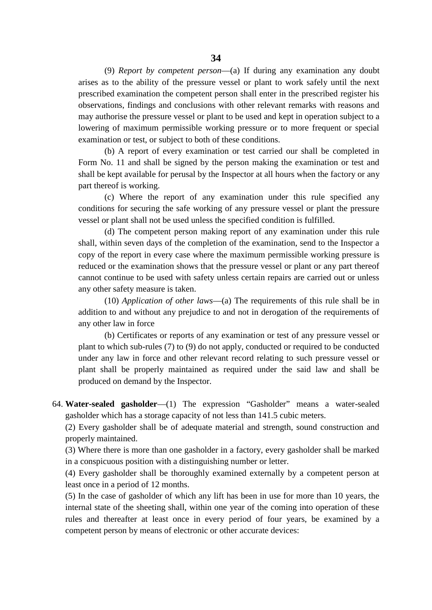(9) *Report by competent person*—(a) If during any examination any doubt arises as to the ability of the pressure vessel or plant to work safely until the next prescribed examination the competent person shall enter in the prescribed register his observations, findings and conclusions with other relevant remarks with reasons and may authorise the pressure vessel or plant to be used and kept in operation subject to a lowering of maximum permissible working pressure or to more frequent or special examination or test, or subject to both of these conditions.

(b) A report of every examination or test carried our shall be completed in Form No. 11 and shall be signed by the person making the examination or test and shall be kept available for perusal by the Inspector at all hours when the factory or any part thereof is working.

(c) Where the report of any examination under this rule specified any conditions for securing the safe working of any pressure vessel or plant the pressure vessel or plant shall not be used unless the specified condition is fulfilled.

(d) The competent person making report of any examination under this rule shall, within seven days of the completion of the examination, send to the Inspector a copy of the report in every case where the maximum permissible working pressure is reduced or the examination shows that the pressure vessel or plant or any part thereof cannot continue to be used with safety unless certain repairs are carried out or unless any other safety measure is taken.

(10) *Application of other laws*—(a) The requirements of this rule shall be in addition to and without any prejudice to and not in derogation of the requirements of any other law in force

(b) Certificates or reports of any examination or test of any pressure vessel or plant to which sub-rules (7) to (9) do not apply, conducted or required to be conducted under any law in force and other relevant record relating to such pressure vessel or plant shall be properly maintained as required under the said law and shall be produced on demand by the Inspector.

64. **Water-sealed gasholder**—(1) The expression "Gasholder" means a water-sealed gasholder which has a storage capacity of not less than 141.5 cubic meters.

(2) Every gasholder shall be of adequate material and strength, sound construction and properly maintained.

(3) Where there is more than one gasholder in a factory, every gasholder shall be marked in a conspicuous position with a distinguishing number or letter.

(4) Every gasholder shall be thoroughly examined externally by a competent person at least once in a period of 12 months.

(5) In the case of gasholder of which any lift has been in use for more than 10 years, the internal state of the sheeting shall, within one year of the coming into operation of these rules and thereafter at least once in every period of four years, be examined by a competent person by means of electronic or other accurate devices: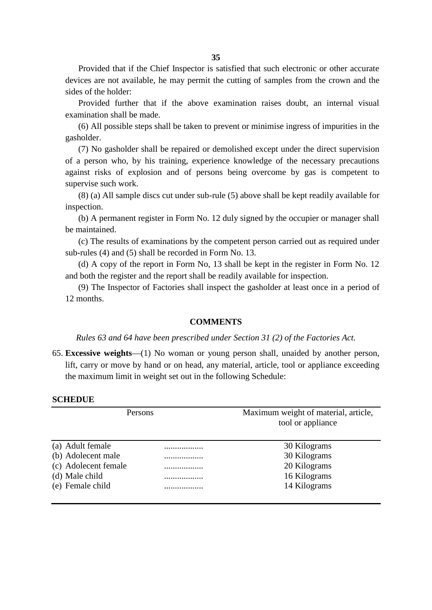Provided that if the Chief Inspector is satisfied that such electronic or other accurate devices are not available, he may permit the cutting of samples from the crown and the sides of the holder:

Provided further that if the above examination raises doubt, an internal visual examination shall be made.

(6) All possible steps shall be taken to prevent or minimise ingress of impurities in the gasholder.

(7) No gasholder shall be repaired or demolished except under the direct supervision of a person who, by his training, experience knowledge of the necessary precautions against risks of explosion and of persons being overcome by gas is competent to supervise such work.

(8) (a) All sample discs cut under sub-rule (5) above shall be kept readily available for inspection.

(b) A permanent register in Form No. 12 duly signed by the occupier or manager shall be maintained.

(c) The results of examinations by the competent person carried out as required under sub-rules (4) and (5) shall be recorded in Form No. 13.

(d) A copy of the report in Form No, 13 shall be kept in the register in Form No. 12 and both the register and the report shall be readily available for inspection.

(9) The Inspector of Factories shall inspect the gasholder at least once in a period of 12 months.

#### **COMMENTS**

*Rules 63 and 64 have been prescribed under Section 31 (2) of the Factories Act.*

65. **Excessive weights**—(1) No woman or young person shall, unaided by another person, lift, carry or move by hand or on head, any material, article, tool or appliance exceeding the maximum limit in weight set out in the following Schedule:

#### **SCHEDUE**

| Persons              |   | Maximum weight of material, article,<br>tool or appliance |  |  |
|----------------------|---|-----------------------------------------------------------|--|--|
| (a) Adult female     | . | 30 Kilograms                                              |  |  |
| (b) Adolecent male   | . | 30 Kilograms                                              |  |  |
| (c) Adolecent female | . | 20 Kilograms                                              |  |  |
| (d) Male child       | . | 16 Kilograms                                              |  |  |
| (e) Female child     | . | 14 Kilograms                                              |  |  |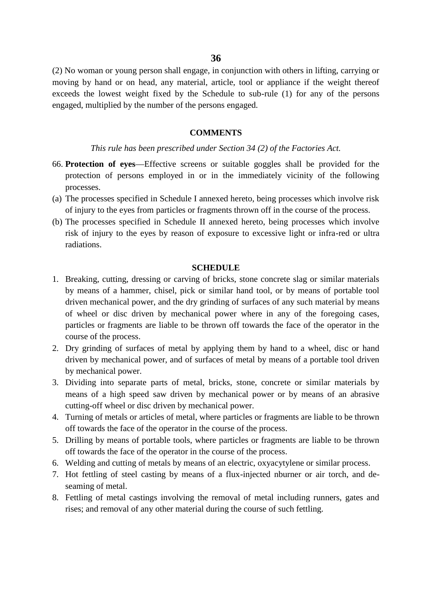(2) No woman or young person shall engage, in conjunction with others in lifting, carrying or moving by hand or on head, any material, article, tool or appliance if the weight thereof exceeds the lowest weight fixed by the Schedule to sub-rule (1) for any of the persons engaged, multiplied by the number of the persons engaged.

#### **COMMENTS**

#### *This rule has been prescribed under Section 34 (2) of the Factories Act.*

- 66. **Protection of eyes**—Effective screens or suitable goggles shall be provided for the protection of persons employed in or in the immediately vicinity of the following processes.
- (a) The processes specified in Schedule I annexed hereto, being processes which involve risk of injury to the eyes from particles or fragments thrown off in the course of the process.
- (b) The processes specified in Schedule II annexed hereto, being processes which involve risk of injury to the eyes by reason of exposure to excessive light or infra-red or ultra radiations.

## **SCHEDULE**

- 1. Breaking, cutting, dressing or carving of bricks, stone concrete slag or similar materials by means of a hammer, chisel, pick or similar hand tool, or by means of portable tool driven mechanical power, and the dry grinding of surfaces of any such material by means of wheel or disc driven by mechanical power where in any of the foregoing cases, particles or fragments are liable to be thrown off towards the face of the operator in the course of the process.
- 2. Dry grinding of surfaces of metal by applying them by hand to a wheel, disc or hand driven by mechanical power, and of surfaces of metal by means of a portable tool driven by mechanical power.
- 3. Dividing into separate parts of metal, bricks, stone, concrete or similar materials by means of a high speed saw driven by mechanical power or by means of an abrasive cutting-off wheel or disc driven by mechanical power.
- 4. Turning of metals or articles of metal, where particles or fragments are liable to be thrown off towards the face of the operator in the course of the process.
- 5. Drilling by means of portable tools, where particles or fragments are liable to be thrown off towards the face of the operator in the course of the process.
- 6. Welding and cutting of metals by means of an electric, oxyacytylene or similar process.
- 7. Hot fettling of steel casting by means of a flux-injected nburner or air torch, and de seaming of metal.
- 8. Fettling of metal castings involving the removal of metal including runners, gates and rises; and removal of any other material during the course of such fettling.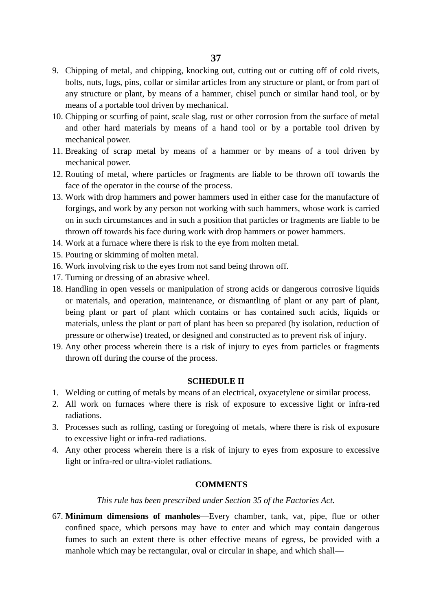- 9. Chipping of metal, and chipping, knocking out, cutting out or cutting off of cold rivets, bolts, nuts, lugs, pins, collar or similar articles from any structure or plant, or from part of any structure or plant, by means of a hammer, chisel punch or similar hand tool, or by means of a portable tool driven by mechanical.
- 10. Chipping or scurfing of paint, scale slag, rust or other corrosion from the surface of metal and other hard materials by means of a hand tool or by a portable tool driven by mechanical power.
- 11. Breaking of scrap metal by means of a hammer or by means of a tool driven by mechanical power.
- 12. Routing of metal, where particles or fragments are liable to be thrown off towards the face of the operator in the course of the process.
- 13. Work with drop hammers and power hammers used in either case for the manufacture of forgings, and work by any person not working with such hammers, whose work is carried on in such circumstances and in such a position that particles or fragments are liable to be thrown off towards his face during work with drop hammers or power hammers.
- 14. Work at a furnace where there is risk to the eye from molten metal.
- 15. Pouring or skimming of molten metal.
- 16. Work involving risk to the eyes from not sand being thrown off.
- 17. Turning or dressing of an abrasive wheel.
- 18. Handling in open vessels or manipulation of strong acids or dangerous corrosive liquids or materials, and operation, maintenance, or dismantling of plant or any part of plant, being plant or part of plant which contains or has contained such acids, liquids or materials, unless the plant or part of plant has been so prepared (by isolation, reduction of pressure or otherwise) treated, or designed and constructed as to prevent risk of injury.
- 19. Any other process wherein there is a risk of injury to eyes from particles or fragments thrown off during the course of the process.

## **SCHEDULE II**

- 1. Welding or cutting of metals by means of an electrical, oxyacetylene or similar process.
- 2. All work on furnaces where there is risk of exposure to excessive light or infra-red radiations.
- 3. Processes such as rolling, casting or foregoing of metals, where there is risk of exposure to excessive light or infra-red radiations.
- 4. Any other process wherein there is a risk of injury to eyes from exposure to excessive light or infra-red or ultra-violet radiations.

### **COMMENTS**

#### *This rule has been prescribed under Section 35 of the Factories Act.*

67. **Minimum dimensions of manholes**—Every chamber, tank, vat, pipe, flue or other confined space, which persons may have to enter and which may contain dangerous fumes to such an extent there is other effective means of egress, be provided with a manhole which may be rectangular, oval or circular in shape, and which shall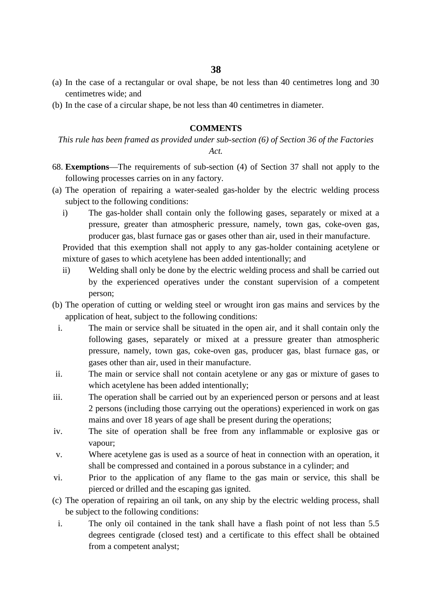**38**

- (a) In the case of a rectangular or oval shape, be not less than 40 centimetres long and 30 centimetres wide; and
- (b) In the case of a circular shape, be not less than 40 centimetres in diameter.

## **COMMENTS**

*This rule has been framed as provided under sub-section (6) of Section 36 of the Factories*

*Act.*

- 68. **Exemptions**—The requirements of sub-section (4) of Section 37 shall not apply to the following processes carries on in any factory.
- (a) The operation of repairing a water-sealed gas-holder by the electric welding process subject to the following conditions:
	- i) The gas-holder shall contain only the following gases, separately or mixed at a pressure, greater than atmospheric pressure, namely, town gas, coke-oven gas, producer gas, blast furnace gas or gases other than air, used in their manufacture.

Provided that this exemption shall not apply to any gas-holder containing acetylene or mixture of gases to which acetylene has been added intentionally; and

- ii) Welding shall only be done by the electric welding process and shall be carried out by the experienced operatives under the constant supervision of a competent person;
- (b) The operation of cutting or welding steel or wrought iron gas mains and services by the application of heat, subject to the following conditions:
	- i. The main or service shall be situated in the open air, and it shall contain only the following gases, separately or mixed at a pressure greater than atmospheric pressure, namely, town gas, coke-oven gas, producer gas, blast furnace gas, or gases other than air, used in their manufacture.
- ii. The main or service shall not contain acetylene or any gas or mixture of gases to which acetylene has been added intentionally;
- iii. The operation shall be carried out by an experienced person or persons and at least 2 persons (including those carrying out the operations) experienced in work on gas mains and over 18 years of age shall be present during the operations;
- iv. The site of operation shall be free from any inflammable or explosive gas or vapour;
- v. Where acetylene gas is used as a source of heat in connection with an operation, it shall be compressed and contained in a porous substance in a cylinder; and
- vi. Prior to the application of any flame to the gas main or service, this shall be pierced or drilled and the escaping gas ignited.
- (c) The operation of repairing an oil tank, on any ship by the electric welding process, shall be subject to the following conditions:
	- i. The only oil contained in the tank shall have a flash point of not less than 5.5 degrees centigrade (closed test) and a certificate to this effect shall be obtained from a competent analyst;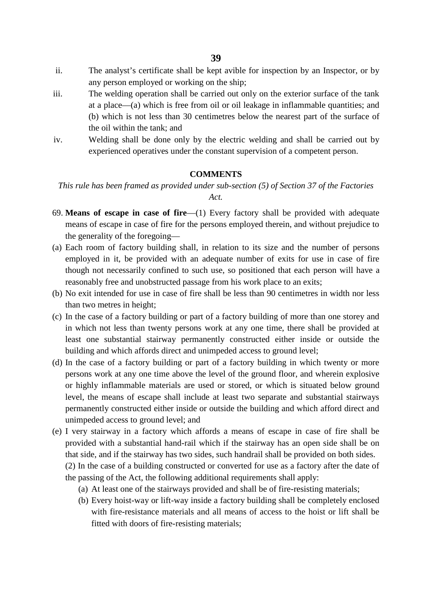- ii. The analyst's certificate shall be kept avible for inspection by an Inspector, or by any person employed or working on the ship;
- iii. The welding operation shall be carried out only on the exterior surface of the tank at a place—(a) which is free from oil or oil leakage in inflammable quantities; and (b) which is not less than 30 centimetres below the nearest part of the surface of the oil within the tank; and
- iv. Welding shall be done only by the electric welding and shall be carried out by experienced operatives under the constant supervision of a competent person.

## **COMMENTS**

*This rule has been framed as provided under sub-section (5) of Section 37 of the Factories Act.*

- 69. **Means of escape in case of fire**—(1) Every factory shall be provided with adequate means of escape in case of fire for the persons employed therein, and without prejudice to the generality of the foregoing—
- (a) Each room of factory building shall, in relation to its size and the number of persons employed in it, be provided with an adequate number of exits for use in case of fire though not necessarily confined to such use, so positioned that each person will have a reasonably free and unobstructed passage from his work place to an exits;
- (b) No exit intended for use in case of fire shall be less than 90 centimetres in width nor less than two metres in height;
- (c) In the case of a factory building or part of a factory building of more than one storey and in which not less than twenty persons work at any one time, there shall be provided at least one substantial stairway permanently constructed either inside or outside the building and which affords direct and unimpeded access to ground level;
- (d) In the case of a factory building or part of a factory building in which twenty or more persons work at any one time above the level of the ground floor, and wherein explosive or highly inflammable materials are used or stored, or which is situated below ground level, the means of escape shall include at least two separate and substantial stairways permanently constructed either inside or outside the building and which afford direct and unimpeded access to ground level; and
- (e) I very stairway in a factory which affords a means of escape in case of fire shall be provided with a substantial hand-rail which if the stairway has an open side shall be on that side, and if the stairway has two sides, such handrail shall be provided on both sides.
	- (2) In the case of a building constructed or converted for use as a factory after the date of the passing of the Act, the following additional requirements shall apply:
		- (a) At least one of the stairways provided and shall be of fire-resisting materials;
		- (b) Every hoist-way or lift-way inside a factory building shall be completely enclosed with fire-resistance materials and all means of access to the hoist or lift shall be fitted with doors of fire-resisting materials;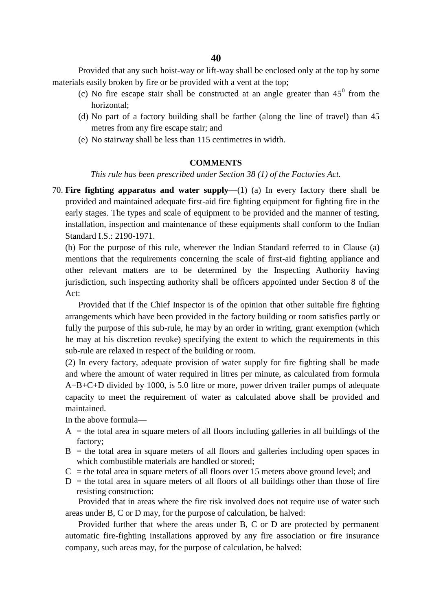Provided that any such hoist-way or lift-way shall be enclosed only at the top by some materials easily broken by fire or be provided with a vent at the top;

- (c) No fire escape stair shall be constructed at an angle greater than  $45^{\circ}$  from the horizontal;
- (d) No part of a factory building shall be farther (along the line of travel) than 45 metres from any fire escape stair; and
- (e) No stairway shall be less than 115 centimetres in width.

# **COMMENTS**

*This rule has been prescribed under Section 38 (1) of the Factories Act.*

70. **Fire fighting apparatus and water supply**—(1) (a) In every factory there shall be provided and maintained adequate first-aid fire fighting equipment for fighting fire in the early stages. The types and scale of equipment to be provided and the manner of testing, installation, inspection and maintenance of these equipments shall conform to the Indian Standard I.S.: 2190-1971.

(b) For the purpose of this rule, wherever the Indian Standard referred to in Clause (a) mentions that the requirements concerning the scale of first-aid fighting appliance and other relevant matters are to be determined by the Inspecting Authority having jurisdiction, such inspecting authority shall be officers appointed under Section 8 of the Act:

Provided that if the Chief Inspector is of the opinion that other suitable fire fighting arrangements which have been provided in the factory building or room satisfies partly or fully the purpose of this sub-rule, he may by an order in writing, grant exemption (which he may at his discretion revoke) specifying the extent to which the requirements in this sub-rule are relaxed in respect of the building or room.

(2) In every factory, adequate provision of water supply for fire fighting shall be made and where the amount of water required in litres per minute, as calculated from formula A+B+C+D divided by 1000, is 5.0 litre or more, power driven trailer pumps of adequate capacity to meet the requirement of water as calculated above shall be provided and maintained.

In the above formula—

- A = the total area in square meters of all floors including galleries in all buildings of the factory;
- B = the total area in square meters of all floors and galleries including open spaces in which combustible materials are handled or stored;
- C = the total area in square meters of all floors over 15 meters above ground level; and
- $D =$  the total area in square meters of all floors of all buildings other than those of fire resisting construction:

Provided that in areas where the fire risk involved does not require use of water such areas under B, C or D may, for the purpose of calculation, be halved:

Provided further that where the areas under B, C or D are protected by permanent automatic fire-fighting installations approved by any fire association or fire insurance company, such areas may, for the purpose of calculation, be halved: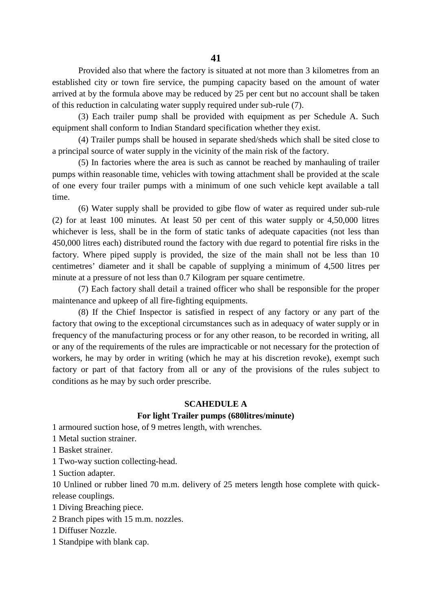Provided also that where the factory is situated at not more than 3 kilometres from an established city or town fire service, the pumping capacity based on the amount of water arrived at by the formula above may be reduced by 25 per cent but no account shall be taken of this reduction in calculating water supply required under sub-rule (7).

(3) Each trailer pump shall be provided with equipment as per Schedule A. Such equipment shall conform to Indian Standard specification whether they exist.

(4) Trailer pumps shall be housed in separate shed/sheds which shall be sited close to a principal source of water supply in the vicinity of the main risk of the factory.

(5) In factories where the area is such as cannot be reached by manhauling of trailer pumps within reasonable time, vehicles with towing attachment shall be provided at the scale of one every four trailer pumps with a minimum of one such vehicle kept available a tall time.

(6) Water supply shall be provided to gibe flow of water as required under sub-rule (2) for at least 100 minutes. At least 50 per cent of this water supply or 4,50,000 litres whichever is less, shall be in the form of static tanks of adequate capacities (not less than 450,000 litres each) distributed round the factory with due regard to potential fire risks in the factory. Where piped supply is provided, the size of the main shall not be less than 10 centimetres' diameter and it shall be capable of supplying a minimum of 4,500 litres per minute at a pressure of not less than 0.7 Kilogram per square centimetre.

(7) Each factory shall detail a trained officer who shall be responsible for the proper maintenance and upkeep of all fire-fighting equipments.

(8) If the Chief Inspector is satisfied in respect of any factory or any part of the factory that owing to the exceptional circumstances such as in adequacy of water supply or in frequency of the manufacturing process or for any other reason, to be recorded in writing, all or any of the requirements of the rules are impracticable or not necessary for the protection of workers, he may by order in writing (which he may at his discretion revoke), exempt such factory or part of that factory from all or any of the provisions of the rules subject to conditions as he may by such order prescribe.

### **SCAHEDULE A**

## **For light Trailer pumps (680litres/minute)**

1 armoured suction hose, of 9 metres length, with wrenches.

1 Metal suction strainer.

1 Basket strainer.

1 Two-way suction collecting-head.

1 Suction adapter.

10 Unlined or rubber lined 70 m.m. delivery of 25 meters length hose complete with quickrelease couplings.

1 Diving Breaching piece.

2 Branch pipes with 15 m.m. nozzles.

1 Diffuser Nozzle.

1 Standpipe with blank cap.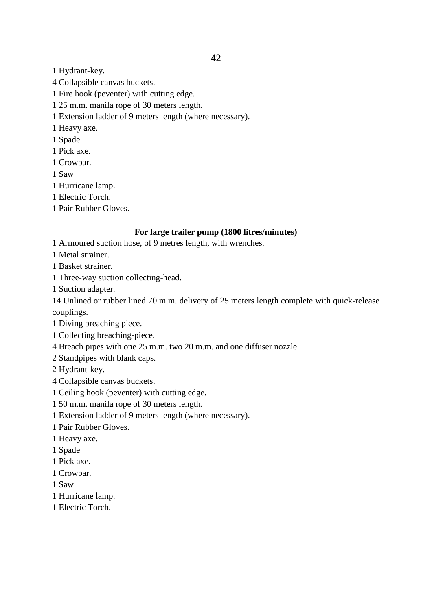- 1 Hydrant-key.
- 4 Collapsible canvas buckets.
- 1 Fire hook (peventer) with cutting edge.
- 1 25 m.m. manila rope of 30 meters length.
- 1 Extension ladder of 9 meters length (where necessary).
- 1 Heavy axe.
- 1 Spade
- 1 Pick axe.
- 1 Crowbar.
- 1 Saw
- 1 Hurricane lamp.
- 1 Electric Torch.
- 1 Pair Rubber Gloves.

# **For large trailer pump (1800 litres/minutes)**

- 1 Armoured suction hose, of 9 metres length, with wrenches.
- 1 Metal strainer.
- 1 Basket strainer.
- 1 Three-way suction collecting-head.
- 1 Suction adapter.

14 Unlined or rubber lined 70 m.m. delivery of 25 meters length complete with quick-release couplings.

- 1 Diving breaching piece.
- 1 Collecting breaching-piece.
- 4 Breach pipes with one 25 m.m. two 20 m.m. and one diffuser nozzle.
- 2 Standpipes with blank caps.
- 2 Hydrant-key.
- 4 Collapsible canvas buckets.
- 1 Ceiling hook (peventer) with cutting edge.
- 1 50 m.m. manila rope of 30 meters length.
- 1 Extension ladder of 9 meters length (where necessary).
- 1 Pair Rubber Gloves.
- 1 Heavy axe.
- 1 Spade
- 1 Pick axe.
- 1 Crowbar.
- 1 Saw
- 1 Hurricane lamp.
- 1 Electric Torch.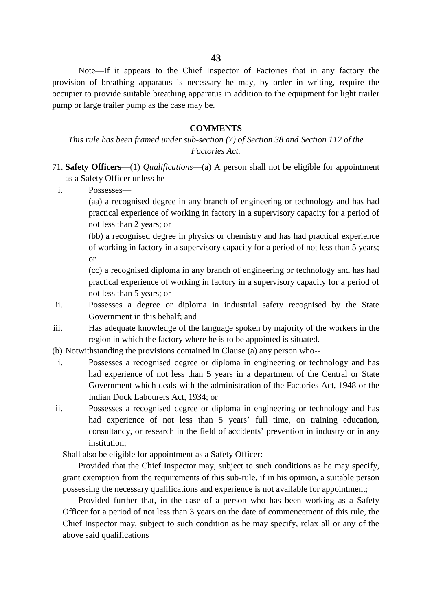Note—If it appears to the Chief Inspector of Factories that in any factory the provision of breathing apparatus is necessary he may, by order in writing, require the occupier to provide suitable breathing apparatus in addition to the equipment for light trailer pump or large trailer pump as the case may be.

#### **COMMENTS**

*This rule has been framed under sub-section (7) of Section 38 and Section 112 of the Factories Act.*

- 71. **Safety Officers**—(1) *Qualifications*—(a) A person shall not be eligible for appointment as a Safety Officer unless he
	- i. Possesses—
		- (aa) a recognised degree in any branch of engineering or technology and has had practical experience of working in factory in a supervisory capacity for a period of not less than 2 years; or

(bb) a recognised degree in physics or chemistry and has had practical experience of working in factory in a supervisory capacity for a period of not less than 5 years; or

(cc) a recognised diploma in any branch of engineering or technology and has had practical experience of working in factory in a supervisory capacity for a period of not less than 5 years; or

- ii. Possesses a degree or diploma in industrial safety recognised by the State Government in this behalf; and
- iii. Has adequate knowledge of the language spoken by majority of the workers in the region in which the factory where he is to be appointed is situated.
- (b) Notwithstanding the provisions contained in Clause (a) any person who-
	- i. Possesses a recognised degree or diploma in engineering or technology and has had experience of not less than 5 years in a department of the Central or State Government which deals with the administration of the Factories Act, 1948 or the Indian Dock Labourers Act, 1934; or
- ii. Possesses a recognised degree or diploma in engineering or technology and has had experience of not less than 5 years' full time, on training education, consultancy, or research in the field of accidents' prevention in industry or in any institution;

Shall also be eligible for appointment as a Safety Officer:

Provided that the Chief Inspector may, subject to such conditions as he may specify, grant exemption from the requirements of this sub-rule, if in his opinion, a suitable person possessing the necessary qualifications and experience is not available for appointment;

Provided further that, in the case of a person who has been working as a Safety Officer for a period of not less than 3 years on the date of commencement of this rule, the Chief Inspector may, subject to such condition as he may specify, relax all or any of the above said qualifications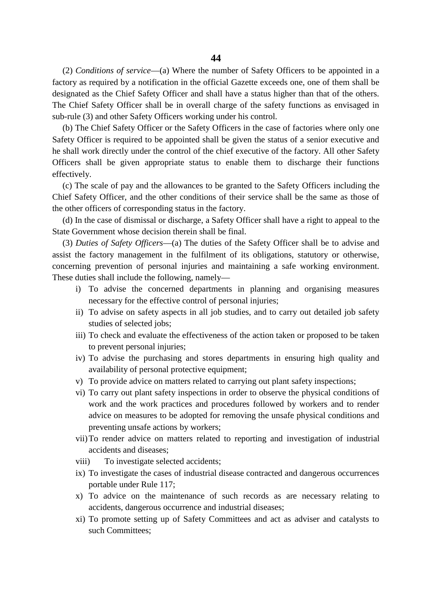(2) *Conditions of service*—(a) Where the number of Safety Officers to be appointed in a factory as required by a notification in the official Gazette exceeds one, one of them shall be designated as the Chief Safety Officer and shall have a status higher than that of the others. The Chief Safety Officer shall be in overall charge of the safety functions as envisaged in sub-rule (3) and other Safety Officers working under his control.

(b) The Chief Safety Officer or the Safety Officers in the case of factories where only one Safety Officer is required to be appointed shall be given the status of a senior executive and he shall work directly under the control of the chief executive of the factory. All other Safety Officers shall be given appropriate status to enable them to discharge their functions effectively.

(c) The scale of pay and the allowances to be granted to the Safety Officers including the Chief Safety Officer, and the other conditions of their service shall be the same as those of the other officers of corresponding status in the factory.

(d) In the case of dismissal or discharge, a Safety Officer shall have a right to appeal to the State Government whose decision therein shall be final.

(3) *Duties of Safety Officers*—(a) The duties of the Safety Officer shall be to advise and assist the factory management in the fulfilment of its obligations, statutory or otherwise, concerning prevention of personal injuries and maintaining a safe working environment. These duties shall include the following, namely—

- i) To advise the concerned departments in planning and organising measures necessary for the effective control of personal injuries;
- ii) To advise on safety aspects in all job studies, and to carry out detailed job safety studies of selected jobs;
- iii) To check and evaluate the effectiveness of the action taken or proposed to be taken to prevent personal injuries;
- iv) To advise the purchasing and stores departments in ensuring high quality and availability of personal protective equipment;
- v) To provide advice on matters related to carrying out plant safety inspections;
- vi) To carry out plant safety inspections in order to observe the physical conditions of work and the work practices and procedures followed by workers and to render advice on measures to be adopted for removing the unsafe physical conditions and preventing unsafe actions by workers;
- vii)To render advice on matters related to reporting and investigation of industrial accidents and diseases;
- viii) To investigate selected accidents;
- ix) To investigate the cases of industrial disease contracted and dangerous occurrences portable under Rule 117;
- x) To advice on the maintenance of such records as are necessary relating to accidents, dangerous occurrence and industrial diseases;
- xi) To promote setting up of Safety Committees and act as adviser and catalysts to such Committees;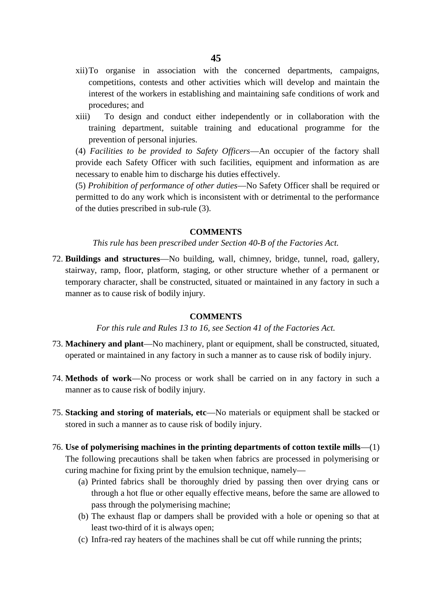- xii)To organise in association with the concerned departments, campaigns, competitions, contests and other activities which will develop and maintain the interest of the workers in establishing and maintaining safe conditions of work and procedures; and
- xiii) To design and conduct either independently or in collaboration with the training department, suitable training and educational programme for the prevention of personal injuries.

(4) *Facilities to be provided to Safety Officers*—An occupier of the factory shall provide each Safety Officer with such facilities, equipment and information as are necessary to enable him to discharge his duties effectively.

(5) *Prohibition of performance of other duties*—No Safety Officer shall be required or permitted to do any work which is inconsistent with or detrimental to the performance of the duties prescribed in sub-rule (3).

#### **COMMENTS**

*This rule has been prescribed under Section 40-B of the Factories Act.*

72. **Buildings and structures**—No building, wall, chimney, bridge, tunnel, road, gallery, stairway, ramp, floor, platform, staging, or other structure whether of a permanent or temporary character, shall be constructed, situated or maintained in any factory in such a manner as to cause risk of bodily injury.

## **COMMENTS**

*For this rule and Rules 13 to 16, see Section 41 of the Factories Act.*

- 73. **Machinery and plant**—No machinery, plant or equipment, shall be constructed, situated, operated or maintained in any factory in such a manner as to cause risk of bodily injury.
- 74. **Methods of work**—No process or work shall be carried on in any factory in such a manner as to cause risk of bodily injury.
- 75. **Stacking and storing of materials, etc**—No materials or equipment shall be stacked or stored in such a manner as to cause risk of bodily injury.
- 76. **Use of polymerising machines in the printing departments of cotton textile mills**—(1) The following precautions shall be taken when fabrics are processed in polymerising or curing machine for fixing print by the emulsion technique, namely—
	- (a) Printed fabrics shall be thoroughly dried by passing then over drying cans or through a hot flue or other equally effective means, before the same are allowed to pass through the polymerising machine;
	- (b) The exhaust flap or dampers shall be provided with a hole or opening so that at least two-third of it is always open;
	- (c) Infra-red ray heaters of the machines shall be cut off while running the prints;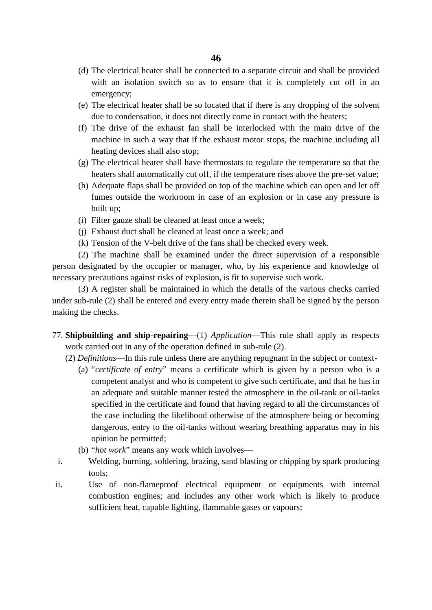- (d) The electrical heater shall be connected to a separate circuit and shall be provided with an isolation switch so as to ensure that it is completely cut off in an emergency;
- (e) The electrical heater shall be so located that if there is any dropping of the solvent due to condensation, it does not directly come in contact with the heaters;
- (f) The drive of the exhaust fan shall be interlocked with the main drive of the machine in such a way that if the exhaust motor stops, the machine including all heating devices shall also stop;
- (g) The electrical heater shall have thermostats to regulate the temperature so that the heaters shall automatically cut off, if the temperature rises above the pre-set value;
- (h) Adequate flaps shall be provided on top of the machine which can open and let off fumes outside the workroom in case of an explosion or in case any pressure is built up;
- (i) Filter gauze shall be cleaned at least once a week;
- (j) Exhaust duct shall be cleaned at least once a week; and
- (k) Tension of the V-belt drive of the fans shall be checked every week.

(2) The machine shall be examined under the direct supervision of a responsible person designated by the occupier or manager, who, by his experience and knowledge of necessary precautions against risks of explosion, is fit to supervise such work.

(3) A register shall be maintained in which the details of the various checks carried under sub-rule (2) shall be entered and every entry made therein shall be signed by the person making the checks.

- 77. **Shipbuilding and ship-repairing**—(1) *Application*—This rule shall apply as respects work carried out in any of the operation defined in sub-rule (2).
	- (2) *Definitions*—In this rule unless there are anything repugnant in the subject or context-
		- (a) "*certificate of entry*" means a certificate which is given by a person who is a competent analyst and who is competent to give such certificate, and that he has in an adequate and suitable manner tested the atmosphere in the oil-tank or oil-tanks specified in the certificate and found that having regard to all the circumstances of the case including the likelihood otherwise of the atmosphere being or becoming dangerous, entry to the oil-tanks without wearing breathing apparatus may in his opinion be permitted;
		- (b) "*hot work*" means any work which involves—
	- i. Welding, burning, soldering, brazing, sand blasting or chipping by spark producing tools;
- ii. Use of non-flameproof electrical equipment or equipments with internal combustion engines; and includes any other work which is likely to produce sufficient heat, capable lighting, flammable gases or vapours;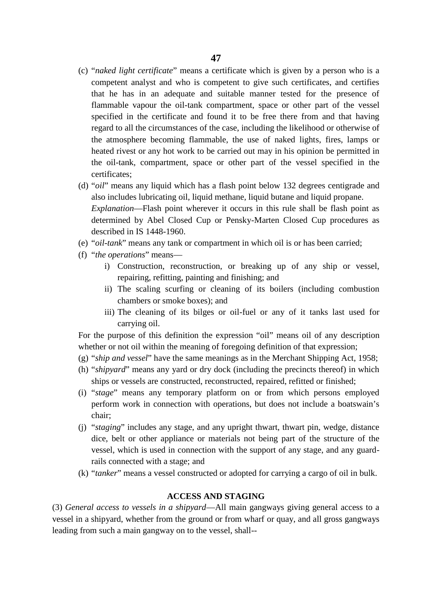- (c) "*naked light certificate*" means a certificate which is given by a person who is a competent analyst and who is competent to give such certificates, and certifies that he has in an adequate and suitable manner tested for the presence of flammable vapour the oil-tank compartment, space or other part of the vessel specified in the certificate and found it to be free there from and that having regard to all the circumstances of the case, including the likelihood or otherwise of the atmosphere becoming flammable, the use of naked lights, fires, lamps or heated rivest or any hot work to be carried out may in his opinion be permitted in the oil-tank, compartment, space or other part of the vessel specified in the certificates;
- (d) "*oil*" means any liquid which has a flash point below 132 degrees centigrade and also includes lubricating oil, liquid methane, liquid butane and liquid propane. *Explanation*—Flash point wherever it occurs in this rule shall be flash point as determined by Abel Closed Cup or Pensky-Marten Closed Cup procedures as described in IS 1448-1960.
- (e) "*oil-tank*" means any tank or compartment in which oil is or has been carried;
- (f) "*the operations*" means
	- i) Construction, reconstruction, or breaking up of any ship or vessel, repairing, refitting, painting and finishing; and
	- ii) The scaling scurfing or cleaning of its boilers (including combustion chambers or smoke boxes); and
	- iii) The cleaning of its bilges or oil-fuel or any of it tanks last used for carrying oil.

For the purpose of this definition the expression "oil" means oil of any description whether or not oil within the meaning of foregoing definition of that expression;

- (g) "*ship and vessel*" have the same meanings as in the Merchant Shipping Act, 1958;
- (h) "*shipyard*" means any yard or dry dock (including the precincts thereof) in which ships or vessels are constructed, reconstructed, repaired, refitted or finished;
- (i) "*stage*" means any temporary platform on or from which persons employed perform work in connection with operations, but does not include a boatswain's chair;
- (j) "*staging*" includes any stage, and any upright thwart, thwart pin, wedge, distance dice, belt or other appliance or materials not being part of the structure of the vessel, which is used in connection with the support of any stage, and any guardrails connected with a stage; and
- (k) "*tanker*" means a vessel constructed or adopted for carrying a cargo of oil in bulk.

## **ACCESS AND STAGING**

(3) *General access to vessels in a shipyard*—All main gangways giving general access to a vessel in a shipyard, whether from the ground or from wharf or quay, and all gross gangways leading from such a main gangway on to the vessel, shall--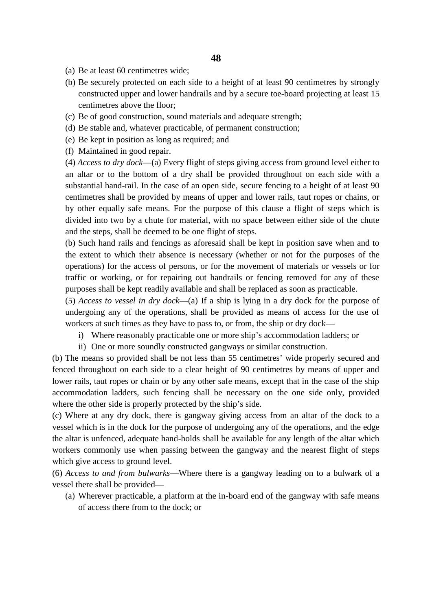- (a) Be at least 60 centimetres wide;
- (b) Be securely protected on each side to a height of at least 90 centimetres by strongly constructed upper and lower handrails and by a secure toe-board projecting at least 15 centimetres above the floor;
- (c) Be of good construction, sound materials and adequate strength;
- (d) Be stable and, whatever practicable, of permanent construction;
- (e) Be kept in position as long as required; and
- (f) Maintained in good repair.

(4) *Access to dry dock*—(a) Every flight of steps giving access from ground level either to an altar or to the bottom of a dry shall be provided throughout on each side with a substantial hand-rail. In the case of an open side, secure fencing to a height of at least 90 centimetres shall be provided by means of upper and lower rails, taut ropes or chains, or by other equally safe means. For the purpose of this clause a flight of steps which is divided into two by a chute for material, with no space between either side of the chute and the steps, shall be deemed to be one flight of steps.

(b) Such hand rails and fencings as aforesaid shall be kept in position save when and to the extent to which their absence is necessary (whether or not for the purposes of the operations) for the access of persons, or for the movement of materials or vessels or for traffic or working, or for repairing out handrails or fencing removed for any of these purposes shall be kept readily available and shall be replaced as soon as practicable.

(5) *Access to vessel in dry dock*—(a) If a ship is lying in a dry dock for the purpose of undergoing any of the operations, shall be provided as means of access for the use of workers at such times as they have to pass to, or from, the ship or dry dock—

- i) Where reasonably practicable one or more ship's accommodation ladders; or
- ii) One or more soundly constructed gangways or similar construction.

(b) The means so provided shall be not less than 55 centimetres' wide properly secured and fenced throughout on each side to a clear height of 90 centimetres by means of upper and lower rails, taut ropes or chain or by any other safe means, except that in the case of the ship accommodation ladders, such fencing shall be necessary on the one side only, provided where the other side is properly protected by the ship's side.

(c) Where at any dry dock, there is gangway giving access from an altar of the dock to a vessel which is in the dock for the purpose of undergoing any of the operations, and the edge the altar is unfenced, adequate hand-holds shall be available for any length of the altar which workers commonly use when passing between the gangway and the nearest flight of steps which give access to ground level.

(6) *Access to and from bulwarks*—Where there is a gangway leading on to a bulwark of a vessel there shall be provided—

(a) Wherever practicable, a platform at the in-board end of the gangway with safe means of access there from to the dock; or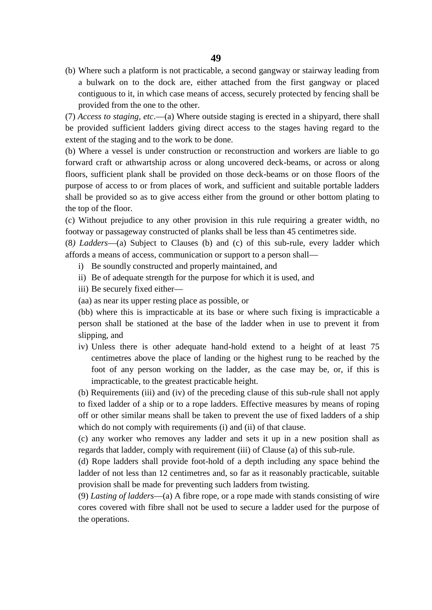(b) Where such a platform is not practicable, a second gangway or stairway leading from a bulwark on to the dock are, either attached from the first gangway or placed contiguous to it, in which case means of access, securely protected by fencing shall be provided from the one to the other.

(7) *Access to staging, etc*.—(a) Where outside staging is erected in a shipyard, there shall be provided sufficient ladders giving direct access to the stages having regard to the extent of the staging and to the work to be done.

(b) Where a vessel is under construction or reconstruction and workers are liable to go forward craft or athwartship across or along uncovered deck-beams, or across or along floors, sufficient plank shall be provided on those deck-beams or on those floors of the purpose of access to or from places of work, and sufficient and suitable portable ladders shall be provided so as to give access either from the ground or other bottom plating to the top of the floor.

(c) Without prejudice to any other provision in this rule requiring a greater width, no footway or passageway constructed of planks shall be less than 45 centimetres side.

(8*) Ladders*—(a) Subject to Clauses (b) and (c) of this sub-rule, every ladder which affords a means of access, communication or support to a person shall—

- i) Be soundly constructed and properly maintained, and
- ii) Be of adequate strength for the purpose for which it is used, and
- iii) Be securely fixed either—
- (aa) as near its upper resting place as possible, or

(bb) where this is impracticable at its base or where such fixing is impracticable a person shall be stationed at the base of the ladder when in use to prevent it from slipping, and

iv) Unless there is other adequate hand-hold extend to a height of at least 75 centimetres above the place of landing or the highest rung to be reached by the foot of any person working on the ladder, as the case may be, or, if this is impracticable, to the greatest practicable height.

(b) Requirements (iii) and (iv) of the preceding clause of this sub-rule shall not apply

to fixed ladder of a ship or to a rope ladders. Effective measures by means of roping off or other similar means shall be taken to prevent the use of fixed ladders of a ship which do not comply with requirements (i) and (ii) of that clause.

(c) any worker who removes any ladder and sets it up in a new position shall as regards that ladder, comply with requirement (iii) of Clause (a) of this sub-rule.

(d) Rope ladders shall provide foot-hold of a depth including any space behind the ladder of not less than 12 centimetres and, so far as it reasonably practicable, suitable provision shall be made for preventing such ladders from twisting.

(9) *Lasting of ladders*—(a) A fibre rope, or a rope made with stands consisting of wire cores covered with fibre shall not be used to secure a ladder used for the purpose of the operations.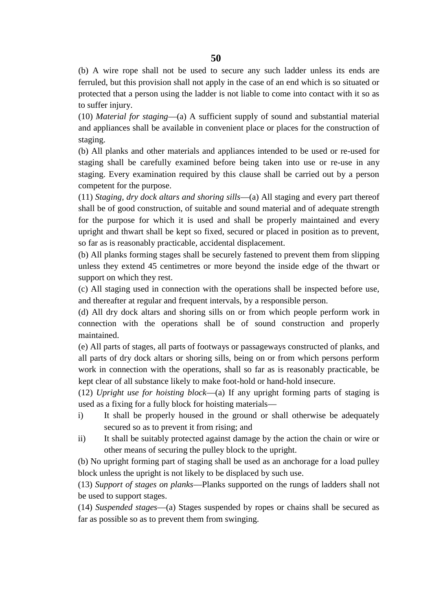(b) A wire rope shall not be used to secure any such ladder unless its ends are ferruled, but this provision shall not apply in the case of an end which is so situated or protected that a person using the ladder is not liable to come into contact with it so as to suffer injury.

(10) *Material for staging*—(a) A sufficient supply of sound and substantial material and appliances shall be available in convenient place or places for the construction of staging.

(b) All planks and other materials and appliances intended to be used or re-used for staging shall be carefully examined before being taken into use or re-use in any staging. Every examination required by this clause shall be carried out by a person competent for the purpose.

(11) *Staging, dry dock altars and shoring sills*—(a) All staging and every part thereof shall be of good construction, of suitable and sound material and of adequate strength for the purpose for which it is used and shall be properly maintained and every upright and thwart shall be kept so fixed, secured or placed in position as to prevent, so far as is reasonably practicable, accidental displacement.

(b) All planks forming stages shall be securely fastened to prevent them from slipping unless they extend 45 centimetres or more beyond the inside edge of the thwart or support on which they rest.

(c) All staging used in connection with the operations shall be inspected before use, and thereafter at regular and frequent intervals, by a responsible person.

(d) All dry dock altars and shoring sills on or from which people perform work in connection with the operations shall be of sound construction and properly maintained.

(e) All parts of stages, all parts of footways or passageways constructed of planks, and all parts of dry dock altars or shoring sills, being on or from which persons perform work in connection with the operations, shall so far as is reasonably practicable, be kept clear of all substance likely to make foot-hold or hand-hold insecure.

(12) *Upright use for hoisting block*—(a) If any upright forming parts of staging is used as a fixing for a fully block for hoisting materials—

- i) It shall be properly housed in the ground or shall otherwise be adequately secured so as to prevent it from rising; and
- ii) It shall be suitably protected against damage by the action the chain or wire or other means of securing the pulley block to the upright.

(b) No upright forming part of staging shall be used as an anchorage for a load pulley block unless the upright is not likely to be displaced by such use.

(13) *Support of stages on planks*—Planks supported on the rungs of ladders shall not be used to support stages.

(14) *Suspended stages*—(a) Stages suspended by ropes or chains shall be secured as far as possible so as to prevent them from swinging.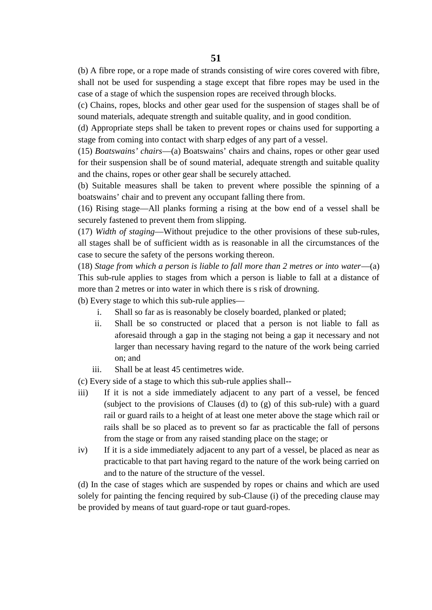(b) A fibre rope, or a rope made of strands consisting of wire cores covered with fibre, shall not be used for suspending a stage except that fibre ropes may be used in the case of a stage of which the suspension ropes are received through blocks.

(c) Chains, ropes, blocks and other gear used for the suspension of stages shall be of sound materials, adequate strength and suitable quality, and in good condition.

(d) Appropriate steps shall be taken to prevent ropes or chains used for supporting a stage from coming into contact with sharp edges of any part of a vessel.

(15) *Boatswains' chairs*—(a) Boatswains' chairs and chains, ropes or other gear used for their suspension shall be of sound material, adequate strength and suitable quality and the chains, ropes or other gear shall be securely attached.

(b) Suitable measures shall be taken to prevent where possible the spinning of a boatswains' chair and to prevent any occupant falling there from.

(16) Rising stage—All planks forming a rising at the bow end of a vessel shall be securely fastened to prevent them from slipping.

(17) *Width of staging*—Without prejudice to the other provisions of these sub-rules, all stages shall be of sufficient width as is reasonable in all the circumstances of the case to secure the safety of the persons working thereon.

(18) *Stage from which a person is liable to fall more than 2 metres or into water*—(a) This sub-rule applies to stages from which a person is liable to fall at a distance of more than 2 metres or into water in which there is s risk of drowning.

(b) Every stage to which this sub-rule applies—

- i. Shall so far as is reasonably be closely boarded, planked or plated;
- ii. Shall be so constructed or placed that a person is not liable to fall as aforesaid through a gap in the staging not being a gap it necessary and not larger than necessary having regard to the nature of the work being carried on; and
- iii. Shall be at least 45 centimetres wide.

(c) Every side of a stage to which this sub-rule applies shall--

- iii) If it is not a side immediately adjacent to any part of a vessel, be fenced (subject to the provisions of Clauses (d) to (g) of this sub-rule) with a guard rail or guard rails to a height of at least one meter above the stage which rail or rails shall be so placed as to prevent so far as practicable the fall of persons from the stage or from any raised standing place on the stage; or
- iv) If it is a side immediately adjacent to any part of a vessel, be placed as near as practicable to that part having regard to the nature of the work being carried on and to the nature of the structure of the vessel.

(d) In the case of stages which are suspended by ropes or chains and which are used solely for painting the fencing required by sub-Clause (i) of the preceding clause may be provided by means of taut guard-rope or taut guard-ropes.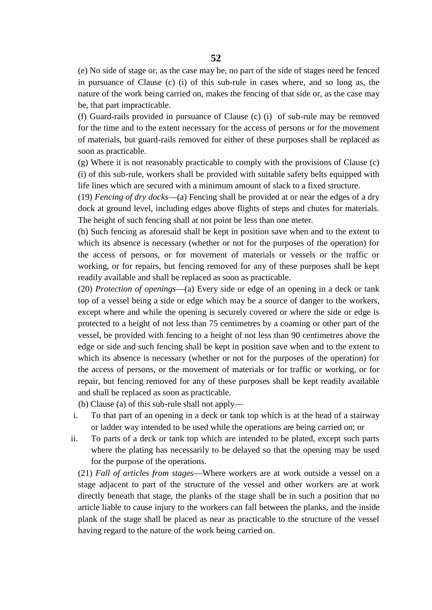(e) No side of stage or, as the case may be, no part of the side of stages need be fenced in pursuance of Clause (c) (i) of this sub-rule in cases where, and so long as, the nature of the work being carried on, makes the fencing of that side or, as the case may be, that part impracticable.

(f) Guard-rails provided in pursuance of Clause (c) (i) of sub-rule may be removed for the time and to the extent necessary for the access of persons or for the movement of materials, but guard-rails removed for either of these purposes shall be replaced as soon as practicable.

(g) Where it is not reasonably practicable to comply with the provisions of Clause (c) (i) of this sub-rule, workers shall be provided with suitable safety belts equipped with life lines which are secured with a minimum amount of slack to a fixed structure.

(19) *Fencing of dry docks*—(a) Fencing shall be provided at or near the edges of a dry dock at ground level, including edges above flights of steps and chutes for materials. The height of such fencing shall at not point be less than one meter.

(b) Such fencing as aforesaid shall be kept in position save when and to the extent to which its absence is necessary (whether or not for the purposes of the operation) for the access of persons, or for movement of materials or vessels or the traffic or working, or for repairs, but fencing removed for any of these purposes shall be kept readily available and shall be replaced as soon as practicable.

(20) *Protection of openings*—(a) Every side or edge of an opening in a deck or tank top of a vessel being a side or edge which may be a source of danger to the workers, except where and while the opening is securely covered or where the side or edge is protected to a height of not less than 75 centimetres by a coaming or other part of the vessel, be provided with fencing to a height of not less than 90 centimetres above the edge or side and such fencing shall be kept in position save when and to the extent to which its absence is necessary (whether or not for the purposes of the operation) for the access of persons, or the movement of materials or for traffic or working, or for repair, but fencing removed for any of these purposes shall be kept readily available and shall be replaced as soon as practicable.

(b) Clause (a) of this sub-rule shall not apply—

- i. To that part of an opening in a deck or tank top which is at the head of a stairway or ladder way intended to be used while the operations are being carried on; or
- ii. To parts of a deck or tank top which are intended to be plated, except such parts where the plating has necessarily to be delayed so that the opening may be used for the purpose of the operations.

(21) *Fall of articles from stages*—Where workers are at work outside a vessel on a stage adjacent to part of the structure of the vessel and other workers are at work directly beneath that stage, the planks of the stage shall be in such a position that no article liable to cause injury to the workers can fall between the planks, and the inside plank of the stage shall be placed as near as practicable to the structure of the vessel having regard to the nature of the work being carried on.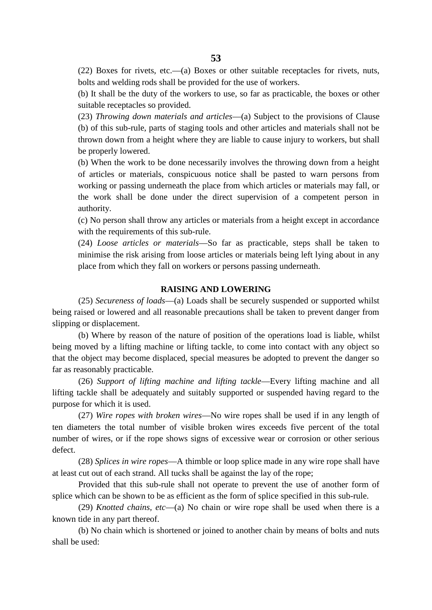(22) Boxes for rivets, etc.—(a) Boxes or other suitable receptacles for rivets, nuts, bolts and welding rods shall be provided for the use of workers.

(b) It shall be the duty of the workers to use, so far as practicable, the boxes or other suitable receptacles so provided.

(23) *Throwing down materials and articles*—(a) Subject to the provisions of Clause (b) of this sub-rule, parts of staging tools and other articles and materials shall not be thrown down from a height where they are liable to cause injury to workers, but shall be properly lowered.

(b) When the work to be done necessarily involves the throwing down from a height of articles or materials, conspicuous notice shall be pasted to warn persons from working or passing underneath the place from which articles or materials may fall, or the work shall be done under the direct supervision of a competent person in authority.

(c) No person shall throw any articles or materials from a height except in accordance with the requirements of this sub-rule.

(24) *Loose articles or materials*—So far as practicable, steps shall be taken to minimise the risk arising from loose articles or materials being left lying about in any place from which they fall on workers or persons passing underneath.

# **RAISING AND LOWERING**

(25) *Secureness of loads*—(a) Loads shall be securely suspended or supported whilst being raised or lowered and all reasonable precautions shall be taken to prevent danger from slipping or displacement.

(b) Where by reason of the nature of position of the operations load is liable, whilst being moved by a lifting machine or lifting tackle, to come into contact with any object so that the object may become displaced, special measures be adopted to prevent the danger so far as reasonably practicable.

(26) *Support of lifting machine and lifting tackle*—Every lifting machine and all lifting tackle shall be adequately and suitably supported or suspended having regard to the purpose for which it is used.

(27) *Wire ropes with broken wires*—No wire ropes shall be used if in any length of ten diameters the total number of visible broken wires exceeds five percent of the total number of wires, or if the rope shows signs of excessive wear or corrosion or other serious defect.

(28) *Splices in wire ropes*—A thimble or loop splice made in any wire rope shall have at least cut out of each strand. All tucks shall be against the lay of the rope;

Provided that this sub-rule shall not operate to prevent the use of another form of splice which can be shown to be as efficient as the form of splice specified in this sub-rule.

(29) *Knotted chains, etc*—(a) No chain or wire rope shall be used when there is a known tide in any part thereof.

(b) No chain which is shortened or joined to another chain by means of bolts and nuts shall be used: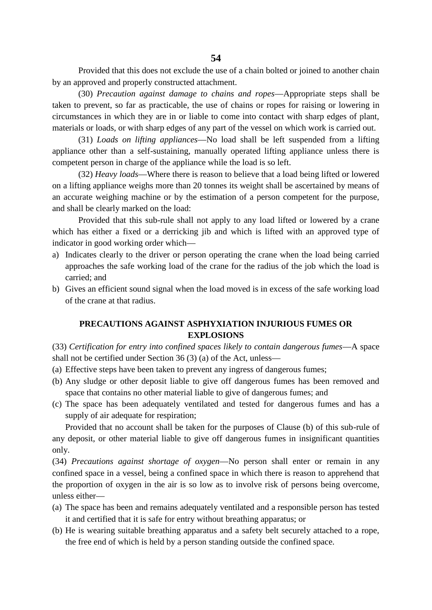**54**

Provided that this does not exclude the use of a chain bolted or joined to another chain by an approved and properly constructed attachment.

(30) *Precaution against damage to chains and ropes*—Appropriate steps shall be taken to prevent, so far as practicable, the use of chains or ropes for raising or lowering in circumstances in which they are in or liable to come into contact with sharp edges of plant, materials or loads, or with sharp edges of any part of the vessel on which work is carried out.

(31) *Loads on lifting appliances*—No load shall be left suspended from a lifting appliance other than a self-sustaining, manually operated lifting appliance unless there is competent person in charge of the appliance while the load is so left.

(32) *Heavy loads*—Where there is reason to believe that a load being lifted or lowered on a lifting appliance weighs more than 20 tonnes its weight shall be ascertained by means of an accurate weighing machine or by the estimation of a person competent for the purpose, and shall be clearly marked on the load:

Provided that this sub-rule shall not apply to any load lifted or lowered by a crane which has either a fixed or a derricking jib and which is lifted with an approved type of indicator in good working order which—

- a) Indicates clearly to the driver or person operating the crane when the load being carried approaches the safe working load of the crane for the radius of the job which the load is carried; and
- b) Gives an efficient sound signal when the load moved is in excess of the safe working load of the crane at that radius.

# **PRECAUTIONS AGAINST ASPHYXIATION INJURIOUS FUMES OR EXPLOSIONS**

(33) *Certification for entry into confined spaces likely to contain dangerous fumes*—A space shall not be certified under Section 36 (3) (a) of the Act, unless—

- (a) Effective steps have been taken to prevent any ingress of dangerous fumes;
- (b) Any sludge or other deposit liable to give off dangerous fumes has been removed and space that contains no other material liable to give of dangerous fumes; and
- (c) The space has been adequately ventilated and tested for dangerous fumes and has a supply of air adequate for respiration;

Provided that no account shall be taken for the purposes of Clause (b) of this sub-rule of any deposit, or other material liable to give off dangerous fumes in insignificant quantities only.

(34) *Precautions against shortage of oxygen*—No person shall enter or remain in any confined space in a vessel, being a confined space in which there is reason to apprehend that the proportion of oxygen in the air is so low as to involve risk of persons being overcome, unless either—

- (a) The space has been and remains adequately ventilated and a responsible person has tested it and certified that it is safe for entry without breathing apparatus; or
- (b) He is wearing suitable breathing apparatus and a safety belt securely attached to a rope, the free end of which is held by a person standing outside the confined space.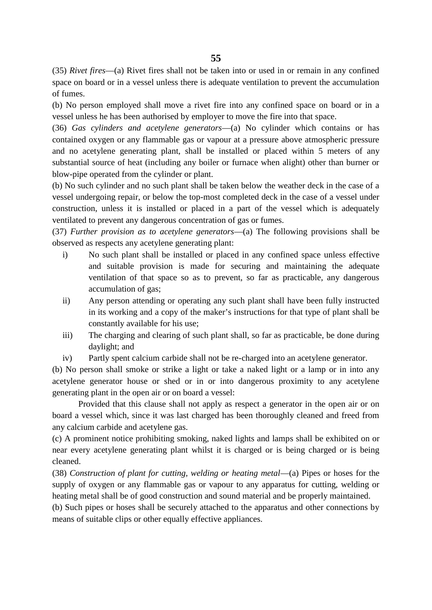(35) *Rivet fires*—(a) Rivet fires shall not be taken into or used in or remain in any confined space on board or in a vessel unless there is adequate ventilation to prevent the accumulation of fumes.

(b) No person employed shall move a rivet fire into any confined space on board or in a vessel unless he has been authorised by employer to move the fire into that space.

(36) *Gas cylinders and acetylene generators*—(a) No cylinder which contains or has contained oxygen or any flammable gas or vapour at a pressure above atmospheric pressure and no acetylene generating plant, shall be installed or placed within 5 meters of any substantial source of heat (including any boiler or furnace when alight) other than burner or blow-pipe operated from the cylinder or plant.

(b) No such cylinder and no such plant shall be taken below the weather deck in the case of a vessel undergoing repair, or below the top-most completed deck in the case of a vessel under construction, unless it is installed or placed in a part of the vessel which is adequately ventilated to prevent any dangerous concentration of gas or fumes.

(37) *Further provision as to acetylene generators*—(a) The following provisions shall be observed as respects any acetylene generating plant:

- i) No such plant shall be installed or placed in any confined space unless effective and suitable provision is made for securing and maintaining the adequate ventilation of that space so as to prevent, so far as practicable, any dangerous accumulation of gas;
- ii) Any person attending or operating any such plant shall have been fully instructed in its working and a copy of the maker's instructions for that type of plant shall be constantly available for his use;
- iii) The charging and clearing of such plant shall, so far as practicable, be done during daylight; and
- iv) Partly spent calcium carbide shall not be re-charged into an acetylene generator.

(b) No person shall smoke or strike a light or take a naked light or a lamp or in into any acetylene generator house or shed or in or into dangerous proximity to any acetylene generating plant in the open air or on board a vessel:

Provided that this clause shall not apply as respect a generator in the open air or on board a vessel which, since it was last charged has been thoroughly cleaned and freed from any calcium carbide and acetylene gas.

(c) A prominent notice prohibiting smoking, naked lights and lamps shall be exhibited on or near every acetylene generating plant whilst it is charged or is being charged or is being cleaned.

(38) *Construction of plant for cutting, welding or heating metal*—(a) Pipes or hoses for the supply of oxygen or any flammable gas or vapour to any apparatus for cutting, welding or heating metal shall be of good construction and sound material and be properly maintained.

(b) Such pipes or hoses shall be securely attached to the apparatus and other connections by means of suitable clips or other equally effective appliances.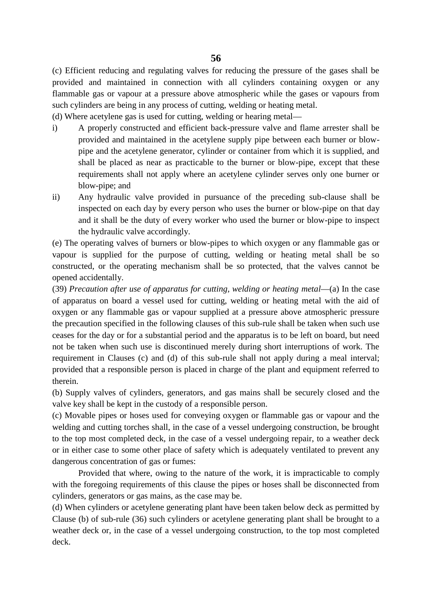(c) Efficient reducing and regulating valves for reducing the pressure of the gases shall be provided and maintained in connection with all cylinders containing oxygen or any flammable gas or vapour at a pressure above atmospheric while the gases or vapours from such cylinders are being in any process of cutting, welding or heating metal.

(d) Where acetylene gas is used for cutting, welding or hearing metal—

- i) A properly constructed and efficient back-pressure valve and flame arrester shall be provided and maintained in the acetylene supply pipe between each burner or blow pipe and the acetylene generator, cylinder or container from which it is supplied, and shall be placed as near as practicable to the burner or blow-pipe, except that these requirements shall not apply where an acetylene cylinder serves only one burner or blow-pipe; and
- ii) Any hydraulic valve provided in pursuance of the preceding sub-clause shall be inspected on each day by every person who uses the burner or blow-pipe on that day and it shall be the duty of every worker who used the burner or blow-pipe to inspect the hydraulic valve accordingly.

(e) The operating valves of burners or blow-pipes to which oxygen or any flammable gas or vapour is supplied for the purpose of cutting, welding or heating metal shall be so constructed, or the operating mechanism shall be so protected, that the valves cannot be opened accidentally.

(39) *Precaution after use of apparatus for cutting, welding or heating metal*—(a) In the case of apparatus on board a vessel used for cutting, welding or heating metal with the aid of oxygen or any flammable gas or vapour supplied at a pressure above atmospheric pressure the precaution specified in the following clauses of this sub-rule shall be taken when such use ceases for the day or for a substantial period and the apparatus is to be left on board, but need not be taken when such use is discontinued merely during short interruptions of work. The requirement in Clauses (c) and (d) of this sub-rule shall not apply during a meal interval; provided that a responsible person is placed in charge of the plant and equipment referred to therein.

(b) Supply valves of cylinders, generators, and gas mains shall be securely closed and the valve key shall be kept in the custody of a responsible person.

(c) Movable pipes or hoses used for conveying oxygen or flammable gas or vapour and the welding and cutting torches shall, in the case of a vessel undergoing construction, be brought to the top most completed deck, in the case of a vessel undergoing repair, to a weather deck or in either case to some other place of safety which is adequately ventilated to prevent any dangerous concentration of gas or fumes:

Provided that where, owing to the nature of the work, it is impracticable to comply with the foregoing requirements of this clause the pipes or hoses shall be disconnected from cylinders, generators or gas mains, as the case may be.

(d) When cylinders or acetylene generating plant have been taken below deck as permitted by Clause (b) of sub-rule (36) such cylinders or acetylene generating plant shall be brought to a weather deck or, in the case of a vessel undergoing construction, to the top most completed deck.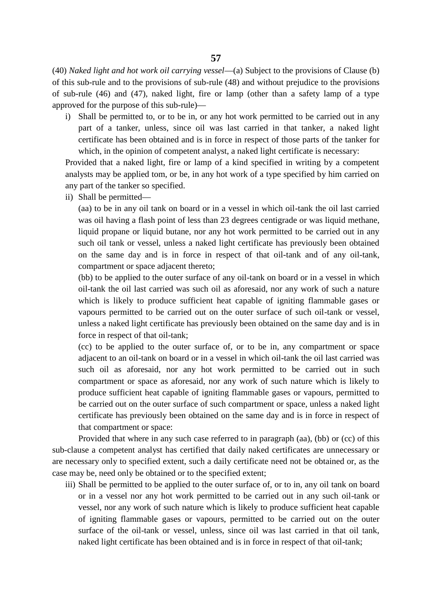(40) *Naked light and hot work oil carrying vessel*—(a) Subject to the provisions of Clause (b) of this sub-rule and to the provisions of sub-rule (48) and without prejudice to the provisions of sub-rule (46) and (47), naked light, fire or lamp (other than a safety lamp of a type approved for the purpose of this sub-rule)—

i) Shall be permitted to, or to be in, or any hot work permitted to be carried out in any part of a tanker, unless, since oil was last carried in that tanker, a naked light certificate has been obtained and is in force in respect of those parts of the tanker for which, in the opinion of competent analyst, a naked light certificate is necessary:

Provided that a naked light, fire or lamp of a kind specified in writing by a competent analysts may be applied tom, or be, in any hot work of a type specified by him carried on any part of the tanker so specified.

ii) Shall be permitted—

(aa) to be in any oil tank on board or in a vessel in which oil-tank the oil last carried was oil having a flash point of less than 23 degrees centigrade or was liquid methane, liquid propane or liquid butane, nor any hot work permitted to be carried out in any such oil tank or vessel, unless a naked light certificate has previously been obtained on the same day and is in force in respect of that oil-tank and of any oil-tank, compartment or space adjacent thereto;

(bb) to be applied to the outer surface of any oil-tank on board or in a vessel in which oil-tank the oil last carried was such oil as aforesaid, nor any work of such a nature which is likely to produce sufficient heat capable of igniting flammable gases or vapours permitted to be carried out on the outer surface of such oil-tank or vessel, unless a naked light certificate has previously been obtained on the same day and is in force in respect of that oil-tank;

(cc) to be applied to the outer surface of, or to be in, any compartment or space adjacent to an oil-tank on board or in a vessel in which oil-tank the oil last carried was such oil as aforesaid, nor any hot work permitted to be carried out in such compartment or space as aforesaid, nor any work of such nature which is likely to produce sufficient heat capable of igniting flammable gases or vapours, permitted to be carried out on the outer surface of such compartment or space, unless a naked light certificate has previously been obtained on the same day and is in force in respect of that compartment or space:

Provided that where in any such case referred to in paragraph (aa), (bb) or (cc) of this sub-clause a competent analyst has certified that daily naked certificates are unnecessary or are necessary only to specified extent, such a daily certificate need not be obtained or, as the case may be, need only be obtained or to the specified extent;

iii) Shall be permitted to be applied to the outer surface of, or to in, any oil tank on board or in a vessel nor any hot work permitted to be carried out in any such oil-tank or vessel, nor any work of such nature which is likely to produce sufficient heat capable of igniting flammable gases or vapours, permitted to be carried out on the outer surface of the oil-tank or vessel, unless, since oil was last carried in that oil tank, naked light certificate has been obtained and is in force in respect of that oil-tank;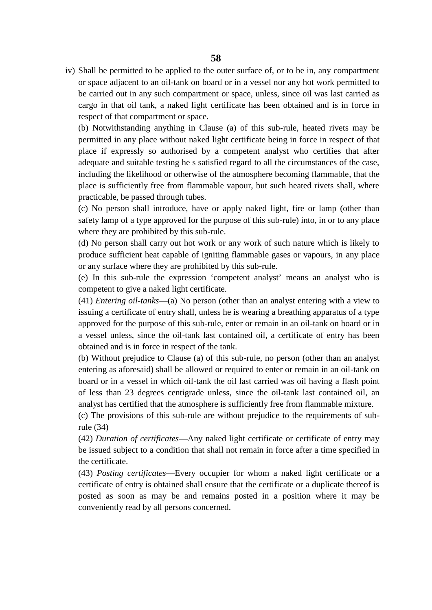iv) Shall be permitted to be applied to the outer surface of, or to be in, any compartment or space adjacent to an oil-tank on board or in a vessel nor any hot work permitted to be carried out in any such compartment or space, unless, since oil was last carried as cargo in that oil tank, a naked light certificate has been obtained and is in force in respect of that compartment or space.

(b) Notwithstanding anything in Clause (a) of this sub-rule, heated rivets may be permitted in any place without naked light certificate being in force in respect of that place if expressly so authorised by a competent analyst who certifies that after adequate and suitable testing he s satisfied regard to all the circumstances of the case, including the likelihood or otherwise of the atmosphere becoming flammable, that the place is sufficiently free from flammable vapour, but such heated rivets shall, where practicable, be passed through tubes.

(c) No person shall introduce, have or apply naked light, fire or lamp (other than safety lamp of a type approved for the purpose of this sub-rule) into, in or to any place where they are prohibited by this sub-rule.

(d) No person shall carry out hot work or any work of such nature which is likely to produce sufficient heat capable of igniting flammable gases or vapours, in any place or any surface where they are prohibited by this sub-rule.

(e) In this sub-rule the expression 'competent analyst' means an analyst who is competent to give a naked light certificate.

(41) *Entering oil-tanks*—(a) No person (other than an analyst entering with a view to issuing a certificate of entry shall, unless he is wearing a breathing apparatus of a type approved for the purpose of this sub-rule, enter or remain in an oil-tank on board or in a vessel unless, since the oil-tank last contained oil, a certificate of entry has been obtained and is in force in respect of the tank.

(b) Without prejudice to Clause (a) of this sub-rule, no person (other than an analyst entering as aforesaid) shall be allowed or required to enter or remain in an oil-tank on board or in a vessel in which oil-tank the oil last carried was oil having a flash point of less than 23 degrees centigrade unless, since the oil-tank last contained oil, an analyst has certified that the atmosphere is sufficiently free from flammable mixture.

(c) The provisions of this sub-rule are without prejudice to the requirements of subrule (34)

(42) *Duration of certificates*—Any naked light certificate or certificate of entry may be issued subject to a condition that shall not remain in force after a time specified in the certificate.

(43) *Posting certificates*—Every occupier for whom a naked light certificate or a certificate of entry is obtained shall ensure that the certificate or a duplicate thereof is posted as soon as may be and remains posted in a position where it may be conveniently read by all persons concerned.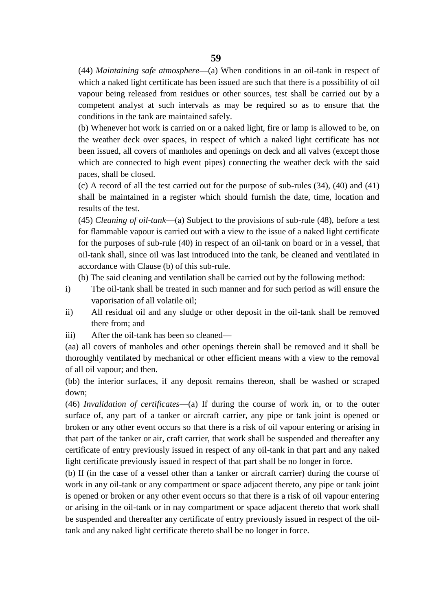(44) *Maintaining safe atmosphere*—(a) When conditions in an oil-tank in respect of which a naked light certificate has been issued are such that there is a possibility of oil vapour being released from residues or other sources, test shall be carried out by a competent analyst at such intervals as may be required so as to ensure that the conditions in the tank are maintained safely.

(b) Whenever hot work is carried on or a naked light, fire or lamp is allowed to be, on the weather deck over spaces, in respect of which a naked light certificate has not been issued, all covers of manholes and openings on deck and all valves (except those which are connected to high event pipes) connecting the weather deck with the said paces, shall be closed.

(c) A record of all the test carried out for the purpose of sub-rules (34), (40) and (41) shall be maintained in a register which should furnish the date, time, location and results of the test.

(45) *Cleaning of oil-tank*—(a) Subject to the provisions of sub-rule (48), before a test for flammable vapour is carried out with a view to the issue of a naked light certificate for the purposes of sub-rule (40) in respect of an oil-tank on board or in a vessel, that oil-tank shall, since oil was last introduced into the tank, be cleaned and ventilated in accordance with Clause (b) of this sub-rule.

(b) The said cleaning and ventilation shall be carried out by the following method:

- i) The oil-tank shall be treated in such manner and for such period as will ensure the vaporisation of all volatile oil;
- ii) All residual oil and any sludge or other deposit in the oil-tank shall be removed there from; and
- iii) After the oil-tank has been so cleaned—

(aa) all covers of manholes and other openings therein shall be removed and it shall be thoroughly ventilated by mechanical or other efficient means with a view to the removal of all oil vapour; and then.

(bb) the interior surfaces, if any deposit remains thereon, shall be washed or scraped down;

(46) *Invalidation of certificates*—(a) If during the course of work in, or to the outer surface of, any part of a tanker or aircraft carrier, any pipe or tank joint is opened or broken or any other event occurs so that there is a risk of oil vapour entering or arising in that part of the tanker or air, craft carrier, that work shall be suspended and thereafter any certificate of entry previously issued in respect of any oil-tank in that part and any naked light certificate previously issued in respect of that part shall be no longer in force.

(b) If (in the case of a vessel other than a tanker or aircraft carrier) during the course of work in any oil-tank or any compartment or space adjacent thereto, any pipe or tank joint is opened or broken or any other event occurs so that there is a risk of oil vapour entering or arising in the oil-tank or in nay compartment or space adjacent thereto that work shall be suspended and thereafter any certificate of entry previously issued in respect of the oiltank and any naked light certificate thereto shall be no longer in force.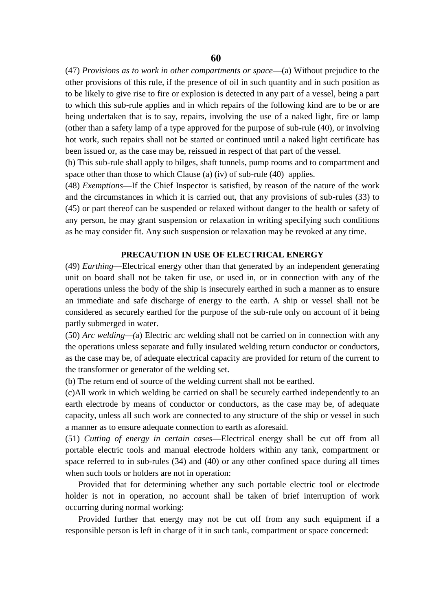(47) *Provisions as to work in other compartments or space*—(a) Without prejudice to the other provisions of this rule, if the presence of oil in such quantity and in such position as to be likely to give rise to fire or explosion is detected in any part of a vessel, being a part to which this sub-rule applies and in which repairs of the following kind are to be or are being undertaken that is to say, repairs, involving the use of a naked light, fire or lamp (other than a safety lamp of a type approved for the purpose of sub-rule (40), or involving hot work, such repairs shall not be started or continued until a naked light certificate has been issued or, as the case may be, reissued in respect of that part of the vessel.

(b) This sub-rule shall apply to bilges, shaft tunnels, pump rooms and to compartment and space other than those to which Clause (a) (iv) of sub-rule (40) applies.

(48) *Exemptions*—If the Chief Inspector is satisfied, by reason of the nature of the work and the circumstances in which it is carried out, that any provisions of sub-rules (33) to (45) or part thereof can be suspended or relaxed without danger to the health or safety of any person, he may grant suspension or relaxation in writing specifying such conditions as he may consider fit. Any such suspension or relaxation may be revoked at any time.

#### **PRECAUTION IN USE OF ELECTRICAL ENERGY**

(49) *Earthing*—Electrical energy other than that generated by an independent generating unit on board shall not be taken fir use, or used in, or in connection with any of the operations unless the body of the ship is insecurely earthed in such a manner as to ensure an immediate and safe discharge of energy to the earth. A ship or vessel shall not be considered as securely earthed for the purpose of the sub-rule only on account of it being partly submerged in water.

(50) *Arc welding—(*a) Electric arc welding shall not be carried on in connection with any the operations unless separate and fully insulated welding return conductor or conductors, as the case may be, of adequate electrical capacity are provided for return of the current to the transformer or generator of the welding set.

(b) The return end of source of the welding current shall not be earthed.

(c)All work in which welding be carried on shall be securely earthed independently to an earth electrode by means of conductor or conductors, as the case may be, of adequate capacity, unless all such work are connected to any structure of the ship or vessel in such a manner as to ensure adequate connection to earth as aforesaid.

(51) *Cutting of energy in certain cases*—Electrical energy shall be cut off from all portable electric tools and manual electrode holders within any tank, compartment or space referred to in sub-rules (34) and (40) or any other confined space during all times when such tools or holders are not in operation:

Provided that for determining whether any such portable electric tool or electrode holder is not in operation, no account shall be taken of brief interruption of work occurring during normal working:

Provided further that energy may not be cut off from any such equipment if a responsible person is left in charge of it in such tank, compartment or space concerned: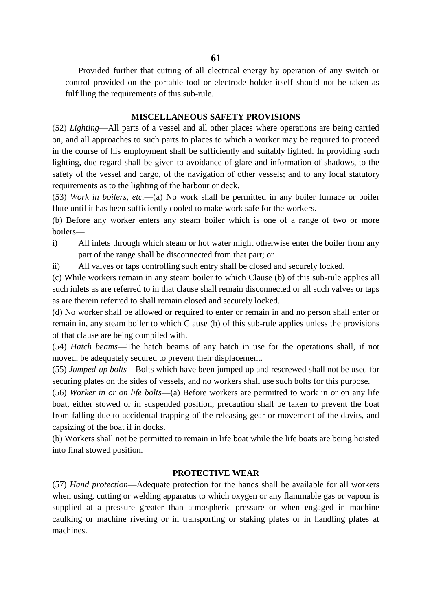Provided further that cutting of all electrical energy by operation of any switch or control provided on the portable tool or electrode holder itself should not be taken as fulfilling the requirements of this sub-rule.

## **MISCELLANEOUS SAFETY PROVISIONS**

(52) *Lighting*—All parts of a vessel and all other places where operations are being carried on, and all approaches to such parts to places to which a worker may be required to proceed in the course of his employment shall be sufficiently and suitably lighted. In providing such lighting, due regard shall be given to avoidance of glare and information of shadows, to the safety of the vessel and cargo, of the navigation of other vessels; and to any local statutory requirements as to the lighting of the harbour or deck.

(53) *Work in boilers, etc.*—(a) No work shall be permitted in any boiler furnace or boiler flute until it has been sufficiently cooled to make work safe for the workers.

(b) Before any worker enters any steam boiler which is one of a range of two or more boilers—

- i) All inlets through which steam or hot water might otherwise enter the boiler from any part of the range shall be disconnected from that part; or
- ii) All valves or taps controlling such entry shall be closed and securely locked.

(c) While workers remain in any steam boiler to which Clause (b) of this sub-rule applies all such inlets as are referred to in that clause shall remain disconnected or all such valves or taps as are therein referred to shall remain closed and securely locked.

(d) No worker shall be allowed or required to enter or remain in and no person shall enter or remain in, any steam boiler to which Clause (b) of this sub-rule applies unless the provisions of that clause are being compiled with.

(54) *Hatch beams*—The hatch beams of any hatch in use for the operations shall, if not moved, be adequately secured to prevent their displacement.

(55) *Jumped-up bolts*—Bolts which have been jumped up and rescrewed shall not be used for securing plates on the sides of vessels, and no workers shall use such bolts for this purpose.

(56) *Worker in or on life bolts*—(a) Before workers are permitted to work in or on any life boat, either stowed or in suspended position, precaution shall be taken to prevent the boat from falling due to accidental trapping of the releasing gear or movement of the davits, and capsizing of the boat if in docks.

(b) Workers shall not be permitted to remain in life boat while the life boats are being hoisted into final stowed position.

# **PROTECTIVE WEAR**

(57) *Hand protection*—Adequate protection for the hands shall be available for all workers when using, cutting or welding apparatus to which oxygen or any flammable gas or vapour is supplied at a pressure greater than atmospheric pressure or when engaged in machine caulking or machine riveting or in transporting or staking plates or in handling plates at machines.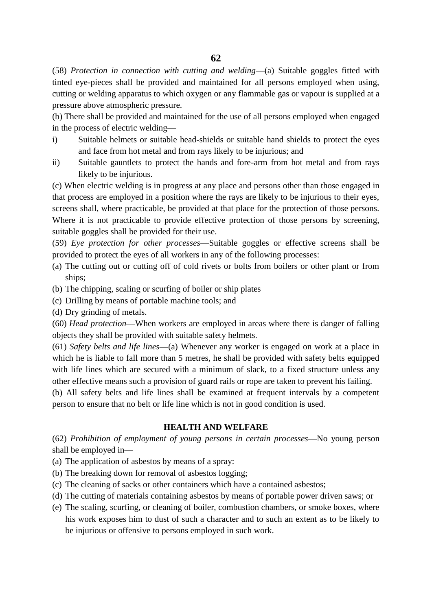(58) *Protection in connection with cutting and welding*—(a) Suitable goggles fitted with tinted eye-pieces shall be provided and maintained for all persons employed when using, cutting or welding apparatus to which oxygen or any flammable gas or vapour is supplied at a pressure above atmospheric pressure.

(b) There shall be provided and maintained for the use of all persons employed when engaged in the process of electric welding—

- i) Suitable helmets or suitable head-shields or suitable hand shields to protect the eyes and face from hot metal and from rays likely to be injurious; and
- ii) Suitable gauntlets to protect the hands and fore-arm from hot metal and from rays likely to be injurious.

(c) When electric welding is in progress at any place and persons other than those engaged in that process are employed in a position where the rays are likely to be injurious to their eyes, screens shall, where practicable, be provided at that place for the protection of those persons. Where it is not practicable to provide effective protection of those persons by screening, suitable goggles shall be provided for their use.

(59) *Eye protection for other processes*—Suitable goggles or effective screens shall be provided to protect the eyes of all workers in any of the following processes:

- (a) The cutting out or cutting off of cold rivets or bolts from boilers or other plant or from ships;
- (b) The chipping, scaling or scurfing of boiler or ship plates
- (c) Drilling by means of portable machine tools; and
- (d) Dry grinding of metals.

(60) *Head protection*—When workers are employed in areas where there is danger of falling objects they shall be provided with suitable safety helmets.

(61) *Safety belts and life lines*—(a) Whenever any worker is engaged on work at a place in which he is liable to fall more than 5 metres, he shall be provided with safety belts equipped with life lines which are secured with a minimum of slack, to a fixed structure unless any other effective means such a provision of guard rails or rope are taken to prevent his failing.

(b) All safety belts and life lines shall be examined at frequent intervals by a competent person to ensure that no belt or life line which is not in good condition is used.

# **HEALTH AND WELFARE**

(62) *Prohibition of employment of young persons in certain processes*—No young person shall be employed in—

- (a) The application of asbestos by means of a spray:
- (b) The breaking down for removal of asbestos logging;
- (c) The cleaning of sacks or other containers which have a contained asbestos;
- (d) The cutting of materials containing asbestos by means of portable power driven saws; or
- (e) The scaling, scurfing, or cleaning of boiler, combustion chambers, or smoke boxes, where his work exposes him to dust of such a character and to such an extent as to be likely to be injurious or offensive to persons employed in such work.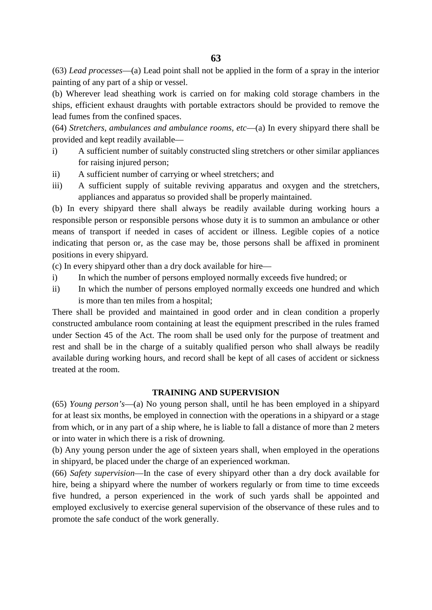**63**

(63) *Lead processes*—(a) Lead point shall not be applied in the form of a spray in the interior painting of any part of a ship or vessel.

(b) Wherever lead sheathing work is carried on for making cold storage chambers in the ships, efficient exhaust draughts with portable extractors should be provided to remove the lead fumes from the confined spaces.

(64) *Stretchers, ambulances and ambulance rooms, etc*—(a) In every shipyard there shall be provided and kept readily available—

- i) A sufficient number of suitably constructed sling stretchers or other similar appliances for raising injured person;
- ii) A sufficient number of carrying or wheel stretchers; and
- iii) A sufficient supply of suitable reviving apparatus and oxygen and the stretchers, appliances and apparatus so provided shall be properly maintained.

(b) In every shipyard there shall always be readily available during working hours a responsible person or responsible persons whose duty it is to summon an ambulance or other means of transport if needed in cases of accident or illness. Legible copies of a notice indicating that person or, as the case may be, those persons shall be affixed in prominent positions in every shipyard.

(c) In every shipyard other than a dry dock available for hire—

- i) In which the number of persons employed normally exceeds five hundred; or
- ii) In which the number of persons employed normally exceeds one hundred and which is more than ten miles from a hospital;

There shall be provided and maintained in good order and in clean condition a properly constructed ambulance room containing at least the equipment prescribed in the rules framed under Section 45 of the Act. The room shall be used only for the purpose of treatment and rest and shall be in the charge of a suitably qualified person who shall always be readily available during working hours, and record shall be kept of all cases of accident or sickness treated at the room.

# **TRAINING AND SUPERVISION**

(65) *Young person's*—(a) No young person shall, until he has been employed in a shipyard for at least six months, be employed in connection with the operations in a shipyard or a stage from which, or in any part of a ship where, he is liable to fall a distance of more than 2 meters or into water in which there is a risk of drowning.

(b) Any young person under the age of sixteen years shall, when employed in the operations in shipyard, be placed under the charge of an experienced workman.

(66) *Safety supervision*—In the case of every shipyard other than a dry dock available for hire, being a shipyard where the number of workers regularly or from time to time exceeds five hundred, a person experienced in the work of such yards shall be appointed and employed exclusively to exercise general supervision of the observance of these rules and to promote the safe conduct of the work generally.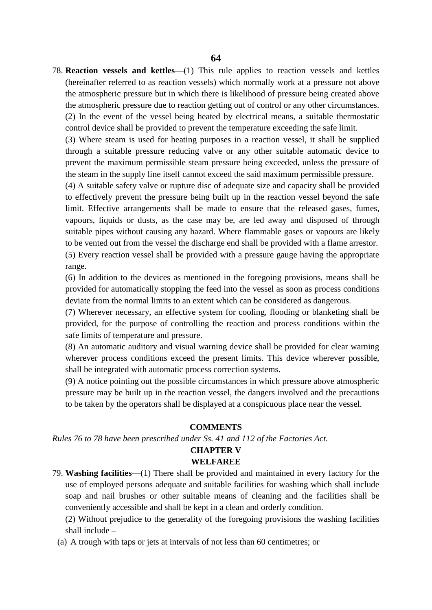78. **Reaction vessels and kettles**—(1) This rule applies to reaction vessels and kettles (hereinafter referred to as reaction vessels) which normally work at a pressure not above the atmospheric pressure but in which there is likelihood of pressure being created above the atmospheric pressure due to reaction getting out of control or any other circumstances. (2) In the event of the vessel being heated by electrical means, a suitable thermostatic control device shall be provided to prevent the temperature exceeding the safe limit.

(3) Where steam is used for heating purposes in a reaction vessel, it shall be supplied through a suitable pressure reducing valve or any other suitable automatic device to prevent the maximum permissible steam pressure being exceeded, unless the pressure of the steam in the supply line itself cannot exceed the said maximum permissible pressure.

(4) A suitable safety valve or rupture disc of adequate size and capacity shall be provided to effectively prevent the pressure being built up in the reaction vessel beyond the safe limit. Effective arrangements shall be made to ensure that the released gases, fumes, vapours, liquids or dusts, as the case may be, are led away and disposed of through suitable pipes without causing any hazard. Where flammable gases or vapours are likely to be vented out from the vessel the discharge end shall be provided with a flame arrestor. (5) Every reaction vessel shall be provided with a pressure gauge having the appropriate range.

(6) In addition to the devices as mentioned in the foregoing provisions, means shall be provided for automatically stopping the feed into the vessel as soon as process conditions deviate from the normal limits to an extent which can be considered as dangerous.

(7) Wherever necessary, an effective system for cooling, flooding or blanketing shall be provided, for the purpose of controlling the reaction and process conditions within the safe limits of temperature and pressure.

(8) An automatic auditory and visual warning device shall be provided for clear warning wherever process conditions exceed the present limits. This device wherever possible, shall be integrated with automatic process correction systems.

(9) A notice pointing out the possible circumstances in which pressure above atmospheric pressure may be built up in the reaction vessel, the dangers involved and the precautions to be taken by the operators shall be displayed at a conspicuous place near the vessel.

#### **COMMENTS**

*Rules 76 to 78 have been prescribed under Ss. 41 and 112 of the Factories Act.*

# **CHAPTER V**

#### **WELFAREE**

79. **Washing facilities**—(1) There shall be provided and maintained in every factory for the use of employed persons adequate and suitable facilities for washing which shall include soap and nail brushes or other suitable means of cleaning and the facilities shall be conveniently accessible and shall be kept in a clean and orderly condition.

(2) Without prejudice to the generality of the foregoing provisions the washing facilities shall include –

(a) A trough with taps or jets at intervals of not less than 60 centimetres; or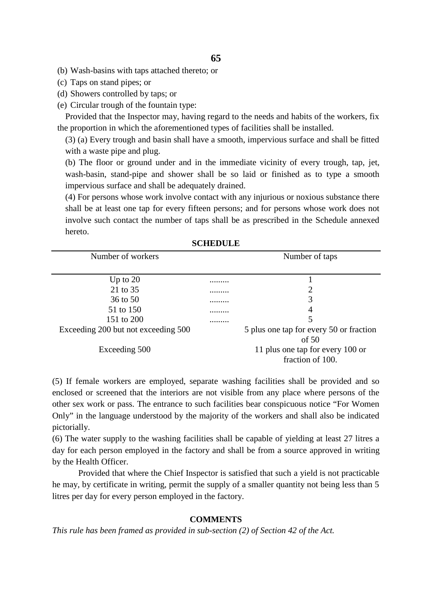(b) Wash-basins with taps attached thereto; or

- (c) Taps on stand pipes; or
- (d) Showers controlled by taps; or
- (e) Circular trough of the fountain type:

Provided that the Inspector may, having regard to the needs and habits of the workers, fix the proportion in which the aforementioned types of facilities shall be installed.

(3) (a) Every trough and basin shall have a smooth, impervious surface and shall be fitted with a waste pipe and plug.

(b) The floor or ground under and in the immediate vicinity of every trough, tap, jet, wash-basin, stand-pipe and shower shall be so laid or finished as to type a smooth impervious surface and shall be adequately drained.

(4) For persons whose work involve contact with any injurious or noxious substance there shall be at least one tap for every fifteen persons; and for persons whose work does not involve such contact the number of taps shall be as prescribed in the Schedule annexed hereto.

| SUNEDULE                            |   |                                         |
|-------------------------------------|---|-----------------------------------------|
| Number of workers                   |   | Number of taps                          |
|                                     |   |                                         |
| Up to $20$                          | . |                                         |
| 21 to 35                            | . |                                         |
| 36 to 50                            | . | 3                                       |
| 51 to 150                           | . | 4                                       |
| 151 to 200                          |   | 5                                       |
| Exceeding 200 but not exceeding 500 |   | 5 plus one tap for every 50 or fraction |
|                                     |   | of $50$                                 |
| Exceeding 500                       |   | 11 plus one tap for every 100 or        |
|                                     |   | fraction of 100.                        |
|                                     |   |                                         |

**SCHEDULE** 

(5) If female workers are employed, separate washing facilities shall be provided and so enclosed or screened that the interiors are not visible from any place where persons of the other sex work or pass. The entrance to such facilities bear conspicuous notice "For Women Only" in the language understood by the majority of the workers and shall also be indicated pictorially.

(6) The water supply to the washing facilities shall be capable of yielding at least 27 litres a day for each person employed in the factory and shall be from a source approved in writing by the Health Officer.

Provided that where the Chief Inspector is satisfied that such a yield is not practicable he may, by certificate in writing, permit the supply of a smaller quantity not being less than 5 litres per day for every person employed in the factory.

# **COMMENTS**

*This rule has been framed as provided in sub-section (2) of Section 42 of the Act.*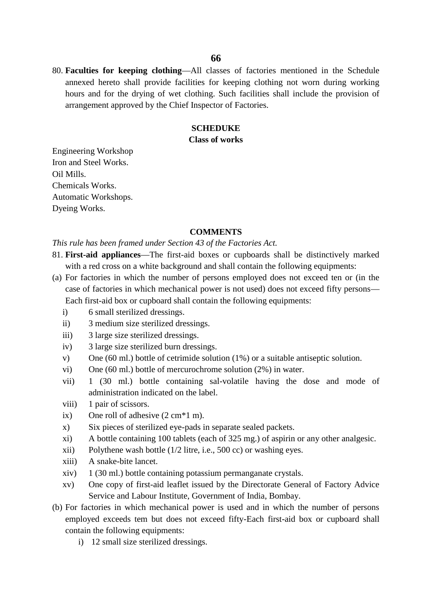80. **Faculties for keeping clothing**—All classes of factories mentioned in the Schedule annexed hereto shall provide facilities for keeping clothing not worn during working hours and for the drying of wet clothing. Such facilities shall include the provision of arrangement approved by the Chief Inspector of Factories.

## **SCHEDUKE**

## **Class of works**

Engineering Workshop Iron and Steel Works. Oil Mills. Chemicals Works. Automatic Workshops. Dyeing Works.

#### **COMMENTS**

*This rule has been framed under Section 43 of the Factories Act.*

- 81. **First-aid appliances**—The first-aid boxes or cupboards shall be distinctively marked with a red cross on a white background and shall contain the following equipments:
- (a) For factories in which the number of persons employed does not exceed ten or (in the case of factories in which mechanical power is not used) does not exceed fifty persons— Each first-aid box or cupboard shall contain the following equipments:
	- i) 6 small sterilized dressings.
	- ii) 3 medium size sterilized dressings.
	- iii) 3 large size sterilized dressings.
	- iv) 3 large size sterilized burn dressings.
	- v) One (60 ml.) bottle of cetrimide solution (1%) or a suitable antiseptic solution.
	- vi) One (60 ml.) bottle of mercurochrome solution (2%) in water.
	- vii) 1 (30 ml.) bottle containing sal-volatile having the dose and mode of administration indicated on the label.
	- viii) 1 pair of scissors.
	- ix) One roll of adhesive  $(2 \text{ cm}^*1 \text{ m})$ .
	- x) Six pieces of sterilized eye-pads in separate sealed packets.
	- xi) A bottle containing 100 tablets (each of 325 mg.) of aspirin or any other analgesic.
	- xii) Polythene wash bottle (1/2 litre, i.e., 500 cc) or washing eyes.
	- xiii) A snake-bite lancet.
	- xiv) 1 (30 ml.) bottle containing potassium permanganate crystals.
	- xv) One copy of first-aid leaflet issued by the Directorate General of Factory Advice Service and Labour Institute, Government of India, Bombay.
- (b) For factories in which mechanical power is used and in which the number of persons employed exceeds tem but does not exceed fifty-Each first-aid box or cupboard shall contain the following equipments:
	- i) 12 small size sterilized dressings.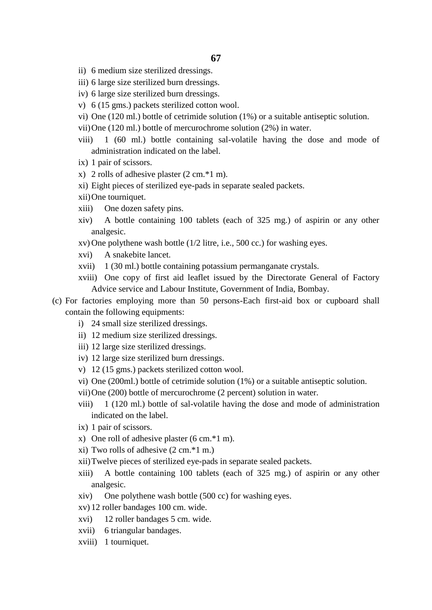- ii) 6 medium size sterilized dressings.
- iii) 6 large size sterilized burn dressings.
- iv) 6 large size sterilized burn dressings.
- v) 6 (15 gms.) packets sterilized cotton wool.
- vi) One (120 ml.) bottle of cetrimide solution (1%) or a suitable antiseptic solution.
- vii)One (120 ml.) bottle of mercurochrome solution (2%) in water.
- viii) 1 (60 ml.) bottle containing sal-volatile having the dose and mode of administration indicated on the label.
- ix) 1 pair of scissors.
- x) 2 rolls of adhesive plaster (2 cm.\*1 m).
- xi) Eight pieces of sterilized eye-pads in separate sealed packets.
- xii)One tourniquet.
- xiii) One dozen safety pins.
- xiv) A bottle containing 100 tablets (each of 325 mg.) of aspirin or any other analgesic.
- xv) One polythene wash bottle (1/2 litre, i.e., 500 cc.) for washing eyes.
- xvi) A snakebite lancet.
- xvii) 1 (30 ml.) bottle containing potassium permanganate crystals.
- xviii) One copy of first aid leaflet issued by the Directorate General of Factory Advice service and Labour Institute, Government of India, Bombay.
- (c) For factories employing more than 50 persons-Each first-aid box or cupboard shall contain the following equipments:
	- i) 24 small size sterilized dressings.
	- ii) 12 medium size sterilized dressings.
	- iii) 12 large size sterilized dressings.
	- iv) 12 large size sterilized burn dressings.
	- v) 12 (15 gms.) packets sterilized cotton wool.
	- vi) One (200ml.) bottle of cetrimide solution (1%) or a suitable antiseptic solution.
	- vii)One (200) bottle of mercurochrome (2 percent) solution in water.
	- viii) 1 (120 ml.) bottle of sal-volatile having the dose and mode of administration indicated on the label.
	- ix) 1 pair of scissors.
	- x) One roll of adhesive plaster (6 cm.\*1 m).
	- xi) Two rolls of adhesive (2 cm.\*1 m.)
	- xii)Twelve pieces of sterilized eye-pads in separate sealed packets.
	- xiii) A bottle containing 100 tablets (each of 325 mg.) of aspirin or any other analgesic.
	- xiv) One polythene wash bottle (500 cc) for washing eyes.
	- xv) 12 roller bandages 100 cm. wide.
	- xvi) 12 roller bandages 5 cm. wide.
	- xvii) 6 triangular bandages.
	- xviii) 1 tourniquet.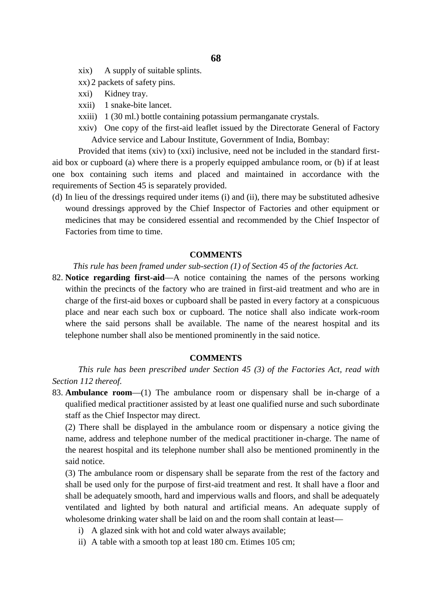- xix) A supply of suitable splints.
- xx) 2 packets of safety pins.
- xxi) Kidney tray.
- xxii) 1 snake-bite lancet.
- xxiii) 1 (30 ml.) bottle containing potassium permanganate crystals.
- xxiv) One copy of the first-aid leaflet issued by the Directorate General of Factory Advice service and Labour Institute, Government of India, Bombay:

Provided that items (xiv) to (xxi) inclusive, need not be included in the standard first aid box or cupboard (a) where there is a properly equipped ambulance room, or (b) if at least one box containing such items and placed and maintained in accordance with the requirements of Section 45 is separately provided.

(d) In lieu of the dressings required under items (i) and (ii), there may be substituted adhesive wound dressings approved by the Chief Inspector of Factories and other equipment or medicines that may be considered essential and recommended by the Chief Inspector of Factories from time to time.

## **COMMENTS**

*This rule has been framed under sub-section (1) of Section 45 of the factories Act.*

82. **Notice regarding first-aid**—A notice containing the names of the persons working within the precincts of the factory who are trained in first-aid treatment and who are in charge of the first-aid boxes or cupboard shall be pasted in every factory at a conspicuous place and near each such box or cupboard. The notice shall also indicate work-room where the said persons shall be available. The name of the nearest hospital and its telephone number shall also be mentioned prominently in the said notice.

#### **COMMENTS**

*This rule has been prescribed under Section 45 (3) of the Factories Act, read with Section 112 thereof.*

83. **Ambulance room**—(1) The ambulance room or dispensary shall be in-charge of a qualified medical practitioner assisted by at least one qualified nurse and such subordinate staff as the Chief Inspector may direct.

(2) There shall be displayed in the ambulance room or dispensary a notice giving the name, address and telephone number of the medical practitioner in-charge. The name of the nearest hospital and its telephone number shall also be mentioned prominently in the said notice.

(3) The ambulance room or dispensary shall be separate from the rest of the factory and shall be used only for the purpose of first-aid treatment and rest. It shall have a floor and shall be adequately smooth, hard and impervious walls and floors, and shall be adequately ventilated and lighted by both natural and artificial means. An adequate supply of wholesome drinking water shall be laid on and the room shall contain at least—

- i) A glazed sink with hot and cold water always available;
- ii) A table with a smooth top at least 180 cm. Etimes 105 cm;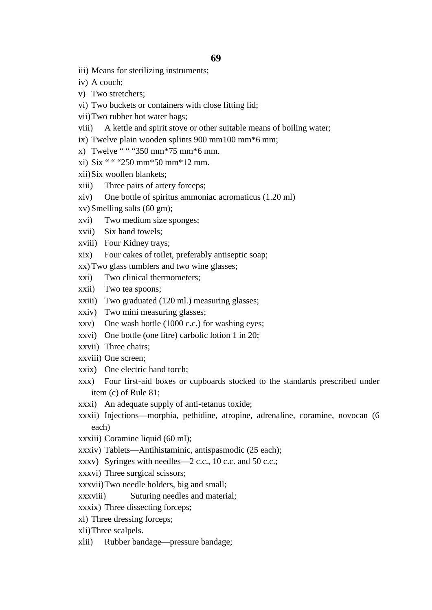- iii) Means for sterilizing instruments;
- iv) A couch;
- v) Two stretchers;
- vi) Two buckets or containers with close fitting lid;
- vii)Two rubber hot water bags;
- viii) A kettle and spirit stove or other suitable means of boiling water;
- ix) Twelve plain wooden splints 900 mm100 mm\*6 mm;
- x) Twelve " " "350 mm\*75 mm\*6 mm.
- xi) Six " " "250 mm\*50 mm\*12 mm.
- xii)Six woollen blankets;
- xiii) Three pairs of artery forceps;
- xiv) One bottle of spiritus ammoniac acromaticus (1.20 ml)
- xv) Smelling salts (60 gm);
- xvi) Two medium size sponges;
- xvii) Six hand towels;
- xviii) Four Kidney trays;
- xix) Four cakes of toilet, preferably antiseptic soap;
- xx) Two glass tumblers and two wine glasses;
- xxi) Two clinical thermometers;
- xxii) Two tea spoons;
- xxiii) Two graduated (120 ml.) measuring glasses;
- xxiv) Two mini measuring glasses;
- xxv) One wash bottle (1000 c.c.) for washing eyes;
- xxvi) One bottle (one litre) carbolic lotion 1 in 20;
- xxvii) Three chairs;
- xxviii) One screen;
- xxix) One electric hand torch;
- xxx) Four first-aid boxes or cupboards stocked to the standards prescribed under item (c) of Rule 81;
- xxxi) An adequate supply of anti-tetanus toxide;
- xxxii) Injections—morphia, pethidine, atropine, adrenaline, coramine, novocan (6 each)
- xxxiii) Coramine liquid (60 ml);
- xxxiv) Tablets—Antihistaminic, antispasmodic (25 each);
- xxxv) Syringes with needles—2 c.c., 10 c.c. and 50 c.c.;
- xxxvi) Three surgical scissors;
- xxxvii)Two needle holders, big and small;
- xxxviii) Suturing needles and material;
- xxxix) Three dissecting forceps;
- xl) Three dressing forceps;
- xli)Three scalpels.
- xlii) Rubber bandage—pressure bandage;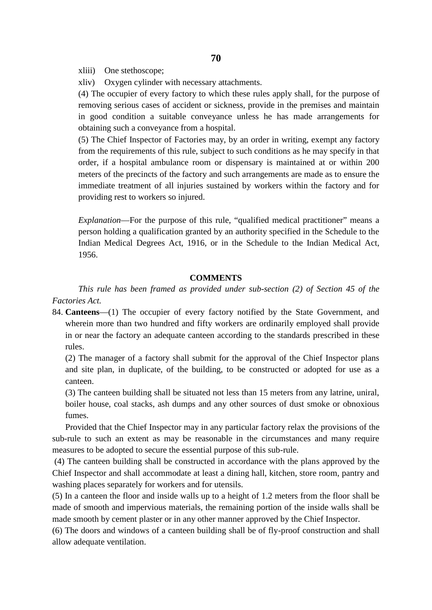xliii) One stethoscope;

xliv) Oxygen cylinder with necessary attachments.

(4) The occupier of every factory to which these rules apply shall, for the purpose of removing serious cases of accident or sickness, provide in the premises and maintain in good condition a suitable conveyance unless he has made arrangements for obtaining such a conveyance from a hospital.

(5) The Chief Inspector of Factories may, by an order in writing, exempt any factory from the requirements of this rule, subject to such conditions as he may specify in that order, if a hospital ambulance room or dispensary is maintained at or within 200 meters of the precincts of the factory and such arrangements are made as to ensure the immediate treatment of all injuries sustained by workers within the factory and for providing rest to workers so injured.

*Explanation*—For the purpose of this rule, "qualified medical practitioner" means a person holding a qualification granted by an authority specified in the Schedule to the Indian Medical Degrees Act, 1916, or in the Schedule to the Indian Medical Act, 1956.

## **COMMENTS**

*This rule has been framed as provided under sub-section (2) of Section 45 of the Factories Act.*

84. **Canteens**—(1) The occupier of every factory notified by the State Government, and wherein more than two hundred and fifty workers are ordinarily employed shall provide in or near the factory an adequate canteen according to the standards prescribed in these rules.

(2) The manager of a factory shall submit for the approval of the Chief Inspector plans and site plan, in duplicate, of the building, to be constructed or adopted for use as a canteen.

(3) The canteen building shall be situated not less than 15 meters from any latrine, uniral, boiler house, coal stacks, ash dumps and any other sources of dust smoke or obnoxious fumes.

Provided that the Chief Inspector may in any particular factory relax the provisions of the sub-rule to such an extent as may be reasonable in the circumstances and many require measures to be adopted to secure the essential purpose of this sub-rule.

(4) The canteen building shall be constructed in accordance with the plans approved by the Chief Inspector and shall accommodate at least a dining hall, kitchen, store room, pantry and washing places separately for workers and for utensils.

(5) In a canteen the floor and inside walls up to a height of 1.2 meters from the floor shall be made of smooth and impervious materials, the remaining portion of the inside walls shall be made smooth by cement plaster or in any other manner approved by the Chief Inspector.

(6) The doors and windows of a canteen building shall be of fly-proof construction and shall allow adequate ventilation.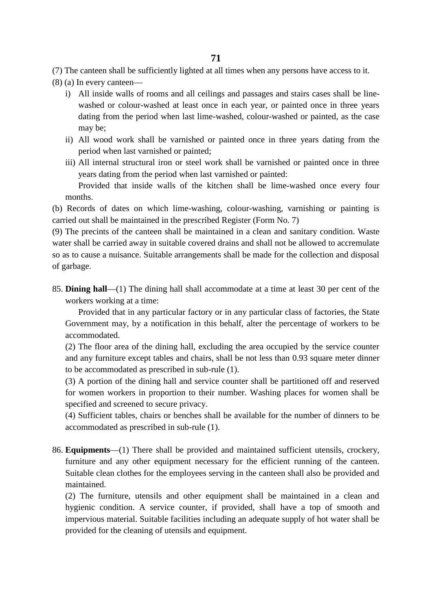(7) The canteen shall be sufficiently lighted at all times when any persons have access to it.

- (8) (a) In every canteen
	- i) All inside walls of rooms and all ceilings and passages and stairs cases shall be line washed or colour-washed at least once in each year, or painted once in three years dating from the period when last lime-washed, colour-washed or painted, as the case may be;
	- ii) All wood work shall be varnished or painted once in three years dating from the period when last varnished or painted;
	- iii) All internal structural iron or steel work shall be varnished or painted once in three years dating from the period when last varnished or painted:

Provided that inside walls of the kitchen shall be lime-washed once every four months.

(b) Records of dates on which lime-washing, colour-washing, varnishing or painting is carried out shall be maintained in the prescribed Register (Form No. 7)

(9) The precints of the canteen shall be maintained in a clean and sanitary condition. Waste water shall be carried away in suitable covered drains and shall not be allowed to accremulate so as to cause a nuisance. Suitable arrangements shall be made for the collection and disposal of garbage.

85. **Dining hall**—(1) The dining hall shall accommodate at a time at least 30 per cent of the workers working at a time:

Provided that in any particular factory or in any particular class of factories, the State Government may, by a notification in this behalf, alter the percentage of workers to be accommodated.

(2) The floor area of the dining hall, excluding the area occupied by the service counter and any furniture except tables and chairs, shall be not less than 0.93 square meter dinner to be accommodated as prescribed in sub-rule (1).

(3) A portion of the dining hall and service counter shall be partitioned off and reserved for women workers in proportion to their number. Washing places for women shall be specified and screened to secure privacy.

(4) Sufficient tables, chairs or benches shall be available for the number of dinners to be accommodated as prescribed in sub-rule (1).

86. **Equipments**—(1) There shall be provided and maintained sufficient utensils, crockery, furniture and any other equipment necessary for the efficient running of the canteen. Suitable clean clothes for the employees serving in the canteen shall also be provided and maintained.

(2) The furniture, utensils and other equipment shall be maintained in a clean and hygienic condition. A service counter, if provided, shall have a top of smooth and impervious material. Suitable facilities including an adequate supply of hot water shall be provided for the cleaning of utensils and equipment.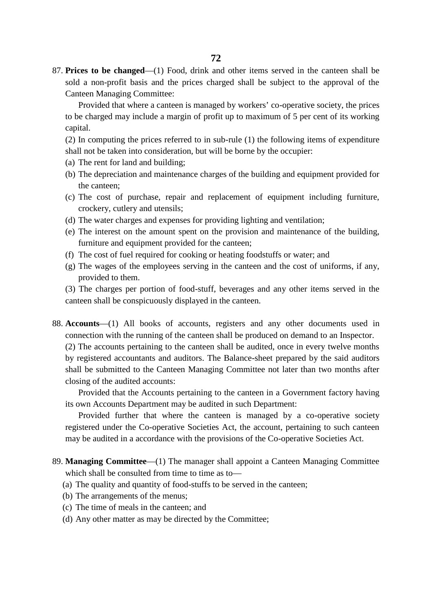87. **Prices to be changed**—(1) Food, drink and other items served in the canteen shall be sold a non-profit basis and the prices charged shall be subject to the approval of the Canteen Managing Committee:

Provided that where a canteen is managed by workers' co-operative society, the prices to be charged may include a margin of profit up to maximum of 5 per cent of its working capital.

(2) In computing the prices referred to in sub-rule (1) the following items of expenditure shall not be taken into consideration, but will be borne by the occupier:

- (a) The rent for land and building;
- (b) The depreciation and maintenance charges of the building and equipment provided for the canteen;
- (c) The cost of purchase, repair and replacement of equipment including furniture, crockery, cutlery and utensils;
- (d) The water charges and expenses for providing lighting and ventilation;
- (e) The interest on the amount spent on the provision and maintenance of the building, furniture and equipment provided for the canteen;
- (f) The cost of fuel required for cooking or heating foodstuffs or water; and
- (g) The wages of the employees serving in the canteen and the cost of uniforms, if any, provided to them.

(3) The charges per portion of food-stuff, beverages and any other items served in the canteen shall be conspicuously displayed in the canteen.

88. **Accounts**—(1) All books of accounts, registers and any other documents used in connection with the running of the canteen shall be produced on demand to an Inspector.

(2) The accounts pertaining to the canteen shall be audited, once in every twelve months by registered accountants and auditors. The Balance-sheet prepared by the said auditors shall be submitted to the Canteen Managing Committee not later than two months after closing of the audited accounts:

Provided that the Accounts pertaining to the canteen in a Government factory having its own Accounts Department may be audited in such Department:

Provided further that where the canteen is managed by a co-operative society registered under the Co-operative Societies Act, the account, pertaining to such canteen may be audited in a accordance with the provisions of the Co-operative Societies Act.

- 89. **Managing Committee**—(1) The manager shall appoint a Canteen Managing Committee which shall be consulted from time to time as to—
	- (a) The quality and quantity of food-stuffs to be served in the canteen;
	- (b) The arrangements of the menus;
	- (c) The time of meals in the canteen; and
	- (d) Any other matter as may be directed by the Committee;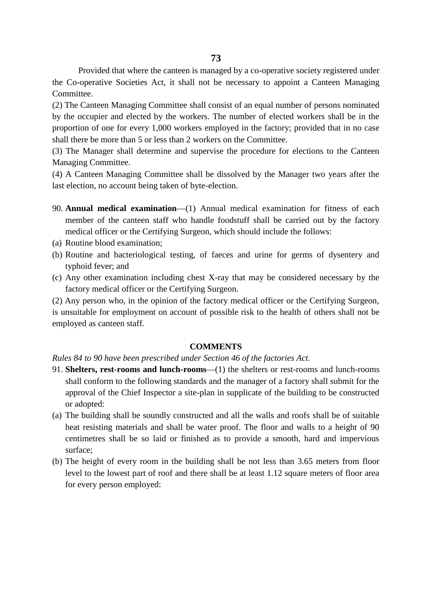Provided that where the canteen is managed by a co-operative society registered under the Co-operative Societies Act, it shall not be necessary to appoint a Canteen Managing Committee.

(2) The Canteen Managing Committee shall consist of an equal number of persons nominated by the occupier and elected by the workers. The number of elected workers shall be in the proportion of one for every 1,000 workers employed in the factory; provided that in no case shall there be more than 5 or less than 2 workers on the Committee.

(3) The Manager shall determine and supervise the procedure for elections to the Canteen Managing Committee.

(4) A Canteen Managing Committee shall be dissolved by the Manager two years after the last election, no account being taken of byte-election.

- 90. **Annual medical examination**—(1) Annual medical examination for fitness of each member of the canteen staff who handle foodstuff shall be carried out by the factory medical officer or the Certifying Surgeon, which should include the follows:
- (a) Routine blood examination;
- (b) Routine and bacteriological testing, of faeces and urine for germs of dysentery and typhoid fever; and
- (c) Any other examination including chest X-ray that may be considered necessary by the factory medical officer or the Certifying Surgeon.

(2) Any person who, in the opinion of the factory medical officer or the Certifying Surgeon, is unsuitable for employment on account of possible risk to the health of others shall not be employed as canteen staff.

#### **COMMENTS**

*Rules 84 to 90 have been prescribed under Section 46 of the factories Act.*

- 91. **Shelters, rest-rooms and lunch-rooms**—(1) the shelters or rest-rooms and lunch-rooms shall conform to the following standards and the manager of a factory shall submit for the approval of the Chief Inspector a site-plan in supplicate of the building to be constructed or adopted:
- (a) The building shall be soundly constructed and all the walls and roofs shall be of suitable heat resisting materials and shall be water proof. The floor and walls to a height of 90 centimetres shall be so laid or finished as to provide a smooth, hard and impervious surface;
- (b) The height of every room in the building shall be not less than 3.65 meters from floor level to the lowest part of roof and there shall be at least 1.12 square meters of floor area for every person employed: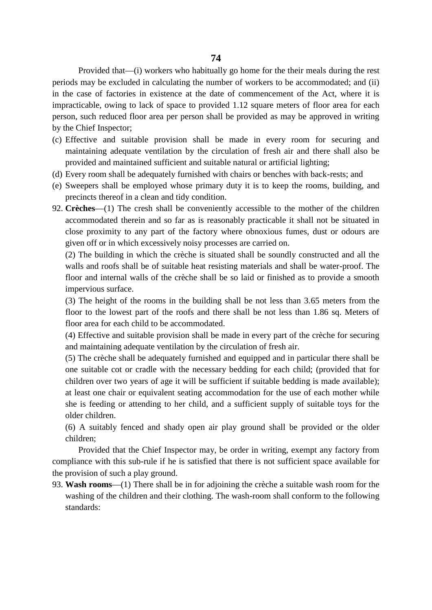Provided that—(i) workers who habitually go home for the their meals during the rest periods may be excluded in calculating the number of workers to be accommodated; and (ii) in the case of factories in existence at the date of commencement of the Act, where it is impracticable, owing to lack of space to provided 1.12 square meters of floor area for each person, such reduced floor area per person shall be provided as may be approved in writing by the Chief Inspector;

- (c) Effective and suitable provision shall be made in every room for securing and maintaining adequate ventilation by the circulation of fresh air and there shall also be provided and maintained sufficient and suitable natural or artificial lighting;
- (d) Every room shall be adequately furnished with chairs or benches with back-rests; and
- (e) Sweepers shall be employed whose primary duty it is to keep the rooms, building, and precincts thereof in a clean and tidy condition.
- 92. **Crèches**—(1) The cresh shall be conveniently accessible to the mother of the children accommodated therein and so far as is reasonably practicable it shall not be situated in close proximity to any part of the factory where obnoxious fumes, dust or odours are given off or in which excessively noisy processes are carried on.

(2) The building in which the crèche is situated shall be soundly constructed and all the walls and roofs shall be of suitable heat resisting materials and shall be water-proof. The floor and internal walls of the crèche shall be so laid or finished as to provide a smooth impervious surface.

(3) The height of the rooms in the building shall be not less than 3.65 meters from the floor to the lowest part of the roofs and there shall be not less than 1.86 sq. Meters of floor area for each child to be accommodated.

(4) Effective and suitable provision shall be made in every part of the crèche for securing and maintaining adequate ventilation by the circulation of fresh air.

(5) The crèche shall be adequately furnished and equipped and in particular there shall be one suitable cot or cradle with the necessary bedding for each child; (provided that for children over two years of age it will be sufficient if suitable bedding is made available); at least one chair or equivalent seating accommodation for the use of each mother while she is feeding or attending to her child, and a sufficient supply of suitable toys for the older children.

(6) A suitably fenced and shady open air play ground shall be provided or the older children;

Provided that the Chief Inspector may, be order in writing, exempt any factory from compliance with this sub-rule if he is satisfied that there is not sufficient space available for the provision of such a play ground.

93. **Wash rooms**—(1) There shall be in for adjoining the crèche a suitable wash room for the washing of the children and their clothing. The wash-room shall conform to the following standards: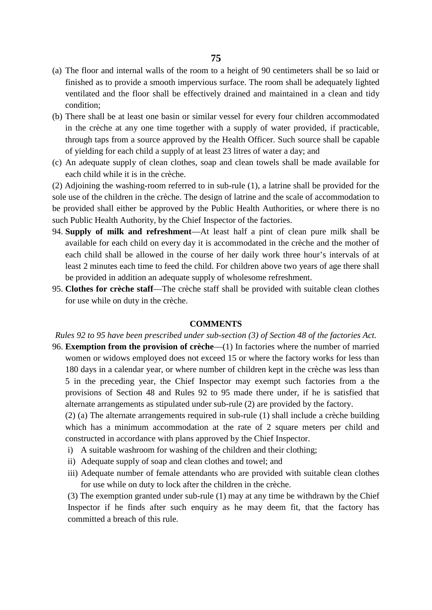- (a) The floor and internal walls of the room to a height of 90 centimeters shall be so laid or finished as to provide a smooth impervious surface. The room shall be adequately lighted ventilated and the floor shall be effectively drained and maintained in a clean and tidy condition;
- (b) There shall be at least one basin or similar vessel for every four children accommodated in the crèche at any one time together with a supply of water provided, if practicable, through taps from a source approved by the Health Officer. Such source shall be capable of yielding for each child a supply of at least 23 litres of water a day; and
- (c) An adequate supply of clean clothes, soap and clean towels shall be made available for each child while it is in the crèche.

(2) Adjoining the washing-room referred to in sub-rule (1), a latrine shall be provided for the sole use of the children in the crèche. The design of latrine and the scale of accommodation to be provided shall either be approved by the Public Health Authorities, or where there is no such Public Health Authority, by the Chief Inspector of the factories.

- 94. **Supply of milk and refreshment**—At least half a pint of clean pure milk shall be available for each child on every day it is accommodated in the crèche and the mother of each child shall be allowed in the course of her daily work three hour's intervals of at least 2 minutes each time to feed the child. For children above two years of age there shall be provided in addition an adequate supply of wholesome refreshment.
- 95. **Clothes for crèche staff**—The crèche staff shall be provided with suitable clean clothes for use while on duty in the crèche.

#### **COMMENTS**

*Rules 92 to 95 have been prescribed under sub-section (3) of Section 48 of the factories Act.*

96. **Exemption from the provision of crèche**—(1) In factories where the number of married women or widows employed does not exceed 15 or where the factory works for less than 180 days in a calendar year, or where number of children kept in the crèche was less than 5 in the preceding year, the Chief Inspector may exempt such factories from a the provisions of Section 48 and Rules 92 to 95 made there under, if he is satisfied that alternate arrangements as stipulated under sub-rule (2) are provided by the factory.

(2) (a) The alternate arrangements required in sub-rule (1) shall include a crèche building which has a minimum accommodation at the rate of 2 square meters per child and constructed in accordance with plans approved by the Chief Inspector.

- i) A suitable washroom for washing of the children and their clothing;
- ii) Adequate supply of soap and clean clothes and towel; and
- iii) Adequate number of female attendants who are provided with suitable clean clothes for use while on duty to lock after the children in the crèche.

(3) The exemption granted under sub-rule (1) may at any time be withdrawn by the Chief Inspector if he finds after such enquiry as he may deem fit, that the factory has committed a breach of this rule.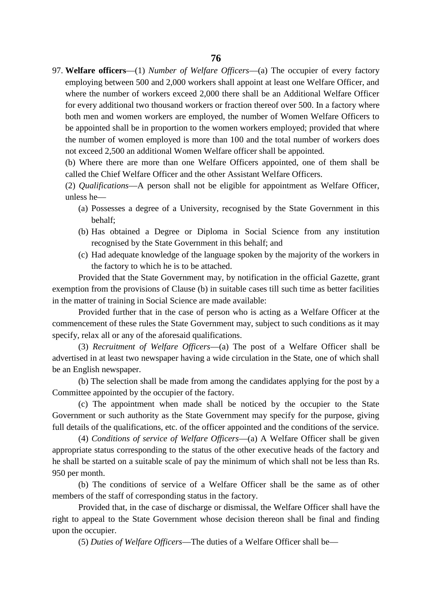97. **Welfare officers**—(1) *Number of Welfare Officers*—(a) The occupier of every factory employing between 500 and 2,000 workers shall appoint at least one Welfare Officer, and where the number of workers exceed 2,000 there shall be an Additional Welfare Officer for every additional two thousand workers or fraction thereof over 500. In a factory where both men and women workers are employed, the number of Women Welfare Officers to be appointed shall be in proportion to the women workers employed; provided that where the number of women employed is more than 100 and the total number of workers does not exceed 2,500 an additional Women Welfare officer shall be appointed.

(b) Where there are more than one Welfare Officers appointed, one of them shall be called the Chief Welfare Officer and the other Assistant Welfare Officers.

(2) *Qualifications*—A person shall not be eligible for appointment as Welfare Officer, unless he—

- (a) Possesses a degree of a University, recognised by the State Government in this behalf;
- (b) Has obtained a Degree or Diploma in Social Science from any institution recognised by the State Government in this behalf; and
- (c) Had adequate knowledge of the language spoken by the majority of the workers in the factory to which he is to be attached.

Provided that the State Government may, by notification in the official Gazette, grant exemption from the provisions of Clause (b) in suitable cases till such time as better facilities in the matter of training in Social Science are made available:

Provided further that in the case of person who is acting as a Welfare Officer at the commencement of these rules the State Government may, subject to such conditions as it may specify, relax all or any of the aforesaid qualifications.

(3) *Recruitment of Welfare Officers*—(a) The post of a Welfare Officer shall be advertised in at least two newspaper having a wide circulation in the State, one of which shall be an English newspaper.

(b) The selection shall be made from among the candidates applying for the post by a Committee appointed by the occupier of the factory.

(c) The appointment when made shall be noticed by the occupier to the State Government or such authority as the State Government may specify for the purpose, giving full details of the qualifications, etc. of the officer appointed and the conditions of the service.

(4) *Conditions of service of Welfare Officers*—(a) A Welfare Officer shall be given appropriate status corresponding to the status of the other executive heads of the factory and he shall be started on a suitable scale of pay the minimum of which shall not be less than Rs. 950 per month.

(b) The conditions of service of a Welfare Officer shall be the same as of other members of the staff of corresponding status in the factory.

Provided that, in the case of discharge or dismissal, the Welfare Officer shall have the right to appeal to the State Government whose decision thereon shall be final and finding upon the occupier.

(5) *Duties of Welfare Officers*—The duties of a Welfare Officer shall be—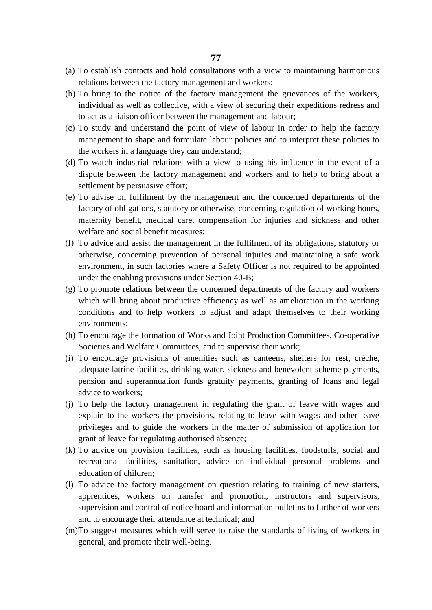- (a) To establish contacts and hold consultations with a view to maintaining harmonious relations between the factory management and workers;
- (b) To bring to the notice of the factory management the grievances of the workers, individual as well as collective, with a view of securing their expeditions redress and to act as a liaison officer between the management and labour;
- (c) To study and understand the point of view of labour in order to help the factory management to shape and formulate labour policies and to interpret these policies to the workers in a language they can understand;
- (d) To watch industrial relations with a view to using his influence in the event of a dispute between the factory management and workers and to help to bring about a settlement by persuasive effort;
- (e) To advise on fulfilment by the management and the concerned departments of the factory of obligations, statutory or otherwise, concerning regulation of working hours, maternity benefit, medical care, compensation for injuries and sickness and other welfare and social benefit measures;
- (f) To advice and assist the management in the fulfilment of its obligations, statutory or otherwise, concerning prevention of personal injuries and maintaining a safe work environment, in such factories where a Safety Officer is not required to be appointed under the enabling provisions under Section 40-B;
- (g) To promote relations between the concerned departments of the factory and workers which will bring about productive efficiency as well as amelioration in the working conditions and to help workers to adjust and adapt themselves to their working environments;
- (h) To encourage the formation of Works and Joint Production Committees, Co-operative Societies and Welfare Committees, and to supervise their work;
- (i) To encourage provisions of amenities such as canteens, shelters for rest, crèche, adequate latrine facilities, drinking water, sickness and benevolent scheme payments, pension and superannuation funds gratuity payments, granting of loans and legal advice to workers;
- (j) To help the factory management in regulating the grant of leave with wages and explain to the workers the provisions, relating to leave with wages and other leave privileges and to guide the workers in the matter of submission of application for grant of leave for regulating authorised absence;
- (k) To advice on provision facilities, such as housing facilities, foodstuffs, social and recreational facilities, sanitation, advice on individual personal problems and education of children;
- (l) To advice the factory management on question relating to training of new starters, apprentices, workers on transfer and promotion, instructors and supervisors, supervision and control of notice board and information bulletins to further of workers and to encourage their attendance at technical; and
- (m)To suggest measures which will serve to raise the standards of living of workers in general, and promote their well-being.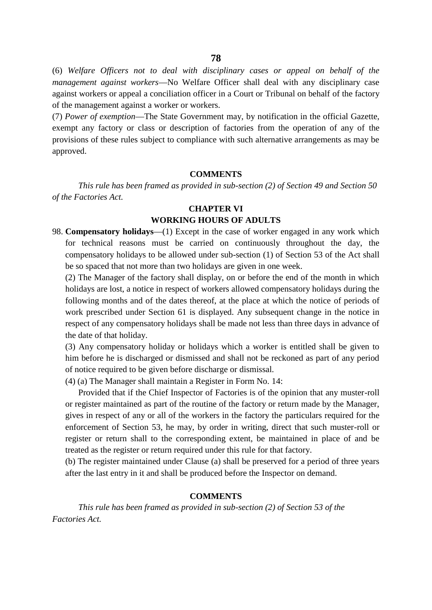(6) *Welfare Officers not to deal with disciplinary cases or appeal on behalf of the management against workers*—No Welfare Officer shall deal with any disciplinary case against workers or appeal a conciliation officer in a Court or Tribunal on behalf of the factory of the management against a worker or workers.

(7) *Power of exemption*—The State Government may, by notification in the official Gazette, exempt any factory or class or description of factories from the operation of any of the provisions of these rules subject to compliance with such alternative arrangements as may be approved.

#### **COMMENTS**

*This rule has been framed as provided in sub-section (2) of Section 49 and Section 50 of the Factories Act.*

#### **CHAPTER VI**

## **WORKING HOURS OF ADULTS**

98. **Compensatory holidays**—(1) Except in the case of worker engaged in any work which for technical reasons must be carried on continuously throughout the day, the compensatory holidays to be allowed under sub-section (1) of Section 53 of the Act shall be so spaced that not more than two holidays are given in one week.

(2) The Manager of the factory shall display, on or before the end of the month in which holidays are lost, a notice in respect of workers allowed compensatory holidays during the following months and of the dates thereof, at the place at which the notice of periods of work prescribed under Section 61 is displayed. Any subsequent change in the notice in respect of any compensatory holidays shall be made not less than three days in advance of the date of that holiday.

(3) Any compensatory holiday or holidays which a worker is entitled shall be given to him before he is discharged or dismissed and shall not be reckoned as part of any period of notice required to be given before discharge or dismissal.

(4) (a) The Manager shall maintain a Register in Form No. 14:

Provided that if the Chief Inspector of Factories is of the opinion that any muster-roll or register maintained as part of the routine of the factory or return made by the Manager, gives in respect of any or all of the workers in the factory the particulars required for the enforcement of Section 53, he may, by order in writing, direct that such muster-roll or register or return shall to the corresponding extent, be maintained in place of and be treated as the register or return required under this rule for that factory.

(b) The register maintained under Clause (a) shall be preserved for a period of three years after the last entry in it and shall be produced before the Inspector on demand.

### **COMMENTS**

*This rule has been framed as provided in sub-section (2) of Section 53 of the Factories Act.*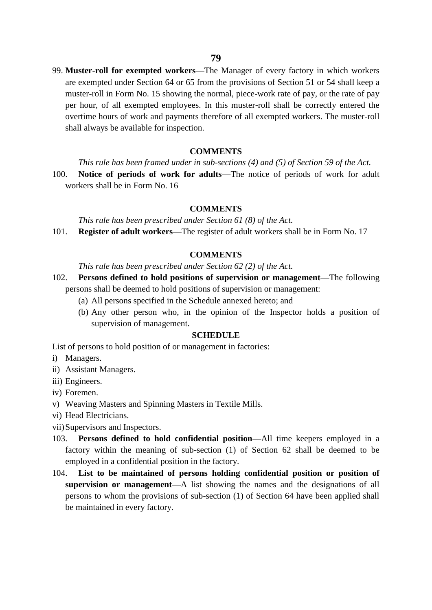99. **Muster-roll for exempted workers**—The Manager of every factory in which workers are exempted under Section 64 or 65 from the provisions of Section 51 or 54 shall keep a muster-roll in Form No. 15 showing the normal, piece-work rate of pay, or the rate of pay per hour, of all exempted employees. In this muster-roll shall be correctly entered the overtime hours of work and payments therefore of all exempted workers. The muster-roll shall always be available for inspection.

#### **COMMENTS**

*This rule has been framed under in sub-sections (4) and (5) of Section 59 of the Act.*

100. **Notice of periods of work for adults**—The notice of periods of work for adult workers shall be in Form No. 16

#### **COMMENTS**

*This rule has been prescribed under Section 61 (8) of the Act.* 101. **Register of adult workers**—The register of adult workers shall be in Form No. 17

#### **COMMENTS**

*This rule has been prescribed under Section 62 (2) of the Act.*

- 102. **Persons defined to hold positions of supervision or management**—The following persons shall be deemed to hold positions of supervision or management:
	- (a) All persons specified in the Schedule annexed hereto; and
	- (b) Any other person who, in the opinion of the Inspector holds a position of supervision of management.

#### **SCHEDULE**

List of persons to hold position of or management in factories:

- i) Managers.
- ii) Assistant Managers.
- iii) Engineers.
- iv) Foremen.
- v) Weaving Masters and Spinning Masters in Textile Mills.
- vi) Head Electricians.
- vii)Supervisors and Inspectors.
- 103. **Persons defined to hold confidential position**—All time keepers employed in a factory within the meaning of sub-section (1) of Section 62 shall be deemed to be employed in a confidential position in the factory.
- 104. **List to be maintained of persons holding confidential position or position of supervision or management**—A list showing the names and the designations of all persons to whom the provisions of sub-section (1) of Section 64 have been applied shall be maintained in every factory.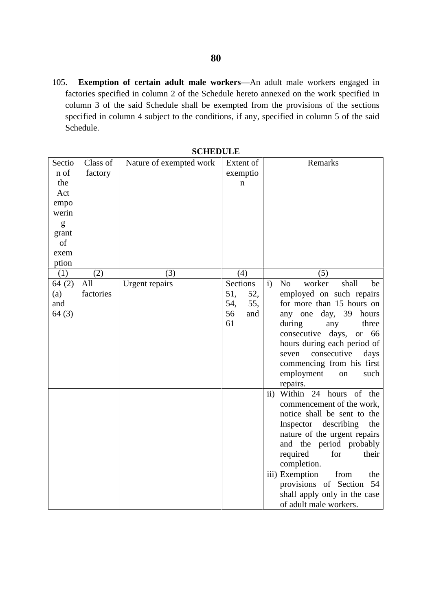105. **Exemption of certain adult male workers**—An adult male workers engaged in factories specified in column 2 of the Schedule hereto annexed on the work specified in column 3 of the said Schedule shall be exempted from the provisions of the sections specified in column 4 subject to the conditions, if any, specified in column 5 of the said Schedule.

| Sectio<br>n of<br>the<br>Act<br>empo<br>werin<br>g<br>grant<br>of<br>exem<br>ption | Class of<br>factory | Nature of exempted work |                        | Extent of<br>exemptio<br>$\mathbf n$ |               | Remarks                                                                                                                                                                                                                                                                                                                       |
|------------------------------------------------------------------------------------|---------------------|-------------------------|------------------------|--------------------------------------|---------------|-------------------------------------------------------------------------------------------------------------------------------------------------------------------------------------------------------------------------------------------------------------------------------------------------------------------------------|
| (1)                                                                                | (2)                 | (3)                     |                        | (4)                                  | (5)           |                                                                                                                                                                                                                                                                                                                               |
| 64(2)<br>(a)<br>and<br>64(3)                                                       | All<br>factories    | <b>Urgent</b> repairs   | 51,<br>54,<br>56<br>61 | Sections<br>52,<br>55,<br>and        | $\mathbf{i}$  | N <sub>o</sub><br>shall<br>worker<br>be<br>employed on such repairs<br>for more than 15 hours on<br>any one day, 39<br>hours<br>during<br>three<br>any<br>consecutive<br>days,<br>or $66$<br>hours during each period of<br>consecutive<br>days<br>seven<br>commencing from his first<br>employment<br>such<br>on<br>repairs. |
|                                                                                    |                     |                         |                        |                                      | $\mathbf{ii}$ | Within 24 hours of the<br>commencement of the work,<br>notice shall be sent to the<br>Inspector describing<br>the<br>nature of the urgent repairs<br>and the period probably<br>required<br>for<br>their<br>completion.                                                                                                       |
|                                                                                    |                     |                         |                        |                                      |               | iii) Exemption<br>from<br>the<br>provisions of Section 54<br>shall apply only in the case<br>of adult male workers.                                                                                                                                                                                                           |

**SCHEDULE**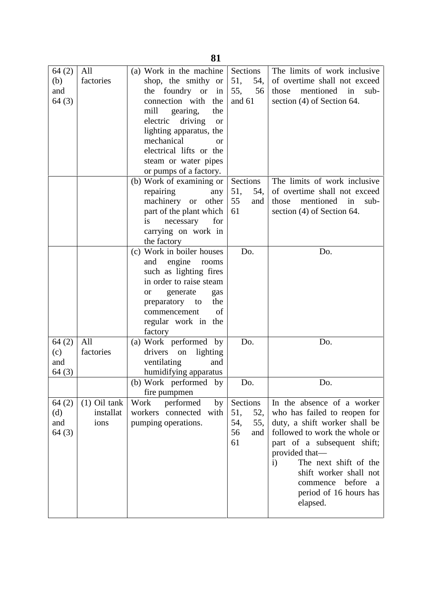| 64(2)<br>(b)<br>and<br>64(3) | All<br>factories                    | (a) Work in the machine<br>shop, the smithy or<br>the foundry or in<br>connection with<br>the<br>mill<br>gearing,<br>the<br>electric driving<br><b>or</b><br>lighting apparatus, the<br>mechanical<br>or<br>electrical lifts or the<br>steam or water pipes<br>or pumps of a factory. | Sections<br>51,<br>54,<br>55,<br>56<br>and 61           | The limits of work inclusive<br>of overtime shall not exceed<br>mentioned<br>those<br>in<br>$sub-$<br>section $(4)$ of Section 64.                                                                                                                                                                                        |
|------------------------------|-------------------------------------|---------------------------------------------------------------------------------------------------------------------------------------------------------------------------------------------------------------------------------------------------------------------------------------|---------------------------------------------------------|---------------------------------------------------------------------------------------------------------------------------------------------------------------------------------------------------------------------------------------------------------------------------------------------------------------------------|
|                              |                                     | (b) Work of examining or<br>repairing<br>any<br>machinery or other<br>part of the plant which<br>for<br>necessary<br>is<br>carrying on work in<br>the factory                                                                                                                         | Sections<br>51,<br>54,<br>55<br>and<br>61               | The limits of work inclusive<br>of overtime shall not exceed<br>mentioned in<br>those<br>$sub-$<br>section $(4)$ of Section 64.                                                                                                                                                                                           |
|                              |                                     | (c) Work in boiler houses<br>engine<br>and<br>rooms<br>such as lighting fires<br>in order to raise steam<br>generate<br><sub>or</sub><br>gas<br>preparatory to<br>the<br>of<br>commencement<br>regular work in the<br>factory                                                         | Do.                                                     | Do.                                                                                                                                                                                                                                                                                                                       |
| 64(2)<br>(c)<br>and<br>64(3) | All<br>factories                    | (a) Work performed by<br>drivers on<br>lighting<br>ventilating<br>and<br>humidifying apparatus                                                                                                                                                                                        | Do.                                                     | Do.                                                                                                                                                                                                                                                                                                                       |
|                              |                                     | (b) Work performed by<br>fire pumpmen                                                                                                                                                                                                                                                 | Do.                                                     | Do.                                                                                                                                                                                                                                                                                                                       |
| 64(2)<br>(d)<br>and<br>64(3) | $(1)$ Oil tank<br>installat<br>ions | Work<br>performed<br>by<br>workers connected with<br>pumping operations.                                                                                                                                                                                                              | Sections<br>51,<br>52,<br>55,<br>54,<br>56<br>and<br>61 | In the absence of a worker<br>who has failed to reopen for<br>duty, a shift worker shall be<br>followed to work the whole or<br>part of a subsequent shift;<br>provided that—<br>The next shift of the<br>$\mathbf{i}$<br>shift worker shall not<br>commence before<br><sub>a</sub><br>period of 16 hours has<br>elapsed. |

**81**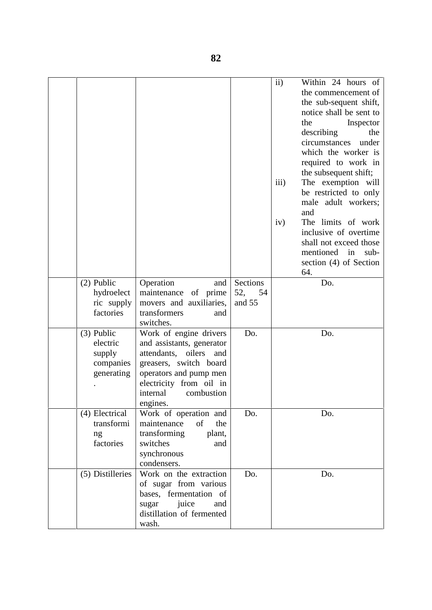|                                                               |                                                                                                                                                                                                       |           | ii)<br>$\overline{iii}$ )<br>iv) | Within 24 hours of<br>the commencement of<br>the sub-sequent shift,<br>notice shall be sent to<br>the<br>Inspector<br>describing<br>the<br>circumstances<br>under<br>which the worker is<br>required to work in<br>the subsequent shift;<br>The exemption will<br>be restricted to only<br>male adult workers;<br>and<br>The limits of work<br>inclusive of overtime<br>shall not exceed those<br>mentioned in<br>$sub-$<br>section (4) of Section<br>64. |  |
|---------------------------------------------------------------|-------------------------------------------------------------------------------------------------------------------------------------------------------------------------------------------------------|-----------|----------------------------------|-----------------------------------------------------------------------------------------------------------------------------------------------------------------------------------------------------------------------------------------------------------------------------------------------------------------------------------------------------------------------------------------------------------------------------------------------------------|--|
| $(2)$ Public                                                  | Operation<br>and                                                                                                                                                                                      | Sections  |                                  | Do.                                                                                                                                                                                                                                                                                                                                                                                                                                                       |  |
| hydroelect                                                    | maintenance of prime                                                                                                                                                                                  | 52,<br>54 |                                  |                                                                                                                                                                                                                                                                                                                                                                                                                                                           |  |
| ric supply<br>factories                                       | movers and auxiliaries,<br>transformers<br>and<br>switches.                                                                                                                                           | and 55    |                                  |                                                                                                                                                                                                                                                                                                                                                                                                                                                           |  |
| $(3)$ Public<br>electric<br>supply<br>companies<br>generating | Work of engine drivers<br>and assistants, generator<br>oilers and<br>attendants,<br>greasers, switch board<br>operators and pump men<br>electricity from oil in<br>internal<br>combustion<br>engines. | Do.       |                                  | Do.                                                                                                                                                                                                                                                                                                                                                                                                                                                       |  |
| (4) Electrical                                                | Work of operation and                                                                                                                                                                                 | Do.       |                                  | Do.                                                                                                                                                                                                                                                                                                                                                                                                                                                       |  |
| transformi                                                    | maintenance<br>of<br>the<br>transforming                                                                                                                                                              |           |                                  |                                                                                                                                                                                                                                                                                                                                                                                                                                                           |  |
| ng<br>factories                                               | plant,<br>switches<br>and                                                                                                                                                                             |           |                                  |                                                                                                                                                                                                                                                                                                                                                                                                                                                           |  |
|                                                               | synchronous                                                                                                                                                                                           |           |                                  |                                                                                                                                                                                                                                                                                                                                                                                                                                                           |  |
|                                                               | condensers.                                                                                                                                                                                           |           |                                  |                                                                                                                                                                                                                                                                                                                                                                                                                                                           |  |
| (5) Distilleries                                              | Work on the extraction<br>of sugar from various<br>bases, fermentation of<br>juice<br>sugar<br>and<br>distillation of fermented<br>wash.                                                              | Do.       |                                  | Do.                                                                                                                                                                                                                                                                                                                                                                                                                                                       |  |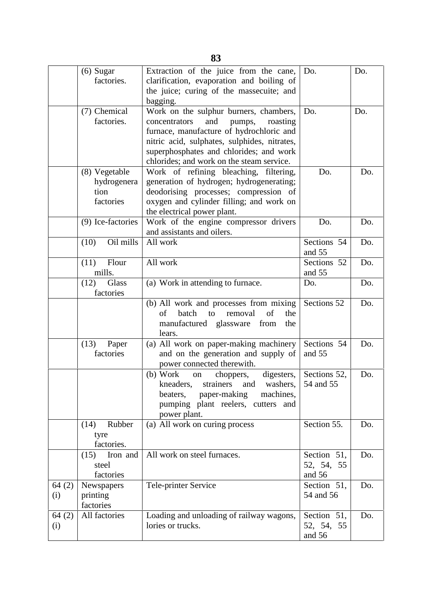|              | $(6)$ Sugar<br>factories.                   | Extraction of the juice from the cane,<br>clarification, evaporation and boiling of<br>the juice; curing of the massecuite; and<br>bagging.                                                                                                                                                                        | Do.                                 | Do.        |
|--------------|---------------------------------------------|--------------------------------------------------------------------------------------------------------------------------------------------------------------------------------------------------------------------------------------------------------------------------------------------------------------------|-------------------------------------|------------|
|              | (7) Chemical<br>factories.<br>(8) Vegetable | Work on the sulphur burners, chambers,<br>concentrators<br>and<br>pumps,<br>roasting<br>furnace, manufacture of hydrochloric and<br>nitric acid, sulphates, sulphides, nitrates,<br>superphosphates and chlorides; and work<br>chlorides; and work on the steam service.<br>Work of refining bleaching, filtering, | Do.<br>Do.                          | Do.<br>Do. |
|              | hydrogenera<br>tion<br>factories            | generation of hydrogen; hydrogenerating;<br>deodorising processes; compression of<br>oxygen and cylinder filling; and work on<br>the electrical power plant.                                                                                                                                                       |                                     |            |
|              | (9) Ice-factories                           | Work of the engine compressor drivers<br>and assistants and oilers.                                                                                                                                                                                                                                                | Do.                                 | Do.        |
|              | (10)<br>Oil mills                           | All work                                                                                                                                                                                                                                                                                                           | Sections 54<br>and 55               | Do.        |
|              | (11)<br>Flour<br>mills.                     | All work                                                                                                                                                                                                                                                                                                           | Sections 52<br>and 55               | Do.        |
|              | (12)<br>Glass<br>factories                  | (a) Work in attending to furnace.                                                                                                                                                                                                                                                                                  | Do.                                 | Do.        |
|              |                                             | (b) All work and processes from mixing<br>of<br>of<br>batch<br>to<br>removal<br>the<br>manufactured glassware from<br>the<br>lears.                                                                                                                                                                                | Sections 52                         | Do.        |
|              | (13)<br>Paper<br>factories                  | (a) All work on paper-making machinery<br>and on the generation and supply of<br>power connected therewith.                                                                                                                                                                                                        | Sections 54<br>and 55               | Do.        |
|              |                                             | $(b)$ Work<br>digesters,<br>choppers,<br>on<br>washers,<br>kneaders,<br>strainers<br>and<br>paper-making<br>machines,<br>beaters,<br>pumping plant reelers, cutters and<br>power plant.                                                                                                                            | Sections 52,<br>54 and 55           | Do.        |
|              | Rubber<br>(14)<br>tyre<br>factories.        | (a) All work on curing process                                                                                                                                                                                                                                                                                     | Section 55.                         | Do.        |
|              | (15)<br>Iron and<br>steel<br>factories      | All work on steel furnaces.                                                                                                                                                                                                                                                                                        | Section 51,<br>52, 54, 55<br>and 56 | Do.        |
| 64(2)<br>(i) | Newspapers<br>printing<br>factories         | Tele-printer Service                                                                                                                                                                                                                                                                                               | Section 51,<br>54 and 56            | Do.        |
| 64(2)<br>(i) | All factories                               | Loading and unloading of railway wagons,<br>lories or trucks.                                                                                                                                                                                                                                                      | Section 51,<br>52, 54, 55<br>and 56 | Do.        |

**83**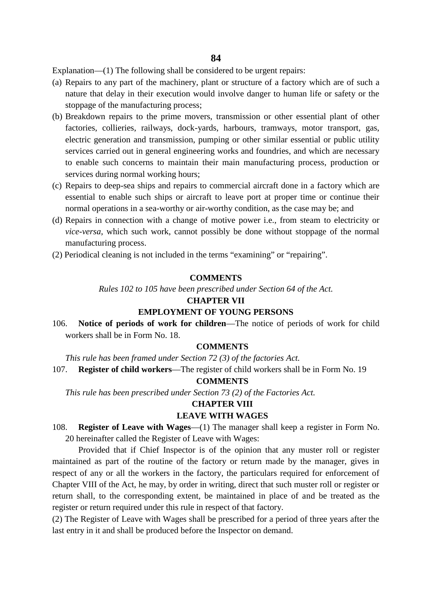Explanation—(1) The following shall be considered to be urgent repairs:

- (a) Repairs to any part of the machinery, plant or structure of a factory which are of such a nature that delay in their execution would involve danger to human life or safety or the stoppage of the manufacturing process;
- (b) Breakdown repairs to the prime movers, transmission or other essential plant of other factories, collieries, railways, dock-yards, harbours, tramways, motor transport, gas, electric generation and transmission, pumping or other similar essential or public utility services carried out in general engineering works and foundries, and which are necessary to enable such concerns to maintain their main manufacturing process, production or services during normal working hours;
- (c) Repairs to deep-sea ships and repairs to commercial aircraft done in a factory which are essential to enable such ships or aircraft to leave port at proper time or continue their normal operations in a sea-worthy or air-worthy condition, as the case may be; and
- (d) Repairs in connection with a change of motive power i.e., from steam to electricity or *vice-versa*, which such work, cannot possibly be done without stoppage of the normal manufacturing process.
- (2) Periodical cleaning is not included in the terms "examining" or "repairing".

#### **COMMENTS**

*Rules 102 to 105 have been prescribed under Section 64 of the Act.*

#### **CHAPTER VII**

#### **EMPLOYMENT OF YOUNG PERSONS**

106. **Notice of periods of work for children**—The notice of periods of work for child workers shall be in Form No. 18.

#### **COMMENTS**

*This rule has been framed under Section 72 (3) of the factories Act.* 107. **Register of child workers**—The register of child workers shall be in Form No. 19

#### **COMMENTS**

*This rule has been prescribed under Section 73 (2) of the Factories Act.*

#### **CHAPTER VIII**

#### **LEAVE WITH WAGES**

108. **Register of Leave with Wages**—(1) The manager shall keep a register in Form No. 20 hereinafter called the Register of Leave with Wages:

Provided that if Chief Inspector is of the opinion that any muster roll or register maintained as part of the routine of the factory or return made by the manager, gives in respect of any or all the workers in the factory, the particulars required for enforcement of Chapter VIII of the Act, he may, by order in writing, direct that such muster roll or register or return shall, to the corresponding extent, be maintained in place of and be treated as the register or return required under this rule in respect of that factory.

(2) The Register of Leave with Wages shall be prescribed for a period of three years after the last entry in it and shall be produced before the Inspector on demand.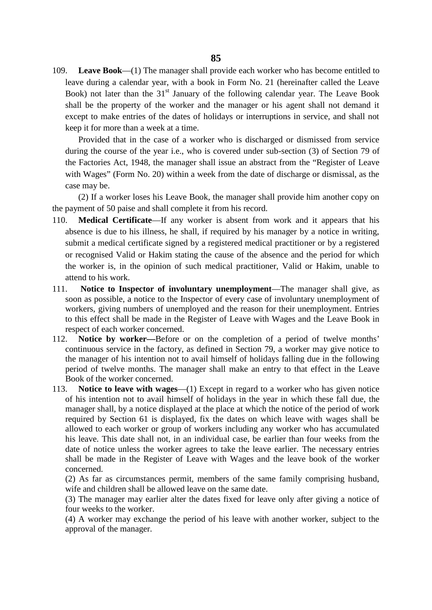109. **Leave Book**—(1) The manager shall provide each worker who has become entitled to leave during a calendar year, with a book in Form No. 21 (hereinafter called the Leave Book) not later than the  $31<sup>st</sup>$  January of the following calendar year. The Leave Book shall be the property of the worker and the manager or his agent shall not demand it except to make entries of the dates of holidays or interruptions in service, and shall not keep it for more than a week at a time.

Provided that in the case of a worker who is discharged or dismissed from service during the course of the year i.e., who is covered under sub-section (3) of Section 79 of the Factories Act, 1948, the manager shall issue an abstract from the "Register of Leave with Wages" (Form No. 20) within a week from the date of discharge or dismissal, as the case may be.

(2) If a worker loses his Leave Book, the manager shall provide him another copy on the payment of 50 paise and shall complete it from his record.

- 110. **Medical Certificate**—If any worker is absent from work and it appears that his absence is due to his illness, he shall, if required by his manager by a notice in writing, submit a medical certificate signed by a registered medical practitioner or by a registered or recognised Valid or Hakim stating the cause of the absence and the period for which the worker is, in the opinion of such medical practitioner, Valid or Hakim, unable to attend to his work.
- 111. **Notice to Inspector of involuntary unemployment**—The manager shall give, as soon as possible, a notice to the Inspector of every case of involuntary unemployment of workers, giving numbers of unemployed and the reason for their unemployment. Entries to this effect shall be made in the Register of Leave with Wages and the Leave Book in respect of each worker concerned.
- 112. **Notice by worker—**Before or on the completion of a period of twelve months' continuous service in the factory, as defined in Section 79, a worker may give notice to the manager of his intention not to avail himself of holidays falling due in the following period of twelve months. The manager shall make an entry to that effect in the Leave Book of the worker concerned.
- 113. **Notice to leave with wages**—(1) Except in regard to a worker who has given notice of his intention not to avail himself of holidays in the year in which these fall due, the manager shall, by a notice displayed at the place at which the notice of the period of work required by Section 61 is displayed, fix the dates on which leave with wages shall be allowed to each worker or group of workers including any worker who has accumulated his leave. This date shall not, in an individual case, be earlier than four weeks from the date of notice unless the worker agrees to take the leave earlier. The necessary entries shall be made in the Register of Leave with Wages and the leave book of the worker concerned.

(2) As far as circumstances permit, members of the same family comprising husband, wife and children shall be allowed leave on the same date.

(3) The manager may earlier alter the dates fixed for leave only after giving a notice of four weeks to the worker.

(4) A worker may exchange the period of his leave with another worker, subject to the approval of the manager.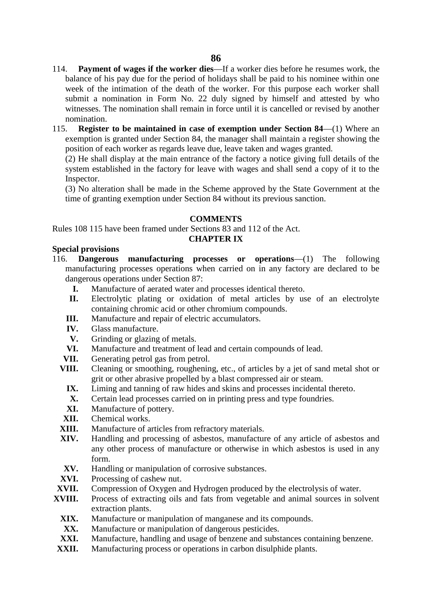- 114. **Payment of wages if the worker dies**—If a worker dies before he resumes work, the balance of his pay due for the period of holidays shall be paid to his nominee within one week of the intimation of the death of the worker. For this purpose each worker shall submit a nomination in Form No. 22 duly signed by himself and attested by who witnesses. The nomination shall remain in force until it is cancelled or revised by another nomination.
- 115. **Register to be maintained in case of exemption under Section 84**—(1) Where an exemption is granted under Section 84, the manager shall maintain a register showing the position of each worker as regards leave due, leave taken and wages granted.

(2) He shall display at the main entrance of the factory a notice giving full details of the system established in the factory for leave with wages and shall send a copy of it to the Inspector.

(3) No alteration shall be made in the Scheme approved by the State Government at the time of granting exemption under Section 84 without its previous sanction.

#### **COMMENTS**

Rules 108 115 have been framed under Sections 83 and 112 of the Act.

## **CHAPTER IX**

#### **Special provisions**

- 116. **Dangerous manufacturing processes or operations**—(1) The following manufacturing processes operations when carried on in any factory are declared to be dangerous operations under Section 87:
	- **I.** Manufacture of aerated water and processes identical thereto.
	- **II.** Electrolytic plating or oxidation of metal articles by use of an electrolyte containing chromic acid or other chromium compounds.
	- **III.** Manufacture and repair of electric accumulators.
	- **IV.** Glass manufacture.
	- **V.** Grinding or glazing of metals.
	- **VI.** Manufacture and treatment of lead and certain compounds of lead.
	- **VII.** Generating petrol gas from petrol.
	- **VIII.** Cleaning or smoothing, roughening, etc., of articles by a jet of sand metal shot or grit or other abrasive propelled by a blast compressed air or steam.
		- **IX.** Liming and tanning of raw hides and skins and processes incidental thereto.
		- **X.** Certain lead processes carried on in printing press and type foundries.
		- **XI.** Manufacture of pottery.
	- **XII.** Chemical works.
	- **XIII.** Manufacture of articles from refractory materials.
	- **XIV.** Handling and processing of asbestos, manufacture of any article of asbestos and any other process of manufacture or otherwise in which asbestos is used in any form.
	- **XV.** Handling or manipulation of corrosive substances.
	- **XVI.** Processing of cashew nut.
- **XVII.** Compression of Oxygen and Hydrogen produced by the electrolysis of water.
- **XVIII.** Process of extracting oils and fats from vegetable and animal sources in solvent extraction plants.
	- **XIX.** Manufacture or manipulation of manganese and its compounds.
	- **XX.** Manufacture or manipulation of dangerous pesticides.
	- **XXI.** Manufacture, handling and usage of benzene and substances containing benzene.
- **XXII.** Manufacturing process or operations in carbon disulphide plants.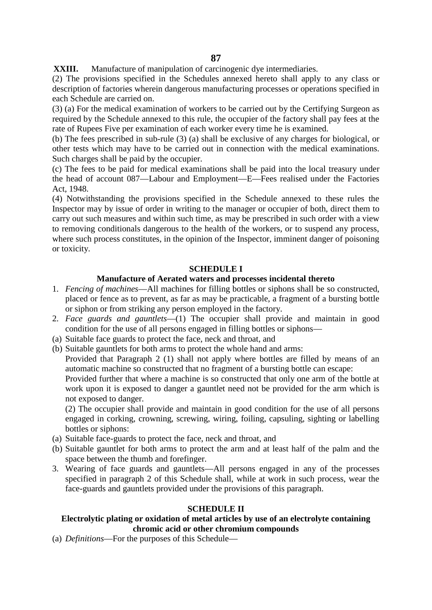**XXIII.** Manufacture of manipulation of carcinogenic dye intermediaries.

(2) The provisions specified in the Schedules annexed hereto shall apply to any class or description of factories wherein dangerous manufacturing processes or operations specified in each Schedule are carried on.

(3) (a) For the medical examination of workers to be carried out by the Certifying Surgeon as required by the Schedule annexed to this rule, the occupier of the factory shall pay fees at the rate of Rupees Five per examination of each worker every time he is examined.

(b) The fees prescribed in sub-rule (3) (a) shall be exclusive of any charges for biological, or other tests which may have to be carried out in connection with the medical examinations. Such charges shall be paid by the occupier.

(c) The fees to be paid for medical examinations shall be paid into the local treasury under the head of account 087—Labour and Employment—E—Fees realised under the Factories Act, 1948.

(4) Notwithstanding the provisions specified in the Schedule annexed to these rules the Inspector may by issue of order in writing to the manager or occupier of both, direct them to carry out such measures and within such time, as may be prescribed in such order with a view to removing conditionals dangerous to the health of the workers, or to suspend any process, where such process constitutes, in the opinion of the Inspector, imminent danger of poisoning or toxicity.

### **SCHEDULE I**

#### **Manufacture of Aerated waters and processes incidental thereto**

- 1. *Fencing of machines*—All machines for filling bottles or siphons shall be so constructed, placed or fence as to prevent, as far as may be practicable, a fragment of a bursting bottle or siphon or from striking any person employed in the factory.
- 2. *Face guards and gauntlets*—(1) The occupier shall provide and maintain in good condition for the use of all persons engaged in filling bottles or siphons—
- (a) Suitable face guards to protect the face, neck and throat, and
- (b) Suitable gauntlets for both arms to protect the whole hand and arms:

Provided that Paragraph 2 (1) shall not apply where bottles are filled by means of an automatic machine so constructed that no fragment of a bursting bottle can escape:

Provided further that where a machine is so constructed that only one arm of the bottle at work upon it is exposed to danger a gauntlet need not be provided for the arm which is not exposed to danger.

(2) The occupier shall provide and maintain in good condition for the use of all persons engaged in corking, crowning, screwing, wiring, foiling, capsuling, sighting or labelling bottles or siphons:

- (a) Suitable face-guards to protect the face, neck and throat, and
- (b) Suitable gauntlet for both arms to protect the arm and at least half of the palm and the space between the thumb and forefinger.
- 3. Wearing of face guards and gauntlets—All persons engaged in any of the processes specified in paragraph 2 of this Schedule shall, while at work in such process, wear the face-guards and gauntlets provided under the provisions of this paragraph.

### **SCHEDULE II**

## **Electrolytic plating or oxidation of metal articles by use of an electrolyte containing chromic acid or other chromium compounds**

(a) *Definitions*—For the purposes of this Schedule—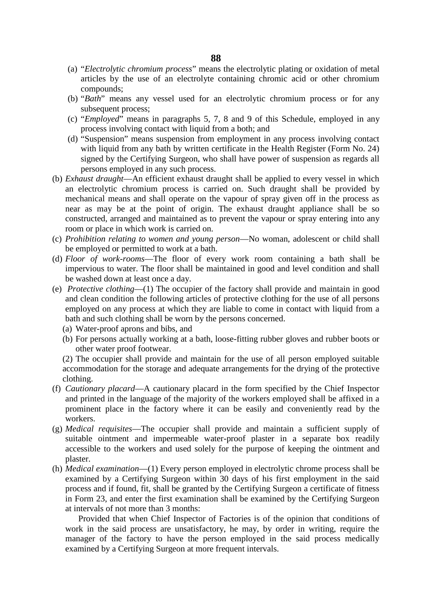- (a) "*Electrolytic chromium process*" means the electrolytic plating or oxidation of metal articles by the use of an electrolyte containing chromic acid or other chromium compounds;
- (b) "*Bath*" means any vessel used for an electrolytic chromium process or for any subsequent process;
- (c) "*Employed*" means in paragraphs 5, 7, 8 and 9 of this Schedule, employed in any process involving contact with liquid from a both; and
- (d) "Suspension" means suspension from employment in any process involving contact with liquid from any bath by written certificate in the Health Register (Form No. 24) signed by the Certifying Surgeon, who shall have power of suspension as regards all persons employed in any such process.
- (b) *Exhaust draught*—An efficient exhaust draught shall be applied to every vessel in which an electrolytic chromium process is carried on. Such draught shall be provided by mechanical means and shall operate on the vapour of spray given off in the process as near as may be at the point of origin. The exhaust draught appliance shall be so constructed, arranged and maintained as to prevent the vapour or spray entering into any room or place in which work is carried on.
- (c) *Prohibition relating to women and young person*—No woman, adolescent or child shall be employed or permitted to work at a bath.
- (d) *Floor of work-rooms*—The floor of every work room containing a bath shall be impervious to water. The floor shall be maintained in good and level condition and shall be washed down at least once a day.
- (e) *Protective clothing*—(1) The occupier of the factory shall provide and maintain in good and clean condition the following articles of protective clothing for the use of all persons employed on any process at which they are liable to come in contact with liquid from a bath and such clothing shall be worn by the persons concerned.
	- (a) Water-proof aprons and bibs, and
	- (b) For persons actually working at a bath, loose-fitting rubber gloves and rubber boots or other water proof footwear.

(2) The occupier shall provide and maintain for the use of all person employed suitable accommodation for the storage and adequate arrangements for the drying of the protective clothing.

- (f) *Cautionary placard*—A cautionary placard in the form specified by the Chief Inspector and printed in the language of the majority of the workers employed shall be affixed in a prominent place in the factory where it can be easily and conveniently read by the workers.
- (g) *Medical requisites*—The occupier shall provide and maintain a sufficient supply of suitable ointment and impermeable water-proof plaster in a separate box readily accessible to the workers and used solely for the purpose of keeping the ointment and plaster.
- (h) *Medical examination*—(1) Every person employed in electrolytic chrome process shall be examined by a Certifying Surgeon within 30 days of his first employment in the said process and if found, fit, shall be granted by the Certifying Surgeon a certificate of fitness in Form 23, and enter the first examination shall be examined by the Certifying Surgeon at intervals of not more than 3 months:

Provided that when Chief Inspector of Factories is of the opinion that conditions of work in the said process are unsatisfactory, he may, by order in writing, require the manager of the factory to have the person employed in the said process medically examined by a Certifying Surgeon at more frequent intervals.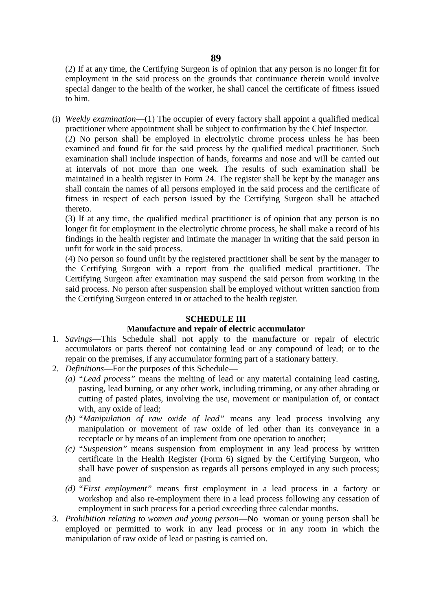(2) If at any time, the Certifying Surgeon is of opinion that any person is no longer fit for employment in the said process on the grounds that continuance therein would involve special danger to the health of the worker, he shall cancel the certificate of fitness issued to him.

(i) *Weekly examination*—(1) The occupier of every factory shall appoint a qualified medical practitioner where appointment shall be subject to confirmation by the Chief Inspector.

(2) No person shall be employed in electrolytic chrome process unless he has been examined and found fit for the said process by the qualified medical practitioner. Such examination shall include inspection of hands, forearms and nose and will be carried out at intervals of not more than one week. The results of such examination shall be maintained in a health register in Form 24. The register shall be kept by the manager ans shall contain the names of all persons employed in the said process and the certificate of fitness in respect of each person issued by the Certifying Surgeon shall be attached thereto.

(3) If at any time, the qualified medical practitioner is of opinion that any person is no longer fit for employment in the electrolytic chrome process, he shall make a record of his findings in the health register and intimate the manager in writing that the said person in unfit for work in the said process.

(4) No person so found unfit by the registered practitioner shall be sent by the manager to the Certifying Surgeon with a report from the qualified medical practitioner. The Certifying Surgeon after examination may suspend the said person from working in the said process. No person after suspension shall be employed without written sanction from the Certifying Surgeon entered in or attached to the health register.

### **SCHEDULE III**

### **Manufacture and repair of electric accumulator**

- 1. *Savings*—This Schedule shall not apply to the manufacture or repair of electric accumulators or parts thereof not containing lead or any compound of lead; or to the repair on the premises, if any accumulator forming part of a stationary battery.
- 2. *Definitions*—For the purposes of this Schedule—
	- *(a) "Lead process"* means the melting of lead or any material containing lead casting, pasting, lead burning, or any other work, including trimming, or any other abrading or cutting of pasted plates, involving the use, movement or manipulation of, or contact with, any oxide of lead;
	- *(b) "Manipulation of raw oxide of lead"* means any lead process involving any manipulation or movement of raw oxide of led other than its conveyance in a receptacle or by means of an implement from one operation to another;
	- *(c) "Suspension"* means suspension from employment in any lead process by written certificate in the Health Register (Form 6) signed by the Certifying Surgeon, who shall have power of suspension as regards all persons employed in any such process; and
	- *(d) "First employment"* means first employment in a lead process in a factory or workshop and also re-employment there in a lead process following any cessation of employment in such process for a period exceeding three calendar months.
- 3. *Prohibition relating to women and young person*—No woman or young person shall be employed or permitted to work in any lead process or in any room in which the manipulation of raw oxide of lead or pasting is carried on.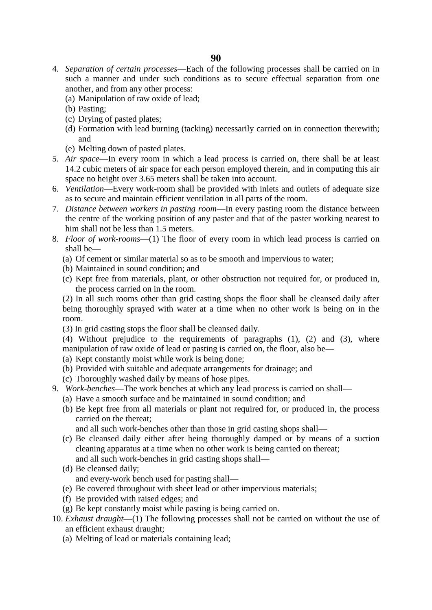- 4. *Separation of certain processes*—Each of the following processes shall be carried on in such a manner and under such conditions as to secure effectual separation from one another, and from any other process:
	- (a) Manipulation of raw oxide of lead;
	- (b) Pasting;
	- (c) Drying of pasted plates;
	- (d) Formation with lead burning (tacking) necessarily carried on in connection therewith; and
	- (e) Melting down of pasted plates.
- 5. *Air space*—In every room in which a lead process is carried on, there shall be at least 14.2 cubic meters of air space for each person employed therein, and in computing this air space no height over 3.65 meters shall be taken into account.
- 6. *Ventilation*—Every work-room shall be provided with inlets and outlets of adequate size as to secure and maintain efficient ventilation in all parts of the room.
- 7. *Distance between workers in pasting room*—In every pasting room the distance between the centre of the working position of any paster and that of the paster working nearest to him shall not be less than 1.5 meters.
- 8. *Floor of work-rooms*—(1) The floor of every room in which lead process is carried on shall be—
	- (a) Of cement or similar material so as to be smooth and impervious to water;
	- (b) Maintained in sound condition; and
	- (c) Kept free from materials, plant, or other obstruction not required for, or produced in, the process carried on in the room.

(2) In all such rooms other than grid casting shops the floor shall be cleansed daily after being thoroughly sprayed with water at a time when no other work is being on in the room.

(3) In grid casting stops the floor shall be cleansed daily.

(4) Without prejudice to the requirements of paragraphs (1), (2) and (3), where manipulation of raw oxide of lead or pasting is carried on, the floor, also be—

- (a) Kept constantly moist while work is being done;
- (b) Provided with suitable and adequate arrangements for drainage; and
- (c) Thoroughly washed daily by means of hose pipes.
- 9. *Work-benches*—The work benches at which any lead process is carried on shall—
	- (a) Have a smooth surface and be maintained in sound condition; and
	- (b) Be kept free from all materials or plant not required for, or produced in, the process carried on the thereat;

and all such work-benches other than those in grid casting shops shall—

- (c) Be cleansed daily either after being thoroughly damped or by means of a suction cleaning apparatus at a time when no other work is being carried on thereat; and all such work-benches in grid casting shops shall—
- (d) Be cleansed daily;

and every-work bench used for pasting shall—

- (e) Be covered throughout with sheet lead or other impervious materials;
- (f) Be provided with raised edges; and
- (g) Be kept constantly moist while pasting is being carried on.
- 10. *Exhaust draught*—(1) The following processes shall not be carried on without the use of an efficient exhaust draught;
	- (a) Melting of lead or materials containing lead;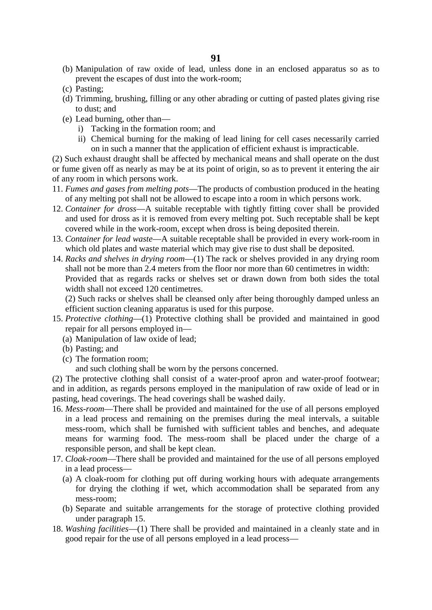- (b) Manipulation of raw oxide of lead, unless done in an enclosed apparatus so as to prevent the escapes of dust into the work-room;
- (c) Pasting;
- (d) Trimming, brushing, filling or any other abrading or cutting of pasted plates giving rise to dust; and
- (e) Lead burning, other than
	- i) Tacking in the formation room; and
	- ii) Chemical burning for the making of lead lining for cell cases necessarily carried on in such a manner that the application of efficient exhaust is impracticable.

(2) Such exhaust draught shall be affected by mechanical means and shall operate on the dust or fume given off as nearly as may be at its point of origin, so as to prevent it entering the air of any room in which persons work.

- 11. *Fumes and gases from melting pots*—The products of combustion produced in the heating of any melting pot shall not be allowed to escape into a room in which persons work.
- 12. *Container for dross*—A suitable receptable with tightly fitting cover shall be provided and used for dross as it is removed from every melting pot. Such receptable shall be kept covered while in the work-room, except when dross is being deposited therein.
- 13. *Container for lead waste*—A suitable receptable shall be provided in every work-room in which old plates and waste material which may give rise to dust shall be deposited.
- 14. *Racks and shelves in drying room*—(1) The rack or shelves provided in any drying room shall not be more than 2.4 meters from the floor nor more than 60 centimetres in width: Provided that as regards racks or shelves set or drawn down from both sides the total width shall not exceed 120 centimetres.

(2) Such racks or shelves shall be cleansed only after being thoroughly damped unless an efficient suction cleaning apparatus is used for this purpose.

- 15. *Protective clothing*—(1) Protective clothing shall be provided and maintained in good repair for all persons employed in—
	- (a) Manipulation of law oxide of lead;
	- (b) Pasting; and
	- (c) The formation room;
		- and such clothing shall be worn by the persons concerned.

(2) The protective clothing shall consist of a water-proof apron and water-proof footwear; and in addition, as regards persons employed in the manipulation of raw oxide of lead or in pasting, head coverings. The head coverings shall be washed daily.

- 16. *Mess-room*—There shall be provided and maintained for the use of all persons employed in a lead process and remaining on the premises during the meal intervals, a suitable mess-room, which shall be furnished with sufficient tables and benches, and adequate means for warming food. The mess-room shall be placed under the charge of a responsible person, and shall be kept clean.
- 17. *Cloak-room*—There shall be provided and maintained for the use of all persons employed in a lead process—
	- (a) A cloak-room for clothing put off during working hours with adequate arrangements for drying the clothing if wet, which accommodation shall be separated from any mess-room;
	- (b) Separate and suitable arrangements for the storage of protective clothing provided under paragraph 15.
- 18. *Washing facilities*—(1) There shall be provided and maintained in a cleanly state and in good repair for the use of all persons employed in a lead process—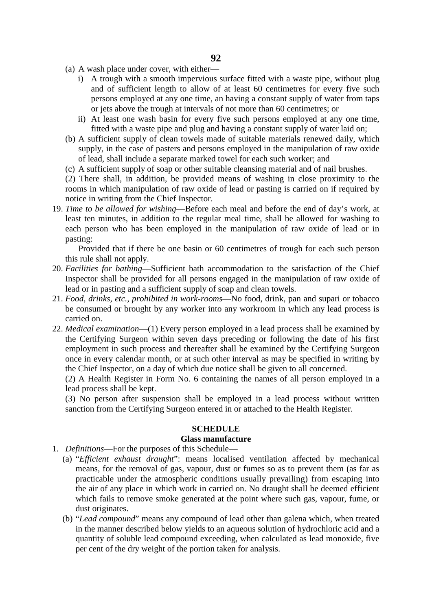- (a) A wash place under cover, with either
	- i) A trough with a smooth impervious surface fitted with a waste pipe, without plug and of sufficient length to allow of at least 60 centimetres for every five such persons employed at any one time, an having a constant supply of water from taps or jets above the trough at intervals of not more than 60 centimetres; or
	- ii) At least one wash basin for every five such persons employed at any one time, fitted with a waste pipe and plug and having a constant supply of water laid on;
- (b) A sufficient supply of clean towels made of suitable materials renewed daily, which supply, in the case of pasters and persons employed in the manipulation of raw oxide of lead, shall include a separate marked towel for each such worker; and
- (c) A sufficient supply of soap or other suitable cleansing material and of nail brushes.

(2) There shall, in addition, be provided means of washing in close proximity to the rooms in which manipulation of raw oxide of lead or pasting is carried on if required by notice in writing from the Chief Inspector.

19. *Time to be allowed for wishing*—Before each meal and before the end of day's work, at least ten minutes, in addition to the regular meal time, shall be allowed for washing to each person who has been employed in the manipulation of raw oxide of lead or in pasting:

Provided that if there be one basin or 60 centimetres of trough for each such person this rule shall not apply.

- 20. *Facilities for bathing*—Sufficient bath accommodation to the satisfaction of the Chief Inspector shall be provided for all persons engaged in the manipulation of raw oxide of lead or in pasting and a sufficient supply of soap and clean towels.
- 21. *Food, drinks, etc., prohibited in work-rooms*—No food, drink, pan and supari or tobacco be consumed or brought by any worker into any workroom in which any lead process is carried on.
- 22. *Medical examination*—(1) Every person employed in a lead process shall be examined by the Certifying Surgeon within seven days preceding or following the date of his first employment in such process and thereafter shall be examined by the Certifying Surgeon once in every calendar month, or at such other interval as may be specified in writing by the Chief Inspector, on a day of which due notice shall be given to all concerned.

(2) A Health Register in Form No. 6 containing the names of all person employed in a lead process shall be kept.

(3) No person after suspension shall be employed in a lead process without written sanction from the Certifying Surgeon entered in or attached to the Health Register.

#### **SCHEDULE**

### **Glass manufacture**

- 1. *Definitions*—For the purposes of this Schedule—
	- (a) "*Efficient exhaust draught*": means localised ventilation affected by mechanical means, for the removal of gas, vapour, dust or fumes so as to prevent them (as far as practicable under the atmospheric conditions usually prevailing) from escaping into the air of any place in which work in carried on. No draught shall be deemed efficient which fails to remove smoke generated at the point where such gas, vapour, fume, or dust originates.
	- (b) "*Lead compound*" means any compound of lead other than galena which, when treated in the manner described below yields to an aqueous solution of hydrochloric acid and a quantity of soluble lead compound exceeding, when calculated as lead monoxide, five per cent of the dry weight of the portion taken for analysis.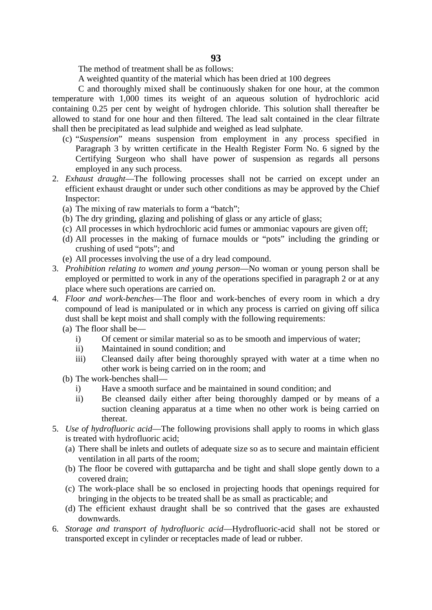The method of treatment shall be as follows:

A weighted quantity of the material which has been dried at 100 degrees

C and thoroughly mixed shall be continuously shaken for one hour, at the common temperature with 1,000 times its weight of an aqueous solution of hydrochloric acid containing 0.25 per cent by weight of hydrogen chloride. This solution shall thereafter be allowed to stand for one hour and then filtered. The lead salt contained in the clear filtrate shall then be precipitated as lead sulphide and weighed as lead sulphate.

- (c) "*Suspension*" means suspension from employment in any process specified in Paragraph 3 by written certificate in the Health Register Form No. 6 signed by the Certifying Surgeon who shall have power of suspension as regards all persons employed in any such process.
- 2. *Exhaust draught*—The following processes shall not be carried on except under an efficient exhaust draught or under such other conditions as may be approved by the Chief Inspector:
	- (a) The mixing of raw materials to form a "batch";
	- (b) The dry grinding, glazing and polishing of glass or any article of glass;
	- (c) All processes in which hydrochloric acid fumes or ammoniac vapours are given off;
	- (d) All processes in the making of furnace moulds or "pots" including the grinding or crushing of used "pots"; and
	- (e) All processes involving the use of a dry lead compound.
- 3. *Prohibition relating to women and young person*—No woman or young person shall be employed or permitted to work in any of the operations specified in paragraph 2 or at any place where such operations are carried on.
- 4. *Floor and work*-*benches*—The floor and work-benches of every room in which a dry compound of lead is manipulated or in which any process is carried on giving off silica dust shall be kept moist and shall comply with the following requirements:
	- (a) The floor shall be
		- i) Of cement or similar material so as to be smooth and impervious of water;
		- ii) Maintained in sound condition; and
		- iii) Cleansed daily after being thoroughly sprayed with water at a time when no other work is being carried on in the room; and
	- (b) The work-benches shall
		- i) Have a smooth surface and be maintained in sound condition; and
		- ii) Be cleansed daily either after being thoroughly damped or by means of a suction cleaning apparatus at a time when no other work is being carried on thereat.
- 5. *Use of hydrofluoric acid*—The following provisions shall apply to rooms in which glass is treated with hydrofluoric acid;
	- (a) There shall be inlets and outlets of adequate size so as to secure and maintain efficient ventilation in all parts of the room;
	- (b) The floor be covered with guttaparcha and be tight and shall slope gently down to a covered drain;
	- (c) The work-place shall be so enclosed in projecting hoods that openings required for bringing in the objects to be treated shall be as small as practicable; and
	- (d) The efficient exhaust draught shall be so contrived that the gases are exhausted downwards.
- 6. *Storage and transport of hydrofluoric acid*—Hydrofluoric-acid shall not be stored or transported except in cylinder or receptacles made of lead or rubber.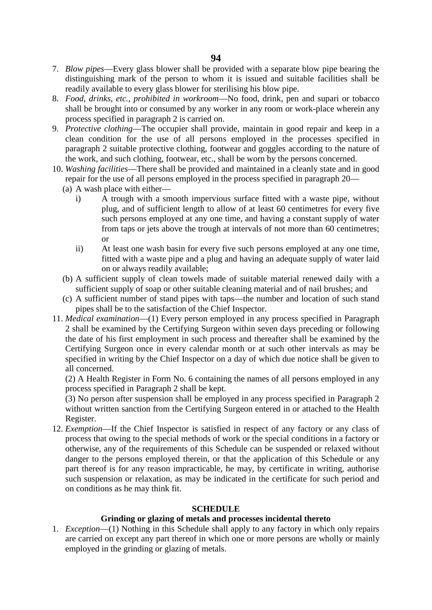- 7. *Blow pipes*—Every glass blower shall be provided with a separate blow pipe bearing the distinguishing mark of the person to whom it is issued and suitable facilities shall be readily available to every glass blower for sterilising his blow pipe.
- 8. *Food, drinks, etc., prohibited in workroom*—No food, drink, pen and supari or tobacco shall be brought into or consumed by any worker in any room or work-place wherein any process specified in paragraph 2 is carried on.
- 9. *Protective clothing*—The occupier shall provide, maintain in good repair and keep in a clean condition for the use of all persons employed in the processes specified in paragraph 2 suitable protective clothing, footwear and goggles according to the nature of the work, and such clothing, footwear, etc., shall be worn by the persons concerned.
- 10. *Washing facilities*—There shall be provided and maintained in a cleanly state and in good repair for the use of all persons employed in the process specified in paragraph 20—
	- (a) A wash place with either
		- i) A trough with a smooth impervious surface fitted with a waste pipe, without plug, and of sufficient length to allow of at least 60 centimetres for every five such persons employed at any one time, and having a constant supply of water from taps or jets above the trough at intervals of not more than 60 centimetres; or
		- ii) At least one wash basin for every five such persons employed at any one time, fitted with a waste pipe and a plug and having an adequate supply of water laid on or always readily available;
	- (b) A sufficient supply of clean towels made of suitable material renewed daily with a sufficient supply of soap or other suitable cleaning material and of nail brushes; and
	- (c) A sufficient number of stand pipes with taps—the number and location of such stand pipes shall be to the satisfaction of the Chief Inspector.
- 11. *Medical examination*—(1) Every person employed in any process specified in Paragraph 2 shall be examined by the Certifying Surgeon within seven days preceding or following the date of his first employment in such process and thereafter shall be examined by the Certifying Surgeon once in every calendar month or at such other intervals as may be specified in writing by the Chief Inspector on a day of which due notice shall be given to all concerned.

(2) A Health Register in Form No. 6 containing the names of all persons employed in any process specified in Paragraph 2 shall be kept.

(3) No person after suspension shall be employed in any process specified in Paragraph 2 without written sanction from the Certifying Surgeon entered in or attached to the Health Register.

12. *Exemption*—If the Chief Inspector is satisfied in respect of any factory or any class of process that owing to the special methods of work or the special conditions in a factory or otherwise, any of the requirements of this Schedule can be suspended or relaxed without danger to the persons employed therein, or that the application of this Schedule or any part thereof is for any reason impracticable, he may, by certificate in writing, authorise such suspension or relaxation, as may be indicated in the certificate for such period and on conditions as he may think fit.

### **SCHEDULE**

# **Grinding or glazing of metals and processes incidental thereto**

1. *Exception*—(1) Nothing in this Schedule shall apply to any factory in which only repairs are carried on except any part thereof in which one or more persons are wholly or mainly employed in the grinding or glazing of metals.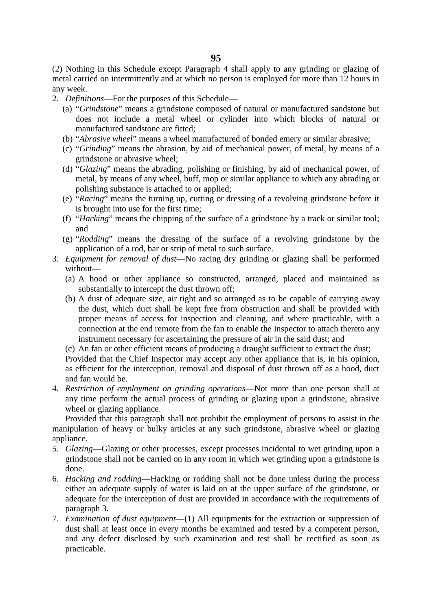(2) Nothing in this Schedule except Paragraph 4 shall apply to any grinding or glazing of metal carried on intermittently and at which no person is employed for more than 12 hours in any week.

2. *Definitions*—For the purposes of this Schedule—

- (a) "*Grindstone*" means a grindstone composed of natural or manufactured sandstone but does not include a metal wheel or cylinder into which blocks of natural or manufactured sandstone are fitted;
- (b) "*Abrasive wheel*" means a wheel manufactured of bonded emery or similar abrasive;
- (c) "*Grinding*" means the abrasion, by aid of mechanical power, of metal, by means of a grindstone or abrasive wheel;
- (d) "*Glazing*" means the abrading, polishing or finishing, by aid of mechanical power, of metal, by means of any wheel, buff, mop or similar appliance to which any abrading or polishing substance is attached to or applied;
- (e) "*Racing*" means the turning up, cutting or dressing of a revolving grindstone before it is brought into use for the first time;
- (f) "*Hacking*" means the chipping of the surface of a grindstone by a track or similar tool; and
- (g) "*Rodding*" means the dressing of the surface of a revolving grindstone by the application of a rod, bar or strip of metal to such surface.
- 3. *Equipment for removal of dust*—No racing dry grinding or glazing shall be performed without—
	- (a) A hood or other appliance so constructed, arranged, placed and maintained as substantially to intercept the dust thrown off;
	- (b) A dust of adequate size, air tight and so arranged as to be capable of carrying away the dust, which duct shall be kept free from obstruction and shall be provided with proper means of access for inspection and cleaning, and where practicable, with a connection at the end remote from the fan to enable the Inspector to attach thereto any instrument necessary for ascertaining the pressure of air in the said dust; and
	- (c) An fan or other efficient means of producing a draught sufficient to extract the dust;

Provided that the Chief Inspector may accept any other appliance that is, in his opinion, as efficient for the interception, removal and disposal of dust thrown off as a hood, duct and fan would be.

4. *Restriction of employment on grinding operations*—Not more than one person shall at any time perform the actual process of grinding or glazing upon a grindstone, abrasive wheel or glazing appliance.

Provided that this paragraph shall not prohibit the employment of persons to assist in the manipulation of heavy or bulky articles at any such grindstone, abrasive wheel or glazing appliance.

- 5. *Glazing*—Glazing or other processes, except processes incidental to wet grinding upon a grindstone shall not be carried on in any room in which wet grinding upon a grindstone is done.
- 6. *Hacking and rodding*—Hacking or rodding shall not be done unless during the process either an adequate supply of water is laid on at the upper surface of the grindstone, or adequate for the interception of dust are provided in accordance with the requirements of paragraph 3.
- 7. *Examination of dust equipment*—(1) All equipments for the extraction or suppression of dust shall at least once in every months be examined and tested by a competent person, and any defect disclosed by such examination and test shall be rectified as soon as practicable.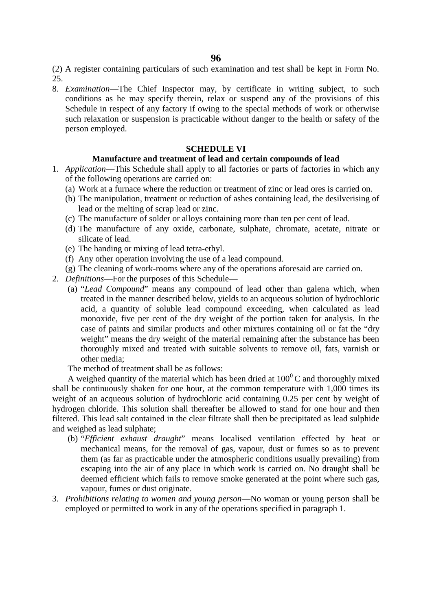(2) A register containing particulars of such examination and test shall be kept in Form No. 25.

8. *Examination*—The Chief Inspector may, by certificate in writing subject, to such conditions as he may specify therein, relax or suspend any of the provisions of this Schedule in respect of any factory if owing to the special methods of work or otherwise such relaxation or suspension is practicable without danger to the health or safety of the person employed.

### **SCHEDULE VI**

#### **Manufacture and treatment of lead and certain compounds of lead**

- 1. *Application*—This Schedule shall apply to all factories or parts of factories in which any of the following operations are carried on:
	- (a) Work at a furnace where the reduction or treatment of zinc or lead ores is carried on.
	- (b) The manipulation, treatment or reduction of ashes containing lead, the desilverising of lead or the melting of scrap lead or zinc.
	- (c) The manufacture of solder or alloys containing more than ten per cent of lead.
	- (d) The manufacture of any oxide, carbonate, sulphate, chromate, acetate, nitrate or silicate of lead.
	- (e) The handing or mixing of lead tetra-ethyl.
	- (f) Any other operation involving the use of a lead compound.
	- (g) The cleaning of work-rooms where any of the operations aforesaid are carried on.
- 2. *Definitions*—For the purposes of this Schedule—
	- (a) "*Lead Compound*" means any compound of lead other than galena which, when treated in the manner described below, yields to an acqueous solution of hydrochloric acid, a quantity of soluble lead compound exceeding, when calculated as lead monoxide, five per cent of the dry weight of the portion taken for analysis. In the case of paints and similar products and other mixtures containing oil or fat the "dry weight" means the dry weight of the material remaining after the substance has been thoroughly mixed and treated with suitable solvents to remove oil, fats, varnish or other media;

The method of treatment shall be as follows:

A weighed quantity of the material which has been dried at  $100^{\circ}$ C and thoroughly mixed shall be continuously shaken for one hour, at the common temperature with 1,000 times its weight of an acqueous solution of hydrochloric acid containing 0.25 per cent by weight of hydrogen chloride. This solution shall thereafter be allowed to stand for one hour and then filtered. This lead salt contained in the clear filtrate shall then be precipitated as lead sulphide and weighed as lead sulphate;

- (b) "*Efficient exhaust draught*" means localised ventilation effected by heat or mechanical means, for the removal of gas, vapour, dust or fumes so as to prevent them (as far as practicable under the atmospheric conditions usually prevailing) from escaping into the air of any place in which work is carried on. No draught shall be deemed efficient which fails to remove smoke generated at the point where such gas, vapour, fumes or dust originate.
- 3. *Prohibitions relating to women and young person*—No woman or young person shall be employed or permitted to work in any of the operations specified in paragraph 1.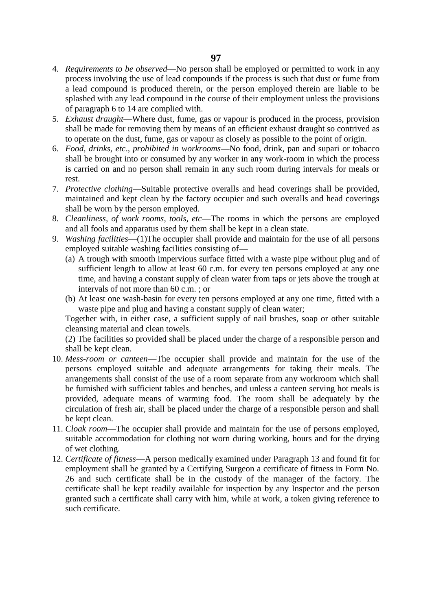- 4. *Requirements to be observed*—No person shall be employed or permitted to work in any process involving the use of lead compounds if the process is such that dust or fume from a lead compound is produced therein, or the person employed therein are liable to be splashed with any lead compound in the course of their employment unless the provisions of paragraph 6 to 14 are complied with.
- 5. *Exhaust draught*—Where dust, fume, gas or vapour is produced in the process, provision shall be made for removing them by means of an efficient exhaust draught so contrived as to operate on the dust, fume, gas or vapour as closely as possible to the point of origin.
- 6. *Food, drinks, etc*., *prohibited in workrooms*—No food, drink, pan and supari or tobacco shall be brought into or consumed by any worker in any work-room in which the process is carried on and no person shall remain in any such room during intervals for meals or rest.
- 7. *Protective clothing*—Suitable protective overalls and head coverings shall be provided, maintained and kept clean by the factory occupier and such overalls and head coverings shall be worn by the person employed.
- 8. *Cleanliness, of work rooms, tools, etc*—The rooms in which the persons are employed and all fools and apparatus used by them shall be kept in a clean state.
- 9. *Washing facilities*—(1)The occupier shall provide and maintain for the use of all persons employed suitable washing facilities consisting of—
	- (a) A trough with smooth impervious surface fitted with a waste pipe without plug and of sufficient length to allow at least 60 c.m. for every ten persons employed at any one time, and having a constant supply of clean water from taps or jets above the trough at intervals of not more than 60 c.m. ; or
	- (b) At least one wash-basin for every ten persons employed at any one time, fitted with a waste pipe and plug and having a constant supply of clean water;

Together with, in either case, a sufficient supply of nail brushes, soap or other suitable cleansing material and clean towels.

(2) The facilities so provided shall be placed under the charge of a responsible person and shall be kept clean.

- 10. *Mess-room or canteen*—The occupier shall provide and maintain for the use of the persons employed suitable and adequate arrangements for taking their meals. The arrangements shall consist of the use of a room separate from any workroom which shall be furnished with sufficient tables and benches, and unless a canteen serving hot meals is provided, adequate means of warming food. The room shall be adequately by the circulation of fresh air, shall be placed under the charge of a responsible person and shall be kept clean.
- 11. *Cloak room*—The occupier shall provide and maintain for the use of persons employed, suitable accommodation for clothing not worn during working, hours and for the drying of wet clothing.
- 12. *Certificate of fitness*—A person medically examined under Paragraph 13 and found fit for employment shall be granted by a Certifying Surgeon a certificate of fitness in Form No. 26 and such certificate shall be in the custody of the manager of the factory. The certificate shall be kept readily available for inspection by any Inspector and the person granted such a certificate shall carry with him, while at work, a token giving reference to such certificate.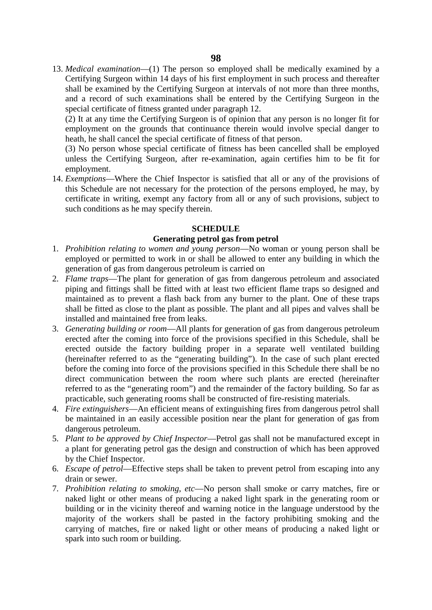13. *Medical examination*—(1) The person so employed shall be medically examined by a Certifying Surgeon within 14 days of his first employment in such process and thereafter shall be examined by the Certifying Surgeon at intervals of not more than three months, and a record of such examinations shall be entered by the Certifying Surgeon in the special certificate of fitness granted under paragraph 12.

(2) It at any time the Certifying Surgeon is of opinion that any person is no longer fit for employment on the grounds that continuance therein would involve special danger to heath, he shall cancel the special certificate of fitness of that person.

(3) No person whose special certificate of fitness has been cancelled shall be employed unless the Certifying Surgeon, after re-examination, again certifies him to be fit for employment.

14. *Exemptions*—Where the Chief Inspector is satisfied that all or any of the provisions of this Schedule are not necessary for the protection of the persons employed, he may, by certificate in writing, exempt any factory from all or any of such provisions, subject to such conditions as he may specify therein.

#### **SCHEDULE**

#### **Generating petrol gas from petrol**

- 1. *Prohibition relating to women and young person*—No woman or young person shall be employed or permitted to work in or shall be allowed to enter any building in which the generation of gas from dangerous petroleum is carried on
- 2. *Flame traps*—The plant for generation of gas from dangerous petroleum and associated piping and fittings shall be fitted with at least two efficient flame traps so designed and maintained as to prevent a flash back from any burner to the plant. One of these traps shall be fitted as close to the plant as possible. The plant and all pipes and valves shall be installed and maintained free from leaks.
- 3. *Generating building or room*—All plants for generation of gas from dangerous petroleum erected after the coming into force of the provisions specified in this Schedule, shall be erected outside the factory building proper in a separate well ventilated building (hereinafter referred to as the "generating building"). In the case of such plant erected before the coming into force of the provisions specified in this Schedule there shall be no direct communication between the room where such plants are erected (hereinafter referred to as the "generating room") and the remainder of the factory building. So far as practicable, such generating rooms shall be constructed of fire-resisting materials.
- 4. *Fire extinguishers*—An efficient means of extinguishing fires from dangerous petrol shall be maintained in an easily accessible position near the plant for generation of gas from dangerous petroleum.
- 5. *Plant to be approved by Chief Inspector*—Petrol gas shall not be manufactured except in a plant for generating petrol gas the design and construction of which has been approved by the Chief Inspector.
- 6. *Escape of petrol*—Effective steps shall be taken to prevent petrol from escaping into any drain or sewer.
- 7. *Prohibition relating to smoking, etc*—No person shall smoke or carry matches, fire or naked light or other means of producing a naked light spark in the generating room or building or in the vicinity thereof and warning notice in the language understood by the majority of the workers shall be pasted in the factory prohibiting smoking and the carrying of matches, fire or naked light or other means of producing a naked light or spark into such room or building.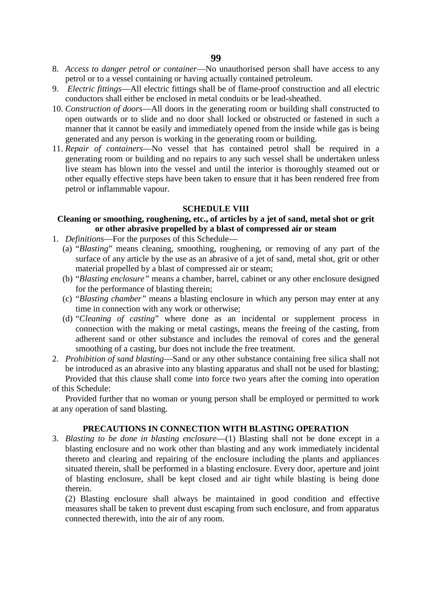- 8. *Access to danger petrol or container*—No unauthorised person shall have access to any petrol or to a vessel containing or having actually contained petroleum.
- 9. *Electric fittings*—All electric fittings shall be of flame-proof construction and all electric conductors shall either be enclosed in metal conduits or be lead-sheathed.
- 10. *Construction of doors*—All doors in the generating room or building shall constructed to open outwards or to slide and no door shall locked or obstructed or fastened in such a manner that it cannot be easily and immediately opened from the inside while gas is being generated and any person is working in the generating room or building.
- 11. *Repair of containers*—No vessel that has contained petrol shall be required in a generating room or building and no repairs to any such vessel shall be undertaken unless live steam has blown into the vessel and until the interior is thoroughly steamed out or other equally effective steps have been taken to ensure that it has been rendered free from petrol or inflammable vapour.

#### **SCHEDULE VIII**

# **Cleaning or smoothing, roughening, etc., of articles by a jet of sand, metal shot or grit or other abrasive propelled by a blast of compressed air or steam**

- 1. *Definitions*—For the purposes of this Schedule—
	- (a) "*Blasting*" means cleaning, smoothing, roughening, or removing of any part of the surface of any article by the use as an abrasive of a jet of sand, metal shot, grit or other material propelled by a blast of compressed air or steam;
	- (b) "*Blasting enclosure"* means a chamber, barrel, cabinet or any other enclosure designed for the performance of blasting therein;
	- (c) "*Blasting chamber"* means a blasting enclosure in which any person may enter at any time in connection with any work or otherwise;
	- (d) "*Cleaning of casting*" where done as an incidental or supplement process in connection with the making or metal castings, means the freeing of the casting, from adherent sand or other substance and includes the removal of cores and the general smoothing of a casting, bur does not include the free treatment.
- 2. *Prohibition of sand blasting*—Sand or any other substance containing free silica shall not be introduced as an abrasive into any blasting apparatus and shall not be used for blasting; Provided that this clause shall come into force two years after the coming into operation of this Schedule:

Provided further that no woman or young person shall be employed or permitted to work at any operation of sand blasting.

# **PRECAUTIONS IN CONNECTION WITH BLASTING OPERATION**

3. *Blasting to be done in blasting enclosure*—(1) Blasting shall not be done except in a blasting enclosure and no work other than blasting and any work immediately incidental thereto and clearing and repairing of the enclosure including the plants and appliances situated therein, shall be performed in a blasting enclosure. Every door, aperture and joint of blasting enclosure, shall be kept closed and air tight while blasting is being done therein.

(2) Blasting enclosure shall always be maintained in good condition and effective measures shall be taken to prevent dust escaping from such enclosure, and from apparatus connected therewith, into the air of any room.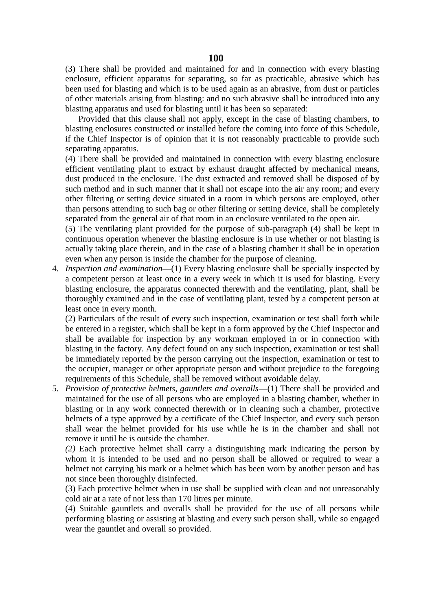(3) There shall be provided and maintained for and in connection with every blasting enclosure, efficient apparatus for separating, so far as practicable, abrasive which has been used for blasting and which is to be used again as an abrasive, from dust or particles of other materials arising from blasting: and no such abrasive shall be introduced into any blasting apparatus and used for blasting until it has been so separated:

Provided that this clause shall not apply, except in the case of blasting chambers, to blasting enclosures constructed or installed before the coming into force of this Schedule, if the Chief Inspector is of opinion that it is not reasonably practicable to provide such separating apparatus.

(4) There shall be provided and maintained in connection with every blasting enclosure efficient ventilating plant to extract by exhaust draught affected by mechanical means, dust produced in the enclosure. The dust extracted and removed shall be disposed of by such method and in such manner that it shall not escape into the air any room; and every other filtering or setting device situated in a room in which persons are employed, other than persons attending to such bag or other filtering or setting device, shall be completely separated from the general air of that room in an enclosure ventilated to the open air.

(5) The ventilating plant provided for the purpose of sub-paragraph (4) shall be kept in continuous operation whenever the blasting enclosure is in use whether or not blasting is actually taking place therein, and in the case of a blasting chamber it shall be in operation even when any person is inside the chamber for the purpose of cleaning.

4. *Inspection and examination*—(1) Every blasting enclosure shall be specially inspected by a competent person at least once in a every week in which it is used for blasting. Every blasting enclosure, the apparatus connected therewith and the ventilating, plant, shall be thoroughly examined and in the case of ventilating plant, tested by a competent person at least once in every month.

(2) Particulars of the result of every such inspection, examination or test shall forth while be entered in a register, which shall be kept in a form approved by the Chief Inspector and shall be available for inspection by any workman employed in or in connection with blasting in the factory. Any defect found on any such inspection, examination or test shall be immediately reported by the person carrying out the inspection, examination or test to the occupier, manager or other appropriate person and without prejudice to the foregoing requirements of this Schedule, shall be removed without avoidable delay.

5. *Provision of protective helmets, gauntlets and overalls*—(1) There shall be provided and maintained for the use of all persons who are employed in a blasting chamber, whether in blasting or in any work connected therewith or in cleaning such a chamber, protective helmets of a type approved by a certificate of the Chief Inspector, and every such person shall wear the helmet provided for his use while he is in the chamber and shall not remove it until he is outside the chamber.

*(2)* Each protective helmet shall carry a distinguishing mark indicating the person by whom it is intended to be used and no person shall be allowed or required to wear a helmet not carrying his mark or a helmet which has been worn by another person and has not since been thoroughly disinfected.

(3) Each protective helmet when in use shall be supplied with clean and not unreasonably cold air at a rate of not less than 170 litres per minute.

(4) Suitable gauntlets and overalls shall be provided for the use of all persons while performing blasting or assisting at blasting and every such person shall, while so engaged wear the gauntlet and overall so provided.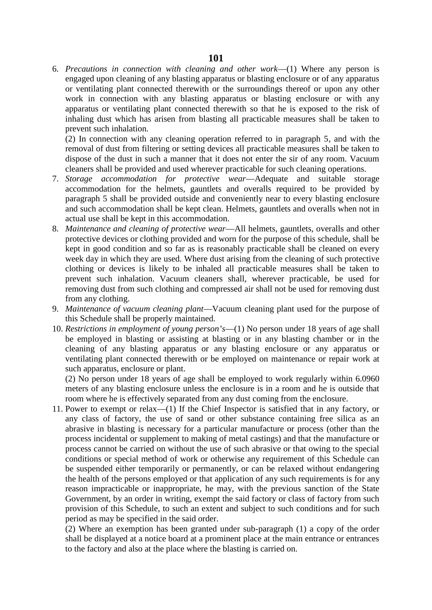6. *Precautions in connection with cleaning and other work*—(1) Where any person is engaged upon cleaning of any blasting apparatus or blasting enclosure or of any apparatus or ventilating plant connected therewith or the surroundings thereof or upon any other work in connection with any blasting apparatus or blasting enclosure or with any apparatus or ventilating plant connected therewith so that he is exposed to the risk of inhaling dust which has arisen from blasting all practicable measures shall be taken to prevent such inhalation.

(2) In connection with any cleaning operation referred to in paragraph 5, and with the removal of dust from filtering or setting devices all practicable measures shall be taken to dispose of the dust in such a manner that it does not enter the sir of any room. Vacuum cleaners shall be provided and used wherever practicable for such cleaning operations.

- 7. *Storage accommodation for protective wear*—Adequate and suitable storage accommodation for the helmets, gauntlets and overalls required to be provided by paragraph 5 shall be provided outside and conveniently near to every blasting enclosure and such accommodation shall be kept clean. Helmets, gauntlets and overalls when not in actual use shall be kept in this accommodation.
- 8. *Maintenance and cleaning of protective wear*—All helmets, gauntlets, overalls and other protective devices or clothing provided and worn for the purpose of this schedule, shall be kept in good condition and so far as is reasonably practicable shall be cleaned on every week day in which they are used. Where dust arising from the cleaning of such protective clothing or devices is likely to be inhaled all practicable measures shall be taken to prevent such inhalation. Vacuum cleaners shall, wherever practicable, be used for removing dust from such clothing and compressed air shall not be used for removing dust from any clothing.
- 9. *Maintenance of vacuum cleaning plant*—Vacuum cleaning plant used for the purpose of this Schedule shall be properly maintained.
- 10. *Restrictions in employment of young person's*—(1) No person under 18 years of age shall be employed in blasting or assisting at blasting or in any blasting chamber or in the cleaning of any blasting apparatus or any blasting enclosure or any apparatus or ventilating plant connected therewith or be employed on maintenance or repair work at such apparatus, enclosure or plant.

(2) No person under 18 years of age shall be employed to work regularly within 6.0960 meters of any blasting enclosure unless the enclosure is in a room and he is outside that room where he is effectively separated from any dust coming from the enclosure.

11. Power to exempt or relax—(1) If the Chief Inspector is satisfied that in any factory, or any class of factory, the use of sand or other substance containing free silica as an abrasive in blasting is necessary for a particular manufacture or process (other than the process incidental or supplement to making of metal castings) and that the manufacture or process cannot be carried on without the use of such abrasive or that owing to the special conditions or special method of work or otherwise any requirement of this Schedule can be suspended either temporarily or permanently, or can be relaxed without endangering the health of the persons employed or that application of any such requirements is for any reason impracticable or inappropriate, he may, with the previous sanction of the State Government, by an order in writing, exempt the said factory or class of factory from such provision of this Schedule, to such an extent and subject to such conditions and for such period as may be specified in the said order.

(2) Where an exemption has been granted under sub-paragraph (1) a copy of the order shall be displayed at a notice board at a prominent place at the main entrance or entrances to the factory and also at the place where the blasting is carried on.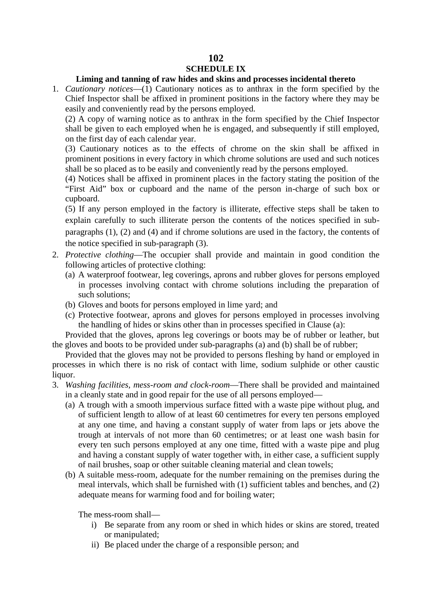# **102 SCHEDULE IX**

## **Liming and tanning of raw hides and skins and processes incidental thereto**

1. *Cautionary notices*—(1) Cautionary notices as to anthrax in the form specified by the Chief Inspector shall be affixed in prominent positions in the factory where they may be easily and conveniently read by the persons employed.

(2) A copy of warning notice as to anthrax in the form specified by the Chief Inspector shall be given to each employed when he is engaged, and subsequently if still employed, on the first day of each calendar year.

(3) Cautionary notices as to the effects of chrome on the skin shall be affixed in prominent positions in every factory in which chrome solutions are used and such notices shall be so placed as to be easily and conveniently read by the persons employed.

(4) Notices shall be affixed in prominent places in the factory stating the position of the "First Aid" box or cupboard and the name of the person in-charge of such box or cupboard.

(5) If any person employed in the factory is illiterate, effective steps shall be taken to explain carefully to such illiterate person the contents of the notices specified in sub paragraphs (1), (2) and (4) and if chrome solutions are used in the factory, the contents of the notice specified in sub-paragraph (3).

- 2. *Protective clothing*—The occupier shall provide and maintain in good condition the following articles of protective clothing:
	- (a) A waterproof footwear, leg coverings, aprons and rubber gloves for persons employed in processes involving contact with chrome solutions including the preparation of such solutions;
	- (b) Gloves and boots for persons employed in lime yard; and
	- (c) Protective footwear, aprons and gloves for persons employed in processes involving the handling of hides or skins other than in processes specified in Clause (a):

Provided that the gloves, aprons leg coverings or boots may be of rubber or leather, but the gloves and boots to be provided under sub-paragraphs (a) and (b) shall be of rubber;

Provided that the gloves may not be provided to persons fleshing by hand or employed in processes in which there is no risk of contact with lime, sodium sulphide or other caustic liquor.

- 3. *Washing facilities, mess-room and clock-room*—There shall be provided and maintained in a cleanly state and in good repair for the use of all persons employed—
	- (a) A trough with a smooth impervious surface fitted with a waste pipe without plug, and of sufficient length to allow of at least 60 centimetres for every ten persons employed at any one time, and having a constant supply of water from laps or jets above the trough at intervals of not more than 60 centimetres; or at least one wash basin for every ten such persons employed at any one time, fitted with a waste pipe and plug and having a constant supply of water together with, in either case, a sufficient supply of nail brushes, soap or other suitable cleaning material and clean towels;
	- (b) A suitable mess-room, adequate for the number remaining on the premises during the meal intervals, which shall be furnished with (1) sufficient tables and benches, and (2) adequate means for warming food and for boiling water;

The mess-room shall—

- i) Be separate from any room or shed in which hides or skins are stored, treated or manipulated;
- ii) Be placed under the charge of a responsible person; and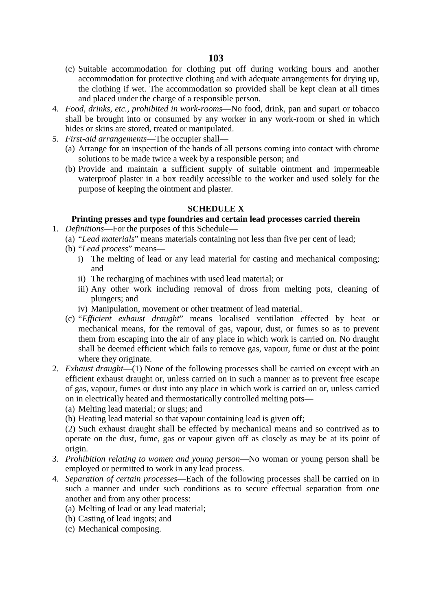- (c) Suitable accommodation for clothing put off during working hours and another accommodation for protective clothing and with adequate arrangements for drying up, the clothing if wet. The accommodation so provided shall be kept clean at all times and placed under the charge of a responsible person.
- 4. *Food, drinks, etc., prohibited in work-rooms*—No food, drink, pan and supari or tobacco shall be brought into or consumed by any worker in any work-room or shed in which hides or skins are stored, treated or manipulated.
- 5. *First*-*aid arrangements*—The occupier shall—
	- (a) Arrange for an inspection of the hands of all persons coming into contact with chrome solutions to be made twice a week by a responsible person; and
	- (b) Provide and maintain a sufficient supply of suitable ointment and impermeable waterproof plaster in a box readily accessible to the worker and used solely for the purpose of keeping the ointment and plaster.

### **SCHEDULE X**

# **Printing presses and type foundries and certain lead processes carried therein**

- 1. *Definitions*—For the purposes of this Schedule—
	- (a) "*Lead materials*" means materials containing not less than five per cent of lead;
	- (b) "*Lead process*" means
		- i) The melting of lead or any lead material for casting and mechanical composing; and
		- ii) The recharging of machines with used lead material; or
		- iii) Any other work including removal of dross from melting pots, cleaning of plungers; and
		- iv) Manipulation, movement or other treatment of lead material.
	- (c) "*Efficient exhaust draught*" means localised ventilation effected by heat or mechanical means, for the removal of gas, vapour, dust, or fumes so as to prevent them from escaping into the air of any place in which work is carried on. No draught shall be deemed efficient which fails to remove gas, vapour, fume or dust at the point where they originate.
- 2. *Exhaust draught*—(1) None of the following processes shall be carried on except with an efficient exhaust draught or, unless carried on in such a manner as to prevent free escape of gas, vapour, fumes or dust into any place in which work is carried on or, unless carried on in electrically heated and thermostatically controlled melting pots—
	- (a) Melting lead material; or slugs; and
	- (b) Heating lead material so that vapour containing lead is given off;

(2) Such exhaust draught shall be effected by mechanical means and so contrived as to operate on the dust, fume, gas or vapour given off as closely as may be at its point of origin.

- 3. *Prohibition relating to women and young person*—No woman or young person shall be employed or permitted to work in any lead process.
- 4. *Separation of certain processes*—Each of the following processes shall be carried on in such a manner and under such conditions as to secure effectual separation from one another and from any other process:
	- (a) Melting of lead or any lead material;
	- (b) Casting of lead ingots; and
	- (c) Mechanical composing.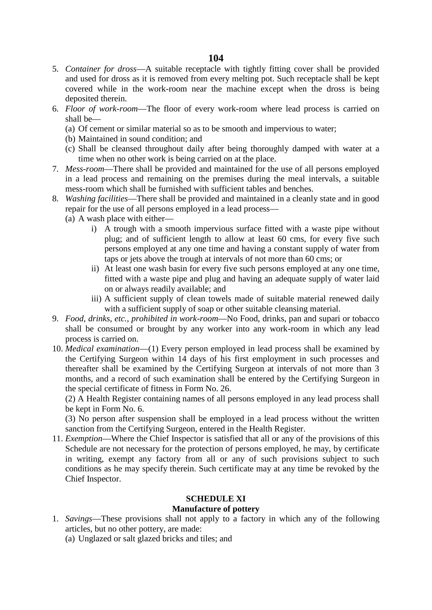# **104**

- 5. *Container for dross*—A suitable receptacle with tightly fitting cover shall be provided and used for dross as it is removed from every melting pot. Such receptacle shall be kept covered while in the work-room near the machine except when the dross is being deposited therein.
- 6. *Floor of work-room*—The floor of every work-room where lead process is carried on shall be—
	- (a) Of cement or similar material so as to be smooth and impervious to water;
	- (b) Maintained in sound condition; and
	- (c) Shall be cleansed throughout daily after being thoroughly damped with water at a time when no other work is being carried on at the place.
- 7. *Mess-room*—There shall be provided and maintained for the use of all persons employed in a lead process and remaining on the premises during the meal intervals, a suitable mess-room which shall be furnished with sufficient tables and benches.
- 8. *Washing facilities*—There shall be provided and maintained in a cleanly state and in good repair for the use of all persons employed in a lead process—
	- (a) A wash place with either
		- i) A trough with a smooth impervious surface fitted with a waste pipe without plug; and of sufficient length to allow at least 60 cms, for every five such persons employed at any one time and having a constant supply of water from taps or jets above the trough at intervals of not more than 60 cms; or
		- ii) At least one wash basin for every five such persons employed at any one time, fitted with a waste pipe and plug and having an adequate supply of water laid on or always readily available; and
		- iii) A sufficient supply of clean towels made of suitable material renewed daily with a sufficient supply of soap or other suitable cleansing material.
- 9. *Food, drinks, etc., prohibited in work-room*—No Food, drinks, pan and supari or tobacco shall be consumed or brought by any worker into any work-room in which any lead process is carried on.
- 10. *Medical examination*—(1) Every person employed in lead process shall be examined by the Certifying Surgeon within 14 days of his first employment in such processes and thereafter shall be examined by the Certifying Surgeon at intervals of not more than 3 months, and a record of such examination shall be entered by the Certifying Surgeon in the special certificate of fitness in Form No. 26.

(2) A Health Register containing names of all persons employed in any lead process shall be kept in Form No. 6.

(3) No person after suspension shall be employed in a lead process without the written sanction from the Certifying Surgeon, entered in the Health Register.

11. *Exemption*—Where the Chief Inspector is satisfied that all or any of the provisions of this Schedule are not necessary for the protection of persons employed, he may, by certificate in writing, exempt any factory from all or any of such provisions subject to such conditions as he may specify therein. Such certificate may at any time be revoked by the Chief Inspector.

# **SCHEDULE XI**

# **Manufacture of pottery**

- 1. *Savings*—These provisions shall not apply to a factory in which any of the following articles, but no other pottery, are made:
	- (a) Unglazed or salt glazed bricks and tiles; and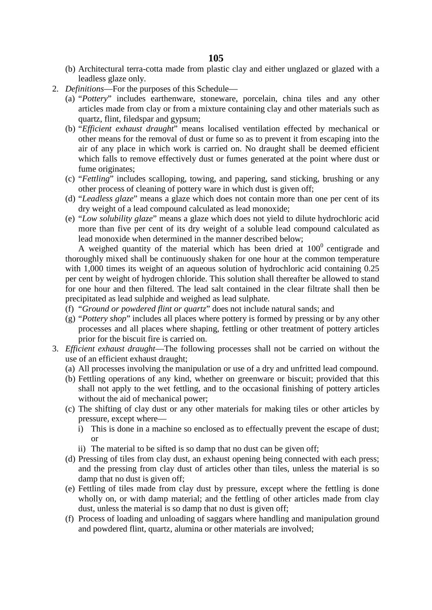- (b) Architectural terra-cotta made from plastic clay and either unglazed or glazed with a leadless glaze only.
- 2. *Definitions*—For the purposes of this Schedule—
	- (a) "*Pottery*" includes earthenware, stoneware, porcelain, china tiles and any other articles made from clay or from a mixture containing clay and other materials such as quartz, flint, filedspar and gypsum;
	- (b) "*Efficient exhaust draught*" means localised ventilation effected by mechanical or other means for the removal of dust or fume so as to prevent it from escaping into the air of any place in which work is carried on. No draught shall be deemed efficient which falls to remove effectively dust or fumes generated at the point where dust or fume originates;
	- (c) "*Fettling*" includes scalloping, towing, and papering, sand sticking, brushing or any other process of cleaning of pottery ware in which dust is given off;
	- (d) "*Leadless glaze*" means a glaze which does not contain more than one per cent of its dry weight of a lead compound calculated as lead monoxide;
	- (e) "*Low solubility glaze*" means a glaze which does not yield to dilute hydrochloric acid more than five per cent of its dry weight of a soluble lead compound calculated as lead monoxide when determined in the manner described below;

A weighed quantity of the material which has been dried at  $100<sup>0</sup>$  centigrade and thoroughly mixed shall be continuously shaken for one hour at the common temperature with 1,000 times its weight of an aqueous solution of hydrochloric acid containing 0.25 per cent by weight of hydrogen chloride. This solution shall thereafter be allowed to stand for one hour and then filtered. The lead salt contained in the clear filtrate shall then be precipitated as lead sulphide and weighed as lead sulphate.

- (f) "*Ground or powdered flint or quartz*" does not include natural sands; and
- (g) "*Pottery shop*" includes all places where pottery is formed by pressing or by any other processes and all places where shaping, fettling or other treatment of pottery articles prior for the biscuit fire is carried on.
- 3. *Efficient exhaust draught*—The following processes shall not be carried on without the use of an efficient exhaust draught;
	- (a) All processes involving the manipulation or use of a dry and unfritted lead compound.
	- (b) Fettling operations of any kind, whether on greenware or biscuit; provided that this shall not apply to the wet fettling, and to the occasional finishing of pottery articles without the aid of mechanical power;
	- (c) The shifting of clay dust or any other materials for making tiles or other articles by pressure, except where
		- i) This is done in a machine so enclosed as to effectually prevent the escape of dust; or
		- ii) The material to be sifted is so damp that no dust can be given off;
	- (d) Pressing of tiles from clay dust, an exhaust opening being connected with each press; and the pressing from clay dust of articles other than tiles, unless the material is so damp that no dust is given off;
	- (e) Fettling of tiles made from clay dust by pressure, except where the fettling is done wholly on, or with damp material; and the fettling of other articles made from clay dust, unless the material is so damp that no dust is given off;
	- (f) Process of loading and unloading of saggars where handling and manipulation ground and powdered flint, quartz, alumina or other materials are involved;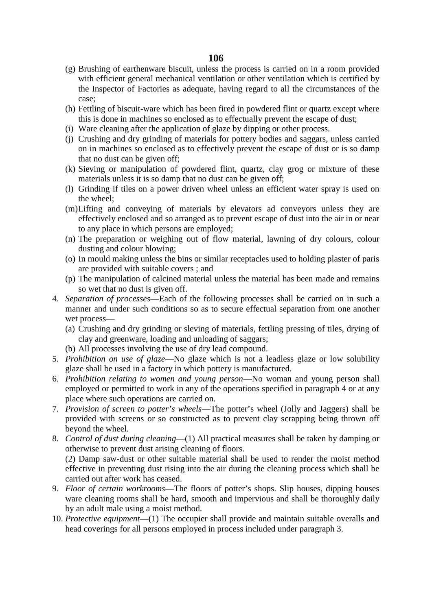## **106**

- (g) Brushing of earthenware biscuit, unless the process is carried on in a room provided with efficient general mechanical ventilation or other ventilation which is certified by the Inspector of Factories as adequate, having regard to all the circumstances of the case;
- (h) Fettling of biscuit-ware which has been fired in powdered flint or quartz except where this is done in machines so enclosed as to effectually prevent the escape of dust;
- (i) Ware cleaning after the application of glaze by dipping or other process.
- (j) Crushing and dry grinding of materials for pottery bodies and saggars, unless carried on in machines so enclosed as to effectively prevent the escape of dust or is so damp that no dust can be given off;
- (k) Sieving or manipulation of powdered flint, quartz, clay grog or mixture of these materials unless it is so damp that no dust can be given off;
- (l) Grinding if tiles on a power driven wheel unless an efficient water spray is used on the wheel;
- (m)Lifting and conveying of materials by elevators ad conveyors unless they are effectively enclosed and so arranged as to prevent escape of dust into the air in or near to any place in which persons are employed;
- (n) The preparation or weighing out of flow material, lawning of dry colours, colour dusting and colour blowing;
- (o) In mould making unless the bins or similar receptacles used to holding plaster of paris are provided with suitable covers ; and
- (p) The manipulation of calcined material unless the material has been made and remains so wet that no dust is given off.
- 4. *Separation of processes*—Each of the following processes shall be carried on in such a manner and under such conditions so as to secure effectual separation from one another wet process—
	- (a) Crushing and dry grinding or sleving of materials, fettling pressing of tiles, drying of clay and greenware, loading and unloading of saggars;
	- (b) All processes involving the use of dry lead compound.
- 5. *Prohibition on use of glaze*—No glaze which is not a leadless glaze or low solubility glaze shall be used in a factory in which pottery is manufactured.
- 6. *Prohibition relating to women and young person*—No woman and young person shall employed or permitted to work in any of the operations specified in paragraph 4 or at any place where such operations are carried on.
- 7. *Provision of screen to potter's wheels*—The potter's wheel (Jolly and Jaggers) shall be provided with screens or so constructed as to prevent clay scrapping being thrown off beyond the wheel.
- 8. *Control of dust during cleaning*—(1) All practical measures shall be taken by damping or otherwise to prevent dust arising cleaning of floors.

(2) Damp saw-dust or other suitable material shall be used to render the moist method effective in preventing dust rising into the air during the cleaning process which shall be carried out after work has ceased.

- 9. *Floor of certain workrooms*—The floors of potter's shops. Slip houses, dipping houses ware cleaning rooms shall be hard, smooth and impervious and shall be thoroughly daily by an adult male using a moist method.
- 10. *Protective equipment*—(1) The occupier shall provide and maintain suitable overalls and head coverings for all persons employed in process included under paragraph 3.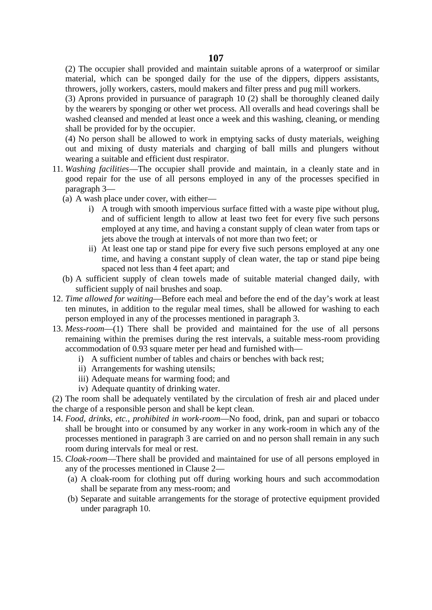(2) The occupier shall provided and maintain suitable aprons of a waterproof or similar material, which can be sponged daily for the use of the dippers, dippers assistants, throwers, jolly workers, casters, mould makers and filter press and pug mill workers.

(3) Aprons provided in pursuance of paragraph 10 (2) shall be thoroughly cleaned daily by the wearers by sponging or other wet process. All overalls and head coverings shall be washed cleansed and mended at least once a week and this washing, cleaning, or mending shall be provided for by the occupier.

(4) No person shall be allowed to work in emptying sacks of dusty materials, weighing out and mixing of dusty materials and charging of ball mills and plungers without wearing a suitable and efficient dust respirator.

- 11. *Washing facilities*—The occupier shall provide and maintain, in a cleanly state and in good repair for the use of all persons employed in any of the processes specified in paragraph 3—
	- (a) A wash place under cover, with either
		- i) A trough with smooth impervious surface fitted with a waste pipe without plug, and of sufficient length to allow at least two feet for every five such persons employed at any time, and having a constant supply of clean water from taps or jets above the trough at intervals of not more than two feet; or
		- ii) At least one tap or stand pipe for every five such persons employed at any one time, and having a constant supply of clean water, the tap or stand pipe being spaced not less than 4 feet apart; and
	- (b) A sufficient supply of clean towels made of suitable material changed daily, with sufficient supply of nail brushes and soap.
- 12. *Time allowed for waiting*—Before each meal and before the end of the day's work at least ten minutes, in addition to the regular meal times, shall be allowed for washing to each person employed in any of the processes mentioned in paragraph 3.
- 13. *Mess-room*—(1) There shall be provided and maintained for the use of all persons remaining within the premises during the rest intervals, a suitable mess-room providing accommodation of 0.93 square meter per head and furnished with
	- i) A sufficient number of tables and chairs or benches with back rest;
	- ii) Arrangements for washing utensils;
	- iii) Adequate means for warming food; and
	- iv) Adequate quantity of drinking water.

(2) The room shall be adequately ventilated by the circulation of fresh air and placed under the charge of a responsible person and shall be kept clean.

- 14. *Food, drinks, etc., prohibited in work-room*—No food, drink, pan and supari or tobacco shall be brought into or consumed by any worker in any work-room in which any of the processes mentioned in paragraph 3 are carried on and no person shall remain in any such room during intervals for meal or rest.
- 15. *Cloak-room*—There shall be provided and maintained for use of all persons employed in any of the processes mentioned in Clause 2—
	- (a) A cloak-room for clothing put off during working hours and such accommodation shall be separate from any mess-room; and
	- (b) Separate and suitable arrangements for the storage of protective equipment provided under paragraph 10.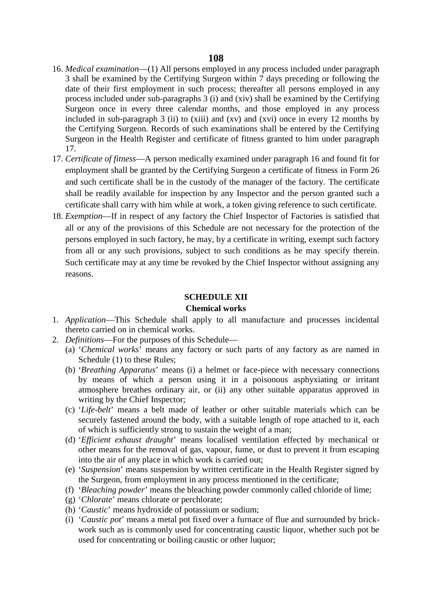- 16. *Medical examination*—(1) All persons employed in any process included under paragraph 3 shall be examined by the Certifying Surgeon within 7 days preceding or following the date of their first employment in such process; thereafter all persons employed in any process included under sub-paragraphs 3 (i) and (xiv) shall be examined by the Certifying Surgeon once in every three calendar months, and those employed in any process included in sub-paragraph 3 (ii) to (xiii) and (xv) and (xvi) once in every 12 months by the Certifying Surgeon. Records of such examinations shall be entered by the Certifying Surgeon in the Health Register and certificate of fitness granted to him under paragraph 17.
- 17. *Certificate of fitness*—A person medically examined under paragraph 16 and found fit for employment shall be granted by the Certifying Surgeon a certificate of fitness in Form 26 and such certificate shall be in the custody of the manager of the factory. The certificate shall be readily available for inspection by any Inspector and the person granted such a certificate shall carry with him while at work, a token giving reference to such certificate.
- 18. *Exemption*—If in respect of any factory the Chief Inspector of Factories is satisfied that all or any of the provisions of this Schedule are not necessary for the protection of the persons employed in such factory, he may, by a certificate in writing, exempt such factory from all or any such provisions, subject to such conditions as he may specify therein. Such certificate may at any time be revoked by the Chief Inspector without assigning any reasons.

#### **SCHEDULE XII**

#### **Chemical works**

- 1. *Application*—This Schedule shall apply to all manufacture and processes incidental thereto carried on in chemical works.
- 2. *Definitions*—For the purposes of this Schedule—
	- (a) '*Chemical works*' means any factory or such parts of any factory as are named in Schedule (1) to these Rules;
	- (b) '*Breathing Apparatus*' means (i) a helmet or face-piece with necessary connections by means of which a person using it in a poisonous asphyxiating or irritant atmosphere breathes ordinary air, or (ii) any other suitable apparatus approved in writing by the Chief Inspector;
	- (c) '*Life-belt*' means a belt made of leather or other suitable materials which can be securely fastened around the body, with a suitable length of rope attached to it, each of which is sufficiently strong to sustain the weight of a man;
	- (d) '*Efficient exhaust draught*' means localised ventilation effected by mechanical or other means for the removal of gas, vapour, fume, or dust to prevent it from escaping into the air of any place in which work is carried out;
	- (e) '*Suspension*' means suspension by written certificate in the Health Register signed by the Surgeon, from employment in any process mentioned in the certificate;
	- (f) '*Bleaching powder*' means the bleaching powder commonly called chloride of lime;
	- (g) '*Chlorate*' means chlorate or perchlorate;
	- (h) '*Caustic*' means hydroxide of potassium or sodium;
	- (i) '*Caustic pot*' means a metal pot fixed over a furnace of flue and surrounded by brick work such as is commonly used for concentrating caustic liquor, whether such pot be used for concentrating or boiling caustic or other luquor;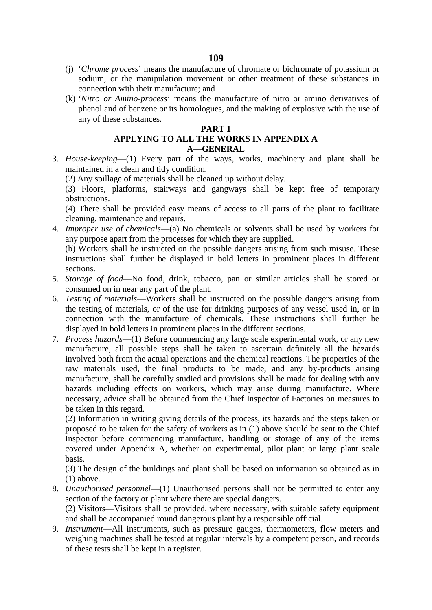- (j) '*Chrome process*' means the manufacture of chromate or bichromate of potassium or sodium, or the manipulation movement or other treatment of these substances in connection with their manufacture; and
- (k) '*Nitro or Amino-process*' means the manufacture of nitro or amino derivatives of phenol and of benzene or its homologues, and the making of explosive with the use of any of these substances.

### **PART 1**

# **APPLYING TO ALL THE WORKS IN APPENDIX A A—GENERAL**

- 3. *House-keeping*—(1) Every part of the ways, works, machinery and plant shall be maintained in a clean and tidy condition.
	- (2) Any spillage of materials shall be cleaned up without delay.

(3) Floors, platforms, stairways and gangways shall be kept free of temporary obstructions.

(4) There shall be provided easy means of access to all parts of the plant to facilitate cleaning, maintenance and repairs.

4. *Improper use of chemicals*—(a) No chemicals or solvents shall be used by workers for any purpose apart from the processes for which they are supplied.

(b) Workers shall be instructed on the possible dangers arising from such misuse. These instructions shall further be displayed in bold letters in prominent places in different sections.

- 5. *Storage of food*—No food, drink, tobacco, pan or similar articles shall be stored or consumed on in near any part of the plant.
- 6. *Testing of materials*—Workers shall be instructed on the possible dangers arising from the testing of materials, or of the use for drinking purposes of any vessel used in, or in connection with the manufacture of chemicals. These instructions shall further be displayed in bold letters in prominent places in the different sections.
- 7. *Process hazards*—(1) Before commencing any large scale experimental work, or any new manufacture, all possible steps shall be taken to ascertain definitely all the hazards involved both from the actual operations and the chemical reactions. The properties of the raw materials used, the final products to be made, and any by-products arising manufacture, shall be carefully studied and provisions shall be made for dealing with any hazards including effects on workers, which may arise during manufacture. Where necessary, advice shall be obtained from the Chief Inspector of Factories on measures to be taken in this regard.

(2) Information in writing giving details of the process, its hazards and the steps taken or proposed to be taken for the safety of workers as in (1) above should be sent to the Chief Inspector before commencing manufacture, handling or storage of any of the items covered under Appendix A, whether on experimental, pilot plant or large plant scale basis.

(3) The design of the buildings and plant shall be based on information so obtained as in (1) above.

8. *Unauthorised personnel*—(1) Unauthorised persons shall not be permitted to enter any section of the factory or plant where there are special dangers.

(2) Visitors—Visitors shall be provided, where necessary, with suitable safety equipment and shall be accompanied round dangerous plant by a responsible official.

9. *Instrument*—All instruments, such as pressure gauges, thermometers, flow meters and weighing machines shall be tested at regular intervals by a competent person, and records of these tests shall be kept in a register.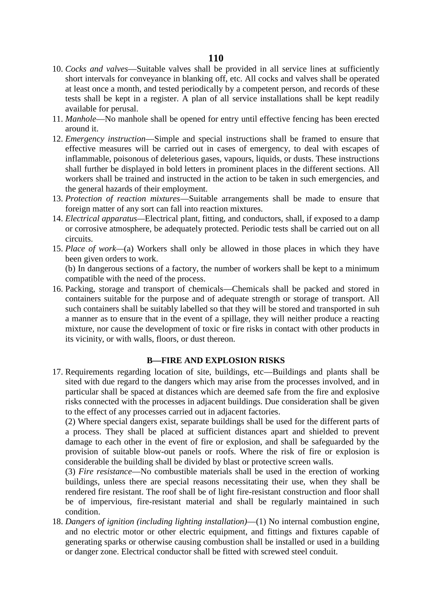- 10. *Cocks and valves*—Suitable valves shall be provided in all service lines at sufficiently short intervals for conveyance in blanking off, etc. All cocks and valves shall be operated at least once a month, and tested periodically by a competent person, and records of these tests shall be kept in a register. A plan of all service installations shall be kept readily available for perusal.
- 11. *Manhole*—No manhole shall be opened for entry until effective fencing has been erected around it.
- 12. *Emergency instruction*—Simple and special instructions shall be framed to ensure that effective measures will be carried out in cases of emergency, to deal with escapes of inflammable, poisonous of deleterious gases, vapours, liquids, or dusts. These instructions shall further be displayed in bold letters in prominent places in the different sections. All workers shall be trained and instructed in the action to be taken in such emergencies, and the general hazards of their employment.
- 13. *Protection of reaction mixtures*—Suitable arrangements shall be made to ensure that foreign matter of any sort can fall into reaction mixtures.
- 14. *Electrical apparatus—*Electrical plant, fitting, and conductors, shall, if exposed to a damp or corrosive atmosphere, be adequately protected. Periodic tests shall be carried out on all circuits.
- 15. *Place of work—*(a) Workers shall only be allowed in those places in which they have been given orders to work.

(b) In dangerous sections of a factory, the number of workers shall be kept to a minimum compatible with the need of the process.

16. Packing, storage and transport of chemicals—Chemicals shall be packed and stored in containers suitable for the purpose and of adequate strength or storage of transport. All such containers shall be suitably labelled so that they will be stored and transported in suh a manner as to ensure that in the event of a spillage, they will neither produce a reacting mixture, nor cause the development of toxic or fire risks in contact with other products in its vicinity, or with walls, floors, or dust thereon.

## **B—FIRE AND EXPLOSION RISKS**

17. Requirements regarding location of site, buildings, etc—Buildings and plants shall be sited with due regard to the dangers which may arise from the processes involved, and in particular shall be spaced at distances which are deemed safe from the fire and explosive risks connected with the processes in adjacent buildings. Due consideration shall be given to the effect of any processes carried out in adjacent factories.

(2) Where special dangers exist, separate buildings shall be used for the different parts of a process. They shall be placed at sufficient distances apart and shielded to prevent damage to each other in the event of fire or explosion, and shall be safeguarded by the provision of suitable blow-out panels or roofs. Where the risk of fire or explosion is considerable the building shall be divided by blast or protective screen walls.

(3) *Fire resistance*—No combustible materials shall be used in the erection of working buildings, unless there are special reasons necessitating their use, when they shall be rendered fire resistant. The roof shall be of light fire-resistant construction and floor shall be of impervious, fire-resistant material and shall be regularly maintained in such condition.

18. *Dangers of ignition (including lighting installation)*—(1) No internal combustion engine, and no electric motor or other electric equipment, and fittings and fixtures capable of generating sparks or otherwise causing combustion shall be installed or used in a building or danger zone. Electrical conductor shall be fitted with screwed steel conduit.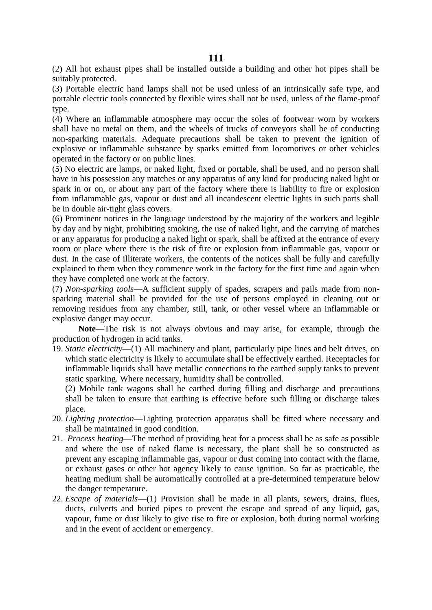(2) All hot exhaust pipes shall be installed outside a building and other hot pipes shall be suitably protected.

(3) Portable electric hand lamps shall not be used unless of an intrinsically safe type, and portable electric tools connected by flexible wires shall not be used, unless of the flame-proof type.

(4) Where an inflammable atmosphere may occur the soles of footwear worn by workers shall have no metal on them, and the wheels of trucks of conveyors shall be of conducting non-sparking materials. Adequate precautions shall be taken to prevent the ignition of explosive or inflammable substance by sparks emitted from locomotives or other vehicles operated in the factory or on public lines.

(5) No electric are lamps, or naked light, fixed or portable, shall be used, and no person shall have in his possession any matches or any apparatus of any kind for producing naked light or spark in or on, or about any part of the factory where there is liability to fire or explosion from inflammable gas, vapour or dust and all incandescent electric lights in such parts shall be in double air-tight glass covers.

(6) Prominent notices in the language understood by the majority of the workers and legible by day and by night, prohibiting smoking, the use of naked light, and the carrying of matches or any apparatus for producing a naked light or spark, shall be affixed at the entrance of every room or place where there is the risk of fire or explosion from inflammable gas, vapour or dust. In the case of illiterate workers, the contents of the notices shall be fully and carefully explained to them when they commence work in the factory for the first time and again when they have completed one work at the factory.

(7) *Non-sparking tools*—A sufficient supply of spades, scrapers and pails made from non sparking material shall be provided for the use of persons employed in cleaning out or removing residues from any chamber, still, tank, or other vessel where an inflammable or explosive danger may occur.

**Note**—The risk is not always obvious and may arise, for example, through the production of hydrogen in acid tanks.

19. *Static electricity*—(1) All machinery and plant, particularly pipe lines and belt drives, on which static electricity is likely to accumulate shall be effectively earthed. Receptacles for inflammable liquids shall have metallic connections to the earthed supply tanks to prevent static sparking. Where necessary, humidity shall be controlled.

(2) Mobile tank wagons shall be earthed during filling and discharge and precautions shall be taken to ensure that earthing is effective before such filling or discharge takes place.

- 20. *Lighting protection*—Lighting protection apparatus shall be fitted where necessary and shall be maintained in good condition.
- 21. *Process heating*—The method of providing heat for a process shall be as safe as possible and where the use of naked flame is necessary, the plant shall be so constructed as prevent any escaping inflammable gas, vapour or dust coming into contact with the flame, or exhaust gases or other hot agency likely to cause ignition. So far as practicable, the heating medium shall be automatically controlled at a pre-determined temperature below the danger temperature.
- 22. *Escape of materials*—(1) Provision shall be made in all plants, sewers, drains, flues, ducts, culverts and buried pipes to prevent the escape and spread of any liquid, gas, vapour, fume or dust likely to give rise to fire or explosion, both during normal working and in the event of accident or emergency.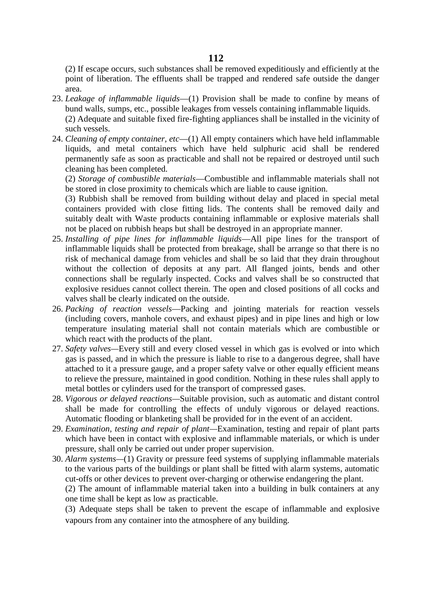(2) If escape occurs, such substances shall be removed expeditiously and efficiently at the point of liberation. The effluents shall be trapped and rendered safe outside the danger area.

- 23. *Leakage of inflammable liquids*—(1) Provision shall be made to confine by means of bund walls, sumps, etc., possible leakages from vessels containing inflammable liquids. (2) Adequate and suitable fixed fire-fighting appliances shall be installed in the vicinity of such vessels.
- 24. *Cleaning of empty container, etc*—(1) All empty containers which have held inflammable liquids, and metal containers which have held sulphuric acid shall be rendered permanently safe as soon as practicable and shall not be repaired or destroyed until such cleaning has been completed.

(2) *Storage of combustible materials*—Combustible and inflammable materials shall not be stored in close proximity to chemicals which are liable to cause ignition.

(3) Rubbish shall be removed from building without delay and placed in special metal containers provided with close fitting lids. The contents shall be removed daily and suitably dealt with Waste products containing inflammable or explosive materials shall not be placed on rubbish heaps but shall be destroyed in an appropriate manner.

- 25. *Installing of pipe lines for inflammable liquids*—All pipe lines for the transport of inflammable liquids shall be protected from breakage, shall be arrange so that there is no risk of mechanical damage from vehicles and shall be so laid that they drain throughout without the collection of deposits at any part. All flanged joints, bends and other connections shall be regularly inspected. Cocks and valves shall be so constructed that explosive residues cannot collect therein. The open and closed positions of all cocks and valves shall be clearly indicated on the outside.
- 26. *Packing of reaction vessels*—Packing and jointing materials for reaction vessels (including covers, manhole covers, and exhaust pipes) and in pipe lines and high or low temperature insulating material shall not contain materials which are combustible or which react with the products of the plant.
- 27. *Safety valves—*Every still and every closed vessel in which gas is evolved or into which gas is passed, and in which the pressure is liable to rise to a dangerous degree, shall have attached to it a pressure gauge, and a proper safety valve or other equally efficient means to relieve the pressure, maintained in good condition. Nothing in these rules shall apply to metal bottles or cylinders used for the transport of compressed gases.
- 28. *Vigorous or delayed reactions—*Suitable provision, such as automatic and distant control shall be made for controlling the effects of unduly vigorous or delayed reactions. Automatic flooding or blanketing shall be provided for in the event of an accident.
- 29. *Examination, testing and repair of plant—*Examination, testing and repair of plant parts which have been in contact with explosive and inflammable materials, or which is under pressure, shall only be carried out under proper supervision.
- 30. *Alarm systems—*(1) Gravity or pressure feed systems of supplying inflammable materials to the various parts of the buildings or plant shall be fitted with alarm systems, automatic cut-offs or other devices to prevent over-charging or otherwise endangering the plant.

(2) The amount of inflammable material taken into a building in bulk containers at any one time shall be kept as low as practicable.

(3) Adequate steps shall be taken to prevent the escape of inflammable and explosive vapours from any container into the atmosphere of any building.

### **112**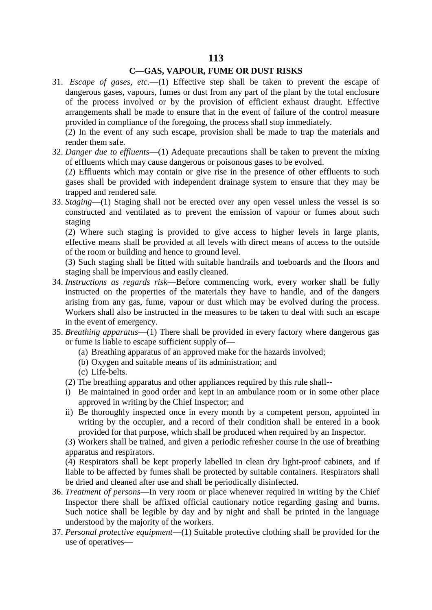# **C—GAS, VAPOUR, FUME OR DUST RISKS**

31. *Escape of gases, etc*.—(1) Effective step shall be taken to prevent the escape of dangerous gases, vapours, fumes or dust from any part of the plant by the total enclosure of the process involved or by the provision of efficient exhaust draught. Effective arrangements shall be made to ensure that in the event of failure of the control measure provided in compliance of the foregoing, the process shall stop immediately.

(2) In the event of any such escape, provision shall be made to trap the materials and render them safe.

32. *Danger due to effluents*—(1) Adequate precautions shall be taken to prevent the mixing of effluents which may cause dangerous or poisonous gases to be evolved.

(2) Effluents which may contain or give rise in the presence of other effluents to such gases shall be provided with independent drainage system to ensure that they may be trapped and rendered safe.

33. *Staging*—(1) Staging shall not be erected over any open vessel unless the vessel is so constructed and ventilated as to prevent the emission of vapour or fumes about such staging

(2) Where such staging is provided to give access to higher levels in large plants, effective means shall be provided at all levels with direct means of access to the outside of the room or building and hence to ground level.

(3) Such staging shall be fitted with suitable handrails and toeboards and the floors and staging shall be impervious and easily cleaned.

- 34. *Instructions as regards risk*—Before commencing work, every worker shall be fully instructed on the properties of the materials they have to handle, and of the dangers arising from any gas, fume, vapour or dust which may be evolved during the process. Workers shall also be instructed in the measures to be taken to deal with such an escape in the event of emergency.
- 35. *Breathing apparatus*—(1) There shall be provided in every factory where dangerous gas or fume is liable to escape sufficient supply of—
	- (a) Breathing apparatus of an approved make for the hazards involved;
	- (b) Oxygen and suitable means of its administration; and
	- (c) Life-belts.
	- (2) The breathing apparatus and other appliances required by this rule shall--
	- i) Be maintained in good order and kept in an ambulance room or in some other place approved in writing by the Chief Inspector; and
	- ii) Be thoroughly inspected once in every month by a competent person, appointed in writing by the occupier, and a record of their condition shall be entered in a book provided for that purpose, which shall be produced when required by an Inspector.

(3) Workers shall be trained, and given a periodic refresher course in the use of breathing apparatus and respirators.

(4) Respirators shall be kept properly labelled in clean dry light-proof cabinets, and if liable to be affected by fumes shall be protected by suitable containers. Respirators shall be dried and cleaned after use and shall be periodically disinfected.

- 36. *Treatment of persons*—In very room or place whenever required in writing by the Chief Inspector there shall be affixed official cautionary notice regarding gasing and burns. Such notice shall be legible by day and by night and shall be printed in the language understood by the majority of the workers.
- 37. *Personal protective equipment*—(1) Suitable protective clothing shall be provided for the use of operatives—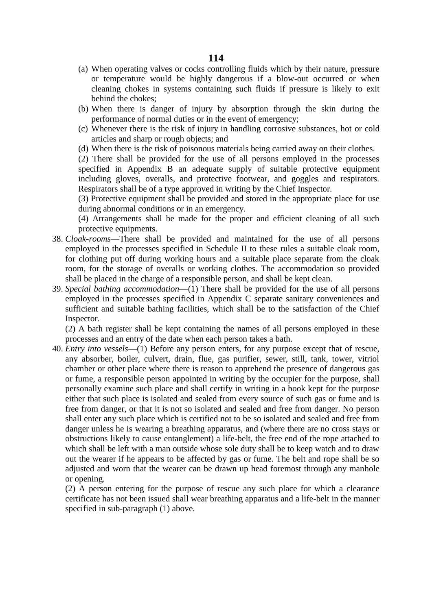- (a) When operating valves or cocks controlling fluids which by their nature, pressure or temperature would be highly dangerous if a blow-out occurred or when cleaning chokes in systems containing such fluids if pressure is likely to exit behind the chokes;
- (b) When there is danger of injury by absorption through the skin during the performance of normal duties or in the event of emergency;
- (c) Whenever there is the risk of injury in handling corrosive substances, hot or cold articles and sharp or rough objects; and
- (d) When there is the risk of poisonous materials being carried away on their clothes.

(2) There shall be provided for the use of all persons employed in the processes specified in Appendix B an adequate supply of suitable protective equipment including gloves, overalls, and protective footwear, and goggles and respirators. Respirators shall be of a type approved in writing by the Chief Inspector.

(3) Protective equipment shall be provided and stored in the appropriate place for use during abnormal conditions or in an emergency.

(4) Arrangements shall be made for the proper and efficient cleaning of all such protective equipments.

- 38. *Cloak-rooms*—There shall be provided and maintained for the use of all persons employed in the processes specified in Schedule II to these rules a suitable cloak room, for clothing put off during working hours and a suitable place separate from the cloak room, for the storage of overalls or working clothes. The accommodation so provided shall be placed in the charge of a responsible person, and shall be kept clean.
- 39. *Special bathing accommodation*—(1) There shall be provided for the use of all persons employed in the processes specified in Appendix C separate sanitary conveniences and sufficient and suitable bathing facilities, which shall be to the satisfaction of the Chief Inspector.

(2) A bath register shall be kept containing the names of all persons employed in these processes and an entry of the date when each person takes a bath.

40. *Entry into vessels*—(1) Before any person enters, for any purpose except that of rescue, any absorber, boiler, culvert, drain, flue, gas purifier, sewer, still, tank, tower, vitriol chamber or other place where there is reason to apprehend the presence of dangerous gas or fume, a responsible person appointed in writing by the occupier for the purpose, shall personally examine such place and shall certify in writing in a book kept for the purpose either that such place is isolated and sealed from every source of such gas or fume and is free from danger, or that it is not so isolated and sealed and free from danger. No person shall enter any such place which is certified not to be so isolated and sealed and free from danger unless he is wearing a breathing apparatus, and (where there are no cross stays or obstructions likely to cause entanglement) a life-belt, the free end of the rope attached to which shall be left with a man outside whose sole duty shall be to keep watch and to draw out the wearer if he appears to be affected by gas or fume. The belt and rope shall be so adjusted and worn that the wearer can be drawn up head foremost through any manhole or opening.

(2) A person entering for the purpose of rescue any such place for which a clearance certificate has not been issued shall wear breathing apparatus and a life-belt in the manner specified in sub-paragraph (1) above.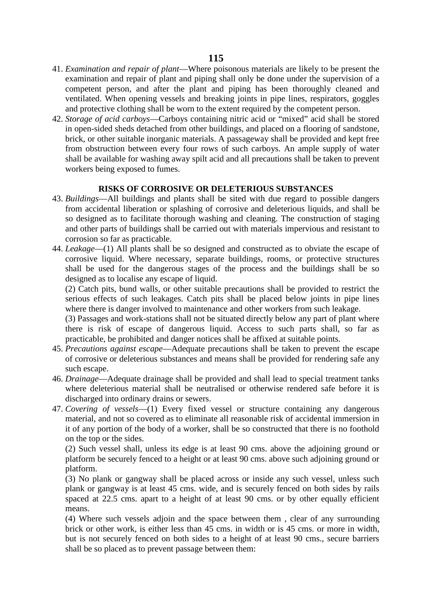- 41. *Examination and repair of plant*—Where poisonous materials are likely to be present the examination and repair of plant and piping shall only be done under the supervision of a competent person, and after the plant and piping has been thoroughly cleaned and ventilated. When opening vessels and breaking joints in pipe lines, respirators, goggles and protective clothing shall be worn to the extent required by the competent person.
- 42. *Storage of acid carboys*—Carboys containing nitric acid or "mixed" acid shall be stored in open-sided sheds detached from other buildings, and placed on a flooring of sandstone, brick, or other suitable inorganic materials. A passageway shall be provided and kept free from obstruction between every four rows of such carboys. An ample supply of water shall be available for washing away spilt acid and all precautions shall be taken to prevent workers being exposed to fumes.

# **RISKS OF CORROSIVE OR DELETERIOUS SUBSTANCES**

- 43. *Buildings*—All buildings and plants shall be sited with due regard to possible dangers from accidental liberation or splashing of corrosive and deleterious liquids, and shall be so designed as to facilitate thorough washing and cleaning. The construction of staging and other parts of buildings shall be carried out with materials impervious and resistant to corrosion so far as practicable.
- 44. *Leakage*—(1) All plants shall be so designed and constructed as to obviate the escape of corrosive liquid. Where necessary, separate buildings, rooms, or protective structures shall be used for the dangerous stages of the process and the buildings shall be so designed as to localise any escape of liquid.

(2) Catch pits, bund walls, or other suitable precautions shall be provided to restrict the serious effects of such leakages. Catch pits shall be placed below joints in pipe lines where there is danger involved to maintenance and other workers from such leakage.

(3) Passages and work-stations shall not be situated directly below any part of plant where there is risk of escape of dangerous liquid. Access to such parts shall, so far as practicable, be prohibited and danger notices shall be affixed at suitable points.

- 45. *Precautions against escape*—Adequate precautions shall be taken to prevent the escape of corrosive or deleterious substances and means shall be provided for rendering safe any such escape.
- 46. *Drainage*—Adequate drainage shall be provided and shall lead to special treatment tanks where deleterious material shall be neutralised or otherwise rendered safe before it is discharged into ordinary drains or sewers.
- 47. *Covering of vessels*—(1) Every fixed vessel or structure containing any dangerous material, and not so covered as to eliminate all reasonable risk of accidental immersion in it of any portion of the body of a worker, shall be so constructed that there is no foothold on the top or the sides.

(2) Such vessel shall, unless its edge is at least 90 cms. above the adjoining ground or platform be securely fenced to a height or at least 90 cms. above such adjoining ground or platform.

(3) No plank or gangway shall be placed across or inside any such vessel, unless such plank or gangway is at least 45 cms. wide, and is securely fenced on both sides by rails spaced at 22.5 cms. apart to a height of at least 90 cms. or by other equally efficient means.

(4) Where such vessels adjoin and the space between them , clear of any surrounding brick or other work, is either less than 45 cms. in width or is 45 cms. or more in width, but is not securely fenced on both sides to a height of at least 90 cms., secure barriers shall be so placed as to prevent passage between them: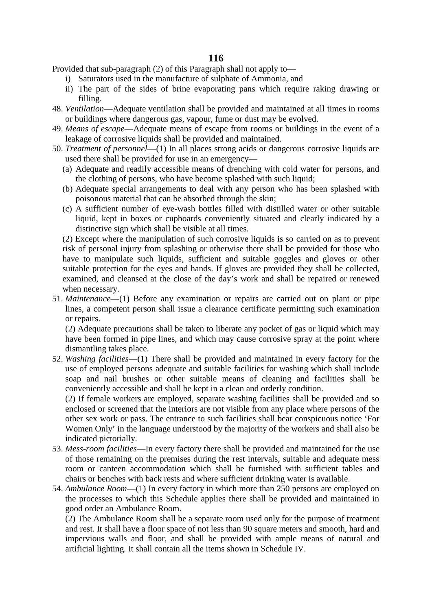Provided that sub-paragraph (2) of this Paragraph shall not apply to—

- i) Saturators used in the manufacture of sulphate of Ammonia, and
- ii) The part of the sides of brine evaporating pans which require raking drawing or filling.
- 48. *Ventilation*—Adequate ventilation shall be provided and maintained at all times in rooms or buildings where dangerous gas, vapour, fume or dust may be evolved.
- 49. *Means of escape*—Adequate means of escape from rooms or buildings in the event of a leakage of corrosive liquids shall be provided and maintained.
- 50. *Treatment of personnel*—(1) In all places strong acids or dangerous corrosive liquids are used there shall be provided for use in an emergency—
	- (a) Adequate and readily accessible means of drenching with cold water for persons, and the clothing of persons, who have become splashed with such liquid;
	- (b) Adequate special arrangements to deal with any person who has been splashed with poisonous material that can be absorbed through the skin;
	- (c) A sufficient number of eye-wash bottles filled with distilled water or other suitable liquid, kept in boxes or cupboards conveniently situated and clearly indicated by a distinctive sign which shall be visible at all times.

(2) Except where the manipulation of such corrosive liquids is so carried on as to prevent risk of personal injury from splashing or otherwise there shall be provided for those who have to manipulate such liquids, sufficient and suitable goggles and gloves or other suitable protection for the eyes and hands. If gloves are provided they shall be collected, examined, and cleansed at the close of the day's work and shall be repaired or renewed when necessary.

51. *Maintenance*—(1) Before any examination or repairs are carried out on plant or pipe lines, a competent person shall issue a clearance certificate permitting such examination or repairs.

(2) Adequate precautions shall be taken to liberate any pocket of gas or liquid which may have been formed in pipe lines, and which may cause corrosive spray at the point where dismantling takes place.

52. *Washing facilities*—(1) There shall be provided and maintained in every factory for the use of employed persons adequate and suitable facilities for washing which shall include soap and nail brushes or other suitable means of cleaning and facilities shall be conveniently accessible and shall be kept in a clean and orderly condition.

(2) If female workers are employed, separate washing facilities shall be provided and so enclosed or screened that the interiors are not visible from any place where persons of the other sex work or pass. The entrance to such facilities shall bear conspicuous notice 'For Women Only' in the language understood by the majority of the workers and shall also be indicated pictorially.

- 53. *Mess-room facilities*—In every factory there shall be provided and maintained for the use of those remaining on the premises during the rest intervals, suitable and adequate mess room or canteen accommodation which shall be furnished with sufficient tables and chairs or benches with back rests and where sufficient drinking water is available.
- 54. *Ambulance Room*—(1) In every factory in which more than 250 persons are employed on the processes to which this Schedule applies there shall be provided and maintained in good order an Ambulance Room.

(2) The Ambulance Room shall be a separate room used only for the purpose of treatment and rest. It shall have a floor space of not less than 90 square meters and smooth, hard and impervious walls and floor, and shall be provided with ample means of natural and artificial lighting. It shall contain all the items shown in Schedule IV.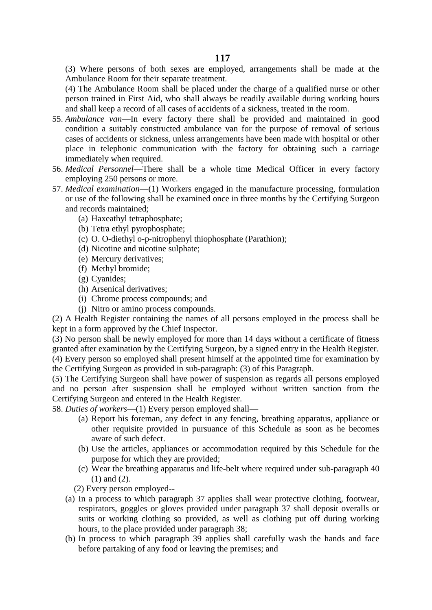(3) Where persons of both sexes are employed, arrangements shall be made at the Ambulance Room for their separate treatment.

(4) The Ambulance Room shall be placed under the charge of a qualified nurse or other person trained in First Aid, who shall always be readily available during working hours and shall keep a record of all cases of accidents of a sickness, treated in the room.

- 55. *Ambulance van*—In every factory there shall be provided and maintained in good condition a suitably constructed ambulance van for the purpose of removal of serious cases of accidents or sickness, unless arrangements have been made with hospital or other place in telephonic communication with the factory for obtaining such a carriage immediately when required.
- 56. *Medical Personnel*—There shall be a whole time Medical Officer in every factory employing 250 persons or more.
- 57. *Medical examination*—(1) Workers engaged in the manufacture processing, formulation or use of the following shall be examined once in three months by the Certifying Surgeon and records maintained;
	- (a) Haxeathyl tetraphosphate;
	- (b) Tetra ethyl pyrophosphate;
	- (c) O. O-diethyl o-p-nitrophenyl thiophosphate (Parathion);
	- (d) Nicotine and nicotine sulphate;
	- (e) Mercury derivatives;
	- (f) Methyl bromide;
	- (g) Cyanides;
	- (h) Arsenical derivatives;
	- (i) Chrome process compounds; and
	- (j) Nitro or amino process compounds.

(2) A Health Register containing the names of all persons employed in the process shall be kept in a form approved by the Chief Inspector.

(3) No person shall be newly employed for more than 14 days without a certificate of fitness granted after examination by the Certifying Surgeon, by a signed entry in the Health Register. (4) Every person so employed shall present himself at the appointed time for examination by the Certifying Surgeon as provided in sub-paragraph: (3) of this Paragraph.

(5) The Certifying Surgeon shall have power of suspension as regards all persons employed and no person after suspension shall be employed without written sanction from the Certifying Surgeon and entered in the Health Register.

58. *Duties of workers*—(1) Every person employed shall—

- (a) Report his foreman, any defect in any fencing, breathing apparatus, appliance or other requisite provided in pursuance of this Schedule as soon as he becomes aware of such defect.
- (b) Use the articles, appliances or accommodation required by this Schedule for the purpose for which they are provided;
- (c) Wear the breathing apparatus and life-belt where required under sub-paragraph 40 (1) and (2).
- (2) Every person employed--
- (a) In a process to which paragraph 37 applies shall wear protective clothing, footwear, respirators, goggles or gloves provided under paragraph 37 shall deposit overalls or suits or working clothing so provided, as well as clothing put off during working hours, to the place provided under paragraph 38;
- (b) In process to which paragraph 39 applies shall carefully wash the hands and face before partaking of any food or leaving the premises; and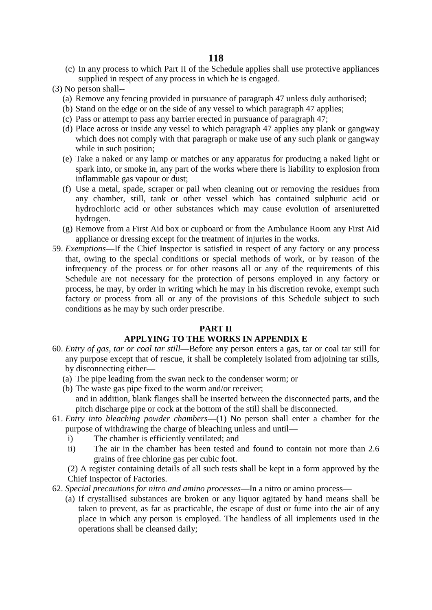(c) In any process to which Part II of the Schedule applies shall use protective appliances supplied in respect of any process in which he is engaged.

(3) No person shall--

- (a) Remove any fencing provided in pursuance of paragraph 47 unless duly authorised;
- (b) Stand on the edge or on the side of any vessel to which paragraph 47 applies;
- (c) Pass or attempt to pass any barrier erected in pursuance of paragraph 47;
- (d) Place across or inside any vessel to which paragraph 47 applies any plank or gangway which does not comply with that paragraph or make use of any such plank or gangway while in such position;
- (e) Take a naked or any lamp or matches or any apparatus for producing a naked light or spark into, or smoke in, any part of the works where there is liability to explosion from inflammable gas vapour or dust;
- (f) Use a metal, spade, scraper or pail when cleaning out or removing the residues from any chamber, still, tank or other vessel which has contained sulphuric acid or hydrochloric acid or other substances which may cause evolution of arseniuretted hydrogen.
- (g) Remove from a First Aid box or cupboard or from the Ambulance Room any First Aid appliance or dressing except for the treatment of injuries in the works.
- 59. *Exemptions*—If the Chief Inspector is satisfied in respect of any factory or any process that, owing to the special conditions or special methods of work, or by reason of the infrequency of the process or for other reasons all or any of the requirements of this Schedule are not necessary for the protection of persons employed in any factory or process, he may, by order in writing which he may in his discretion revoke, exempt such factory or process from all or any of the provisions of this Schedule subject to such conditions as he may by such order prescribe.

#### **PART II**

### **APPLYING TO THE WORKS IN APPENDIX E**

- 60. *Entry of gas, tar or coal tar still*—Before any person enters a gas, tar or coal tar still for any purpose except that of rescue, it shall be completely isolated from adjoining tar stills, by disconnecting either—
	- (a) The pipe leading from the swan neck to the condenser worm; or
	- (b) The waste gas pipe fixed to the worm and/or receiver; and in addition, blank flanges shall be inserted between the disconnected parts, and the pitch discharge pipe or cock at the bottom of the still shall be disconnected.
- 61. *Entry into bleaching powder chambers*—(1) No person shall enter a chamber for the purpose of withdrawing the charge of bleaching unless and until
	- i) The chamber is efficiently ventilated; and
	- ii) The air in the chamber has been tested and found to contain not more than 2.6 grains of free chlorine gas per cubic foot.

(2) A register containing details of all such tests shall be kept in a form approved by the Chief Inspector of Factories.

- 62. *Special precautions for nitro and amino processes*—In a nitro or amino process—
	- (a) If crystallised substances are broken or any liquor agitated by hand means shall be taken to prevent, as far as practicable, the escape of dust or fume into the air of any place in which any person is employed. The handless of all implements used in the operations shall be cleansed daily;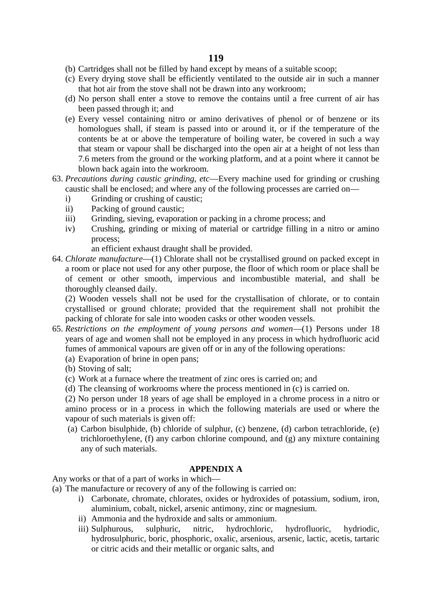- (b) Cartridges shall not be filled by hand except by means of a suitable scoop;
- (c) Every drying stove shall be efficiently ventilated to the outside air in such a manner that hot air from the stove shall not be drawn into any workroom;
- (d) No person shall enter a stove to remove the contains until a free current of air has been passed through it; and
- (e) Every vessel containing nitro or amino derivatives of phenol or of benzene or its homologues shall, if steam is passed into or around it, or if the temperature of the contents be at or above the temperature of boiling water, be covered in such a way that steam or vapour shall be discharged into the open air at a height of not less than 7.6 meters from the ground or the working platform, and at a point where it cannot be blown back again into the workroom.
- 63. *Precautions during caustic grinding, etc*—Every machine used for grinding or crushing caustic shall be enclosed; and where any of the following processes are carried on
	- i) Grinding or crushing of caustic;
	- ii) Packing of ground caustic;
	- iii) Grinding, sieving, evaporation or packing in a chrome process; and
	- iv) Crushing, grinding or mixing of material or cartridge filling in a nitro or amino process;

an efficient exhaust draught shall be provided.

64. *Chlorate manufacture*—(1) Chlorate shall not be crystallised ground on packed except in a room or place not used for any other purpose, the floor of which room or place shall be of cement or other smooth, impervious and incombustible material, and shall be thoroughly cleansed daily.

(2) Wooden vessels shall not be used for the crystallisation of chlorate, or to contain crystallised or ground chlorate; provided that the requirement shall not prohibit the packing of chlorate for sale into wooden casks or other wooden vessels.

- 65. *Restrictions on the employment of young persons and women*—(1) Persons under 18 years of age and women shall not be employed in any process in which hydrofluoric acid fumes of ammonical vapours are given off or in any of the following operations:
	- (a) Evaporation of brine in open pans;
	- (b) Stoving of salt;
	- (c) Work at a furnace where the treatment of zinc ores is carried on; and
	- (d) The cleansing of workrooms where the process mentioned in (c) is carried on.

(2) No person under 18 years of age shall be employed in a chrome process in a nitro or amino process or in a process in which the following materials are used or where the vapour of such materials is given off:

(a) Carbon bisulphide, (b) chloride of sulphur, (c) benzene, (d) carbon tetrachloride, (e) trichloroethylene, (f) any carbon chlorine compound, and (g) any mixture containing any of such materials.

#### **APPENDIX A**

Any works or that of a part of works in which—

- (a) The manufacture or recovery of any of the following is carried on:
	- i) Carbonate, chromate, chlorates, oxides or hydroxides of potassium, sodium, iron, aluminium, cobalt, nickel, arsenic antimony, zinc or magnesium.
	- ii) Ammonia and the hydroxide and salts or ammonium.
	- iii) Sulphurous, sulphuric, nitric, hydrochloric, hydrofluoric, hydriodic, hydrosulphuric, boric, phosphoric, oxalic, arsenious, arsenic, lactic, acetis, tartaric or citric acids and their metallic or organic salts, and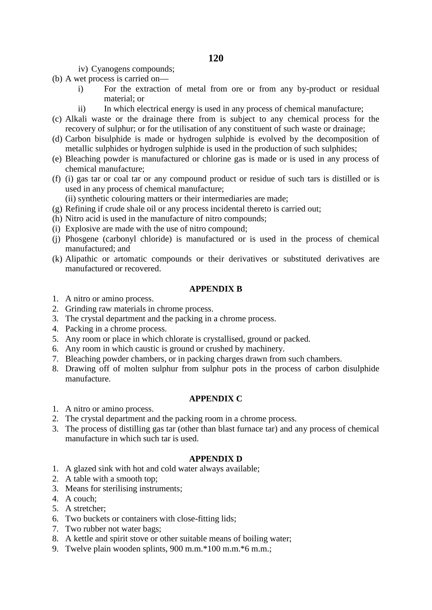- iv) Cyanogens compounds;
- (b) A wet process is carried on
	- i) For the extraction of metal from ore or from any by-product or residual material; or
	- ii) In which electrical energy is used in any process of chemical manufacture;
- (c) Alkali waste or the drainage there from is subject to any chemical process for the recovery of sulphur; or for the utilisation of any constituent of such waste or drainage;
- (d) Carbon bisulphide is made or hydrogen sulphide is evolved by the decomposition of metallic sulphides or hydrogen sulphide is used in the production of such sulphides;
- (e) Bleaching powder is manufactured or chlorine gas is made or is used in any process of chemical manufacture;
- (f) (i) gas tar or coal tar or any compound product or residue of such tars is distilled or is used in any process of chemical manufacture;
	- (ii) synthetic colouring matters or their intermediaries are made;
- (g) Refining if crude shale oil or any process incidental thereto is carried out;
- (h) Nitro acid is used in the manufacture of nitro compounds;
- (i) Explosive are made with the use of nitro compound;
- (j) Phosgene (carbonyl chloride) is manufactured or is used in the process of chemical manufactured; and
- (k) Alipathic or artomatic compounds or their derivatives or substituted derivatives are manufactured or recovered.

# **APPENDIX B**

- 1. A nitro or amino process.
- 2. Grinding raw materials in chrome process.
- 3. The crystal department and the packing in a chrome process.
- 4. Packing in a chrome process.
- 5. Any room or place in which chlorate is crystallised, ground or packed.
- 6. Any room in which caustic is ground or crushed by machinery.
- 7. Bleaching powder chambers, or in packing charges drawn from such chambers.
- 8. Drawing off of molten sulphur from sulphur pots in the process of carbon disulphide manufacture.

### **APPENDIX C**

- 1. A nitro or amino process.
- 2. The crystal department and the packing room in a chrome process.
- 3. The process of distilling gas tar (other than blast furnace tar) and any process of chemical manufacture in which such tar is used.

## **APPENDIX D**

- 1. A glazed sink with hot and cold water always available;
- 2. A table with a smooth top;
- 3. Means for sterilising instruments;
- 4. A couch;
- 5. A stretcher;
- 6. Two buckets or containers with close-fitting lids;
- 7. Two rubber not water bags;
- 8. A kettle and spirit stove or other suitable means of boiling water;
- 9. Twelve plain wooden splints, 900 m.m.\*100 m.m.\*6 m.m.;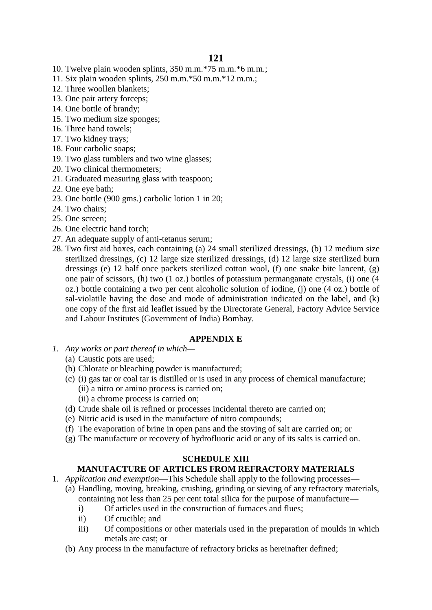- 10. Twelve plain wooden splints, 350 m.m.\*75 m.m.\*6 m.m.;
- 11. Six plain wooden splints, 250 m.m.\*50 m.m.\*12 m.m.;
- 12. Three woollen blankets;
- 13. One pair artery forceps;
- 14. One bottle of brandy;
- 15. Two medium size sponges;
- 16. Three hand towels;
- 17. Two kidney trays;
- 18. Four carbolic soaps;
- 19. Two glass tumblers and two wine glasses;
- 20. Two clinical thermometers;
- 21. Graduated measuring glass with teaspoon;
- 22. One eye bath;
- 23. One bottle (900 gms.) carbolic lotion 1 in 20;
- 24. Two chairs;
- 25. One screen;
- 26. One electric hand torch;
- 27. An adequate supply of anti-tetanus serum;
- 28. Two first aid boxes, each containing (a) 24 small sterilized dressings, (b) 12 medium size sterilized dressings, (c) 12 large size sterilized dressings, (d) 12 large size sterilized burn dressings (e) 12 half once packets sterilized cotton wool, (f) one snake bite lancent, (g) one pair of scissors, (h) two (1 oz.) bottles of potassium permanganate crystals, (i) one (4 oz.) bottle containing a two per cent alcoholic solution of iodine, (j) one (4 oz.) bottle of sal-violatile having the dose and mode of administration indicated on the label, and (k) one copy of the first aid leaflet issued by the Directorate General, Factory Advice Service and Labour Institutes (Government of India) Bombay.

### **APPENDIX E**

- *1. Any works or part thereof in which—*
	- (a) Caustic pots are used;
	- (b) Chlorate or bleaching powder is manufactured;
	- (c) (i) gas tar or coal tar is distilled or is used in any process of chemical manufacture; (ii) a nitro or amino process is carried on;
		- (ii) a chrome process is carried on;
	- (d) Crude shale oil is refined or processes incidental thereto are carried on;
	- (e) Nitric acid is used in the manufacture of nitro compounds;
	- (f) The evaporation of brine in open pans and the stoving of salt are carried on; or
	- (g) The manufacture or recovery of hydrofluoric acid or any of its salts is carried on.

## **SCHEDULE XIII**

# **MANUFACTURE OF ARTICLES FROM REFRACTORY MATERIALS**

- 1. *Application and exemption*—This Schedule shall apply to the following processes—
	- (a) Handling, moving, breaking, crushing, grinding or sieving of any refractory materials, containing not less than 25 per cent total silica for the purpose of manufacture
		- i) Of articles used in the construction of furnaces and flues;
		- ii) Of crucible; and
		- iii) Of compositions or other materials used in the preparation of moulds in which metals are cast; or
		- (b) Any process in the manufacture of refractory bricks as hereinafter defined;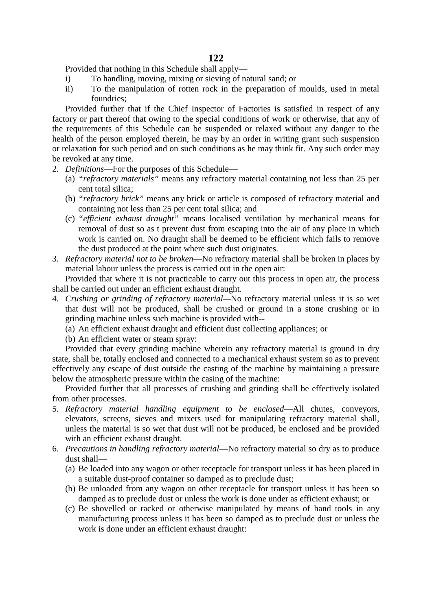Provided that nothing in this Schedule shall apply—

- i) To handling, moving, mixing or sieving of natural sand; or
- ii) To the manipulation of rotten rock in the preparation of moulds, used in metal foundries;

Provided further that if the Chief Inspector of Factories is satisfied in respect of any factory or part thereof that owing to the special conditions of work or otherwise, that any of the requirements of this Schedule can be suspended or relaxed without any danger to the health of the person employed therein, he may by an order in writing grant such suspension or relaxation for such period and on such conditions as he may think fit. Any such order may be revoked at any time.

- 2. *Definitions*—For the purposes of this Schedule—
	- (a) *"refractory materials"* means any refractory material containing not less than 25 per cent total silica;
	- (b) *"refractory brick"* means any brick or article is composed of refractory material and containing not less than 25 per cent total silica; and
	- (c) *"efficient exhaust draught"* means localised ventilation by mechanical means for removal of dust so as t prevent dust from escaping into the air of any place in which work is carried on. No draught shall be deemed to be efficient which fails to remove the dust produced at the point where such dust originates.
- 3. *Refractory material not to be broken*—No refractory material shall be broken in places by material labour unless the process is carried out in the open air:

Provided that where it is not practicable to carry out this process in open air, the process shall be carried out under an efficient exhaust draught.

- 4. *Crushing or grinding of refractory material—*No refractory material unless it is so wet that dust will not be produced, shall be crushed or ground in a stone crushing or in grinding machine unless such machine is provided with--
	- (a) An efficient exhaust draught and efficient dust collecting appliances; or

(b) An efficient water or steam spray:

Provided that every grinding machine wherein any refractory material is ground in dry state, shall be, totally enclosed and connected to a mechanical exhaust system so as to prevent effectively any escape of dust outside the casting of the machine by maintaining a pressure below the atmospheric pressure within the casing of the machine:

Provided further that all processes of crushing and grinding shall be effectively isolated from other processes.

- 5. *Refractory material handling equipment to be enclosed*—All chutes, conveyors, elevators, screens, sieves and mixers used for manipulating refractory material shall, unless the material is so wet that dust will not be produced, be enclosed and be provided with an efficient exhaust draught.
- 6. *Precautions in handling refractory material*—No refractory material so dry as to produce dust shall—
	- (a) Be loaded into any wagon or other receptacle for transport unless it has been placed in a suitable dust-proof container so damped as to preclude dust;
	- (b) Be unloaded from any wagon on other receptacle for transport unless it has been so damped as to preclude dust or unless the work is done under as efficient exhaust; or
	- (c) Be shovelled or racked or otherwise manipulated by means of hand tools in any manufacturing process unless it has been so damped as to preclude dust or unless the work is done under an efficient exhaust draught: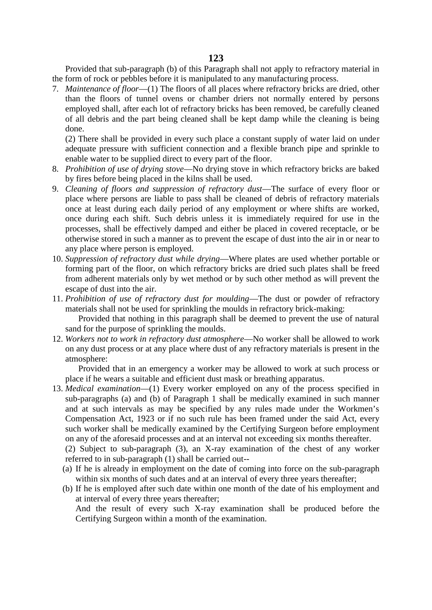Provided that sub-paragraph (b) of this Paragraph shall not apply to refractory material in the form of rock or pebbles before it is manipulated to any manufacturing process.

7. *Maintenance of floor*—(1) The floors of all places where refractory bricks are dried, other than the floors of tunnel ovens or chamber driers not normally entered by persons employed shall, after each lot of refractory bricks has been removed, be carefully cleaned of all debris and the part being cleaned shall be kept damp while the cleaning is being done.

(2) There shall be provided in every such place a constant supply of water laid on under adequate pressure with sufficient connection and a flexible branch pipe and sprinkle to enable water to be supplied direct to every part of the floor.

- 8. *Prohibition of use of drying stove*—No drying stove in which refractory bricks are baked by fires before being placed in the kilns shall be used.
- 9. *Cleaning of floors and suppression of refractory dust*—The surface of every floor or place where persons are liable to pass shall be cleaned of debris of refractory materials once at least during each daily period of any employment or where shifts are worked, once during each shift. Such debris unless it is immediately required for use in the processes, shall be effectively damped and either be placed in covered receptacle, or be otherwise stored in such a manner as to prevent the escape of dust into the air in or near to any place where person is employed.
- 10. *Suppression of refractory dust while drying*—Where plates are used whether portable or forming part of the floor, on which refractory bricks are dried such plates shall be freed from adherent materials only by wet method or by such other method as will prevent the escape of dust into the air.
- 11. *Prohibition of use of refractory dust for moulding*—The dust or powder of refractory materials shall not be used for sprinkling the moulds in refractory brick-making: Provided that nothing in this paragraph shall be deemed to prevent the use of natural

sand for the purpose of sprinkling the moulds.

12. *Workers not to work in refractory dust atmosphere*—No worker shall be allowed to work on any dust process or at any place where dust of any refractory materials is present in the atmosphere:

Provided that in an emergency a worker may be allowed to work at such process or place if he wears a suitable and efficient dust mask or breathing apparatus.

13. *Medical examination*—(1) Every worker employed on any of the process specified in sub-paragraphs (a) and (b) of Paragraph 1 shall be medically examined in such manner and at such intervals as may be specified by any rules made under the Workmen's Compensation Act, 1923 or if no such rule has been framed under the said Act, every such worker shall be medically examined by the Certifying Surgeon before employment on any of the aforesaid processes and at an interval not exceeding six months thereafter.

(2) Subject to sub-paragraph (3), an X-ray examination of the chest of any worker referred to in sub-paragraph (1) shall be carried out--

- (a) If he is already in employment on the date of coming into force on the sub-paragraph within six months of such dates and at an interval of every three years thereafter;
- (b) If he is employed after such date within one month of the date of his employment and at interval of every three years thereafter;

And the result of every such X-ray examination shall be produced before the Certifying Surgeon within a month of the examination.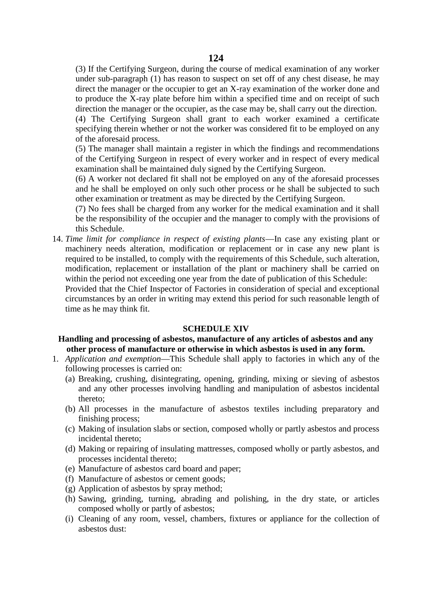(3) If the Certifying Surgeon, during the course of medical examination of any worker under sub-paragraph (1) has reason to suspect on set off of any chest disease, he may direct the manager or the occupier to get an X-ray examination of the worker done and to produce the X-ray plate before him within a specified time and on receipt of such direction the manager or the occupier, as the case may be, shall carry out the direction.

(4) The Certifying Surgeon shall grant to each worker examined a certificate specifying therein whether or not the worker was considered fit to be employed on any of the aforesaid process.

(5) The manager shall maintain a register in which the findings and recommendations of the Certifying Surgeon in respect of every worker and in respect of every medical examination shall be maintained duly signed by the Certifying Surgeon.

(6) A worker not declared fit shall not be employed on any of the aforesaid processes and he shall be employed on only such other process or he shall be subjected to such other examination or treatment as may be directed by the Certifying Surgeon.

(7) No fees shall be charged from any worker for the medical examination and it shall be the responsibility of the occupier and the manager to comply with the provisions of this Schedule.

14. *Time limit for compliance in respect of existing plants*—In case any existing plant or machinery needs alteration, modification or replacement or in case any new plant is required to be installed, to comply with the requirements of this Schedule, such alteration, modification, replacement or installation of the plant or machinery shall be carried on within the period not exceeding one year from the date of publication of this Schedule:

Provided that the Chief Inspector of Factories in consideration of special and exceptional circumstances by an order in writing may extend this period for such reasonable length of time as he may think fit.

#### **SCHEDULE XIV**

# **Handling and processing of asbestos, manufacture of any articles of asbestos and any other process of manufacture or otherwise in which asbestos is used in any form.**

- 1. *Application and exemption*—This Schedule shall apply to factories in which any of the following processes is carried on:
	- (a) Breaking, crushing, disintegrating, opening, grinding, mixing or sieving of asbestos and any other processes involving handling and manipulation of asbestos incidental thereto;
	- (b) All processes in the manufacture of asbestos textiles including preparatory and finishing process;
	- (c) Making of insulation slabs or section, composed wholly or partly asbestos and process incidental thereto;
	- (d) Making or repairing of insulating mattresses, composed wholly or partly asbestos, and processes incidental thereto;
	- (e) Manufacture of asbestos card board and paper;
	- (f) Manufacture of asbestos or cement goods;
	- (g) Application of asbestos by spray method;
	- (h) Sawing, grinding, turning, abrading and polishing, in the dry state, or articles composed wholly or partly of asbestos;
	- (i) Cleaning of any room, vessel, chambers, fixtures or appliance for the collection of asbestos dust: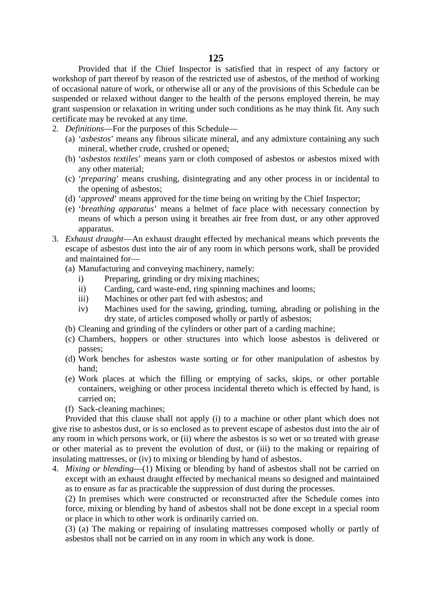Provided that if the Chief Inspector is satisfied that in respect of any factory or workshop of part thereof by reason of the restricted use of asbestos, of the method of working of occasional nature of work, or otherwise all or any of the provisions of this Schedule can be suspended or relaxed without danger to the health of the persons employed therein, he may grant suspension or relaxation in writing under such conditions as he may think fit. Any such certificate may be revoked at any time.

- 2. *Definitions*—For the purposes of this Schedule—
	- (a) '*asbestos*' means any fibrous silicate mineral, and any admixture containing any such mineral, whether crude, crushed or opened;
	- (b) '*asbestos textiles*' means yarn or cloth composed of asbestos or asbestos mixed with any other material;
	- (c) '*preparing*' means crushing, disintegrating and any other process in or incidental to the opening of asbestos;
	- (d) '*approved*' means approved for the time being on writing by the Chief Inspector;
	- (e) '*breathing apparatus*' means a helmet of face place with necessary connection by means of which a person using it breathes air free from dust, or any other approved apparatus.
- 3. *Exhaust draught*—An exhaust draught effected by mechanical means which prevents the escape of asbestos dust into the air of any room in which persons work, shall be provided and maintained for—
	- (a) Manufacturing and conveying machinery, namely:
		- i) Preparing, grinding or dry mixing machines;
		- ii) Carding, card waste-end, ring spinning machines and looms;
		- iii) Machines or other part fed with asbestos; and
		- iv) Machines used for the sawing, grinding, turning, abrading or polishing in the dry state, of articles composed wholly or partly of asbestos;
	- (b) Cleaning and grinding of the cylinders or other part of a carding machine;
	- (c) Chambers, hoppers or other structures into which loose asbestos is delivered or passes;
	- (d) Work benches for asbestos waste sorting or for other manipulation of asbestos by hand;
	- (e) Work places at which the filling or emptying of sacks, skips, or other portable containers, weighing or other process incidental thereto which is effected by hand, is carried on;
	- (f) Sack-cleaning machines;

Provided that this clause shall not apply (i) to a machine or other plant which does not give rise to asbestos dust, or is so enclosed as to prevent escape of asbestos dust into the air of any room in which persons work, or (ii) where the asbestos is so wet or so treated with grease or other material as to prevent the evolution of dust, or (iii) to the making or repairing of insulating mattresses, or (iv) to mixing or blending by hand of asbestos.

4. *Mixing or blending*—(1) Mixing or blending by hand of asbestos shall not be carried on except with an exhaust draught effected by mechanical means so designed and maintained as to ensure as far as practicable the suppression of dust during the processes.

(2) In premises which were constructed or reconstructed after the Schedule comes into force, mixing or blending by hand of asbestos shall not be done except in a special room or place in which to other work is ordinarily carried on.

(3) (a) The making or repairing of insulating mattresses composed wholly or partly of asbestos shall not be carried on in any room in which any work is done.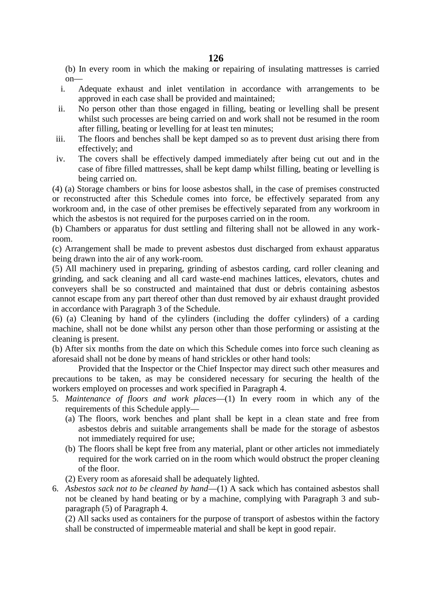(b) In every room in which the making or repairing of insulating mattresses is carried on—

- i. Adequate exhaust and inlet ventilation in accordance with arrangements to be approved in each case shall be provided and maintained;
- ii. No person other than those engaged in filling, beating or levelling shall be present whilst such processes are being carried on and work shall not be resumed in the room after filling, beating or levelling for at least ten minutes;
- iii. The floors and benches shall be kept damped so as to prevent dust arising there from effectively; and
- iv. The covers shall be effectively damped immediately after being cut out and in the case of fibre filled mattresses, shall be kept damp whilst filling, beating or levelling is being carried on.

(4) (a) Storage chambers or bins for loose asbestos shall, in the case of premises constructed or reconstructed after this Schedule comes into force, be effectively separated from any workroom and, in the case of other premises be effectively separated from any workroom in which the asbestos is not required for the purposes carried on in the room.

(b) Chambers or apparatus for dust settling and filtering shall not be allowed in any workroom.

(c) Arrangement shall be made to prevent asbestos dust discharged from exhaust apparatus being drawn into the air of any work-room.

(5) All machinery used in preparing, grinding of asbestos carding, card roller cleaning and grinding, and sack cleaning and all card waste-end machines lattices, elevators, chutes and conveyers shall be so constructed and maintained that dust or debris containing asbestos cannot escape from any part thereof other than dust removed by air exhaust draught provided in accordance with Paragraph 3 of the Schedule.

(6) (a) Cleaning by hand of the cylinders (including the doffer cylinders) of a carding machine, shall not be done whilst any person other than those performing or assisting at the cleaning is present.

(b) After six months from the date on which this Schedule comes into force such cleaning as aforesaid shall not be done by means of hand strickles or other hand tools:

Provided that the Inspector or the Chief Inspector may direct such other measures and precautions to be taken, as may be considered necessary for securing the health of the workers employed on processes and work specified in Paragraph 4.

- 5. *Maintenance of floors and work places*—(1) In every room in which any of the requirements of this Schedule apply—
	- (a) The floors, work benches and plant shall be kept in a clean state and free from asbestos debris and suitable arrangements shall be made for the storage of asbestos not immediately required for use;
	- (b) The floors shall be kept free from any material, plant or other articles not immediately required for the work carried on in the room which would obstruct the proper cleaning of the floor.
	- (2) Every room as aforesaid shall be adequately lighted.
- 6. *Asbestos sack not to be cleaned by hand*—(1) A sack which has contained asbestos shall not be cleaned by hand beating or by a machine, complying with Paragraph 3 and sub paragraph (5) of Paragraph 4.

(2) All sacks used as containers for the purpose of transport of asbestos within the factory shall be constructed of impermeable material and shall be kept in good repair.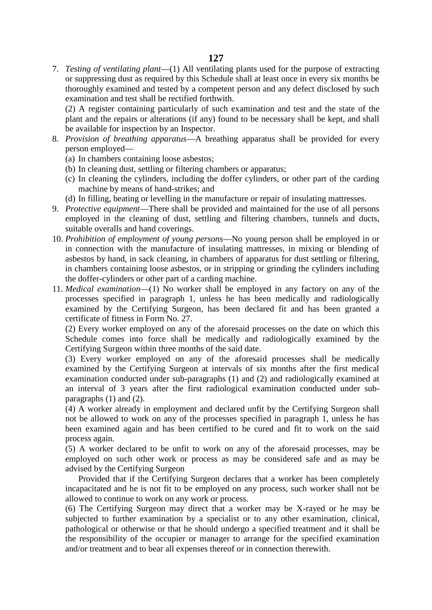7. *Testing of ventilating plant*—(1) All ventilating plants used for the purpose of extracting or suppressing dust as required by this Schedule shall at least once in every six months be thoroughly examined and tested by a competent person and any defect disclosed by such examination and test shall be rectified forthwith.

(2) A register containing particularly of such examination and test and the state of the plant and the repairs or alterations (if any) found to be necessary shall be kept, and shall be available for inspection by an Inspector.

- 8. *Provision of breathing apparatus*—A breathing apparatus shall be provided for every person employed—
	- (a) In chambers containing loose asbestos;
	- (b) In cleaning dust, settling or filtering chambers or apparatus;
	- (c) In cleaning the cylinders, including the doffer cylinders, or other part of the carding machine by means of hand-strikes; and
	- (d) In filling, beating or levelling in the manufacture or repair of insulating mattresses.
- 9. *Protective equipment*—There shall be provided and maintained for the use of all persons employed in the cleaning of dust, settling and filtering chambers, tunnels and ducts, suitable overalls and hand coverings.
- 10. *Prohibition of employment of young persons*—No young person shall be employed in or in connection with the manufacture of insulating mattresses, in mixing or blending of asbestos by hand, in sack cleaning, in chambers of apparatus for dust settling or filtering, in chambers containing loose asbestos, or in stripping or grinding the cylinders including the doffer-cylinders or other part of a carding machine.
- 11. *Medical examination*—(1) No worker shall be employed in any factory on any of the processes specified in paragraph 1, unless he has been medically and radiologically examined by the Certifying Surgeon, has been declared fit and has been granted a certificate of fitness in Form No. 27.

(2) Every worker employed on any of the aforesaid processes on the date on which this Schedule comes into force shall be medically and radiologically examined by the Certifying Surgeon within three months of the said date.

(3) Every worker employed on any of the aforesaid processes shall be medically examined by the Certifying Surgeon at intervals of six months after the first medical examination conducted under sub-paragraphs (1) and (2) and radiologically examined at an interval of 3 years after the first radiological examination conducted under sub paragraphs (1) and (2).

(4) A worker already in employment and declared unfit by the Certifying Surgeon shall not be allowed to work on any of the processes specified in paragraph 1, unless he has been examined again and has been certified to be cured and fit to work on the said process again.

(5) A worker declared to be unfit to work on any of the aforesaid processes, may be employed on such other work or process as may be considered safe and as may be advised by the Certifying Surgeon

Provided that if the Certifying Surgeon declares that a worker has been completely incapacitated and he is not fit to be employed on any process, such worker shall not be allowed to continue to work on any work or process.

(6) The Certifying Surgeon may direct that a worker may be X-rayed or he may be subjected to further examination by a specialist or to any other examination, clinical, pathological or otherwise or that he should undergo a specified treatment and it shall be the responsibility of the occupier or manager to arrange for the specified examination and/or treatment and to bear all expenses thereof or in connection therewith.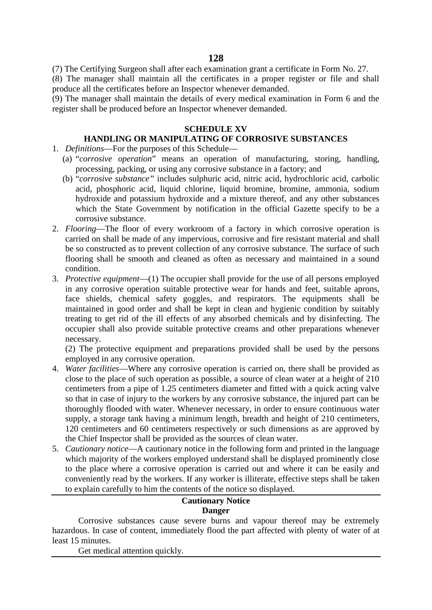(7) The Certifying Surgeon shall after each examination grant a certificate in Form No. 27.

(8) The manager shall maintain all the certificates in a proper register or file and shall produce all the certificates before an Inspector whenever demanded.

(9) The manager shall maintain the details of every medical examination in Form 6 and the register shall be produced before an Inspector whenever demanded.

# **SCHEDULE XV**

# **HANDLING OR MANIPULATING OF CORROSIVE SUBSTANCES**

- 1. *Definitions*—For the purposes of this Schedule—
	- (a) "*corrosive operation*" means an operation of manufacturing, storing, handling, processing, packing, or using any corrosive substance in a factory; and
	- (b) "*corrosive substance"* includes sulphuric acid, nitric acid, hydrochloric acid, carbolic acid, phosphoric acid, liquid chlorine, liquid bromine, bromine, ammonia, sodium hydroxide and potassium hydroxide and a mixture thereof, and any other substances which the State Government by notification in the official Gazette specify to be a corrosive substance.
- 2. *Flooring*—The floor of every workroom of a factory in which corrosive operation is carried on shall be made of any impervious, corrosive and fire resistant material and shall be so constructed as to prevent collection of any corrosive substance. The surface of such flooring shall be smooth and cleaned as often as necessary and maintained in a sound condition.
- 3. *Protective equipment*—(1) The occupier shall provide for the use of all persons employed in any corrosive operation suitable protective wear for hands and feet, suitable aprons, face shields, chemical safety goggles, and respirators. The equipments shall be maintained in good order and shall be kept in clean and hygienic condition by suitably treating to get rid of the ill effects of any absorbed chemicals and by disinfecting. The occupier shall also provide suitable protective creams and other preparations whenever necessary.

(2) The protective equipment and preparations provided shall be used by the persons employed in any corrosive operation.

- 4. *Water facilities*—Where any corrosive operation is carried on, there shall be provided as close to the place of such operation as possible, a source of clean water at a height of 210 centimeters from a pipe of 1.25 centimeters diameter and fitted with a quick acting valve so that in case of injury to the workers by any corrosive substance, the injured part can be thoroughly flooded with water. Whenever necessary, in order to ensure continuous water supply, a storage tank having a minimum length, breadth and height of 210 centimeters, 120 centimeters and 60 centimeters respectively or such dimensions as are approved by the Chief Inspector shall be provided as the sources of clean water.
- 5. *Cautionary notice*—A cautionary notice in the following form and printed in the language which majority of the workers employed understand shall be displayed prominently close to the place where a corrosive operation is carried out and where it can be easily and conveniently read by the workers. If any worker is illiterate, effective steps shall be taken to explain carefully to him the contents of the notice so displayed.

# **Cautionary Notice Danger**

Corrosive substances cause severe burns and vapour thereof may be extremely hazardous. In case of content, immediately flood the part affected with plenty of water of at least 15 minutes.

Get medical attention quickly.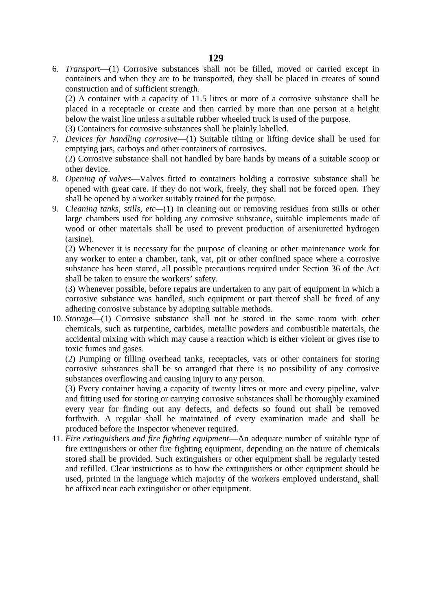6. *Transpor*t—(1) Corrosive substances shall not be filled, moved or carried except in containers and when they are to be transported, they shall be placed in creates of sound construction and of sufficient strength.

(2) A container with a capacity of 11.5 litres or more of a corrosive substance shall be placed in a receptacle or create and then carried by more than one person at a height below the waist line unless a suitable rubber wheeled truck is used of the purpose.

(3) Containers for corrosive substances shall be plainly labelled.

7. *Devices for handling corrosive*—(1) Suitable tilting or lifting device shall be used for emptying jars, carboys and other containers of corrosives.

(2) Corrosive substance shall not handled by bare hands by means of a suitable scoop or other device.

- 8. *Opening of valves*—Valves fitted to containers holding a corrosive substance shall be opened with great care. If they do not work, freely, they shall not be forced open. They shall be opened by a worker suitably trained for the purpose.
- 9. *Cleaning tanks, stills, etc—*(1) In cleaning out or removing residues from stills or other large chambers used for holding any corrosive substance, suitable implements made of wood or other materials shall be used to prevent production of arseniuretted hydrogen (arsine).

(2) Whenever it is necessary for the purpose of cleaning or other maintenance work for any worker to enter a chamber, tank, vat, pit or other confined space where a corrosive substance has been stored, all possible precautions required under Section 36 of the Act shall be taken to ensure the workers' safety.

(3) Whenever possible, before repairs are undertaken to any part of equipment in which a corrosive substance was handled, such equipment or part thereof shall be freed of any adhering corrosive substance by adopting suitable methods.

10. *Storage*—(1) Corrosive substance shall not be stored in the same room with other chemicals, such as turpentine, carbides, metallic powders and combustible materials, the accidental mixing with which may cause a reaction which is either violent or gives rise to toxic fumes and gases.

(2) Pumping or filling overhead tanks, receptacles, vats or other containers for storing corrosive substances shall be so arranged that there is no possibility of any corrosive substances overflowing and causing injury to any person.

(3) Every container having a capacity of twenty litres or more and every pipeline, valve and fitting used for storing or carrying corrosive substances shall be thoroughly examined every year for finding out any defects, and defects so found out shall be removed forthwith. A regular shall be maintained of every examination made and shall be produced before the Inspector whenever required.

11. *Fire extinguishers and fire fighting equipment*—An adequate number of suitable type of fire extinguishers or other fire fighting equipment, depending on the nature of chemicals stored shall be provided. Such extinguishers or other equipment shall be regularly tested and refilled. Clear instructions as to how the extinguishers or other equipment should be used, printed in the language which majority of the workers employed understand, shall be affixed near each extinguisher or other equipment.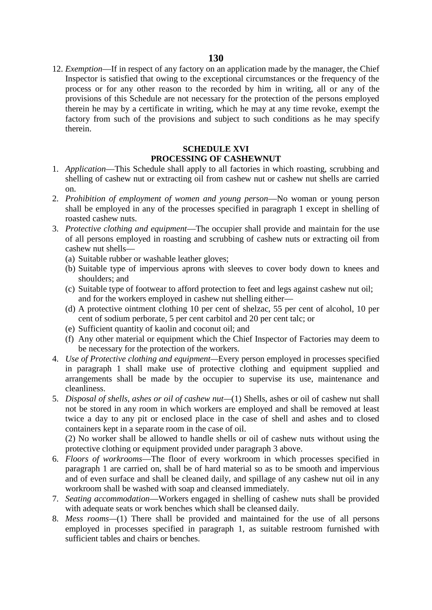12. *Exemption*—If in respect of any factory on an application made by the manager, the Chief Inspector is satisfied that owing to the exceptional circumstances or the frequency of the process or for any other reason to the recorded by him in writing, all or any of the provisions of this Schedule are not necessary for the protection of the persons employed therein he may by a certificate in writing, which he may at any time revoke, exempt the factory from such of the provisions and subject to such conditions as he may specify therein.

#### **SCHEDULE XVI PROCESSING OF CASHEWNUT**

- 1. *Application*—This Schedule shall apply to all factories in which roasting, scrubbing and shelling of cashew nut or extracting oil from cashew nut or cashew nut shells are carried on.
- 2. *Prohibition of employment of women and young person*—No woman or young person shall be employed in any of the processes specified in paragraph 1 except in shelling of roasted cashew nuts.
- 3. *Protective clothing and equipment*—The occupier shall provide and maintain for the use of all persons employed in roasting and scrubbing of cashew nuts or extracting oil from cashew nut shells—
	- (a) Suitable rubber or washable leather gloves;
	- (b) Suitable type of impervious aprons with sleeves to cover body down to knees and shoulders; and
	- (c) Suitable type of footwear to afford protection to feet and legs against cashew nut oil; and for the workers employed in cashew nut shelling either—
	- (d) A protective ointment clothing 10 per cent of shelzac, 55 per cent of alcohol, 10 per cent of sodium perborate, 5 per cent carbitol and 20 per cent talc; or
	- (e) Sufficient quantity of kaolin and coconut oil; and
	- (f) Any other material or equipment which the Chief Inspector of Factories may deem to be necessary for the protection of the workers.
- 4. *Use of Protective clothing and equipment—*Every person employed in processes specified in paragraph 1 shall make use of protective clothing and equipment supplied and arrangements shall be made by the occupier to supervise its use, maintenance and cleanliness.
- 5. *Disposal of shells, ashes or oil of cashew nut—*(1) Shells, ashes or oil of cashew nut shall not be stored in any room in which workers are employed and shall be removed at least twice a day to any pit or enclosed place in the case of shell and ashes and to closed containers kept in a separate room in the case of oil.

(2) No worker shall be allowed to handle shells or oil of cashew nuts without using the protective clothing or equipment provided under paragraph 3 above.

- 6. *Floors of workrooms*—The floor of every workroom in which processes specified in paragraph 1 are carried on, shall be of hard material so as to be smooth and impervious and of even surface and shall be cleaned daily, and spillage of any cashew nut oil in any workroom shall be washed with soap and cleansed immediately.
- 7. *Seating accommodation*—Workers engaged in shelling of cashew nuts shall be provided with adequate seats or work benches which shall be cleansed daily.
- 8. *Mess rooms—*(1) There shall be provided and maintained for the use of all persons employed in processes specified in paragraph 1, as suitable restroom furnished with sufficient tables and chairs or benches.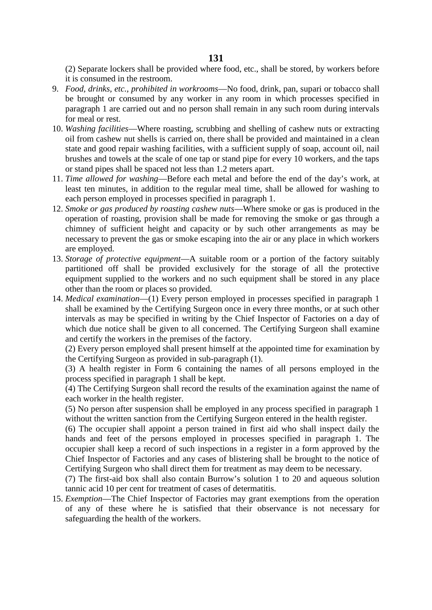(2) Separate lockers shall be provided where food, etc., shall be stored, by workers before it is consumed in the restroom.

- 9. *Food, drinks, etc., prohibited in workrooms*—No food, drink, pan, supari or tobacco shall be brought or consumed by any worker in any room in which processes specified in paragraph 1 are carried out and no person shall remain in any such room during intervals for meal or rest.
- 10. *Washing facilities*—Where roasting, scrubbing and shelling of cashew nuts or extracting oil from cashew nut shells is carried on, there shall be provided and maintained in a clean state and good repair washing facilities, with a sufficient supply of soap, account oil, nail brushes and towels at the scale of one tap or stand pipe for every 10 workers, and the taps or stand pipes shall be spaced not less than 1.2 meters apart.
- 11. *Time allowed for washing*—Before each metal and before the end of the day's work, at least ten minutes, in addition to the regular meal time, shall be allowed for washing to each person employed in processes specified in paragraph 1.
- 12. *Smoke or gas produced by roasting cashew nuts*—Where smoke or gas is produced in the operation of roasting, provision shall be made for removing the smoke or gas through a chimney of sufficient height and capacity or by such other arrangements as may be necessary to prevent the gas or smoke escaping into the air or any place in which workers are employed.
- 13. *Storage of protective equipment*—A suitable room or a portion of the factory suitably partitioned off shall be provided exclusively for the storage of all the protective equipment supplied to the workers and no such equipment shall be stored in any place other than the room or places so provided.
- 14. *Medical examination*—(1) Every person employed in processes specified in paragraph 1 shall be examined by the Certifying Surgeon once in every three months, or at such other intervals as may be specified in writing by the Chief Inspector of Factories on a day of which due notice shall be given to all concerned. The Certifying Surgeon shall examine and certify the workers in the premises of the factory.

(2) Every person employed shall present himself at the appointed time for examination by the Certifying Surgeon as provided in sub-paragraph (1).

(3) A health register in Form 6 containing the names of all persons employed in the process specified in paragraph 1 shall be kept.

(4) The Certifying Surgeon shall record the results of the examination against the name of each worker in the health register.

(5) No person after suspension shall be employed in any process specified in paragraph 1 without the written sanction from the Certifying Surgeon entered in the health register.

(6) The occupier shall appoint a person trained in first aid who shall inspect daily the hands and feet of the persons employed in processes specified in paragraph 1. The occupier shall keep a record of such inspections in a register in a form approved by the Chief Inspector of Factories and any cases of blistering shall be brought to the notice of Certifying Surgeon who shall direct them for treatment as may deem to be necessary.

(7) The first-aid box shall also contain Burrow's solution 1 to 20 and aqueous solution tannic acid 10 per cent for treatment of cases of determatitis.

15. *Exemption*—The Chief Inspector of Factories may grant exemptions from the operation of any of these where he is satisfied that their observance is not necessary for safeguarding the health of the workers.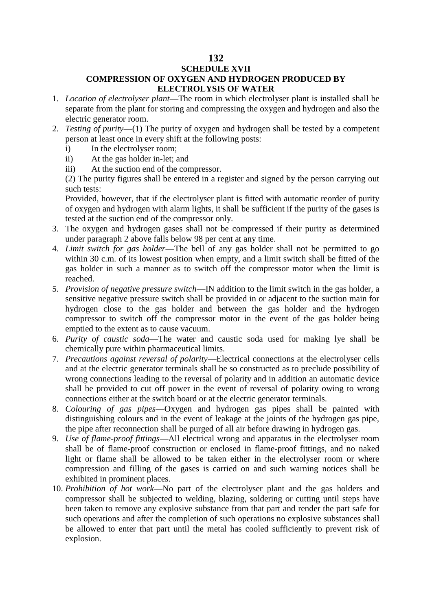## **SCHEDULE XVII**

# **COMPRESSION OF OXYGEN AND HYDROGEN PRODUCED BY ELECTROLYSIS OF WATER**

- 1. *Location of electrolyser plant*—The room in which electrolyser plant is installed shall be separate from the plant for storing and compressing the oxygen and hydrogen and also the electric generator room.
- 2. *Testing of purity*—(1) The purity of oxygen and hydrogen shall be tested by a competent person at least once in every shift at the following posts:
	- i) In the electrolyser room;
	- ii) At the gas holder in-let; and
	- iii) At the suction end of the compressor.

(2) The purity figures shall be entered in a register and signed by the person carrying out such tests:

Provided, however, that if the electrolyser plant is fitted with automatic reorder of purity of oxygen and hydrogen with alarm lights, it shall be sufficient if the purity of the gases is tested at the suction end of the compressor only.

- 3. The oxygen and hydrogen gases shall not be compressed if their purity as determined under paragraph 2 above falls below 98 per cent at any time.
- 4. *Limit switch for gas holder*—The bell of any gas holder shall not be permitted to go within 30 c.m. of its lowest position when empty, and a limit switch shall be fitted of the gas holder in such a manner as to switch off the compressor motor when the limit is reached.
- 5. *Provision of negative pressure switch*—IN addition to the limit switch in the gas holder, a sensitive negative pressure switch shall be provided in or adjacent to the suction main for hydrogen close to the gas holder and between the gas holder and the hydrogen compressor to switch off the compressor motor in the event of the gas holder being emptied to the extent as to cause vacuum.
- 6. *Purity of caustic soda*—The water and caustic soda used for making lye shall be chemically pure within pharmaceutical limits.
- 7. *Precautions against reversal of polarity*—Electrical connections at the electrolyser cells and at the electric generator terminals shall be so constructed as to preclude possibility of wrong connections leading to the reversal of polarity and in addition an automatic device shall be provided to cut off power in the event of reversal of polarity owing to wrong connections either at the switch board or at the electric generator terminals.
- 8. *Colouring of gas pipes*—Oxygen and hydrogen gas pipes shall be painted with distinguishing colours and in the event of leakage at the joints of the hydrogen gas pipe, the pipe after reconnection shall be purged of all air before drawing in hydrogen gas.
- 9. *Use of flame-proof fittings*—All electrical wrong and apparatus in the electrolyser room shall be of flame-proof construction or enclosed in flame-proof fittings, and no naked light or flame shall be allowed to be taken either in the electrolyser room or where compression and filling of the gases is carried on and such warning notices shall be exhibited in prominent places.
- 10. *Prohibition of hot work*—No part of the electrolyser plant and the gas holders and compressor shall be subjected to welding, blazing, soldering or cutting until steps have been taken to remove any explosive substance from that part and render the part safe for such operations and after the completion of such operations no explosive substances shall be allowed to enter that part until the metal has cooled sufficiently to prevent risk of explosion.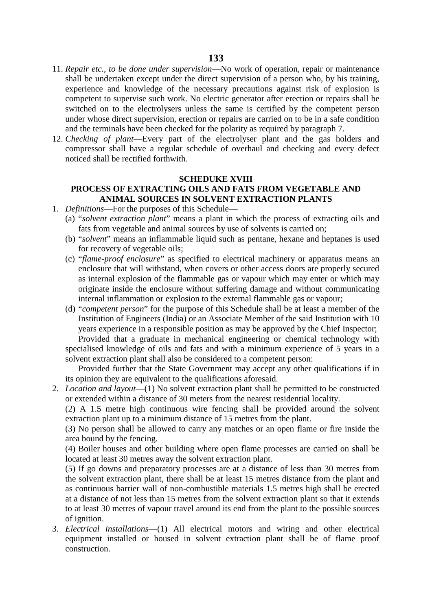- 11. *Repair etc., to be done under supervision*—No work of operation, repair or maintenance shall be undertaken except under the direct supervision of a person who, by his training, experience and knowledge of the necessary precautions against risk of explosion is competent to supervise such work. No electric generator after erection or repairs shall be switched on to the electrolysers unless the same is certified by the competent person under whose direct supervision, erection or repairs are carried on to be in a safe condition and the terminals have been checked for the polarity as required by paragraph 7.
- 12. *Checking of plant*—Every part of the electrolyser plant and the gas holders and compressor shall have a regular schedule of overhaul and checking and every defect noticed shall be rectified forthwith.

#### **SCHEDUKE XVIII**

# **PROCESS OF EXTRACTING OILS AND FATS FROM VEGETABLE AND ANIMAL SOURCES IN SOLVENT EXTRACTION PLANTS**

- 1. *Definitions*—For the purposes of this Schedule—
	- (a) "*solvent extraction plant*" means a plant in which the process of extracting oils and fats from vegetable and animal sources by use of solvents is carried on;
	- (b) "*solvent*" means an inflammable liquid such as pentane, hexane and heptanes is used for recovery of vegetable oils;
	- (c) "*flame-proof enclosure*" as specified to electrical machinery or apparatus means an enclosure that will withstand, when covers or other access doors are properly secured as internal explosion of the flammable gas or vapour which may enter or which may originate inside the enclosure without suffering damage and without communicating internal inflammation or explosion to the external flammable gas or vapour;
	- (d) "*competent person*" for the purpose of this Schedule shall be at least a member of the Institution of Engineers (India) or an Associate Member of the said Institution with 10 years experience in a responsible position as may be approved by the Chief Inspector; Provided that a graduate in mechanical engineering or chemical technology with specialised knowledge of oils and fats and with a minimum experience of 5 years in a solvent extraction plant shall also be considered to a competent person:

Provided further that the State Government may accept any other qualifications if in its opinion they are equivalent to the qualifications aforesaid.

2. *Location and layout*—(1) No solvent extraction plant shall be permitted to be constructed or extended within a distance of 30 meters from the nearest residential locality.

(2) A 1.5 metre high continuous wire fencing shall be provided around the solvent extraction plant up to a minimum distance of 15 metres from the plant.

(3) No person shall be allowed to carry any matches or an open flame or fire inside the area bound by the fencing.

(4) Boiler houses and other building where open flame processes are carried on shall be located at least 30 metres away the solvent extraction plant.

(5) If go downs and preparatory processes are at a distance of less than 30 metres from the solvent extraction plant, there shall be at least 15 metres distance from the plant and as continuous barrier wall of non-combustible materials 1.5 metres high shall be erected at a distance of not less than 15 metres from the solvent extraction plant so that it extends to at least 30 metres of vapour travel around its end from the plant to the possible sources of ignition.

3. *Electrical installations*—(1) All electrical motors and wiring and other electrical equipment installed or housed in solvent extraction plant shall be of flame proof construction.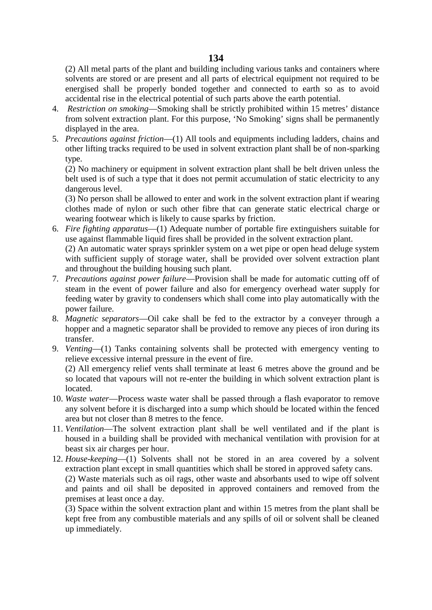(2) All metal parts of the plant and building including various tanks and containers where solvents are stored or are present and all parts of electrical equipment not required to be energised shall be properly bonded together and connected to earth so as to avoid accidental rise in the electrical potential of such parts above the earth potential.

- 4. *Restriction on smoking*—Smoking shall be strictly prohibited within 15 metres' distance from solvent extraction plant. For this purpose, 'No Smoking' signs shall be permanently displayed in the area.
- 5. *Precautions against friction*—(1) All tools and equipments including ladders, chains and other lifting tracks required to be used in solvent extraction plant shall be of non-sparking type.

(2) No machinery or equipment in solvent extraction plant shall be belt driven unless the belt used is of such a type that it does not permit accumulation of static electricity to any dangerous level.

(3) No person shall be allowed to enter and work in the solvent extraction plant if wearing clothes made of nylon or such other fibre that can generate static electrical charge or wearing footwear which is likely to cause sparks by friction.

6. *Fire fighting apparatus*—(1) Adequate number of portable fire extinguishers suitable for use against flammable liquid fires shall be provided in the solvent extraction plant. (2) An automatic water sprays sprinkler system on a wet pipe or open head deluge system

with sufficient supply of storage water, shall be provided over solvent extraction plant and throughout the building housing such plant.

- 7. *Precautions against power failure*—Provision shall be made for automatic cutting off of steam in the event of power failure and also for emergency overhead water supply for feeding water by gravity to condensers which shall come into play automatically with the power failure.
- 8. *Magnetic separators*—Oil cake shall be fed to the extractor by a conveyer through a hopper and a magnetic separator shall be provided to remove any pieces of iron during its transfer.
- 9. *Venting*—(1) Tanks containing solvents shall be protected with emergency venting to relieve excessive internal pressure in the event of fire.

(2) All emergency relief vents shall terminate at least 6 metres above the ground and be so located that vapours will not re-enter the building in which solvent extraction plant is located.

- 10. *Waste water*—Process waste water shall be passed through a flash evaporator to remove any solvent before it is discharged into a sump which should be located within the fenced area but not closer than 8 metres to the fence.
- 11. *Ventilation*—The solvent extraction plant shall be well ventilated and if the plant is housed in a building shall be provided with mechanical ventilation with provision for at beast six air charges per hour.
- 12. *House-keeping*—(1) Solvents shall not be stored in an area covered by a solvent extraction plant except in small quantities which shall be stored in approved safety cans. (2) Waste materials such as oil rags, other waste and absorbants used to wipe off solvent

and paints and oil shall be deposited in approved containers and removed from the premises at least once a day.

(3) Space within the solvent extraction plant and within 15 metres from the plant shall be kept free from any combustible materials and any spills of oil or solvent shall be cleaned up immediately.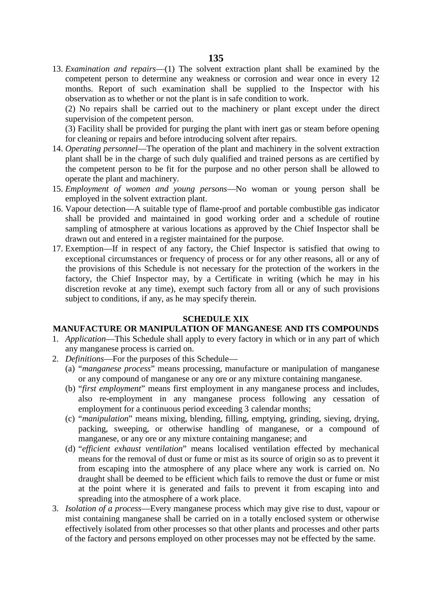13. *Examination and repairs*—(1) The solvent extraction plant shall be examined by the competent person to determine any weakness or corrosion and wear once in every 12 months. Report of such examination shall be supplied to the Inspector with his observation as to whether or not the plant is in safe condition to work.

(2) No repairs shall be carried out to the machinery or plant except under the direct supervision of the competent person.

(3) Facility shall be provided for purging the plant with inert gas or steam before opening for cleaning or repairs and before introducing solvent after repairs.

- 14. *Operating personnel*—The operation of the plant and machinery in the solvent extraction plant shall be in the charge of such duly qualified and trained persons as are certified by the competent person to be fit for the purpose and no other person shall be allowed to operate the plant and machinery.
- 15. *Employment of women and young persons*—No woman or young person shall be employed in the solvent extraction plant.
- 16. Vapour detection—A suitable type of flame-proof and portable combustible gas indicator shall be provided and maintained in good working order and a schedule of routine sampling of atmosphere at various locations as approved by the Chief Inspector shall be drawn out and entered in a register maintained for the purpose.
- 17. Exemption—If in respect of any factory, the Chief Inspector is satisfied that owing to exceptional circumstances or frequency of process or for any other reasons, all or any of the provisions of this Schedule is not necessary for the protection of the workers in the factory, the Chief Inspector may, by a Certificate in writing (which he may in his discretion revoke at any time), exempt such factory from all or any of such provisions subject to conditions, if any, as he may specify therein.

#### **SCHEDULE XIX**

### **MANUFACTURE OR MANIPULATION OF MANGANESE AND ITS COMPOUNDS**

- 1. *Application*—This Schedule shall apply to every factory in which or in any part of which any manganese process is carried on.
- 2. *Definitions*—For the purposes of this Schedule—
	- (a) "*manganese process*" means processing, manufacture or manipulation of manganese or any compound of manganese or any ore or any mixture containing manganese.
	- (b) "*first employment*" means first employment in any manganese process and includes, also re-employment in any manganese process following any cessation of employment for a continuous period exceeding 3 calendar months;
	- (c) "*manipulation*" means mixing, blending, filling, emptying, grinding, sieving, drying, packing, sweeping, or otherwise handling of manganese, or a compound of manganese, or any ore or any mixture containing manganese; and
	- (d) "*efficient exhaust ventilation*" means localised ventilation effected by mechanical means for the removal of dust or fume or mist as its source of origin so as to prevent it from escaping into the atmosphere of any place where any work is carried on. No draught shall be deemed to be efficient which fails to remove the dust or fume or mist at the point where it is generated and fails to prevent it from escaping into and spreading into the atmosphere of a work place.
- 3. *Isolation of a process*—Every manganese process which may give rise to dust, vapour or mist containing manganese shall be carried on in a totally enclosed system or otherwise effectively isolated from other processes so that other plants and processes and other parts of the factory and persons employed on other processes may not be effected by the same.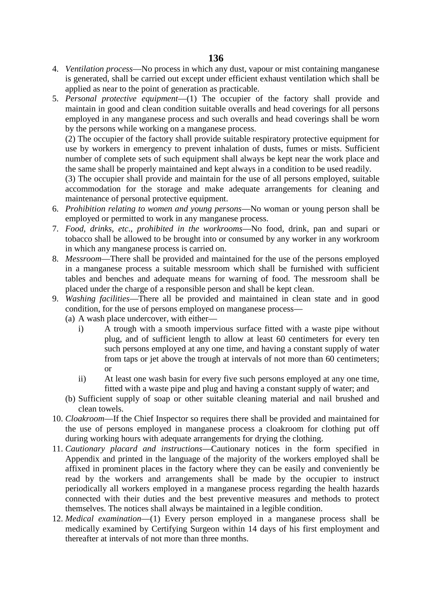- 4. *Ventilation process*—No process in which any dust, vapour or mist containing manganese is generated, shall be carried out except under efficient exhaust ventilation which shall be applied as near to the point of generation as practicable.
- 5. *Personal protective equipment*—(1) The occupier of the factory shall provide and maintain in good and clean condition suitable overalls and head coverings for all persons employed in any manganese process and such overalls and head coverings shall be worn by the persons while working on a manganese process.

(2) The occupier of the factory shall provide suitable respiratory protective equipment for use by workers in emergency to prevent inhalation of dusts, fumes or mists. Sufficient number of complete sets of such equipment shall always be kept near the work place and the same shall be properly maintained and kept always in a condition to be used readily.

(3) The occupier shall provide and maintain for the use of all persons employed, suitable accommodation for the storage and make adequate arrangements for cleaning and maintenance of personal protective equipment.

- 6. *Prohibition relating to women and young persons*—No woman or young person shall be employed or permitted to work in any manganese process.
- 7. *Food, drinks, etc*., *prohibited in the workrooms*—No food, drink, pan and supari or tobacco shall be allowed to be brought into or consumed by any worker in any workroom in which any manganese process is carried on.
- 8. *Messroom*—There shall be provided and maintained for the use of the persons employed in a manganese process a suitable messroom which shall be furnished with sufficient tables and benches and adequate means for warning of food. The messroom shall be placed under the charge of a responsible person and shall be kept clean.
- 9. *Washing facilities*—There all be provided and maintained in clean state and in good condition, for the use of persons employed on manganese process—
	- (a) A wash place undercover, with either
		- i) A trough with a smooth impervious surface fitted with a waste pipe without plug, and of sufficient length to allow at least 60 centimeters for every ten such persons employed at any one time, and having a constant supply of water from taps or jet above the trough at intervals of not more than 60 centimeters; or
		- ii) At least one wash basin for every five such persons employed at any one time, fitted with a waste pipe and plug and having a constant supply of water; and
	- (b) Sufficient supply of soap or other suitable cleaning material and nail brushed and clean towels.
- 10. *Cloakroom*—If the Chief Inspector so requires there shall be provided and maintained for the use of persons employed in manganese process a cloakroom for clothing put off during working hours with adequate arrangements for drying the clothing.
- 11. *Cautionary placard and instructions*—Cautionary notices in the form specified in Appendix and printed in the language of the majority of the workers employed shall be affixed in prominent places in the factory where they can be easily and conveniently be read by the workers and arrangements shall be made by the occupier to instruct periodically all workers employed in a manganese process regarding the health hazards connected with their duties and the best preventive measures and methods to protect themselves. The notices shall always be maintained in a legible condition.
- 12. *Medical examination*—(1) Every person employed in a manganese process shall be medically examined by Certifying Surgeon within 14 days of his first employment and thereafter at intervals of not more than three months.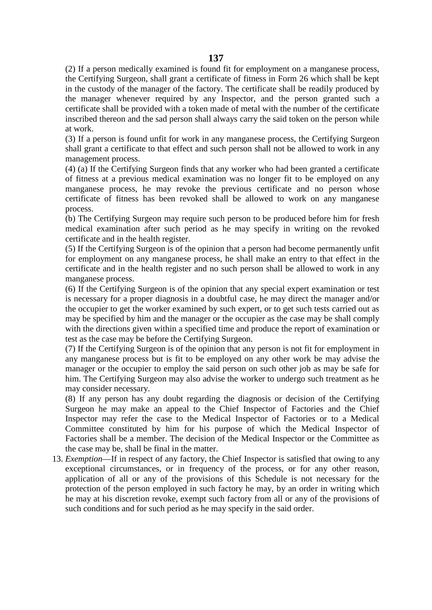(2) If a person medically examined is found fit for employment on a manganese process, the Certifying Surgeon, shall grant a certificate of fitness in Form 26 which shall be kept in the custody of the manager of the factory. The certificate shall be readily produced by the manager whenever required by any Inspector, and the person granted such a certificate shall be provided with a token made of metal with the number of the certificate inscribed thereon and the sad person shall always carry the said token on the person while at work.

(3) If a person is found unfit for work in any manganese process, the Certifying Surgeon shall grant a certificate to that effect and such person shall not be allowed to work in any management process.

(4) (a) If the Certifying Surgeon finds that any worker who had been granted a certificate of fitness at a previous medical examination was no longer fit to be employed on any manganese process, he may revoke the previous certificate and no person whose certificate of fitness has been revoked shall be allowed to work on any manganese process.

(b) The Certifying Surgeon may require such person to be produced before him for fresh medical examination after such period as he may specify in writing on the revoked certificate and in the health register.

(5) If the Certifying Surgeon is of the opinion that a person had become permanently unfit for employment on any manganese process, he shall make an entry to that effect in the certificate and in the health register and no such person shall be allowed to work in any manganese process.

(6) If the Certifying Surgeon is of the opinion that any special expert examination or test is necessary for a proper diagnosis in a doubtful case, he may direct the manager and/or the occupier to get the worker examined by such expert, or to get such tests carried out as may be specified by him and the manager or the occupier as the case may be shall comply with the directions given within a specified time and produce the report of examination or test as the case may be before the Certifying Surgeon.

(7) If the Certifying Surgeon is of the opinion that any person is not fit for employment in any manganese process but is fit to be employed on any other work be may advise the manager or the occupier to employ the said person on such other job as may be safe for him. The Certifying Surgeon may also advise the worker to undergo such treatment as he may consider necessary.

(8) If any person has any doubt regarding the diagnosis or decision of the Certifying Surgeon he may make an appeal to the Chief Inspector of Factories and the Chief Inspector may refer the case to the Medical Inspector of Factories or to a Medical Committee constituted by him for his purpose of which the Medical Inspector of Factories shall be a member. The decision of the Medical Inspector or the Committee as the case may be, shall be final in the matter.

13. *Exemption*—If in respect of any factory, the Chief Inspector is satisfied that owing to any exceptional circumstances, or in frequency of the process, or for any other reason, application of all or any of the provisions of this Schedule is not necessary for the protection of the person employed in such factory he may, by an order in writing which he may at his discretion revoke, exempt such factory from all or any of the provisions of such conditions and for such period as he may specify in the said order.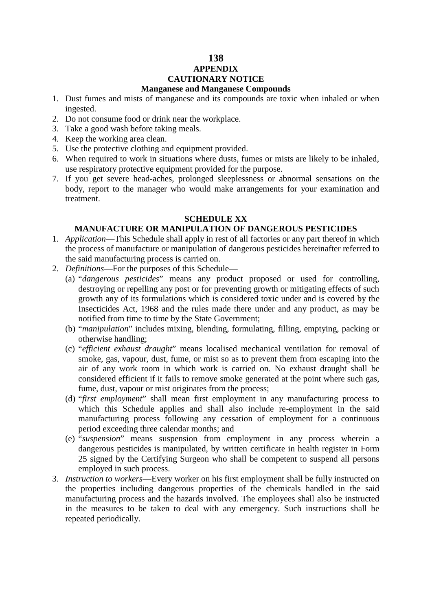## **138 APPENDIX CAUTIONARY NOTICE Manganese and Manganese Compounds**

- 1. Dust fumes and mists of manganese and its compounds are toxic when inhaled or when ingested.
- 2. Do not consume food or drink near the workplace.
- 3. Take a good wash before taking meals.
- 4. Keep the working area clean.
- 5. Use the protective clothing and equipment provided.
- 6. When required to work in situations where dusts, fumes or mists are likely to be inhaled, use respiratory protective equipment provided for the purpose.
- 7. If you get severe head-aches, prolonged sleeplessness or abnormal sensations on the body, report to the manager who would make arrangements for your examination and treatment.

# **SCHEDULE XX**

### **MANUFACTURE OR MANIPULATION OF DANGEROUS PESTICIDES**

- 1. *Application*—This Schedule shall apply in rest of all factories or any part thereof in which the process of manufacture or manipulation of dangerous pesticides hereinafter referred to the said manufacturing process is carried on.
- 2. *Definitions*—For the purposes of this Schedule—
	- (a) "*dangerous pesticides*" means any product proposed or used for controlling, destroying or repelling any post or for preventing growth or mitigating effects of such growth any of its formulations which is considered toxic under and is covered by the Insecticides Act, 1968 and the rules made there under and any product, as may be notified from time to time by the State Government;
	- (b) "*manipulation*" includes mixing, blending, formulating, filling, emptying, packing or otherwise handling;
	- (c) "*efficient exhaust draught*" means localised mechanical ventilation for removal of smoke, gas, vapour, dust, fume, or mist so as to prevent them from escaping into the air of any work room in which work is carried on. No exhaust draught shall be considered efficient if it fails to remove smoke generated at the point where such gas, fume, dust, vapour or mist originates from the process;
	- (d) "*first employment*" shall mean first employment in any manufacturing process to which this Schedule applies and shall also include re-employment in the said manufacturing process following any cessation of employment for a continuous period exceeding three calendar months; and
	- (e) "*suspension*" means suspension from employment in any process wherein a dangerous pesticides is manipulated, by written certificate in health register in Form 25 signed by the Certifying Surgeon who shall be competent to suspend all persons employed in such process.
- 3. *Instruction to workers*—Every worker on his first employment shall be fully instructed on the properties including dangerous properties of the chemicals handled in the said manufacturing process and the hazards involved. The employees shall also be instructed in the measures to be taken to deal with any emergency. Such instructions shall be repeated periodically.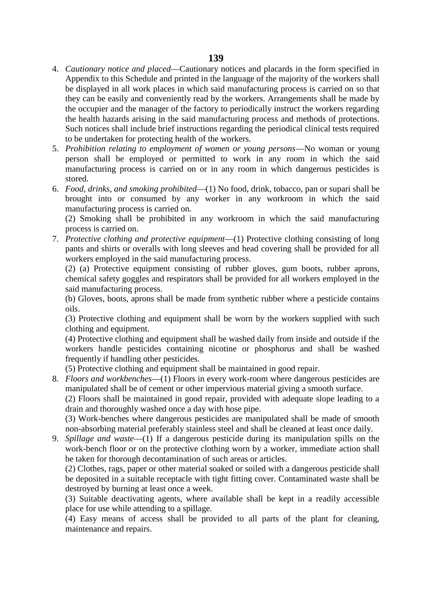- 4. *Cautionary notice and placed*—Cautionary notices and placards in the form specified in Appendix to this Schedule and printed in the language of the majority of the workers shall be displayed in all work places in which said manufacturing process is carried on so that they can be easily and conveniently read by the workers. Arrangements shall be made by the occupier and the manager of the factory to periodically instruct the workers regarding the health hazards arising in the said manufacturing process and methods of protections. Such notices shall include brief instructions regarding the periodical clinical tests required to be undertaken for protecting health of the workers.
- 5. *Prohibition relating to employment of women or young persons*—No woman or young person shall be employed or permitted to work in any room in which the said manufacturing process is carried on or in any room in which dangerous pesticides is stored.
- 6. *Food, drinks, and smoking prohibited*—(1) No food, drink, tobacco, pan or supari shall be brought into or consumed by any worker in any workroom in which the said manufacturing process is carried on.

(2) Smoking shall be prohibited in any workroom in which the said manufacturing process is carried on.

7. *Protective clothing and protective equipment*—(1) Protective clothing consisting of long pants and shirts or overalls with long sleeves and head covering shall be provided for all workers employed in the said manufacturing process.

(2) (a) Protective equipment consisting of rubber gloves, gum boots, rubber aprons, chemical safety goggles and respirators shall be provided for all workers employed in the said manufacturing process.

(b) Gloves, boots, aprons shall be made from synthetic rubber where a pesticide contains oils.

(3) Protective clothing and equipment shall be worn by the workers supplied with such clothing and equipment.

(4) Protective clothing and equipment shall be washed daily from inside and outside if the workers handle pesticides containing nicotine or phosphorus and shall be washed frequently if handling other pesticides.

(5) Protective clothing and equipment shall be maintained in good repair.

8. *Floors and workbenches*—(1) Floors in every work-room where dangerous pesticides are manipulated shall be of cement or other impervious material giving a smooth surface.

(2) Floors shall be maintained in good repair, provided with adequate slope leading to a drain and thoroughly washed once a day with hose pipe.

(3) Work-benches where dangerous pesticides are manipulated shall be made of smooth non-absorbing material preferably stainless steel and shall be cleaned at least once daily.

9. *Spillage and waste*—(1) If a dangerous pesticide during its manipulation spills on the work-bench floor or on the protective clothing worn by a worker, immediate action shall be taken for thorough decontamination of such areas or articles.

(2) Clothes, rags, paper or other material soaked or soiled with a dangerous pesticide shall be deposited in a suitable receptacle with tight fitting cover. Contaminated waste shall be destroyed by burning at least once a week.

(3) Suitable deactivating agents, where available shall be kept in a readily accessible place for use while attending to a spillage.

(4) Easy means of access shall be provided to all parts of the plant for cleaning, maintenance and repairs.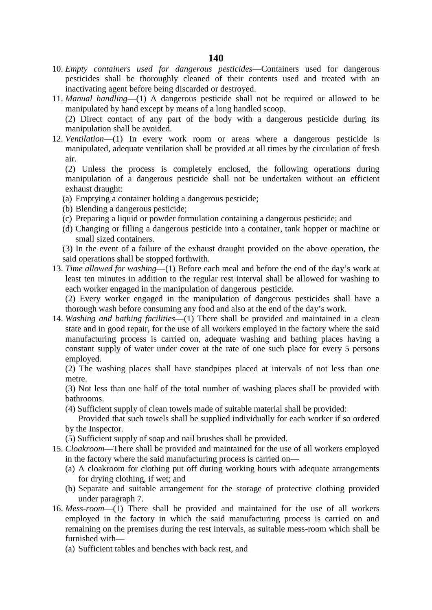- 10. *Empty containers used for dangerous pesticides*—Containers used for dangerous pesticides shall be thoroughly cleaned of their contents used and treated with an inactivating agent before being discarded or destroyed.
- 11. *Manual handling*—(1) A dangerous pesticide shall not be required or allowed to be manipulated by hand except by means of a long handled scoop.

(2) Direct contact of any part of the body with a dangerous pesticide during its manipulation shall be avoided.

12. *Ventilation*—(1) In every work room or areas where a dangerous pesticide is manipulated, adequate ventilation shall be provided at all times by the circulation of fresh air.

(2) Unless the process is completely enclosed, the following operations during manipulation of a dangerous pesticide shall not be undertaken without an efficient exhaust draught:

- (a) Emptying a container holding a dangerous pesticide;
- (b) Blending a dangerous pesticide;
- (c) Preparing a liquid or powder formulation containing a dangerous pesticide; and
- (d) Changing or filling a dangerous pesticide into a container, tank hopper or machine or small sized containers.
- (3) In the event of a failure of the exhaust draught provided on the above operation, the said operations shall be stopped forthwith.
- 13. *Time allowed for washing*—(1) Before each meal and before the end of the day's work at least ten minutes in addition to the regular rest interval shall be allowed for washing to each worker engaged in the manipulation of dangerous pesticide.

(2) Every worker engaged in the manipulation of dangerous pesticides shall have a thorough wash before consuming any food and also at the end of the day's work.

14. *Washing and bathing facilities*—(1) There shall be provided and maintained in a clean state and in good repair, for the use of all workers employed in the factory where the said manufacturing process is carried on, adequate washing and bathing places having a constant supply of water under cover at the rate of one such place for every 5 persons employed.

(2) The washing places shall have standpipes placed at intervals of not less than one metre.

(3) Not less than one half of the total number of washing places shall be provided with bathrooms.

(4) Sufficient supply of clean towels made of suitable material shall be provided:

Provided that such towels shall be supplied individually for each worker if so ordered by the Inspector.

- (5) Sufficient supply of soap and nail brushes shall be provided.
- 15. *Cloakroom*—There shall be provided and maintained for the use of all workers employed in the factory where the said manufacturing process is carried on—
	- (a) A cloakroom for clothing put off during working hours with adequate arrangements for drying clothing, if wet; and
	- (b) Separate and suitable arrangement for the storage of protective clothing provided under paragraph 7.
- 16. *Mess-room*—(1) There shall be provided and maintained for the use of all workers employed in the factory in which the said manufacturing process is carried on and remaining on the premises during the rest intervals, as suitable mess-room which shall be furnished with—
	- (a) Sufficient tables and benches with back rest, and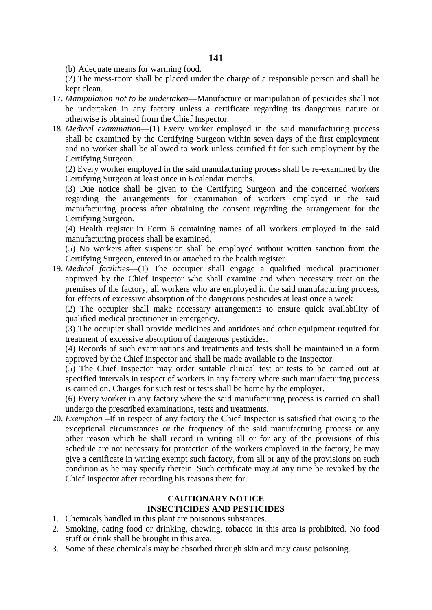(b) Adequate means for warming food.

(2) The mess-room shall be placed under the charge of a responsible person and shall be kept clean.

- 17. *Manipulation not to be undertaken*—Manufacture or manipulation of pesticides shall not be undertaken in any factory unless a certificate regarding its dangerous nature or otherwise is obtained from the Chief Inspector.
- 18. *Medical examination*—(1) Every worker employed in the said manufacturing process shall be examined by the Certifying Surgeon within seven days of the first employment and no worker shall be allowed to work unless certified fit for such employment by the Certifying Surgeon.

(2) Every worker employed in the said manufacturing process shall be re-examined by the Certifying Surgeon at least once in 6 calendar months.

(3) Due notice shall be given to the Certifying Surgeon and the concerned workers regarding the arrangements for examination of workers employed in the said manufacturing process after obtaining the consent regarding the arrangement for the Certifying Surgeon.

(4) Health register in Form 6 containing names of all workers employed in the said manufacturing process shall be examined.

(5) No workers after suspension shall be employed without written sanction from the Certifying Surgeon, entered in or attached to the health register.

19. *Medical facilities*—(1) The occupier shall engage a qualified medical practitioner approved by the Chief Inspector who shall examine and when necessary treat on the premises of the factory, all workers who are employed in the said manufacturing process, for effects of excessive absorption of the dangerous pesticides at least once a week.

(2) The occupier shall make necessary arrangements to ensure quick availability of qualified medical practitioner in emergency.

(3) The occupier shall provide medicines and antidotes and other equipment required for treatment of excessive absorption of dangerous pesticides.

(4) Records of such examinations and treatments and tests shall be maintained in a form approved by the Chief Inspector and shall be made available to the Inspector.

(5) The Chief Inspector may order suitable clinical test or tests to be carried out at specified intervals in respect of workers in any factory where such manufacturing process is carried on. Charges for such test or tests shall be borne by the employer.

(6) Every worker in any factory where the said manufacturing process is carried on shall undergo the prescribed examinations, tests and treatments.

20. *Exemption* –If in respect of any factory the Chief Inspector is satisfied that owing to the exceptional circumstances or the frequency of the said manufacturing process or any other reason which he shall record in writing all or for any of the provisions of this schedule are not necessary for protection of the workers employed in the factory, he may give a certificate in writing exempt such factory, from all or any of the provisions on such condition as he may specify therein. Such certificate may at any time be revoked by the Chief Inspector after recording his reasons there for.

# **CAUTIONARY NOTICE INSECTICIDES AND PESTICIDES**

- 1. Chemicals handled in this plant are poisonous substances.
- 2. Smoking, eating food or drinking, chewing, tobacco in this area is prohibited. No food stuff or drink shall be brought in this area.
- 3. Some of these chemicals may be absorbed through skin and may cause poisoning.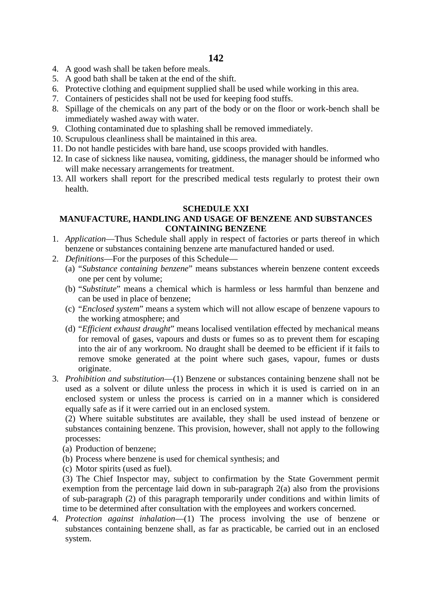- 4. A good wash shall be taken before meals.
- 5. A good bath shall be taken at the end of the shift.
- 6. Protective clothing and equipment supplied shall be used while working in this area.
- 7. Containers of pesticides shall not be used for keeping food stuffs.
- 8. Spillage of the chemicals on any part of the body or on the floor or work-bench shall be immediately washed away with water.
- 9. Clothing contaminated due to splashing shall be removed immediately.
- 10. Scrupulous cleanliness shall be maintained in this area.
- 11. Do not handle pesticides with bare hand, use scoops provided with handles.
- 12. In case of sickness like nausea, vomiting, giddiness, the manager should be informed who will make necessary arrangements for treatment.
- 13. All workers shall report for the prescribed medical tests regularly to protest their own health.

# **SCHEDULE XXI**

# **MANUFACTURE, HANDLING AND USAGE OF BENZENE AND SUBSTANCES CONTAINING BENZENE**

- 1. *Application*—Thus Schedule shall apply in respect of factories or parts thereof in which benzene or substances containing benzene arte manufactured handed or used.
- 2. *Definitions*—For the purposes of this Schedule—
	- (a) "*Substance containing benzene*" means substances wherein benzene content exceeds one per cent by volume;
	- (b) "*Substitute*" means a chemical which is harmless or less harmful than benzene and can be used in place of benzene;
	- (c) "*Enclosed system*" means a system which will not allow escape of benzene vapours to the working atmosphere; and
	- (d) "*Efficient exhaust draught*" means localised ventilation effected by mechanical means for removal of gases, vapours and dusts or fumes so as to prevent them for escaping into the air of any workroom. No draught shall be deemed to be efficient if it fails to remove smoke generated at the point where such gases, vapour, fumes or dusts originate.
- 3. *Prohibition and substitution*—(1) Benzene or substances containing benzene shall not be used as a solvent or dilute unless the process in which it is used is carried on in an enclosed system or unless the process is carried on in a manner which is considered equally safe as if it were carried out in an enclosed system.

(2) Where suitable substitutes are available, they shall be used instead of benzene or substances containing benzene. This provision, however, shall not apply to the following processes:

- (a) Production of benzene;
- (b) Process where benzene is used for chemical synthesis; and
- (c) Motor spirits (used as fuel).

(3) The Chief Inspector may, subject to confirmation by the State Government permit exemption from the percentage laid down in sub-paragraph 2(a) also from the provisions of sub-paragraph (2) of this paragraph temporarily under conditions and within limits of time to be determined after consultation with the employees and workers concerned.

4. *Protection against inhalation*—(1) The process involving the use of benzene or substances containing benzene shall, as far as practicable, be carried out in an enclosed system.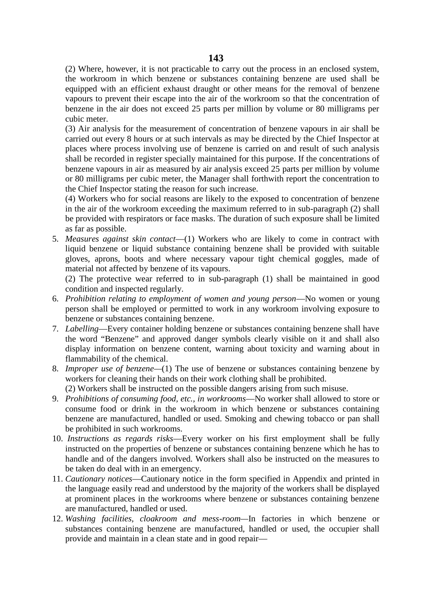(2) Where, however, it is not practicable to carry out the process in an enclosed system, the workroom in which benzene or substances containing benzene are used shall be equipped with an efficient exhaust draught or other means for the removal of benzene vapours to prevent their escape into the air of the workroom so that the concentration of benzene in the air does not exceed 25 parts per million by volume or 80 milligrams per cubic meter.

(3) Air analysis for the measurement of concentration of benzene vapours in air shall be carried out every 8 hours or at such intervals as may be directed by the Chief Inspector at places where process involving use of benzene is carried on and result of such analysis shall be recorded in register specially maintained for this purpose. If the concentrations of benzene vapours in air as measured by air analysis exceed 25 parts per million by volume or 80 milligrams per cubic meter, the Manager shall forthwith report the concentration to the Chief Inspector stating the reason for such increase.

(4) Workers who for social reasons are likely to the exposed to concentration of benzene in the air of the workroom exceeding the maximum referred to in sub-paragraph (2) shall be provided with respirators or face masks. The duration of such exposure shall be limited as far as possible.

5. *Measures against skin contact*—(1) Workers who are likely to come in contract with liquid benzene or liquid substance containing benzene shall be provided with suitable gloves, aprons, boots and where necessary vapour tight chemical goggles, made of material not affected by benzene of its vapours.

(2) The protective wear referred to in sub-paragraph (1) shall be maintained in good condition and inspected regularly.

- 6. *Prohibition relating to employment of women and young person*—No women or young person shall be employed or permitted to work in any workroom involving exposure to benzene or substances containing benzene.
- 7. *Labelling*—Every container holding benzene or substances containing benzene shall have the word "Benzene" and approved danger symbols clearly visible on it and shall also display information on benzene content, warning about toxicity and warning about in flammability of the chemical.
- 8. *Improper use of benzene—*(1) The use of benzene or substances containing benzene by workers for cleaning their hands on their work clothing shall be prohibited.
	- (2) Workers shall be instructed on the possible dangers arising from such misuse.
- 9. *Prohibitions of consuming food, etc., in workrooms*—No worker shall allowed to store or consume food or drink in the workroom in which benzene or substances containing benzene are manufactured, handled or used. Smoking and chewing tobacco or pan shall be prohibited in such workrooms.
- 10. *Instructions as regards risks*—Every worker on his first employment shall be fully instructed on the properties of benzene or substances containing benzene which he has to handle and of the dangers involved. Workers shall also be instructed on the measures to be taken do deal with in an emergency.
- 11. *Cautionary notices*—Cautionary notice in the form specified in Appendix and printed in the language easily read and understood by the majority of the workers shall be displayed at prominent places in the workrooms where benzene or substances containing benzene are manufactured, handled or used.
- 12. *Washing facilities, cloakroom and mess-room—*In factories in which benzene or substances containing benzene are manufactured, handled or used, the occupier shall provide and maintain in a clean state and in good repair—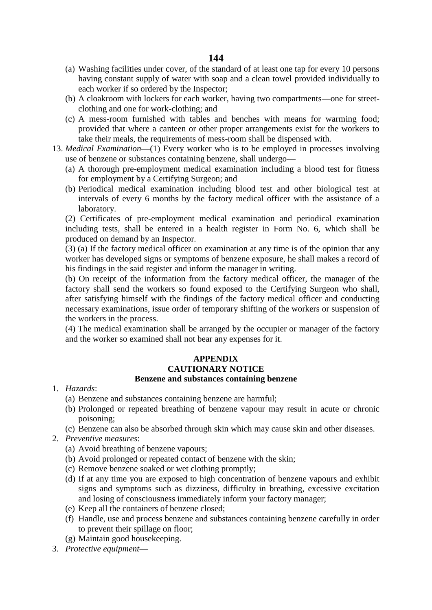- (a) Washing facilities under cover, of the standard of at least one tap for every 10 persons having constant supply of water with soap and a clean towel provided individually to each worker if so ordered by the Inspector;
- (b) A cloakroom with lockers for each worker, having two compartments—one for street clothing and one for work-clothing; and
- (c) A mess-room furnished with tables and benches with means for warming food; provided that where a canteen or other proper arrangements exist for the workers to take their meals, the requirements of mess-room shall be dispensed with.
- 13. *Medical Examination*—(1) Every worker who is to be employed in processes involving use of benzene or substances containing benzene, shall undergo—
	- (a) A thorough pre-employment medical examination including a blood test for fitness for employment by a Certifying Surgeon; and
	- (b) Periodical medical examination including blood test and other biological test at intervals of every 6 months by the factory medical officer with the assistance of a laboratory.

(2) Certificates of pre-employment medical examination and periodical examination including tests, shall be entered in a health register in Form No. 6, which shall be produced on demand by an Inspector.

(3) (a) If the factory medical officer on examination at any time is of the opinion that any worker has developed signs or symptoms of benzene exposure, he shall makes a record of his findings in the said register and inform the manager in writing.

(b) On receipt of the information from the factory medical officer, the manager of the factory shall send the workers so found exposed to the Certifying Surgeon who shall, after satisfying himself with the findings of the factory medical officer and conducting necessary examinations, issue order of temporary shifting of the workers or suspension of the workers in the process.

(4) The medical examination shall be arranged by the occupier or manager of the factory and the worker so examined shall not bear any expenses for it.

### **APPENDIX CAUTIONARY NOTICE Benzene and substances containing benzene**

- 1. *Hazards*:
	- (a) Benzene and substances containing benzene are harmful;
	- (b) Prolonged or repeated breathing of benzene vapour may result in acute or chronic poisoning;
	- (c) Benzene can also be absorbed through skin which may cause skin and other diseases.
- 2. *Preventive measures*:
	- (a) Avoid breathing of benzene vapours;
	- (b) Avoid prolonged or repeated contact of benzene with the skin;
	- (c) Remove benzene soaked or wet clothing promptly;
	- (d) If at any time you are exposed to high concentration of benzene vapours and exhibit signs and symptoms such as dizziness, difficulty in breathing, excessive excitation and losing of consciousness immediately inform your factory manager;
	- (e) Keep all the containers of benzene closed;
	- (f) Handle, use and process benzene and substances containing benzene carefully in order to prevent their spillage on floor;
	- (g) Maintain good housekeeping.
- 3. *Protective equipment*—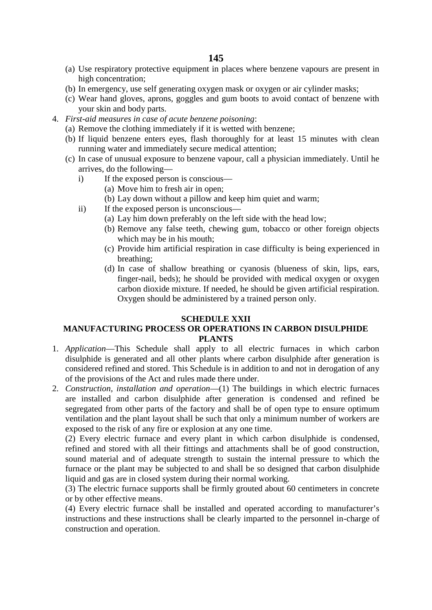- (a) Use respiratory protective equipment in places where benzene vapours are present in high concentration;
- (b) In emergency, use self generating oxygen mask or oxygen or air cylinder masks;
- (c) Wear hand gloves, aprons, goggles and gum boots to avoid contact of benzene with your skin and body parts.
- 4. *First-aid measures in case of acute benzene poisoning*:
	- (a) Remove the clothing immediately if it is wetted with benzene;
	- (b) If liquid benzene enters eyes, flash thoroughly for at least 15 minutes with clean running water and immediately secure medical attention;
	- (c) In case of unusual exposure to benzene vapour, call a physician immediately. Until he arrives, do the following
		- i) If the exposed person is conscious—
			- (a) Move him to fresh air in open;
			- (b) Lay down without a pillow and keep him quiet and warm;
		- ii) If the exposed person is unconscious—
			- (a) Lay him down preferably on the left side with the head low;
			- (b) Remove any false teeth, chewing gum, tobacco or other foreign objects which may be in his mouth;
			- (c) Provide him artificial respiration in case difficulty is being experienced in breathing;
			- (d) In case of shallow breathing or cyanosis (blueness of skin, lips, ears, finger-nail, beds); he should be provided with medical oxygen or oxygen carbon dioxide mixture. If needed, he should be given artificial respiration. Oxygen should be administered by a trained person only.

### **SCHEDULE XXII**

## **MANUFACTURING PROCESS OR OPERATIONS IN CARBON DISULPHIDE PLANTS**

- 1. *Application*—This Schedule shall apply to all electric furnaces in which carbon disulphide is generated and all other plants where carbon disulphide after generation is considered refined and stored. This Schedule is in addition to and not in derogation of any of the provisions of the Act and rules made there under.
- 2. *Construction, installation and operation*—(1) The buildings in which electric furnaces are installed and carbon disulphide after generation is condensed and refined be segregated from other parts of the factory and shall be of open type to ensure optimum ventilation and the plant layout shall be such that only a minimum number of workers are exposed to the risk of any fire or explosion at any one time.

(2) Every electric furnace and every plant in which carbon disulphide is condensed, refined and stored with all their fittings and attachments shall be of good construction, sound material and of adequate strength to sustain the internal pressure to which the furnace or the plant may be subjected to and shall be so designed that carbon disulphide liquid and gas are in closed system during their normal working.

(3) The electric furnace supports shall be firmly grouted about 60 centimeters in concrete or by other effective means.

(4) Every electric furnace shall be installed and operated according to manufacturer's instructions and these instructions shall be clearly imparted to the personnel in-charge of construction and operation.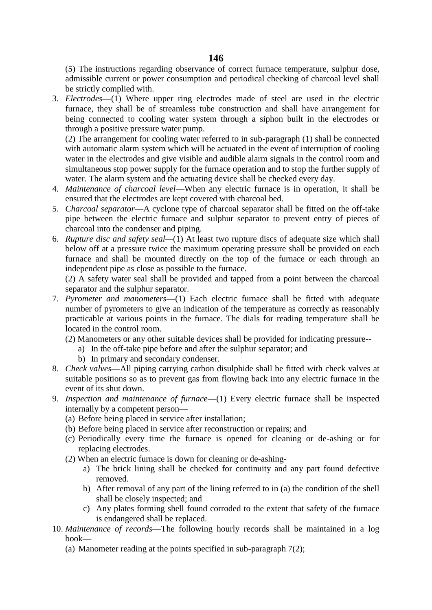(5) The instructions regarding observance of correct furnace temperature, sulphur dose, admissible current or power consumption and periodical checking of charcoal level shall be strictly complied with.

3. *Electrodes*—(1) Where upper ring electrodes made of steel are used in the electric furnace, they shall be of streamless tube construction and shall have arrangement for being connected to cooling water system through a siphon built in the electrodes or through a positive pressure water pump.

(2) The arrangement for cooling water referred to in sub-paragraph (1) shall be connected with automatic alarm system which will be actuated in the event of interruption of cooling water in the electrodes and give visible and audible alarm signals in the control room and simultaneous stop power supply for the furnace operation and to stop the further supply of water. The alarm system and the actuating device shall be checked every day.

- 4. *Maintenance of charcoal level*—When any electric furnace is in operation, it shall be ensured that the electrodes are kept covered with charcoal bed.
- 5. *Charcoal separator*—A cyclone type of charcoal separator shall be fitted on the off-take pipe between the electric furnace and sulphur separator to prevent entry of pieces of charcoal into the condenser and piping.
- 6. *Rupture disc and safety seal—*(1) At least two rupture discs of adequate size which shall below off at a pressure twice the maximum operating pressure shall be provided on each furnace and shall be mounted directly on the top of the furnace or each through an independent pipe as close as possible to the furnace.

(2) A safety water seal shall be provided and tapped from a point between the charcoal separator and the sulphur separator.

- 7. *Pyrometer and manometers*—(1) Each electric furnace shall be fitted with adequate number of pyrometers to give an indication of the temperature as correctly as reasonably practicable at various points in the furnace. The dials for reading temperature shall be located in the control room.
	- (2) Manometers or any other suitable devices shall be provided for indicating pressure-
		- a) In the off-take pipe before and after the sulphur separator; and
		- b) In primary and secondary condenser.
- 8. *Check valves*—All piping carrying carbon disulphide shall be fitted with check valves at suitable positions so as to prevent gas from flowing back into any electric furnace in the event of its shut down.
- 9. *Inspection and maintenance of furnace*—(1) Every electric furnace shall be inspected internally by a competent person—
	- (a) Before being placed in service after installation;
	- (b) Before being placed in service after reconstruction or repairs; and
	- (c) Periodically every time the furnace is opened for cleaning or de-ashing or for replacing electrodes.
	- (2) When an electric furnace is down for cleaning or de-ashing
		- a) The brick lining shall be checked for continuity and any part found defective removed.
		- b) After removal of any part of the lining referred to in (a) the condition of the shell shall be closely inspected; and
		- c) Any plates forming shell found corroded to the extent that safety of the furnace is endangered shall be replaced.
- 10. *Maintenance of records*—The following hourly records shall be maintained in a log book—
	- (a) Manometer reading at the points specified in sub-paragraph 7(2);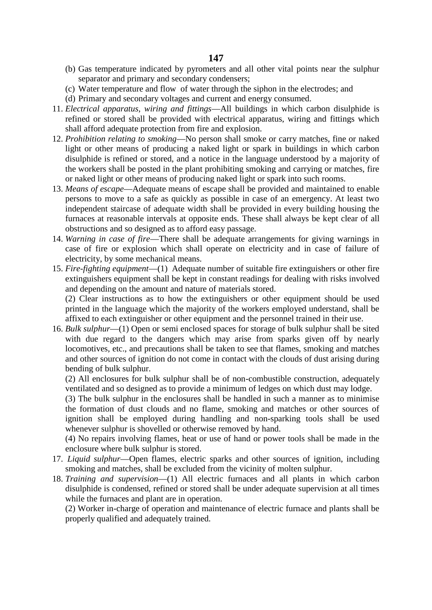- (b) Gas temperature indicated by pyrometers and all other vital points near the sulphur separator and primary and secondary condensers;
- (c) Water temperature and flow of water through the siphon in the electrodes; and
- (d) Primary and secondary voltages and current and energy consumed.
- 11. *Electrical apparatus, wiring and fittings*—All buildings in which carbon disulphide is refined or stored shall be provided with electrical apparatus, wiring and fittings which shall afford adequate protection from fire and explosion.
- 12. *Prohibition relating to smoking*—No person shall smoke or carry matches, fine or naked light or other means of producing a naked light or spark in buildings in which carbon disulphide is refined or stored, and a notice in the language understood by a majority of the workers shall be posted in the plant prohibiting smoking and carrying or matches, fire or naked light or other means of producing naked light or spark into such rooms.
- 13. *Means of escape*—Adequate means of escape shall be provided and maintained to enable persons to move to a safe as quickly as possible in case of an emergency. At least two independent staircase of adequate width shall be provided in every building housing the furnaces at reasonable intervals at opposite ends. These shall always be kept clear of all obstructions and so designed as to afford easy passage.
- 14. *Warning in case of fire*—There shall be adequate arrangements for giving warnings in case of fire or explosion which shall operate on electricity and in case of failure of electricity, by some mechanical means.
- 15. *Fire*-*fighting equipment*—(1) Adequate number of suitable fire extinguishers or other fire extinguishers equipment shall be kept in constant readings for dealing with risks involved and depending on the amount and nature of materials stored.

(2) Clear instructions as to how the extinguishers or other equipment should be used printed in the language which the majority of the workers employed understand, shall be affixed to each extinguisher or other equipment and the personnel trained in their use.

16. *Bulk sulphur*—(1) Open or semi enclosed spaces for storage of bulk sulphur shall be sited with due regard to the dangers which may arise from sparks given off by nearly locomotives, etc., and precautions shall be taken to see that flames, smoking and matches and other sources of ignition do not come in contact with the clouds of dust arising during bending of bulk sulphur.

(2) All enclosures for bulk sulphur shall be of non-combustible construction, adequately ventilated and so designed as to provide a minimum of ledges on which dust may lodge.

(3) The bulk sulphur in the enclosures shall be handled in such a manner as to minimise the formation of dust clouds and no flame, smoking and matches or other sources of ignition shall be employed during handling and non-sparking tools shall be used whenever sulphur is shovelled or otherwise removed by hand.

(4) No repairs involving flames, heat or use of hand or power tools shall be made in the enclosure where bulk sulphur is stored.

- 17. *Liquid sulphur*—Open flames, electric sparks and other sources of ignition, including smoking and matches, shall be excluded from the vicinity of molten sulphur.
- 18. *Training and supervision*—(1) All electric furnaces and all plants in which carbon disulphide is condensed, refined or stored shall be under adequate supervision at all times while the furnaces and plant are in operation.

(2) Worker in-charge of operation and maintenance of electric furnace and plants shall be properly qualified and adequately trained.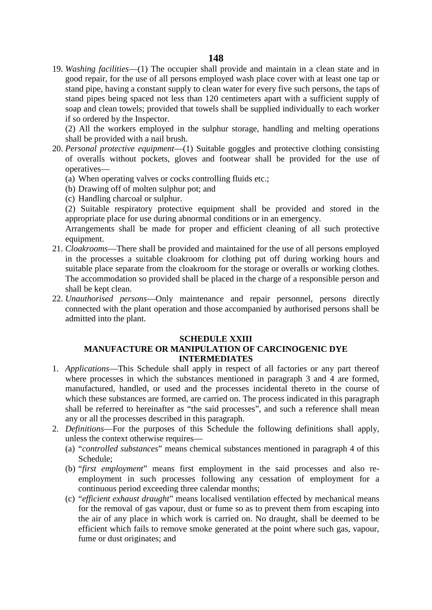19. *Washing facilities*—(1) The occupier shall provide and maintain in a clean state and in good repair, for the use of all persons employed wash place cover with at least one tap or stand pipe, having a constant supply to clean water for every five such persons, the taps of stand pipes being spaced not less than 120 centimeters apart with a sufficient supply of soap and clean towels; provided that towels shall be supplied individually to each worker if so ordered by the Inspector.

(2) All the workers employed in the sulphur storage, handling and melting operations shall be provided with a nail brush.

- 20. *Personal protective equipment*—(1) Suitable goggles and protective clothing consisting of overalls without pockets, gloves and footwear shall be provided for the use of operatives—
	- (a) When operating valves or cocks controlling fluids etc.;
	- (b) Drawing off of molten sulphur pot; and
	- (c) Handling charcoal or sulphur.

(2) Suitable respiratory protective equipment shall be provided and stored in the appropriate place for use during abnormal conditions or in an emergency.

Arrangements shall be made for proper and efficient cleaning of all such protective equipment.

- 21. *Cloakrooms*—There shall be provided and maintained for the use of all persons employed in the processes a suitable cloakroom for clothing put off during working hours and suitable place separate from the cloakroom for the storage or overalls or working clothes. The accommodation so provided shall be placed in the charge of a responsible person and shall be kept clean.
- 22. *Unauthorised persons*—Only maintenance and repair personnel, persons directly connected with the plant operation and those accompanied by authorised persons shall be admitted into the plant.

#### **SCHEDULE XXIII**

## **MANUFACTURE OR MANIPULATION OF CARCINOGENIC DYE INTERMEDIATES**

- 1. *Applications*—This Schedule shall apply in respect of all factories or any part thereof where processes in which the substances mentioned in paragraph 3 and 4 are formed, manufactured, handled, or used and the processes incidental thereto in the course of which these substances are formed, are carried on. The process indicated in this paragraph shall be referred to hereinafter as "the said processes", and such a reference shall mean any or all the processes described in this paragraph.
- 2. *Definitions*—For the purposes of this Schedule the following definitions shall apply, unless the context otherwise requires—
	- (a) "*controlled substances*" means chemical substances mentioned in paragraph 4 of this Schedule;
	- (b) "*first employment*" means first employment in the said processes and also re employment in such processes following any cessation of employment for a continuous period exceeding three calendar months;
	- (c) "*efficient exhaust draught*" means localised ventilation effected by mechanical means for the removal of gas vapour, dust or fume so as to prevent them from escaping into the air of any place in which work is carried on. No draught, shall be deemed to be efficient which fails to remove smoke generated at the point where such gas, vapour, fume or dust originates; and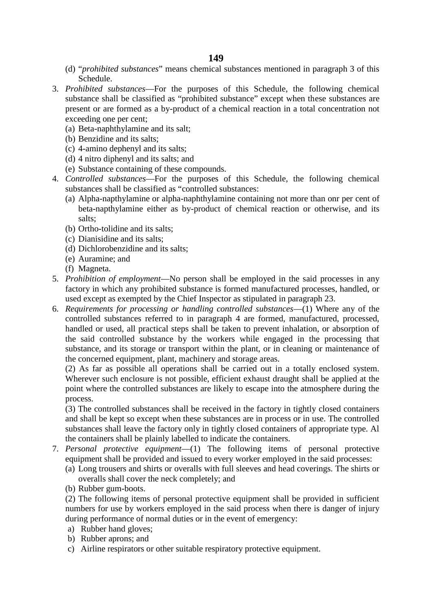- (d) "*prohibited substances*" means chemical substances mentioned in paragraph 3 of this Schedule.
- 3. *Prohibited substances*—For the purposes of this Schedule, the following chemical substance shall be classified as "prohibited substance" except when these substances are present or are formed as a by-product of a chemical reaction in a total concentration not exceeding one per cent;
	- (a) Beta-naphthylamine and its salt;
	- (b) Benzidine and its salts;
	- (c) 4-amino dephenyl and its salts;
	- (d) 4 nitro diphenyl and its salts; and
	- (e) Substance containing of these compounds.
- 4. *Controlled substances*—For the purposes of this Schedule, the following chemical substances shall be classified as "controlled substances:
	- (a) Alpha-napthylamine or alpha-naphthylamine containing not more than onr per cent of beta-napthylamine either as by-product of chemical reaction or otherwise, and its salts;
	- (b) Ortho-tolidine and its salts;
	- (c) Dianisidine and its salts;
	- (d) Dichlorobenzidine and its salts;
	- (e) Auramine; and
	- (f) Magneta.
- 5. *Prohibition of employment*—No person shall be employed in the said processes in any factory in which any prohibited substance is formed manufactured processes, handled, or used except as exempted by the Chief Inspector as stipulated in paragraph 23.
- 6. *Requirements for processing or handling controlled substances*—(1) Where any of the controlled substances referred to in paragraph 4 are formed, manufactured, processed, handled or used, all practical steps shall be taken to prevent inhalation, or absorption of the said controlled substance by the workers while engaged in the processing that substance, and its storage or transport within the plant, or in cleaning or maintenance of the concerned equipment, plant, machinery and storage areas.

(2) As far as possible all operations shall be carried out in a totally enclosed system. Wherever such enclosure is not possible, efficient exhaust draught shall be applied at the point where the controlled substances are likely to escape into the atmosphere during the process.

(3) The controlled substances shall be received in the factory in tightly closed containers and shall be kept so except when these substances are in process or in use. The controlled substances shall leave the factory only in tightly closed containers of appropriate type. Al the containers shall be plainly labelled to indicate the containers.

- 7. *Personal protective equipment*—(1) The following items of personal protective equipment shall be provided and issued to every worker employed in the said processes:
	- (a) Long trousers and shirts or overalls with full sleeves and head coverings. The shirts or overalls shall cover the neck completely; and
	- (b) Rubber gum-boots.

(2) The following items of personal protective equipment shall be provided in sufficient numbers for use by workers employed in the said process when there is danger of injury during performance of normal duties or in the event of emergency:

- a) Rubber hand gloves;
- b) Rubber aprons; and
- c) Airline respirators or other suitable respiratory protective equipment.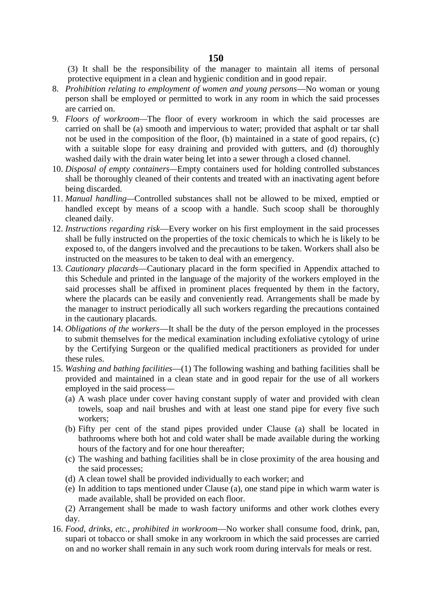(3) It shall be the responsibility of the manager to maintain all items of personal protective equipment in a clean and hygienic condition and in good repair.

- 8. *Prohibition relating to employment of women and young persons*—No woman or young person shall be employed or permitted to work in any room in which the said processes are carried on.
- 9. *Floors of workroom—*The floor of every workroom in which the said processes are carried on shall be (a) smooth and impervious to water; provided that asphalt or tar shall not be used in the composition of the floor, (b) maintained in a state of good repairs, (c) with a suitable slope for easy draining and provided with gutters, and (d) thoroughly washed daily with the drain water being let into a sewer through a closed channel.
- 10. *Disposal of empty containers—*Empty containers used for holding controlled substances shall be thoroughly cleaned of their contents and treated with an inactivating agent before being discarded.
- 11. *Manual handling—*Controlled substances shall not be allowed to be mixed, emptied or handled except by means of a scoop with a handle. Such scoop shall be thoroughly cleaned daily.
- 12. *Instructions regarding risk*—Every worker on his first employment in the said processes shall be fully instructed on the properties of the toxic chemicals to which he is likely to be exposed to, of the dangers involved and the precautions to be taken. Workers shall also be instructed on the measures to be taken to deal with an emergency.
- 13. *Cautionary placards*—Cautionary placard in the form specified in Appendix attached to this Schedule and printed in the language of the majority of the workers employed in the said processes shall be affixed in prominent places frequented by them in the factory, where the placards can be easily and conveniently read. Arrangements shall be made by the manager to instruct periodically all such workers regarding the precautions contained in the cautionary placards.
- 14. *Obligations of the workers*—It shall be the duty of the person employed in the processes to submit themselves for the medical examination including exfoliative cytology of urine by the Certifying Surgeon or the qualified medical practitioners as provided for under these rules.
- 15. *Washing and bathing facilities*—(1) The following washing and bathing facilities shall be provided and maintained in a clean state and in good repair for the use of all workers employed in the said process—
	- (a) A wash place under cover having constant supply of water and provided with clean towels, soap and nail brushes and with at least one stand pipe for every five such workers;
	- (b) Fifty per cent of the stand pipes provided under Clause (a) shall be located in bathrooms where both hot and cold water shall be made available during the working hours of the factory and for one hour thereafter;
	- (c) The washing and bathing facilities shall be in close proximity of the area housing and the said processes;
	- (d) A clean towel shall be provided individually to each worker; and
	- (e) In addition to taps mentioned under Clause (a), one stand pipe in which warm water is made available, shall be provided on each floor.

(2) Arrangement shall be made to wash factory uniforms and other work clothes every day.

16. *Food, drinks, etc., prohibited in workroom*—No worker shall consume food, drink, pan, supari ot tobacco or shall smoke in any workroom in which the said processes are carried on and no worker shall remain in any such work room during intervals for meals or rest.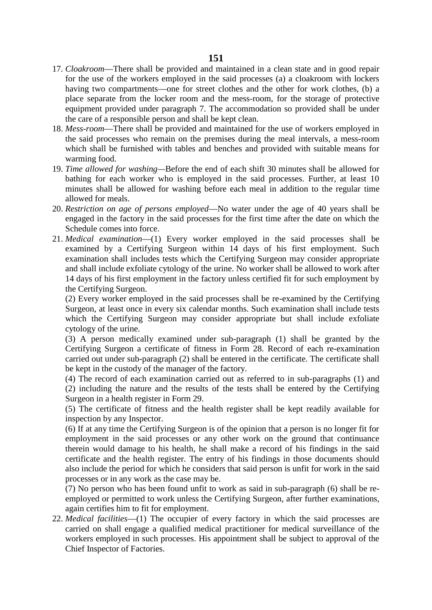- 17. *Cloakroom*—There shall be provided and maintained in a clean state and in good repair for the use of the workers employed in the said processes (a) a cloakroom with lockers having two compartments—one for street clothes and the other for work clothes, (b) a place separate from the locker room and the mess-room, for the storage of protective equipment provided under paragraph 7. The accommodation so provided shall be under the care of a responsible person and shall be kept clean.
- 18. *Mess*-*room*—There shall be provided and maintained for the use of workers employed in the said processes who remain on the premises during the meal intervals, a mess-room which shall be furnished with tables and benches and provided with suitable means for warming food.
- 19. *Time allowed for washing—*Before the end of each shift 30 minutes shall be allowed for bathing for each worker who is employed in the said processes. Further, at least 10 minutes shall be allowed for washing before each meal in addition to the regular time allowed for meals.
- 20. *Restriction on age of persons employed*—No water under the age of 40 years shall be engaged in the factory in the said processes for the first time after the date on which the Schedule comes into force.
- 21. *Medical examination*—(1) Every worker employed in the said processes shall be examined by a Certifying Surgeon within 14 days of his first employment. Such examination shall includes tests which the Certifying Surgeon may consider appropriate and shall include exfoliate cytology of the urine. No worker shall be allowed to work after 14 days of his first employment in the factory unless certified fit for such employment by the Certifying Surgeon.

(2) Every worker employed in the said processes shall be re-examined by the Certifying Surgeon, at least once in every six calendar months. Such examination shall include tests which the Certifying Surgeon may consider appropriate but shall include exfoliate cytology of the urine.

(3) A person medically examined under sub-paragraph (1) shall be granted by the Certifying Surgeon a certificate of fitness in Form 28. Record of each re-examination carried out under sub-paragraph (2) shall be entered in the certificate. The certificate shall be kept in the custody of the manager of the factory.

(4) The record of each examination carried out as referred to in sub-paragraphs (1) and (2) including the nature and the results of the tests shall be entered by the Certifying Surgeon in a health register in Form 29.

(5) The certificate of fitness and the health register shall be kept readily available for inspection by any Inspector.

(6) If at any time the Certifying Surgeon is of the opinion that a person is no longer fit for employment in the said processes or any other work on the ground that continuance therein would damage to his health, he shall make a record of his findings in the said certificate and the health register. The entry of his findings in those documents should also include the period for which he considers that said person is unfit for work in the said processes or in any work as the case may be.

(7) No person who has been found unfit to work as said in sub-paragraph (6) shall be re employed or permitted to work unless the Certifying Surgeon, after further examinations, again certifies him to fit for employment.

22. *Medical facilities*—(1) The occupier of every factory in which the said processes are carried on shall engage a qualified medical practitioner for medical surveillance of the workers employed in such processes. His appointment shall be subject to approval of the Chief Inspector of Factories.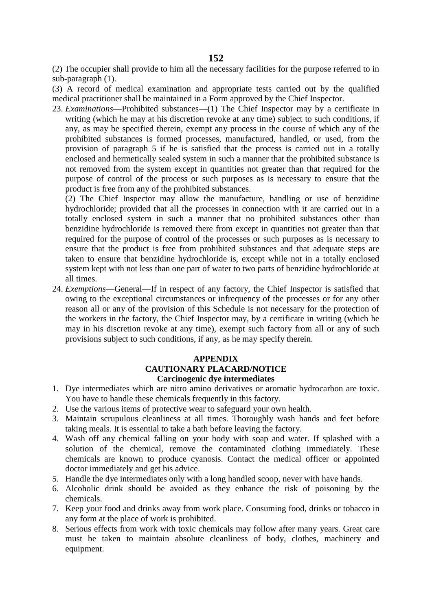(2) The occupier shall provide to him all the necessary facilities for the purpose referred to in sub-paragraph (1).

(3) A record of medical examination and appropriate tests carried out by the qualified medical practitioner shall be maintained in a Form approved by the Chief Inspector.

23. *Examinations*—Prohibited substances—(1) The Chief Inspector may by a certificate in writing (which he may at his discretion revoke at any time) subject to such conditions, if any, as may be specified therein, exempt any process in the course of which any of the prohibited substances is formed processes, manufactured, handled, or used, from the provision of paragraph 5 if he is satisfied that the process is carried out in a totally enclosed and hermetically sealed system in such a manner that the prohibited substance is not removed from the system except in quantities not greater than that required for the purpose of control of the process or such purposes as is necessary to ensure that the product is free from any of the prohibited substances.

(2) The Chief Inspector may allow the manufacture, handling or use of benzidine hydrochloride; provided that all the processes in connection with it are carried out in a totally enclosed system in such a manner that no prohibited substances other than benzidine hydrochloride is removed there from except in quantities not greater than that required for the purpose of control of the processes or such purposes as is necessary to ensure that the product is free from prohibited substances and that adequate steps are taken to ensure that benzidine hydrochloride is, except while not in a totally enclosed system kept with not less than one part of water to two parts of benzidine hydrochloride at all times.

24. *Exemptions*—General—If in respect of any factory, the Chief Inspector is satisfied that owing to the exceptional circumstances or infrequency of the processes or for any other reason all or any of the provision of this Schedule is not necessary for the protection of the workers in the factory, the Chief Inspector may, by a certificate in writing (which he may in his discretion revoke at any time), exempt such factory from all or any of such provisions subject to such conditions, if any, as he may specify therein.

## **APPENDIX CAUTIONARY PLACARD/NOTICE Carcinogenic dye intermediates**

- 1. Dye intermediates which are nitro amino derivatives or aromatic hydrocarbon are toxic. You have to handle these chemicals frequently in this factory.
- 2. Use the various items of protective wear to safeguard your own health.
- 3. Maintain scrupulous cleanliness at all times. Thoroughly wash hands and feet before taking meals. It is essential to take a bath before leaving the factory.
- 4. Wash off any chemical falling on your body with soap and water. If splashed with a solution of the chemical, remove the contaminated clothing immediately. These chemicals are known to produce cyanosis. Contact the medical officer or appointed doctor immediately and get his advice.
- 5. Handle the dye intermediates only with a long handled scoop, never with have hands.
- 6. Alcoholic drink should be avoided as they enhance the risk of poisoning by the chemicals.
- 7. Keep your food and drinks away from work place. Consuming food, drinks or tobacco in any form at the place of work is prohibited.
- 8. Serious effects from work with toxic chemicals may follow after many years. Great care must be taken to maintain absolute cleanliness of body, clothes, machinery and equipment.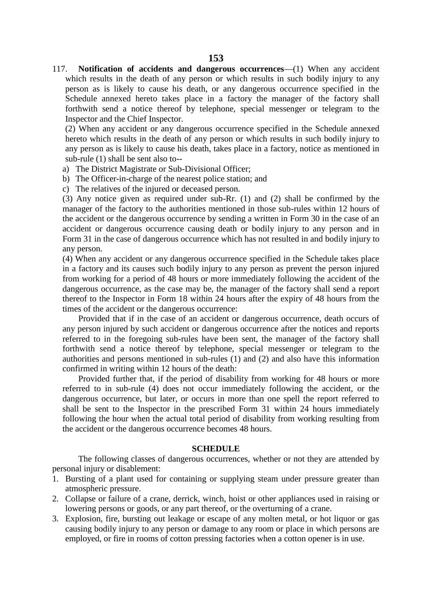117. **Notification of accidents and dangerous occurrences**—(1) When any accident which results in the death of any person or which results in such bodily injury to any person as is likely to cause his death, or any dangerous occurrence specified in the Schedule annexed hereto takes place in a factory the manager of the factory shall forthwith send a notice thereof by telephone, special messenger or telegram to the Inspector and the Chief Inspector.

(2) When any accident or any dangerous occurrence specified in the Schedule annexed hereto which results in the death of any person or which results in such bodily injury to any person as is likely to cause his death, takes place in a factory, notice as mentioned in sub-rule (1) shall be sent also to--

- a) The District Magistrate or Sub-Divisional Officer;
- b) The Officer-in-charge of the nearest police station; and
- c) The relatives of the injured or deceased person.

(3) Any notice given as required under sub-Rr. (1) and (2) shall be confirmed by the manager of the factory to the authorities mentioned in those sub-rules within 12 hours of the accident or the dangerous occurrence by sending a written in Form 30 in the case of an accident or dangerous occurrence causing death or bodily injury to any person and in Form 31 in the case of dangerous occurrence which has not resulted in and bodily injury to any person.

(4) When any accident or any dangerous occurrence specified in the Schedule takes place in a factory and its causes such bodily injury to any person as prevent the person injured from working for a period of 48 hours or more immediately following the accident of the dangerous occurrence, as the case may be, the manager of the factory shall send a report thereof to the Inspector in Form 18 within 24 hours after the expiry of 48 hours from the times of the accident or the dangerous occurrence:

Provided that if in the case of an accident or dangerous occurrence, death occurs of any person injured by such accident or dangerous occurrence after the notices and reports referred to in the foregoing sub-rules have been sent, the manager of the factory shall forthwith send a notice thereof by telephone, special messenger or telegram to the authorities and persons mentioned in sub-rules (1) and (2) and also have this information confirmed in writing within 12 hours of the death:

Provided further that, if the period of disability from working for 48 hours or more referred to in sub-rule (4) does not occur immediately following the accident, or the dangerous occurrence, but later, or occurs in more than one spell the report referred to shall be sent to the Inspector in the prescribed Form 31 within 24 hours immediately following the hour when the actual total period of disability from working resulting from the accident or the dangerous occurrence becomes 48 hours.

#### **SCHEDULE**

The following classes of dangerous occurrences, whether or not they are attended by personal injury or disablement:

- 1. Bursting of a plant used for containing or supplying steam under pressure greater than atmospheric pressure.
- 2. Collapse or failure of a crane, derrick, winch, hoist or other appliances used in raising or lowering persons or goods, or any part thereof, or the overturning of a crane.
- 3. Explosion, fire, bursting out leakage or escape of any molten metal, or hot liquor or gas causing bodily injury to any person or damage to any room or place in which persons are employed, or fire in rooms of cotton pressing factories when a cotton opener is in use.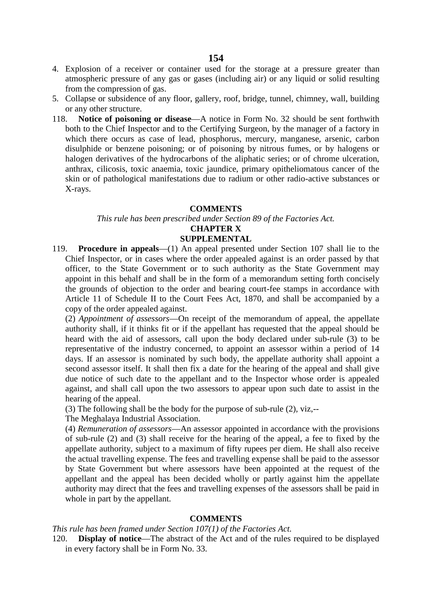- 4. Explosion of a receiver or container used for the storage at a pressure greater than atmospheric pressure of any gas or gases (including air) or any liquid or solid resulting from the compression of gas.
- 5. Collapse or subsidence of any floor, gallery, roof, bridge, tunnel, chimney, wall, building or any other structure.
- 118. **Notice of poisoning or disease**—A notice in Form No. 32 should be sent forthwith both to the Chief Inspector and to the Certifying Surgeon, by the manager of a factory in which there occurs as case of lead, phosphorus, mercury, manganese, arsenic, carbon disulphide or benzene poisoning; or of poisoning by nitrous fumes, or by halogens or halogen derivatives of the hydrocarbons of the aliphatic series; or of chrome ulceration, anthrax, cilicosis, toxic anaemia, toxic jaundice, primary opitheliomatous cancer of the skin or of pathological manifestations due to radium or other radio-active substances or X-rays.

#### **COMMENTS**

#### *This rule has been prescribed under Section 89 of the Factories Act.*

# **CHAPTER X**

## **SUPPLEMENTAL**

119. **Procedure in appeals**—(1) An appeal presented under Section 107 shall lie to the Chief Inspector, or in cases where the order appealed against is an order passed by that officer, to the State Government or to such authority as the State Government may appoint in this behalf and shall be in the form of a memorandum setting forth concisely the grounds of objection to the order and bearing court-fee stamps in accordance with Article 11 of Schedule II to the Court Fees Act, 1870, and shall be accompanied by a copy of the order appealed against.

(2) *Appointment of assessors*—On receipt of the memorandum of appeal, the appellate authority shall, if it thinks fit or if the appellant has requested that the appeal should be heard with the aid of assessors, call upon the body declared under sub-rule (3) to be representative of the industry concerned, to appoint an assessor within a period of 14 days. If an assessor is nominated by such body, the appellate authority shall appoint a second assessor itself. It shall then fix a date for the hearing of the appeal and shall give due notice of such date to the appellant and to the Inspector whose order is appealed against, and shall call upon the two assessors to appear upon such date to assist in the hearing of the appeal.

(3) The following shall be the body for the purpose of sub-rule (2), viz,--

### The Meghalaya Industrial Association.

(4) *Remuneration of assessors*—An assessor appointed in accordance with the provisions of sub-rule (2) and (3) shall receive for the hearing of the appeal, a fee to fixed by the appellate authority, subject to a maximum of fifty rupees per diem. He shall also receive the actual travelling expense. The fees and travelling expense shall be paid to the assessor by State Government but where assessors have been appointed at the request of the appellant and the appeal has been decided wholly or partly against him the appellate authority may direct that the fees and travelling expenses of the assessors shall be paid in whole in part by the appellant.

### **COMMENTS**

*This rule has been framed under Section 107(1) of the Factories Act.*

120. **Display of notice**—The abstract of the Act and of the rules required to be displayed in every factory shall be in Form No. 33.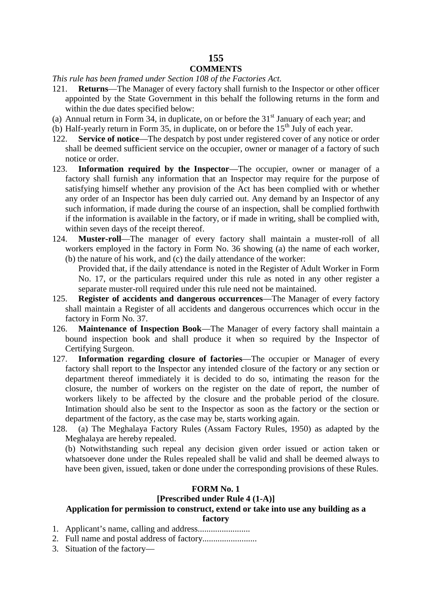## **155 COMMENTS**

### *This rule has been framed under Section 108 of the Factories Act.*

- 121. **Returns**—The Manager of every factory shall furnish to the Inspector or other officer appointed by the State Government in this behalf the following returns in the form and within the due dates specified below:
- (a) Annual return in Form 34, in duplicate, on or before the  $31<sup>st</sup>$  January of each year; and
- (b) Half-yearly return in Form 35, in duplicate, on or before the  $15<sup>th</sup>$  July of each year.
- 122. **Service of notice**—The despatch by post under registered cover of any notice or order shall be deemed sufficient service on the occupier, owner or manager of a factory of such notice or order.
- 123. **Information required by the Inspector**—The occupier, owner or manager of a factory shall furnish any information that an Inspector may require for the purpose of satisfying himself whether any provision of the Act has been complied with or whether any order of an Inspector has been duly carried out. Any demand by an Inspector of any such information, if made during the course of an inspection, shall be complied forthwith if the information is available in the factory, or if made in writing, shall be complied with, within seven days of the receipt thereof.
- 124. **Muster-roll**—The manager of every factory shall maintain a muster-roll of all workers employed in the factory in Form No. 36 showing (a) the name of each worker, (b) the nature of his work, and (c) the daily attendance of the worker:
	- Provided that, if the daily attendance is noted in the Register of Adult Worker in Form No. 17, or the particulars required under this rule as noted in any other register a separate muster-roll required under this rule need not be maintained.
- 125. **Register of accidents and dangerous occurrences**—The Manager of every factory shall maintain a Register of all accidents and dangerous occurrences which occur in the factory in Form No. 37.
- 126. **Maintenance of Inspection Book**—The Manager of every factory shall maintain a bound inspection book and shall produce it when so required by the Inspector of Certifying Surgeon.
- 127. **Information regarding closure of factories**—The occupier or Manager of every factory shall report to the Inspector any intended closure of the factory or any section or department thereof immediately it is decided to do so, intimating the reason for the closure, the number of workers on the register on the date of report, the number of workers likely to be affected by the closure and the probable period of the closure. Intimation should also be sent to the Inspector as soon as the factory or the section or department of the factory, as the case may be, starts working again.
- 128. (a) The Meghalaya Factory Rules (Assam Factory Rules, 1950) as adapted by the Meghalaya are hereby repealed.

(b) Notwithstanding such repeal any decision given order issued or action taken or whatsoever done under the Rules repealed shall be valid and shall be deemed always to have been given, issued, taken or done under the corresponding provisions of these Rules.

# **FORM No. 1**

## **[Prescribed under Rule 4 (1-A)]**

## **Application for permission to construct, extend or take into use any building as a**

#### **factory**

- 1. Applicant's name, calling and address........................
- 2. Full name and postal address of factory.........................
- 3. Situation of the factory—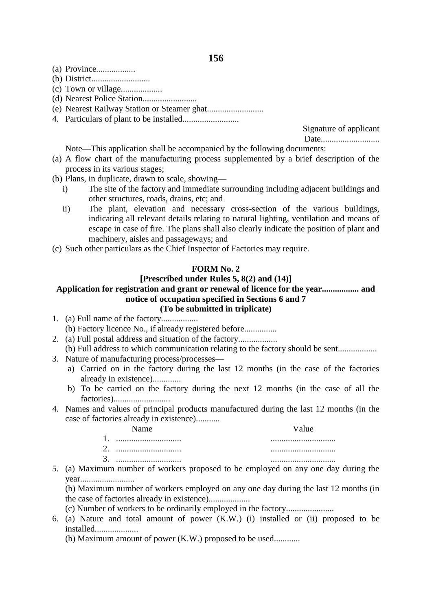- (a) Province..................
- (b) District...........................
- (c) Town or village...................
- (d) Nearest Police Station.........................
- (e) Nearest Railway Station or Steamer ghat..........................
- 4. Particulars of plant to be installed..........................

Signature of applicant Date...........................

Note—This application shall be accompanied by the following documents:

- (a) A flow chart of the manufacturing process supplemented by a brief description of the process in its various stages;
- (b) Plans, in duplicate, drawn to scale, showing
	- i) The site of the factory and immediate surrounding including adjacent buildings and other structures, roads, drains, etc; and
	- ii) The plant, elevation and necessary cross-section of the various buildings, indicating all relevant details relating to natural lighting, ventilation and means of escape in case of fire. The plans shall also clearly indicate the position of plant and machinery, aisles and passageways; and
- (c) Such other particulars as the Chief Inspector of Factories may require.

#### **FORM No. 2**

## **[Prescribed under Rules 5, 8(2) and (14)]**

### **Application for registration and grant or renewal of licence for the year................. and notice of occupation specified in Sections 6 and 7 (To be submitted in triplicate)**

- 1. (a) Full name of the factory.................
- (b) Factory licence No., if already registered before...............
- 2. (a) Full postal address and situation of the factory.................. (b) Full address to which communication relating to the factory should be sent..................
- 3. Nature of manufacturing process/processes
	- a) Carried on in the factory during the last 12 months (in the case of the factories already in existence).............
	- b) To be carried on the factory during the next 12 months (in the case of all the factories)..........................
- 4. Names and values of principal products manufactured during the last 12 months (in the case of factories already in existence)...........

#### Name

Value

- 1. .............................. 2. .............................. 3. .............................. .............................. .............................. ..............................
- 5. (a) Maximum number of workers proposed to be employed on any one day during the year.........................
	- (b) Maximum number of workers employed on any one day during the last 12 months (in the case of factories already in existence)...................
	- (c) Number of workers to be ordinarily employed in the factory......................
- 6. (a) Nature and total amount of power (K.W.) (i) installed or (ii) proposed to be installed....................
	- (b) Maximum amount of power (K.W.) proposed to be used............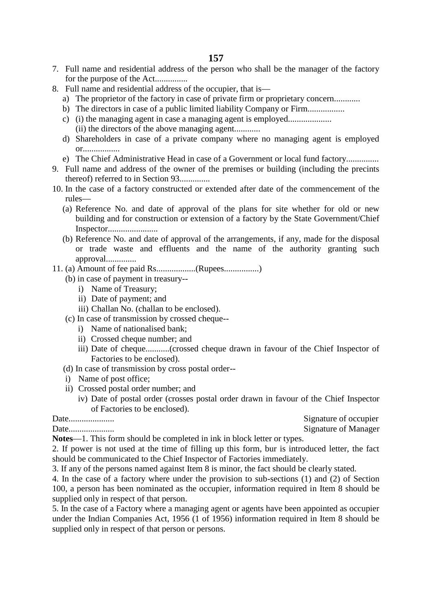- 7. Full name and residential address of the person who shall be the manager of the factory for the purpose of the Act...............
- 8. Full name and residential address of the occupier, that is
	- a) The proprietor of the factory in case of private firm or proprietary concern............
	- b) The directors in case of a public limited liability Company or Firm.................
	- c) (i) the managing agent in case a managing agent is employed.................... (ii) the directors of the above managing agent............
	- d) Shareholders in case of a private company where no managing agent is employed or.................
	- e) The Chief Administrative Head in case of a Government or local fund factory...............
- 9. Full name and address of the owner of the premises or building (including the precints thereof) referred to in Section 93..............
- 10. In the case of a factory constructed or extended after date of the commencement of the rules—
	- (a) Reference No. and date of approval of the plans for site whether for old or new building and for construction or extension of a factory by the State Government/Chief Inspector.......................
	- (b) Reference No. and date of approval of the arrangements, if any, made for the disposal or trade waste and effluents and the name of the authority granting such approval..............
- 11. (a) Amount of fee paid Rs..................(Rupees................)
	- (b) in case of payment in treasury-
		- i) Name of Treasury;
		- ii) Date of payment; and
		- iii) Challan No. (challan to be enclosed).
	- (c) In case of transmission by crossed cheque-
		- i) Name of nationalised bank;
		- ii) Crossed cheque number; and
		- iii) Date of cheque...........(crossed cheque drawn in favour of the Chief Inspector of Factories to be enclosed).
	- (d) In case of transmission by cross postal order--
	- i) Name of post office;
	- ii) Crossed postal order number; and
		- iv) Date of postal order (crosses postal order drawn in favour of the Chief Inspector of Factories to be enclosed).

Date..................... Signature of occupier Date..................... Signature of Manager

**Notes**—1. This form should be completed in ink in block letter or types.

2. If power is not used at the time of filling up this form, bur is introduced letter, the fact should be communicated to the Chief Inspector of Factories immediately.

3. If any of the persons named against Item 8 is minor, the fact should be clearly stated.

4. In the case of a factory where under the provision to sub-sections (1) and (2) of Section 100, a person has been nominated as the occupier, information required in Item 8 should be supplied only in respect of that person.

5. In the case of a Factory where a managing agent or agents have been appointed as occupier under the Indian Companies Act, 1956 (1 of 1956) information required in Item 8 should be supplied only in respect of that person or persons.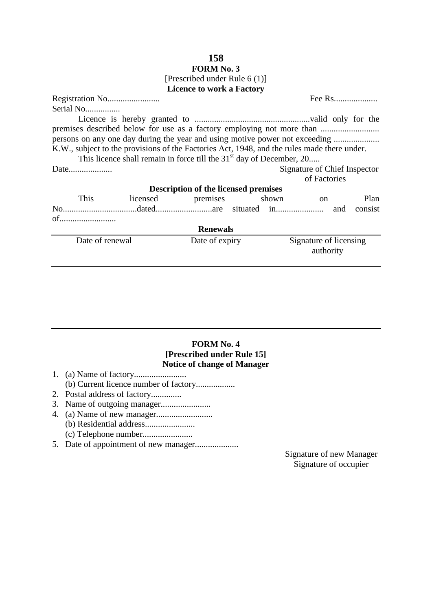## **158 FORM No. 3** [Prescribed under Rule 6 (1)] **Licence to work a Factory**

Registration No........................ Fee Rs.................... Serial No................. Licence is hereby granted to .....................................................valid only for the premises described below for use as a factory employing not more than .............................. persons on any one day during the year and using motive power not exceeding ........................ K.W., subject to the provisions of the Factories Act, 1948, and the rules made there under. This licence shall remain in force till the  $31<sup>st</sup>$  day of December, 20.... Date.................... Signature of Chief Inspector of Factories **Description of the licensed premises** This licensed premises shown on Plan No..................................dated..........................are situated in...................... and consist of.......................... **Renewals** Date of renewal Date of expiry Signature of licensing authority

# **FORM No. 4 [Prescribed under Rule 15] Notice of change of Manager**

- 1. (a) Name of factory........................ (b) Current licence number of factory..................
- 2. Postal address of factory..............
- 3. Name of outgoing manager.......................
- 4. (a) Name of new manager.......................... (b) Residential address....................... (c) Telephone number.......................
- 5. Date of appointment of new manager....................

Signature of new Manager Signature of occupier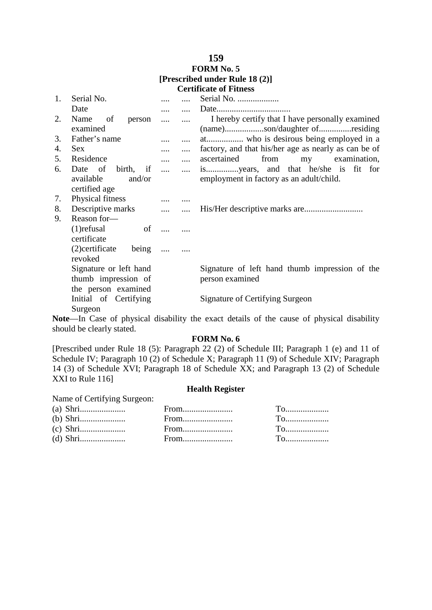### **FORM No. 5 [Prescribed under Rule 18 (2)] Certificate of Fitness**

| 1. | Serial No.                                                      | .        |          | Serial No.                                           |
|----|-----------------------------------------------------------------|----------|----------|------------------------------------------------------|
|    | Date                                                            | $\cdots$ |          |                                                      |
| 2. | Name<br>of<br>person                                            | $\cdots$ |          | I hereby certify that I have personally examined     |
|    | examined                                                        |          |          | (name)son/daughter ofresiding                        |
| 3. | Father's name                                                   |          |          | at who is desirous being employed in a               |
| 4. | <b>Sex</b>                                                      | .        | $\cdots$ | factory, and that his/her age as nearly as can be of |
| 5. | Residence                                                       | $\cdots$ | $\cdots$ | ascertained<br>from<br>examination,<br>my            |
| 6. | Date of<br>birth,<br>if<br>available<br>and/or<br>certified age | $\cdots$ | $\cdots$ | employment in factory as an adult/child.             |
| 7. | Physical fitness                                                | $\cdots$ |          |                                                      |
| 8. | Descriptive marks                                               |          |          |                                                      |
| 9. | Reason for-                                                     | $\cdots$ |          |                                                      |
|    |                                                                 |          |          |                                                      |
|    | $(1)$ refusal<br>of<br>certificate                              |          |          |                                                      |
|    |                                                                 |          |          |                                                      |
|    | (2) certificate<br>being<br>revoked                             | $\cdots$ |          |                                                      |
|    | Signature or left hand                                          |          |          | Signature of left hand thumb impression of the       |
|    | thumb impression of                                             |          |          | person examined                                      |
|    | the person examined                                             |          |          |                                                      |
|    | Initial of Certifying<br>Surgeon                                |          |          | Signature of Certifying Surgeon                      |

**Note**—In Case of physical disability the exact details of the cause of physical disability should be clearly stated.

### **FORM No. 6**

[Prescribed under Rule 18 (5): Paragraph 22 (2) of Schedule III; Paragraph 1 (e) and 11 of Schedule IV; Paragraph 10 (2) of Schedule X; Paragraph 11 (9) of Schedule XIV; Paragraph 14 (3) of Schedule XVI; Paragraph 18 of Schedule XX; and Paragraph 13 (2) of Schedule XXI to Rule 116]

#### **Health Register**

| Name of Certifying Surgeon: |                                           |                                                     |
|-----------------------------|-------------------------------------------|-----------------------------------------------------|
|                             | $From  \dots  \dots  \dots  \dots  \dots$ | $T$ o                                               |
|                             | From                                      | <u>To</u>                                           |
|                             |                                           | $To$ . The set of $\mathbb{R}^n$                    |
|                             |                                           | $T_{\Omega_{1},\ldots,\ldots,\ldots,\ldots,\ldots}$ |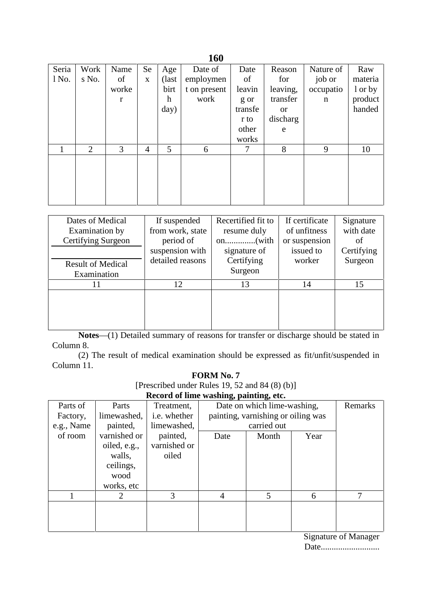|       |                |              |                |                           | TVV          |         |          |             |         |
|-------|----------------|--------------|----------------|---------------------------|--------------|---------|----------|-------------|---------|
| Seria | Work           | Name         | Se             | Age                       | Date of      | Date    | Reason   | Nature of   | Raw     |
| 1 No. | s No.          | of           | $\mathbf X$    | (last                     | employmen    | of      | for      | job or      | materia |
|       |                | worke        |                | birt                      | t on present | leavin  | leaving, | occupatio   | 1 or by |
|       |                | $\mathbf{r}$ |                | $\boldsymbol{\mathrm{h}}$ | work         | g or    | transfer | $\mathbf n$ | product |
|       |                |              |                | day)                      |              | transfe | or       |             | handed  |
|       |                |              |                |                           |              | r to    | discharg |             |         |
|       |                |              |                |                           |              | other   | e        |             |         |
|       |                |              |                |                           |              | works   |          |             |         |
|       | $\overline{2}$ | 3            | $\overline{4}$ | 5                         | 6            | 7       | 8        | 9           | 10      |
|       |                |              |                |                           |              |         |          |             |         |
|       |                |              |                |                           |              |         |          |             |         |
|       |                |              |                |                           |              |         |          |             |         |
|       |                |              |                |                           |              |         |          |             |         |
|       |                |              |                |                           |              |         |          |             |         |

| Dates of Medical<br>Examination by<br>Certifying Surgeon | If suspended<br>from work, state<br>period of | Recertified fit to<br>resume duly | If certificate<br>of unfitness<br>or suspension | Signature<br>with date<br>of |
|----------------------------------------------------------|-----------------------------------------------|-----------------------------------|-------------------------------------------------|------------------------------|
|                                                          | suspension with                               | signature of                      | issued to                                       | Certifying                   |
| <b>Result of Medical</b><br>Examination                  | detailed reasons                              | Certifying<br>Surgeon             | worker                                          | Surgeon                      |
| 11                                                       | 12                                            | 13                                | 14                                              | 15                           |
|                                                          |                                               |                                   |                                                 |                              |

**Notes**—(1) Detailed summary of reasons for transfer or discharge should be stated in Column 8.

(2) The result of medical examination should be expressed as fit/unfit/suspended in Column 11.

### **FORM No. 7**

[Prescribed under Rules 19, 52 and 84 (8) (b)]

**Record of lime washing, painting, etc.**

| Parts of   | Parts        | Treatment,          | ິ              | Date on which lime-washing,        |      |   |  |
|------------|--------------|---------------------|----------------|------------------------------------|------|---|--|
| Factory,   | limewashed,  | <i>i.e.</i> whether |                | painting, varnishing or oiling was |      |   |  |
| e.g., Name | painted,     | limewashed,         |                | carried out                        |      |   |  |
| of room    | varnished or | painted,            | Date           | Month                              | Year |   |  |
|            | oiled, e.g., | varnished or        |                |                                    |      |   |  |
|            | walls,       | oiled               |                |                                    |      |   |  |
|            | ceilings,    |                     |                |                                    |      |   |  |
|            | wood         |                     |                |                                    |      |   |  |
|            | works, etc   |                     |                |                                    |      |   |  |
|            | 2            | 3                   | $\overline{A}$ | 5                                  | 6    | 7 |  |
|            |              |                     |                |                                    |      |   |  |
|            |              |                     |                |                                    |      |   |  |
|            |              |                     |                |                                    |      |   |  |

Signature of Manager Date...........................

# **160**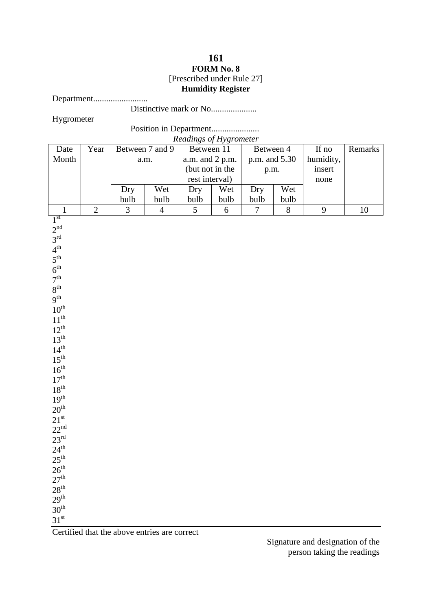## **161 FORM No. 8** [Prescribed under Rule 27] **Humidity Register**

Department.........................

Distinctive mark or No.....................

Hygrometer

Position in Department......................

*Readings of Hygrometer*

|                  |                |                 |                | Readings of Hygrometer |                                    |                |               |           |         |
|------------------|----------------|-----------------|----------------|------------------------|------------------------------------|----------------|---------------|-----------|---------|
| Date             | Year           | Between 7 and 9 |                | Between 11             |                                    | Between 4      |               | If no     | Remarks |
| Month            |                |                 | a.m.           |                        | a.m. and 2 p.m.<br>(but not in the |                | p.m. and 5.30 | humidity, |         |
|                  |                |                 |                |                        |                                    |                |               | insert    |         |
|                  |                |                 |                |                        |                                    | p.m.           |               |           |         |
|                  |                |                 |                | rest interval)         |                                    |                |               | none      |         |
|                  |                | Dry             | Wet            | Dry                    | Wet                                | Dry            | Wet           |           |         |
|                  |                | bulb            | bulb           | bulb                   | bulb                               | bulb           | bulb          |           |         |
| $\mathbf{1}$     | $\overline{2}$ | 3               | $\overline{4}$ | 5                      | 6                                  | $\overline{7}$ | 8             | 9         | $10\,$  |
| 1 <sup>st</sup>  |                |                 |                |                        |                                    |                |               |           |         |
| 2 <sup>nd</sup>  |                |                 |                |                        |                                    |                |               |           |         |
| $3^{\text{rd}}$  |                |                 |                |                        |                                    |                |               |           |         |
| $4^{th}$         |                |                 |                |                        |                                    |                |               |           |         |
|                  |                |                 |                |                        |                                    |                |               |           |         |
| $5^{\text{th}}$  |                |                 |                |                        |                                    |                |               |           |         |
| $6^{\rm th}$     |                |                 |                |                        |                                    |                |               |           |         |
| 7 <sup>th</sup>  |                |                 |                |                        |                                    |                |               |           |         |
| $8^{\rm th}$     |                |                 |                |                        |                                    |                |               |           |         |
| 9 <sup>th</sup>  |                |                 |                |                        |                                    |                |               |           |         |
| $10^{\rm th}$    |                |                 |                |                        |                                    |                |               |           |         |
| $11^{th}$        |                |                 |                |                        |                                    |                |               |           |         |
|                  |                |                 |                |                        |                                    |                |               |           |         |
| $12^{th}$        |                |                 |                |                        |                                    |                |               |           |         |
| $13^{th}$        |                |                 |                |                        |                                    |                |               |           |         |
| $14^{th}$        |                |                 |                |                        |                                    |                |               |           |         |
| $15^{\text{th}}$ |                |                 |                |                        |                                    |                |               |           |         |
| $16^{th}$        |                |                 |                |                        |                                    |                |               |           |         |
| 17 <sup>th</sup> |                |                 |                |                        |                                    |                |               |           |         |
| $18^{\rm th}$    |                |                 |                |                        |                                    |                |               |           |         |
| 19 <sup>th</sup> |                |                 |                |                        |                                    |                |               |           |         |
| $20^{\text{th}}$ |                |                 |                |                        |                                    |                |               |           |         |
|                  |                |                 |                |                        |                                    |                |               |           |         |
| $21^{st}$        |                |                 |                |                        |                                    |                |               |           |         |
| $22^{nd}$        |                |                 |                |                        |                                    |                |               |           |         |
| $23^{rd}$        |                |                 |                |                        |                                    |                |               |           |         |
| $24^{\text{th}}$ |                |                 |                |                        |                                    |                |               |           |         |
| $25^{\text{th}}$ |                |                 |                |                        |                                    |                |               |           |         |
| 26 <sup>th</sup> |                |                 |                |                        |                                    |                |               |           |         |
| $27^{\rm th}$    |                |                 |                |                        |                                    |                |               |           |         |
| $28^{\rm th}$    |                |                 |                |                        |                                    |                |               |           |         |
|                  |                |                 |                |                        |                                    |                |               |           |         |
| $29^{\rm th}$    |                |                 |                |                        |                                    |                |               |           |         |
| $30^{\rm th}$    |                |                 |                |                        |                                    |                |               |           |         |
| 31 <sup>st</sup> |                |                 |                |                        |                                    |                |               |           |         |

Certified that the above entries are correct

Signature and designation of the person taking the readings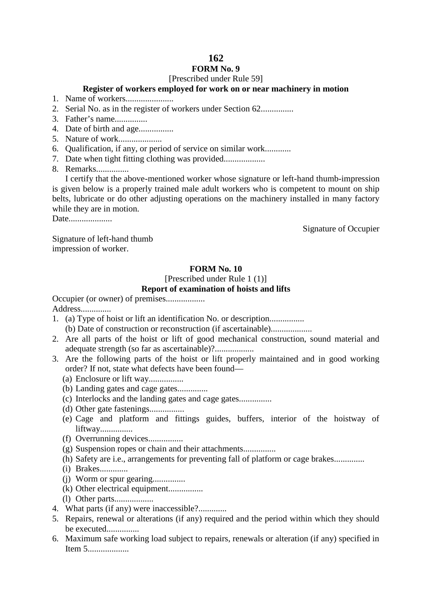# **FORM No. 9**

## [Prescribed under Rule 59]

# **Register of workers employed for work on or near machinery in motion**

- 1. Name of workers......................
- 2. Serial No. as in the register of workers under Section 62...............
- 3. Father's name...............
- 4. Date of birth and age................
- 5. Nature of work....................
- 6. Qualification, if any, or period of service on similar work............
- 7. Date when tight fitting clothing was provided...................
- 8. Remarks...............

I certify that the above-mentioned worker whose signature or left-hand thumb-impression is given below is a properly trained male adult workers who is competent to mount on ship belts, lubricate or do other adjusting operations on the machinery installed in many factory while they are in motion.

Date.....................

Signature of Occupier

Signature of left-hand thumb impression of worker.

## **FORM No. 10**

# [Prescribed under Rule 1 (1)]

#### **Report of examination of hoists and lifts**

Occupier (or owner) of premises..................

Address..............

- 1. (a) Type of hoist or lift an identification No. or description................ (b) Date of construction or reconstruction (if ascertainable)...................
- 2. Are all parts of the hoist or lift of good mechanical construction, sound material and adequate strength (so far as ascertainable)?...................
- 3. Are the following parts of the hoist or lift properly maintained and in good working order? If not, state what defects have been found—
	- (a) Enclosure or lift way................
	- (b) Landing gates and cage gates..............
	- (c) Interlocks and the landing gates and cage gates...............
	- (d) Other gate fastenings................
	- (e) Cage and platform and fittings guides, buffers, interior of the hoistway of liftway...............
	- (f) Overrunning devices................
	- (g) Suspension ropes or chain and their attachments...............
	- (h) Safety are i.e., arrangements for preventing fall of platform or cage brakes..............
	- (i) Brakes.............
	- (j) Worm or spur gearing...............
	- (k) Other electrical equipment................
	- (l) Other parts..................
- 4. What parts (if any) were inaccessible?.............
- 5. Repairs, renewal or alterations (if any) required and the period within which they should be executed...............
- 6. Maximum safe working load subject to repairs, renewals or alteration (if any) specified in Item 5...................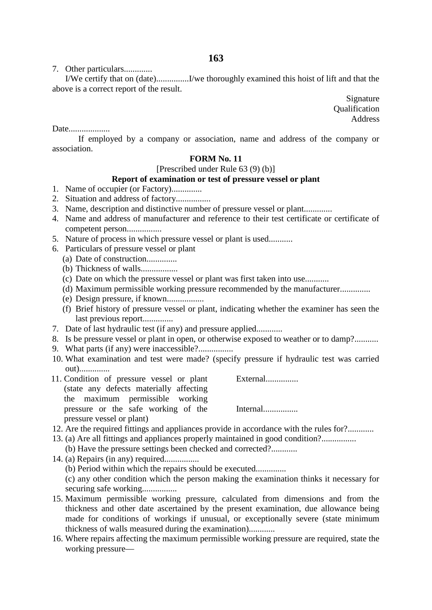7. Other particulars.............

I/We certify that on (date)...............I/we thoroughly examined this hoist of lift and that the above is a correct report of the result.

> Signature **Oualification** Address

Date...................

If employed by a company or association, name and address of the company or association.

### **FORM No. 11**

[Prescribed under Rule 63 (9) (b)]

#### **Report of examination or test of pressure vessel or plant**

- 1. Name of occupier (or Factory)..............
- 2. Situation and address of factory................
- 3. Name, description and distinctive number of pressure vessel or plant.............
- 4. Name and address of manufacturer and reference to their test certificate or certificate of competent person................
- 5. Nature of process in which pressure vessel or plant is used...........
- 6. Particulars of pressure vessel or plant
	- (a) Date of construction..............
	- (b) Thickness of walls.................
	- (c) Date on which the pressure vessel or plant was first taken into use...........
	- (d) Maximum permissible working pressure recommended by the manufacturer..............
	- (e) Design pressure, if known.................
	- (f) Brief history of pressure vessel or plant, indicating whether the examiner has seen the last previous report..............
- 7. Date of last hydraulic test (if any) and pressure applied............
- 8. Is be pressure vessel or plant in open, or otherwise exposed to weather or to damp?...........
- 9. What parts (if any) were inaccessible?.................
- 10. What examination and test were made? (specify pressure if hydraulic test was carried out)..............
- 11. Condition of pressure vessel or plant (state any defects materially affecting the maximum permissible working pressure or the safe working of the pressure vessel or plant) External...............
	-
- 12. Are the required fittings and appliances provide in accordance with the rules for?............
- 13. (a) Are all fittings and appliances properly maintained in good condition?................ (b) Have the pressure settings been checked and corrected?............
- 14. (a) Repairs (in any) required................ (b) Period within which the repairs should be executed.............. (c) any other condition which the person making the examination thinks it necessary for
	- securing safe working................
- 15. Maximum permissible working pressure, calculated from dimensions and from the thickness and other date ascertained by the present examination, due allowance being made for conditions of workings if unusual, or exceptionally severe (state minimum thickness of walls measured during the examination)............
- 16. Where repairs affecting the maximum permissible working pressure are required, state the working pressure—

Internal................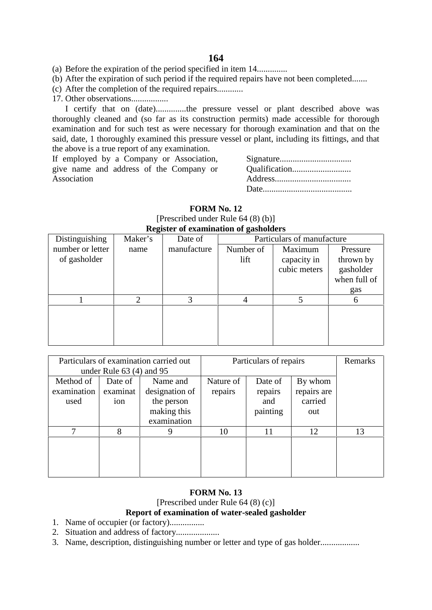(a) Before the expiration of the period specified in item 14..............

- (b) After the expiration of such period if the required repairs have not been completed.......
- (c) After the completion of the required repairs............
- 17. Other observations.................

I certify that on (date)..............the pressure vessel or plant described above was thoroughly cleaned and (so far as its construction permits) made accessible for thorough examination and for such test as were necessary for thorough examination and that on the said, date, 1 thoroughly examined this pressure vessel or plant, including its fittings, and that the above is a true report of any examination.

If employed by a Company or Association, give name and address of the Company or Association

Signature................................. Qualification........................... Address................................... Date.........................................

|                                                                    |      | $\Gamma$ rescribed under Nuit 04 (8) (D) |           |              |              |  |  |  |  |  |  |
|--------------------------------------------------------------------|------|------------------------------------------|-----------|--------------|--------------|--|--|--|--|--|--|
| <b>Register of examination of gasholders</b>                       |      |                                          |           |              |              |  |  |  |  |  |  |
| Distinguishing<br>Particulars of manufacture<br>Maker's<br>Date of |      |                                          |           |              |              |  |  |  |  |  |  |
| number or letter                                                   | name | manufacture                              | Number of | Maximum      | Pressure     |  |  |  |  |  |  |
| of gasholder                                                       |      |                                          | lift      | capacity in  | thrown by    |  |  |  |  |  |  |
|                                                                    |      |                                          |           | cubic meters | gasholder    |  |  |  |  |  |  |
|                                                                    |      |                                          |           |              | when full of |  |  |  |  |  |  |
|                                                                    |      |                                          |           |              | gas          |  |  |  |  |  |  |
|                                                                    | ◠    |                                          |           |              | 6            |  |  |  |  |  |  |
|                                                                    |      |                                          |           |              |              |  |  |  |  |  |  |
|                                                                    |      |                                          |           |              |              |  |  |  |  |  |  |
|                                                                    |      |                                          |           |              |              |  |  |  |  |  |  |

| <b>FORM No. 12</b>                    |  |
|---------------------------------------|--|
| [Prescribed under Rule $64(8)(b)$ ]   |  |
| Register of evemination of gesholders |  |

|             |                              | Particulars of examination carried out | Particulars of repairs | Remarks  |             |    |
|-------------|------------------------------|----------------------------------------|------------------------|----------|-------------|----|
|             | under Rule $63$ (4) and $95$ |                                        |                        |          |             |    |
| Method of   | Date of                      | Name and                               | Nature of              | Date of  | By whom     |    |
| examination | examinat                     | designation of                         | repairs                | repairs  | repairs are |    |
| used        | ion                          | the person                             |                        | and      | carried     |    |
|             |                              | making this                            |                        | painting | out         |    |
|             |                              | examination                            |                        |          |             |    |
| 7           | 8                            | 9                                      | 10                     | 11       | 12          | 13 |
|             |                              |                                        |                        |          |             |    |
|             |                              |                                        |                        |          |             |    |
|             |                              |                                        |                        |          |             |    |
|             |                              |                                        |                        |          |             |    |

### **FORM No. 13**

[Prescribed under Rule 64 (8) (c)]

## **Report of examination of water-sealed gasholder**

- 1. Name of occupier (or factory)................
- 2. Situation and address of factory....................
- 3. Name, description, distinguishing number or letter and type of gas holder........................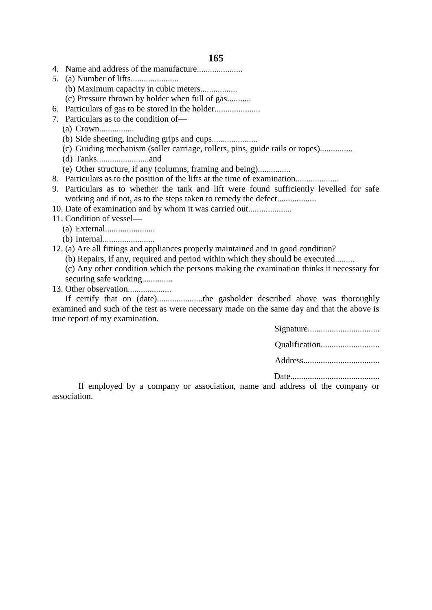- 4. Name and address of the manufacture.....................
- 5. (a) Number of lifts......................
	- (b) Maximum capacity in cubic meters.................
	- (c) Pressure thrown by holder when full of gas...........
- 6. Particulars of gas to be stored in the holder.....................
- 7. Particulars as to the condition of—
	- (a) Crown................
	- (b) Side sheeting, including grips and cups.....................
	- (c) Guiding mechanism (soller carriage, rollers, pins, guide rails or ropes)...............
	- (d) Tanks........................and
	- (e) Other structure, if any (columns, framing and being)...............
- 8. Particulars as to the position of the lifts at the time of examination....................
- 9. Particulars as to whether the tank and lift were found sufficiently levelled for safe working and if not, as to the steps taken to remedy the defect...................
- 10. Date of examination and by whom it was carried out....................
- 11. Condition of vessel—
	- (a) External.......................
	- (b) Internal........................
- 12. (a) Are all fittings and appliances properly maintained and in good condition?
	- (b) Repairs, if any, required and period within which they should be executed.........
	- (c) Any other condition which the persons making the examination thinks it necessary for securing safe working...............
- 13. Other observation....................

If certify that on (date).....................the gasholder described above was thoroughly examined and such of the test as were necessary made on the same day and that the above is true report of my examination.

If employed by a company or association, name and address of the company or association.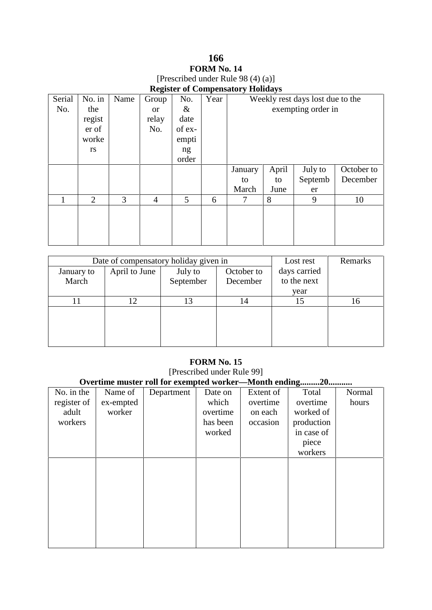# **166 FORM No. 14** [Prescribed under Rule 98 (4) (a)]

|  |  |  | <b>Register of Compensatory Holidays</b> |  |  |
|--|--|--|------------------------------------------|--|--|
|--|--|--|------------------------------------------|--|--|

| Serial | No. in | Name | Group          | No.         | Year |         |       | Weekly rest days lost due to the |            |
|--------|--------|------|----------------|-------------|------|---------|-------|----------------------------------|------------|
| No.    | the    |      | <b>or</b>      | $\&$        |      |         |       | exempting order in               |            |
|        | regist |      | relay          | date        |      |         |       |                                  |            |
|        | er of  |      | No.            | of ex-      |      |         |       |                                  |            |
|        | worke  |      |                | empti       |      |         |       |                                  |            |
|        | rs     |      |                | ng<br>order |      |         |       |                                  |            |
|        |        |      |                |             |      | January | April | July to                          | October to |
|        |        |      |                |             |      | to      | to    | Septemb                          | December   |
|        |        |      |                |             |      | March   | June  | er                               |            |
|        | 2      | 3    | $\overline{4}$ | 5           | 6    | 7       | 8     | 9                                | 10         |
|        |        |      |                |             |      |         |       |                                  |            |
|        |        |      |                |             |      |         |       |                                  |            |
|        |        |      |                |             |      |         |       |                                  |            |
|        |        |      |                |             |      |         |       |                                  |            |

|            | Date of compensatory holiday given in |           | Lost rest    | Remarks     |    |
|------------|---------------------------------------|-----------|--------------|-------------|----|
| January to | April to June                         | July to   | days carried |             |    |
| March      |                                       | September | December     | to the next |    |
|            |                                       |           |              | year        |    |
|            | 12                                    | 13        | 14           | 15          | 16 |
|            |                                       |           |              |             |    |
|            |                                       |           |              |             |    |
|            |                                       |           |              |             |    |
|            |                                       |           |              |             |    |

## **FORM No. 15**

[Prescribed under Rule 99] **Overtime muster roll for exempted worker—Month ending.........20...........** No. in the register of adult workers Name of ex-empted worker Department Date on which overtime has been worked Extent of overtime on each occasion Total overtime worked of production in case of piece workers Normal hours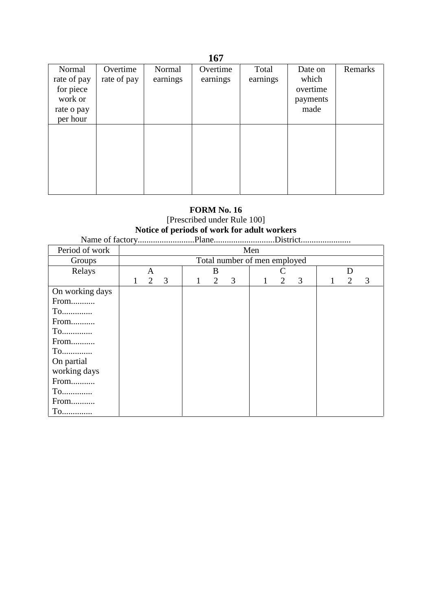|                                                                         |                         |                    | 107                  |                   |                                                  |         |
|-------------------------------------------------------------------------|-------------------------|--------------------|----------------------|-------------------|--------------------------------------------------|---------|
| Normal<br>rate of pay<br>for piece<br>work or<br>rate o pay<br>per hour | Overtime<br>rate of pay | Normal<br>earnings | Overtime<br>earnings | Total<br>earnings | Date on<br>which<br>overtime<br>payments<br>made | Remarks |
|                                                                         |                         |                    |                      |                   |                                                  |         |

# **FORM No. 16**

# [Prescribed under Rule 100] **Notice of periods of work for adult workers**

Name of factory..........................Plane............................District.......................

| Period of work  |   |                              |   |   |   |   | Men |   |   |   |   |   |  |
|-----------------|---|------------------------------|---|---|---|---|-----|---|---|---|---|---|--|
| Groups          |   | Total number of men employed |   |   |   |   |     |   |   |   |   |   |  |
| Relays          |   | D<br>B<br>A                  |   |   |   |   |     |   |   |   |   |   |  |
|                 | 1 | $\overline{2}$               | 3 | 1 | 2 | 3 | 1   | 2 | 3 | 1 | 2 | 3 |  |
| On working days |   |                              |   |   |   |   |     |   |   |   |   |   |  |
| From            |   |                              |   |   |   |   |     |   |   |   |   |   |  |
| To              |   |                              |   |   |   |   |     |   |   |   |   |   |  |
| From            |   |                              |   |   |   |   |     |   |   |   |   |   |  |
| To              |   |                              |   |   |   |   |     |   |   |   |   |   |  |
| From            |   |                              |   |   |   |   |     |   |   |   |   |   |  |
| To              |   |                              |   |   |   |   |     |   |   |   |   |   |  |
| On partial      |   |                              |   |   |   |   |     |   |   |   |   |   |  |
| working days    |   |                              |   |   |   |   |     |   |   |   |   |   |  |
| From            |   |                              |   |   |   |   |     |   |   |   |   |   |  |
| $To$            |   |                              |   |   |   |   |     |   |   |   |   |   |  |
| From            |   |                              |   |   |   |   |     |   |   |   |   |   |  |
| To              |   |                              |   |   |   |   |     |   |   |   |   |   |  |

# **167**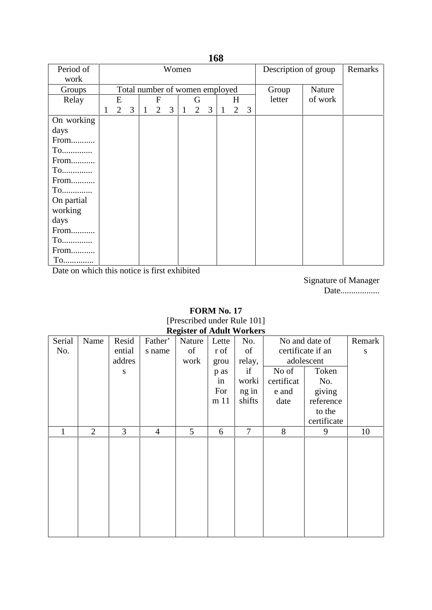| Period of  |   |   | Women |              |                |                                |              |   |   |              |                | Description of group |        | Remarks |  |
|------------|---|---|-------|--------------|----------------|--------------------------------|--------------|---|---|--------------|----------------|----------------------|--------|---------|--|
| work       |   |   |       |              |                |                                |              |   |   |              |                |                      |        |         |  |
| Groups     |   |   |       |              |                | Total number of women employed |              |   |   |              |                |                      | Group  | Nature  |  |
| Relay      |   | E |       |              | $\mathbf{F}$   |                                |              | G |   |              | H              |                      | letter | of work |  |
|            | 1 | 2 | 3     | $\mathbf{1}$ | $\overline{2}$ | $\mathfrak{Z}$                 | $\mathbf{1}$ | 2 | 3 | $\mathbf{1}$ | $\overline{2}$ | 3                    |        |         |  |
| On working |   |   |       |              |                |                                |              |   |   |              |                |                      |        |         |  |
| days       |   |   |       |              |                |                                |              |   |   |              |                |                      |        |         |  |
| From       |   |   |       |              |                |                                |              |   |   |              |                |                      |        |         |  |
| $To$       |   |   |       |              |                |                                |              |   |   |              |                |                      |        |         |  |
| From       |   |   |       |              |                |                                |              |   |   |              |                |                      |        |         |  |
| To         |   |   |       |              |                |                                |              |   |   |              |                |                      |        |         |  |
| From       |   |   |       |              |                |                                |              |   |   |              |                |                      |        |         |  |
| $To$       |   |   |       |              |                |                                |              |   |   |              |                |                      |        |         |  |
| On partial |   |   |       |              |                |                                |              |   |   |              |                |                      |        |         |  |
| working    |   |   |       |              |                |                                |              |   |   |              |                |                      |        |         |  |
| days       |   |   |       |              |                |                                |              |   |   |              |                |                      |        |         |  |
| From       |   |   |       |              |                |                                |              |   |   |              |                |                      |        |         |  |
| $To$       |   |   |       |              |                |                                |              |   |   |              |                |                      |        |         |  |
| From       |   |   |       |              |                |                                |              |   |   |              |                |                      |        |         |  |
| $To$       |   |   |       |              |                |                                |              |   |   |              |                |                      |        |         |  |

Date on which this notice is first exhibited

Signature of Manager Date..................

## **FORM No. 17** [Prescribed under Rule 101] **Register of Adult Workers**

| requier of from workers |        |                |        |                |        |       |                |            |                   |        |
|-------------------------|--------|----------------|--------|----------------|--------|-------|----------------|------------|-------------------|--------|
|                         | Serial | Name           | Resid  | Father'        | Nature | Lette | No.            |            | No and date of    | Remark |
|                         | No.    |                | ential | s name         | of     | r of  | of             |            | certificate if an | S      |
|                         |        |                | addres |                | work   | grou  | relay,         |            | adolescent        |        |
|                         |        |                | S      |                |        | p as  | if             | No of      | Token             |        |
|                         |        |                |        |                |        | in    | worki          | certificat | No.               |        |
|                         |        |                |        |                |        | For   | ng in          | e and      | giving            |        |
|                         |        |                |        |                |        | m 11  | shifts         | date       | reference         |        |
|                         |        |                |        |                |        |       |                |            | to the            |        |
|                         |        |                |        |                |        |       |                |            | certificate       |        |
|                         | 1      | $\overline{2}$ | 3      | $\overline{4}$ | 5      | 6     | $\overline{7}$ | 8          | 9                 | 10     |
|                         |        |                |        |                |        |       |                |            |                   |        |
|                         |        |                |        |                |        |       |                |            |                   |        |
|                         |        |                |        |                |        |       |                |            |                   |        |
|                         |        |                |        |                |        |       |                |            |                   |        |
|                         |        |                |        |                |        |       |                |            |                   |        |
|                         |        |                |        |                |        |       |                |            |                   |        |
|                         |        |                |        |                |        |       |                |            |                   |        |
|                         |        |                |        |                |        |       |                |            |                   |        |
|                         |        |                |        |                |        |       |                |            |                   |        |
|                         |        |                |        |                |        |       |                |            |                   |        |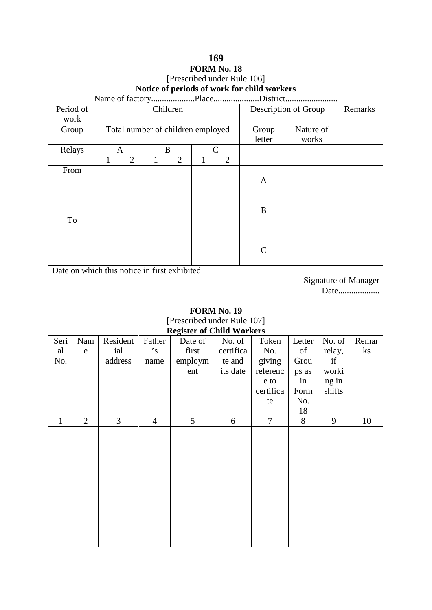## **169 FORM No. 18** [Prescribed under Rule 106] **Notice of periods of work for child workers** Name of factory....................Place.....................District........................

| Period of<br>work |   |                    |   | Children                          |   |                |                 | Description of Group | Remarks |
|-------------------|---|--------------------|---|-----------------------------------|---|----------------|-----------------|----------------------|---------|
| Group             |   |                    |   | Total number of children employed |   |                | Group<br>letter | Nature of<br>works   |         |
| Relays            | A | B<br>$\mathcal{C}$ |   |                                   |   |                |                 |                      |         |
|                   | 1 | $\overline{2}$     | 1 | $\overline{2}$                    | 1 | $\overline{2}$ |                 |                      |         |
| From              |   |                    |   |                                   |   |                | A               |                      |         |
| To                |   |                    |   |                                   |   |                | B               |                      |         |
|                   |   |                    |   |                                   |   |                | $\mathbf C$     |                      |         |

Date on which this notice in first exhibited

Signature of Manager Date...................

## **FORM No. 19** [Prescribed under Rule 107] **Register of Child Workers**

|              | Register of China Workers |                |                 |         |           |                |        |        |          |  |  |  |  |
|--------------|---------------------------|----------------|-----------------|---------|-----------|----------------|--------|--------|----------|--|--|--|--|
| Seri         | Nam                       | Resident       | Father          | Date of | No. of    | Token          | Letter | No. of | Remar    |  |  |  |  |
| al           | ${\bf e}$                 | ial            | $\cdot_{\rm s}$ | first   | certifica | No.            | of     | relay, | $\rm ks$ |  |  |  |  |
| No.          |                           | address        | name            | employm | te and    | giving         | Grou   | if     |          |  |  |  |  |
|              |                           |                |                 | ent     | its date  | referenc       | ps as  | worki  |          |  |  |  |  |
|              |                           |                |                 |         |           | e to           | in     | ng in  |          |  |  |  |  |
|              |                           |                |                 |         |           | certifica      | Form   | shifts |          |  |  |  |  |
|              |                           |                |                 |         |           | te             | No.    |        |          |  |  |  |  |
|              |                           |                |                 |         |           |                | 18     |        |          |  |  |  |  |
| $\mathbf{1}$ | $\overline{2}$            | $\overline{3}$ | $\overline{4}$  | 5       | 6         | $\overline{7}$ | 8      | 9      | 10       |  |  |  |  |
|              |                           |                |                 |         |           |                |        |        |          |  |  |  |  |
|              |                           |                |                 |         |           |                |        |        |          |  |  |  |  |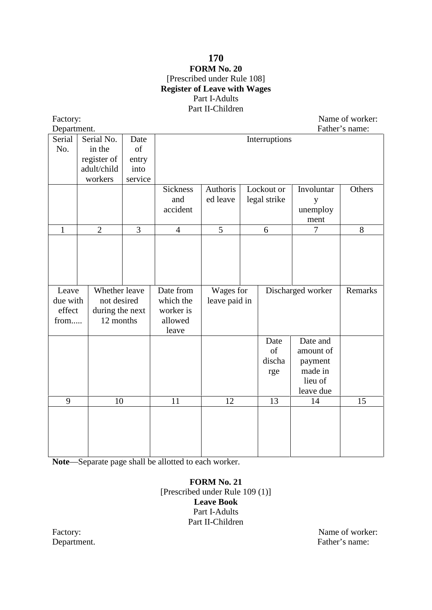## **170 FORM No. 20** [Prescribed under Rule 108] **Register of Leave with Wages** Part I-Adults Part II-Children

Factory: Name of worker:

| Department.  |                 |         |                 |               |               |                    | Father's name: |
|--------------|-----------------|---------|-----------------|---------------|---------------|--------------------|----------------|
| Serial       | Serial No.      | Date    |                 |               | Interruptions |                    |                |
| No.          | in the          | of      |                 |               |               |                    |                |
|              | register of     | entry   |                 |               |               |                    |                |
|              | adult/child     | into    |                 |               |               |                    |                |
|              | workers         | service |                 |               |               |                    |                |
|              |                 |         | <b>Sickness</b> | Authoris      | Lockout or    | Involuntar         | Others         |
|              |                 |         | and             | ed leave      | legal strike  | y                  |                |
|              |                 |         | accident        |               |               | unemploy           |                |
|              |                 |         |                 |               |               | ment               |                |
| $\mathbf{1}$ | $\overline{2}$  | 3       | $\overline{4}$  | 5             | 6             | 7                  | 8              |
|              |                 |         |                 |               |               |                    |                |
|              |                 |         |                 |               |               |                    |                |
|              |                 |         |                 |               |               |                    |                |
|              |                 |         |                 |               |               |                    |                |
|              |                 |         |                 |               |               |                    |                |
| Leave        | Whether leave   |         | Date from       | Wages for     |               | Discharged worker  | Remarks        |
| due with     | not desired     |         | which the       | leave paid in |               |                    |                |
| effect       | during the next |         | worker is       |               |               |                    |                |
| from         | 12 months       |         | allowed         |               |               |                    |                |
|              |                 |         | leave           |               |               |                    |                |
|              |                 |         |                 |               | Date          | Date and           |                |
|              |                 |         |                 |               | of            | amount of          |                |
|              |                 |         |                 |               | discha        | payment            |                |
|              |                 |         |                 |               | rge           | made in<br>lieu of |                |
|              |                 |         |                 |               |               |                    |                |
| 9            | 10              |         | 11              | 12            | 13            | leave due<br>14    | 15             |
|              |                 |         |                 |               |               |                    |                |
|              |                 |         |                 |               |               |                    |                |
|              |                 |         |                 |               |               |                    |                |
|              |                 |         |                 |               |               |                    |                |
|              |                 |         |                 |               |               |                    |                |

**Note**—Separate page shall be allotted to each worker.

**FORM No. 21** [Prescribed under Rule 109 (1)] **Leave Book** Part I-Adults Part II-Children

Factory: Name of worker: Name of worker: Name of worker: Name of worker: Name of worker: Name: Name: Name: Name: Name: Name: Name: Name: Name: Name: Name: Name: Name: Name: Name: Name: Name: Name: Name: Name: Name: Name: N Father's name: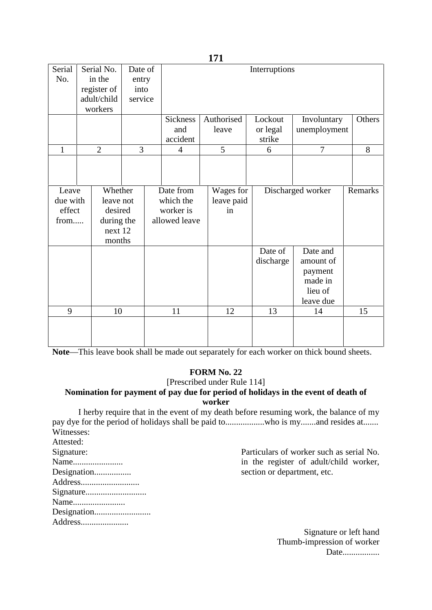| Serial       | Serial No.     |                |  |                |            |               |                   |         |  |  |  |
|--------------|----------------|----------------|--|----------------|------------|---------------|-------------------|---------|--|--|--|
|              |                | Date of        |  |                |            | Interruptions |                   |         |  |  |  |
| No.          | in the         | entry          |  |                |            |               |                   |         |  |  |  |
|              | register of    | into           |  |                |            |               |                   |         |  |  |  |
|              | adult/child    | service        |  |                |            |               |                   |         |  |  |  |
|              | workers        |                |  |                |            |               |                   |         |  |  |  |
|              |                |                |  | Sickness       | Authorised | Lockout       | Involuntary       | Others  |  |  |  |
|              |                |                |  | and            | leave      | or legal      | unemployment      |         |  |  |  |
|              |                |                |  | accident       |            | strike        |                   |         |  |  |  |
| $\mathbf{1}$ | $\overline{2}$ | $\overline{3}$ |  | $\overline{4}$ | 5          | 6             | $\overline{7}$    | 8       |  |  |  |
|              |                |                |  |                |            |               |                   |         |  |  |  |
|              |                |                |  |                |            |               |                   |         |  |  |  |
| Leave        | Whether        |                |  | Date from      | Wages for  |               | Discharged worker | Remarks |  |  |  |
| due with     | leave not      |                |  | which the      | leave paid |               |                   |         |  |  |  |
| effect       | desired        |                |  | worker is      | in         |               |                   |         |  |  |  |
| from         | during the     |                |  | allowed leave  |            |               |                   |         |  |  |  |
|              | next 12        |                |  |                |            |               |                   |         |  |  |  |
|              | months         |                |  |                |            |               |                   |         |  |  |  |
|              |                |                |  |                |            | Date of       | Date and          |         |  |  |  |
|              |                |                |  |                |            | discharge     | amount of         |         |  |  |  |
|              |                |                |  |                |            |               | payment           |         |  |  |  |
|              |                |                |  |                |            |               | made in           |         |  |  |  |
|              |                |                |  |                |            |               | lieu of           |         |  |  |  |
|              |                |                |  |                |            |               |                   |         |  |  |  |
|              |                |                |  |                |            |               | leave due         |         |  |  |  |
| 9            | 10             |                |  | 11             | 12         | 13            | 14                | 15      |  |  |  |
|              |                |                |  |                |            |               |                   |         |  |  |  |
|              |                |                |  |                |            |               |                   |         |  |  |  |
|              |                |                |  |                |            |               |                   |         |  |  |  |

**Note**—This leave book shall be made out separately for each worker on thick bound sheets.

# **FORM No. 22**

[Prescribed under Rule 114]

## **Nomination for payment of pay due for period of holidays in the event of death of worker**

I herby require that in the event of my death before resuming work, the balance of my pay dye for the period of holidays shall be paid to.........................who is my.......and resides at....... Witnesses:

Attested:

Signature: Name....................... Designation.................. Address........................... Particulars of worker such as serial No. in the register of adult/child worker, section or department, etc.

- Signature............................
- Name........................
- Designation..........................

Address......................

Signature or left hand Thumb-impression of worker Date.................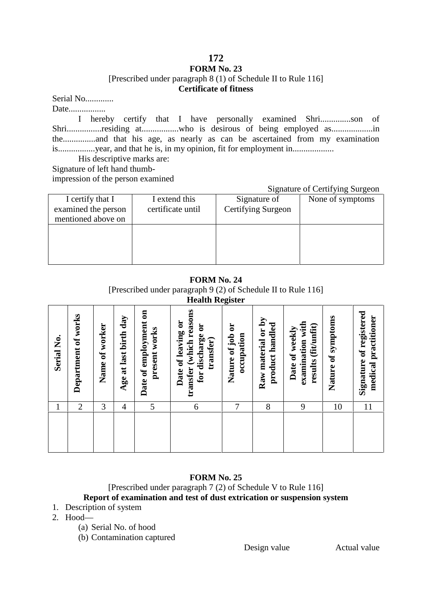### **FORM No. 23** [Prescribed under paragraph 8 (1) of Schedule II to Rule 116] **Certificate of fitness**

Serial No..............

Date..................

I hereby certify that I have personally examined Shri..............son of Shri................residing at..................who is desirous of being employed as......................... the...............and that his age, as nearly as can be ascertained from my examination is.................year, and that he is, in my opinion, fit for employment in...................

His descriptive marks are: Signature of left hand thumb-

impression of the person examined

#### Signature of Certifying Surgeon

|                     |                   |                    | ັ                |
|---------------------|-------------------|--------------------|------------------|
| I certify that I    | I extend this     | Signature of       | None of symptoms |
| examined the person | certificate until | Certifying Surgeon |                  |
| mentioned above on  |                   |                    |                  |
|                     |                   |                    |                  |
|                     |                   |                    |                  |
|                     |                   |                    |                  |
|                     |                   |                    |                  |
|                     |                   |                    |                  |

## **FORM No. 24**

[Prescribed under paragraph 9 (2) of Schedule II to Rule 116] **Health Register**

| Serial No. | Department of works | of worker<br>Name | last birth day<br>Age at | Date of employment on<br>present works | <b>Health Register</b><br>transfer (which reasons<br>Date of leaving or<br>for discharge or<br>transfer) | Nature of job or<br>occupation | Raw material or by<br>product handled | examination with<br>(fit/unfit)<br>Date of weekly<br>results | Nature of symptoms | Signature of registered<br>medical practitioner |  |
|------------|---------------------|-------------------|--------------------------|----------------------------------------|----------------------------------------------------------------------------------------------------------|--------------------------------|---------------------------------------|--------------------------------------------------------------|--------------------|-------------------------------------------------|--|
| 1          | 2                   | 3                 | 4                        | 5                                      | 6                                                                                                        | 7                              | 8                                     | 9                                                            | 10                 | 11                                              |  |
|            |                     |                   |                          |                                        |                                                                                                          |                                |                                       |                                                              |                    |                                                 |  |

## **FORM No. 25**

## [Prescribed under paragraph 7 (2) of Schedule V to Rule 116] **Report of examination and test of dust extrication or suspension system**

- 1. Description of system
- 2. Hood—
	- (a) Serial No. of hood
	- (b) Contamination captured

Design value Actual value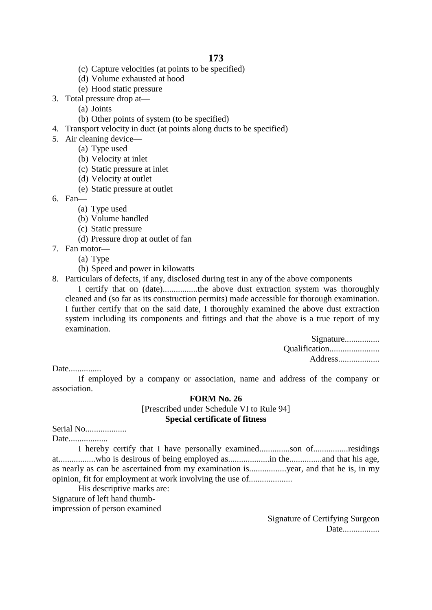- (c) Capture velocities (at points to be specified)
- (d) Volume exhausted at hood
- (e) Hood static pressure
- 3. Total pressure drop at—
	- (a) Joints
	- (b) Other points of system (to be specified)
- 4. Transport velocity in duct (at points along ducts to be specified)
- 5. Air cleaning device—
	- (a) Type used
	- (b) Velocity at inlet
	- (c) Static pressure at inlet
	- (d) Velocity at outlet
	- (e) Static pressure at outlet
- 6. Fan—
	- (a) Type used
	- (b) Volume handled
	- (c) Static pressure
	- (d) Pressure drop at outlet of fan
- 7. Fan motor—
	- (a) Type
	- (b) Speed and power in kilowatts
- 8. Particulars of defects, if any, disclosed during test in any of the above components

I certify that on (date)................the above dust extraction system was thoroughly cleaned and (so far as its construction permits) made accessible for thorough examination. I further certify that on the said date, I thoroughly examined the above dust extraction system including its components and fittings and that the above is a true report of my examination.

| Signature     |  |
|---------------|--|
| Qualification |  |
| Address       |  |

Date...............

If employed by a company or association, name and address of the company or association.

#### **FORM No. 26**

[Prescribed under Schedule VI to Rule 94] **Special certificate of fitness**

# Serial No...................

Date..................

I hereby certify that I have personally examined..............son of................residings at.................who is desirous of being employed as...................in the...............and that his age, as nearly as can be ascertained from my examination is.................year, and that he is, in my opinion, fit for employment at work involving the use of....................

His descriptive marks are:

Signature of left hand thumb-

impression of person examined

Signature of Certifying Surgeon Date.................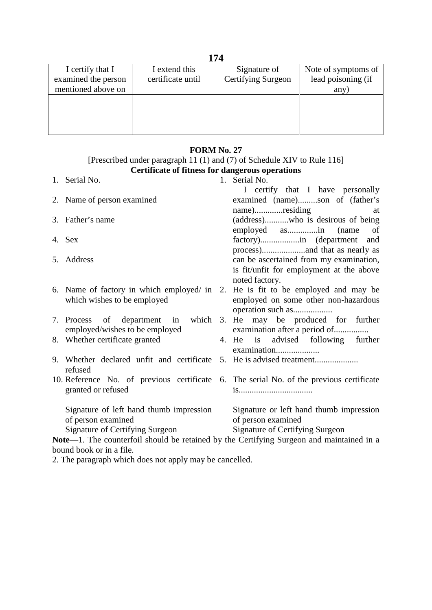| I certify that I    | I extend this     | Signature of       | Note of symptoms of |
|---------------------|-------------------|--------------------|---------------------|
| examined the person | certificate until | Certifying Surgeon | lead poisoning (if  |
| mentioned above on  |                   |                    | any)                |
|                     |                   |                    |                     |
|                     |                   |                    |                     |
|                     |                   |                    |                     |
|                     |                   |                    |                     |

## **FORM No. 27**

#### [Prescribed under paragraph 11 (1) and (7) of Schedule XIV to Rule 116] **Certificate of fitness for dangerous operations**

1. Serial No. 2. Name of person examined 3. Father's name 4. Sex 5. Address 6. Name of factory in which employed/ in 2. He is fit to be employed and may be which wishes to be employed 7. Process of department in which 3. He may be produced for further employed/wishes to be employed 8. Whether certificate granted 9. Whether declared unfit and certificate 5. He is advised treatment.................... refused 10. Reference No. of previous certificate 6. The serial No. of the previous certificate granted or refused Signature of left hand thumb impression of person examined Signature of Certifying Surgeon 1. Serial No. I certify that I have personally examined (name).........son of (father's name).............residing at (address)...........who is desirous of being employed as..............in (name of factory)..................in (department and process)....................and that as nearly as can be ascertained from my examination, is fit/unfit for employment at the above noted factory. employed on some other non-hazardous operation such as.................. examination after a period of................ 4. He is advised following further examination..................... is.................................. Signature or left hand thumb impression of person examined Signature of Certifying Surgeon **Note**—1. The counterfoil should be retained by the Certifying Surgeon and maintained in a bound book or in a file.

2. The paragraph which does not apply may be cancelled.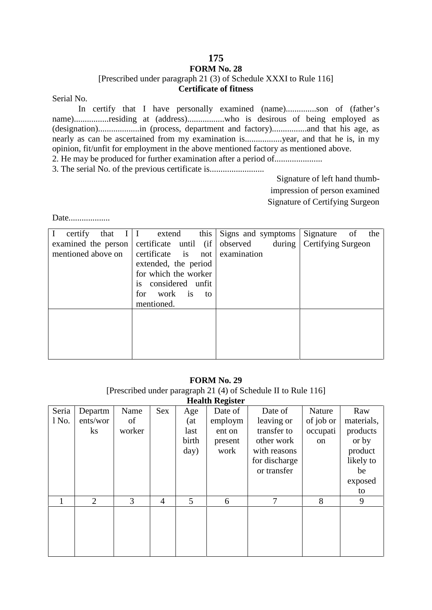# **FORM No. 28**

[Prescribed under paragraph 21 (3) of Schedule XXXI to Rule 116]

## **Certificate of fitness**

Serial No.

In certify that I have personally examined (name)..............son of (father's name)................residing at (address)..................who is desirous of being employed as (designation)...................in (process, department and factory)................and that his age, as nearly as can be ascertained from my examination is.................year, and that he is, in my opinion, fit/unfit for employment in the above mentioned factory as mentioned above.

2. He may be produced for further examination after a period of...................... 3. The serial No. of the previous certificate is.........................

> Signature of left hand thumbimpression of person examined Signature of Certifying Surgeon

Date...................

| that $I \mid I$<br>certify | this<br>extend                                                                                                                            | Signs and symptoms | Signature<br>the<br>of |
|----------------------------|-------------------------------------------------------------------------------------------------------------------------------------------|--------------------|------------------------|
| examined the person        | certificate until $(ii)$                                                                                                                  | observed<br>during | Certifying Surgeon     |
| mentioned above on         | certificate is not<br>extended, the period<br>for which the worker<br>considered unfit<br><b>1S</b><br>work is<br>for<br>to<br>mentioned. | examination        |                        |
|                            |                                                                                                                                           |                    |                        |

#### **FORM No. 29** [Prescribed under paragraph 21 (4) of Schedule II to Rule 116] **Health Register**

| <b>Health Registel</b> |                                 |                      |                |                                     |                                                 |                                                                                                    |                                       |                                                                                       |  |
|------------------------|---------------------------------|----------------------|----------------|-------------------------------------|-------------------------------------------------|----------------------------------------------------------------------------------------------------|---------------------------------------|---------------------------------------------------------------------------------------|--|
| Seria<br>1 No.         | Departm<br>ents/wor<br>$\rm ks$ | Name<br>of<br>worker | Sex            | Age<br>(at<br>last<br>birth<br>day) | Date of<br>employm<br>ent on<br>present<br>work | Date of<br>leaving or<br>transfer to<br>other work<br>with reasons<br>for discharge<br>or transfer | Nature<br>of job or<br>occupati<br>on | Raw<br>materials,<br>products<br>or by<br>product<br>likely to<br>be<br>exposed<br>to |  |
|                        | $\overline{2}$                  | 3                    | $\overline{4}$ | $5\overline{)}$                     | 6                                               | 7                                                                                                  | 8                                     | 9                                                                                     |  |
|                        |                                 |                      |                |                                     |                                                 |                                                                                                    |                                       |                                                                                       |  |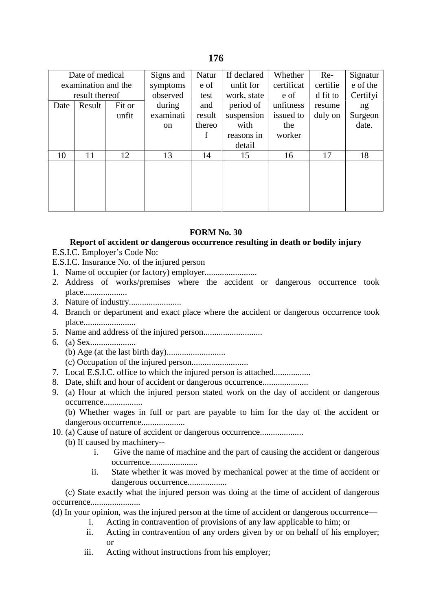| Date of medical     |                  | Signs and | Natur         | If declared | Whether     | $Re-$      | Signatur |          |
|---------------------|------------------|-----------|---------------|-------------|-------------|------------|----------|----------|
| examination and the |                  |           | symptoms      | e of        | unfit for   | certificat | certifie | e of the |
| result thereof      |                  |           | observed      | test        | work, state | e of       | d fit to | Certifyi |
| Date                | Result<br>Fit or |           | during        | and         | period of   | unfitness  | resume   | ng       |
|                     |                  | unfit     | examinati     | result      | suspension  | issued to  | duly on  | Surgeon  |
|                     |                  |           | <sub>on</sub> | thereo      | with        | the        |          | date.    |
|                     |                  |           |               | f           | reasons in  | worker     |          |          |
|                     |                  |           |               |             | detail      |            |          |          |
| 10                  | 11               | 12        | 13            | 14          | 15          | 16         | 17       | 18       |
|                     |                  |           |               |             |             |            |          |          |
|                     |                  |           |               |             |             |            |          |          |
|                     |                  |           |               |             |             |            |          |          |
|                     |                  |           |               |             |             |            |          |          |
|                     |                  |           |               |             |             |            |          |          |

#### **FORM No. 30**

#### **Report of accident or dangerous occurrence resulting in death or bodily injury** E.S.I.C. Employer's Code No:

E.S.I.C. Insurance No. of the injured person

- 1. Name of occupier (or factory) employer........................
- 2. Address of works/premises where the accident or dangerous occurrence took place.....................
- 3. Nature of industry........................
- 4. Branch or department and exact place where the accident or dangerous occurrence took place..........................
- 5. Name and address of the injured person...........................
- 6. (a) Sex.....................
	- (b) Age (at the last birth day)...........................
	- (c) Occupation of the injured person..........................
- 7. Local E.S.I.C. office to which the injured person is attached.................
- 8. Date, shift and hour of accident or dangerous occurrence......................
- 9. (a) Hour at which the injured person stated work on the day of accident or dangerous occurrence..................

(b) Whether wages in full or part are payable to him for the day of the accident or dangerous occurrence.....................

- 10. (a) Cause of nature of accident or dangerous occurrence....................
	- (b) If caused by machinery-
		- i. Give the name of machine and the part of causing the accident or dangerous occurrence......................
		- ii. State whether it was moved by mechanical power at the time of accident or dangerous occurrence...................

(c) State exactly what the injured person was doing at the time of accident of dangerous occurrence.......................

(d) In your opinion, was the injured person at the time of accident or dangerous occurrence—

- i. Acting in contravention of provisions of any law applicable to him; or
- ii. Acting in contravention of any orders given by or on behalf of his employer; or
- iii. Acting without instructions from his employer;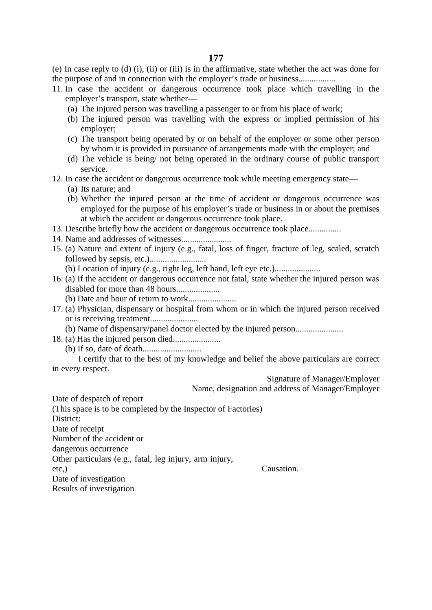(e) In case reply to (d) (i), (ii) or (iii) is in the affirmative, state whether the act was done for the purpose of and in connection with the employer's trade or business.................

- 11. In case the accident or dangerous occurrence took place which travelling in the employer's transport, state whether—
	- (a) The injured person was travelling a passenger to or from his place of work;
	- (b) The injured person was travelling with the express or implied permission of his employer;
	- (c) The transport being operated by or on behalf of the employer or some other person by whom it is provided in pursuance of arrangements made with the employer; and
	- (d) The vehicle is being/ not being operated in the ordinary course of public transport service.
- 12. In case the accident or dangerous occurrence took while meeting emergency state—
	- (a) Its nature; and
	- (b) Whether the injured person at the time of accident or dangerous occurrence was employed for the purpose of his employer's trade or business in or about the premises at which the accident or dangerous occurrence took place.
- 13. Describe briefly how the accident or dangerous occurrence took place...............
- 14. Name and addresses of witnesses.......................
- 15. (a) Nature and extent of injury (e.g., fatal, loss of finger, fracture of leg, scaled, scratch followed by sepsis, etc.)..........................

(b) Location of injury (e.g., right leg, left hand, left eye etc.).....................

- 16. (a) If the accident or dangerous occurrence not fatal, state whether the injured person was disabled for more than 48 hours....................
	- (b) Date and hour of return to work......................
- 17. (a) Physician, dispensary or hospital from whom or in which the injured person received or is receiving treatment......................
- (b) Name of dispensary/panel doctor elected by the injured person......................
- 18. (a) Has the injured person died......................
	- (b) If so, date of death...........................

I certify that to the best of my knowledge and belief the above particulars are correct in every respect.

Signature of Manager/Employer

Name, designation and address of Manager/Employer

Date of despatch of report

(This space is to be completed by the Inspector of Factories)

District:

Date of receipt

Number of the accident or

dangerous occurrence

Other particulars (e.g., fatal, leg injury, arm injury,

etc,)

Causation.

Date of investigation Results of investigation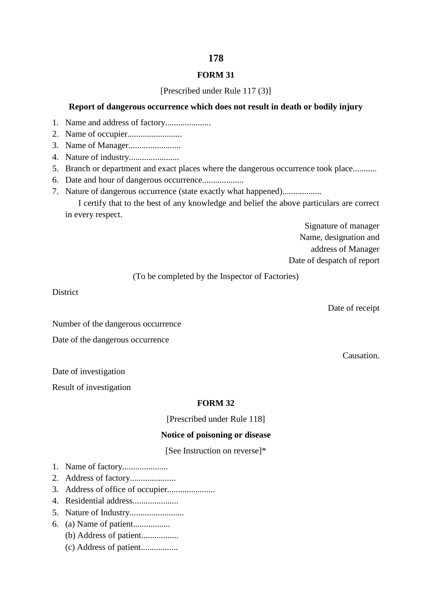#### **FORM 31**

#### [Prescribed under Rule 117 (3)]

### **Report of dangerous occurrence which does not result in death or bodily injury**

- 1. Name and address of factory.....................
- 2. Name of occupier.........................
- 3. Name of Manager........................
- 4. Nature of industry.......................
- 5. Branch or department and exact places where the dangerous occurrence took place...........
- 6. Date and hour of dangerous occurrence...................
- 7. Nature of dangerous occurrence (state exactly what happened).................. I certify that to the best of any knowledge and belief the above particulars are correct

in every respect.

Signature of manager Name, designation and address of Manager Date of despatch of report

(To be completed by the Inspector of Factories)

District

Date of receipt

Number of the dangerous occurrence

Date of the dangerous occurrence

Causation.

Date of investigation

Result of investigation

### **FORM 32**

[Prescribed under Rule 118]

#### **Notice of poisoning or disease**

[See Instruction on reverse]\*

- 1. Name of factory.....................
- 2. Address of factory.....................
- 3. Address of office of occupier......................
- 4. Residential address.....................
- 5. Nature of Industry.........................
- 6. (a) Name of patient.................
	- (b) Address of patient.................
	- (c) Address of patient.................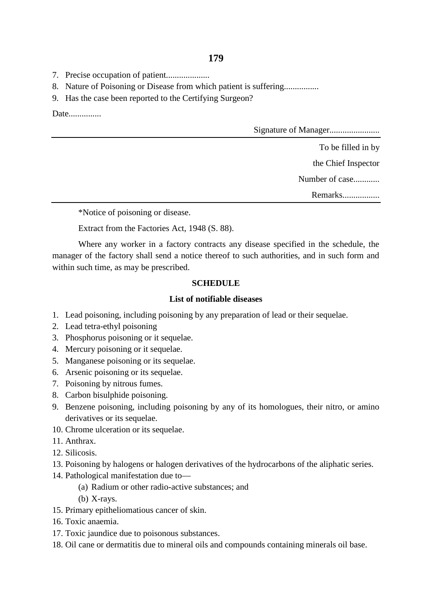- 7. Precise occupation of patient....................
- 8. Nature of Poisoning or Disease from which patient is suffering................
- 9. Has the case been reported to the Certifying Surgeon?

Date...............

Signature of Manager.......................

To be filled in by

the Chief Inspector

Number of case............

Remarks.................

\*Notice of poisoning or disease.

Extract from the Factories Act, 1948 (S. 88).

Where any worker in a factory contracts any disease specified in the schedule, the manager of the factory shall send a notice thereof to such authorities, and in such form and within such time, as may be prescribed.

## **SCHEDULE**

### **List of notifiable diseases**

- 1. Lead poisoning, including poisoning by any preparation of lead or their sequelae.
- 2. Lead tetra-ethyl poisoning
- 3. Phosphorus poisoning or it sequelae.
- 4. Mercury poisoning or it sequelae.
- 5. Manganese poisoning or its sequelae.
- 6. Arsenic poisoning or its sequelae.
- 7. Poisoning by nitrous fumes.
- 8. Carbon bisulphide poisoning.
- 9. Benzene poisoning, including poisoning by any of its homologues, their nitro, or amino derivatives or its sequelae.
- 10. Chrome ulceration or its sequelae.
- 11. Anthrax.
- 12. Silicosis.
- 13. Poisoning by halogens or halogen derivatives of the hydrocarbons of the aliphatic series.
- 14. Pathological manifestation due to—
	- (a) Radium or other radio-active substances; and
	- (b) X-rays.
- 15. Primary epitheliomatious cancer of skin.
- 16. Toxic anaemia.
- 17. Toxic jaundice due to poisonous substances.
- 18. Oil cane or dermatitis due to mineral oils and compounds containing minerals oil base.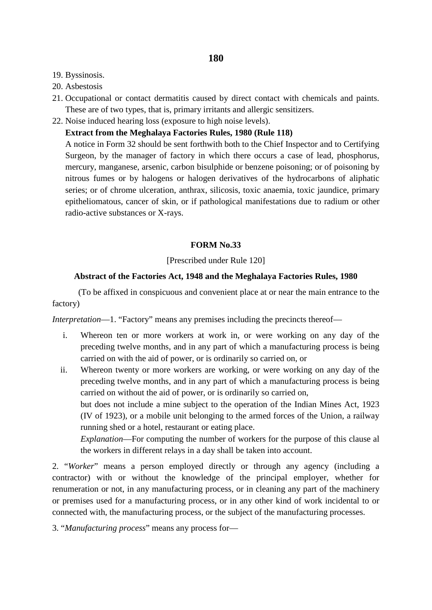- 19. Byssinosis.
- 20. Asbestosis
- 21. Occupational or contact dermatitis caused by direct contact with chemicals and paints. These are of two types, that is, primary irritants and allergic sensitizers.
- 22. Noise induced hearing loss (exposure to high noise levels).

# **Extract from the Meghalaya Factories Rules, 1980 (Rule 118)**

A notice in Form 32 should be sent forthwith both to the Chief Inspector and to Certifying Surgeon, by the manager of factory in which there occurs a case of lead, phosphorus, mercury, manganese, arsenic, carbon bisulphide or benzene poisoning; or of poisoning by nitrous fumes or by halogens or halogen derivatives of the hydrocarbons of aliphatic series; or of chrome ulceration, anthrax, silicosis, toxic anaemia, toxic jaundice, primary epitheliomatous, cancer of skin, or if pathological manifestations due to radium or other radio-active substances or X-rays.

# **FORM No.33**

## [Prescribed under Rule 120]

## **Abstract of the Factories Act, 1948 and the Meghalaya Factories Rules, 1980**

(To be affixed in conspicuous and convenient place at or near the main entrance to the factory)

*Interpretation*—1. "Factory" means any premises including the precincts thereof—

- i. Whereon ten or more workers at work in, or were working on any day of the preceding twelve months, and in any part of which a manufacturing process is being carried on with the aid of power, or is ordinarily so carried on, or
- ii. Whereon twenty or more workers are working, or were working on any day of the preceding twelve months, and in any part of which a manufacturing process is being carried on without the aid of power, or is ordinarily so carried on,

but does not include a mine subject to the operation of the Indian Mines Act, 1923 (IV of 1923), or a mobile unit belonging to the armed forces of the Union, a railway running shed or a hotel, restaurant or eating place.

*Explanation*—For computing the number of workers for the purpose of this clause al the workers in different relays in a day shall be taken into account.

2. "*Worker*" means a person employed directly or through any agency (including a contractor) with or without the knowledge of the principal employer, whether for renumeration or not, in any manufacturing process, or in cleaning any part of the machinery or premises used for a manufacturing process, or in any other kind of work incidental to or connected with, the manufacturing process, or the subject of the manufacturing processes.

3. "*Manufacturing process*" means any process for—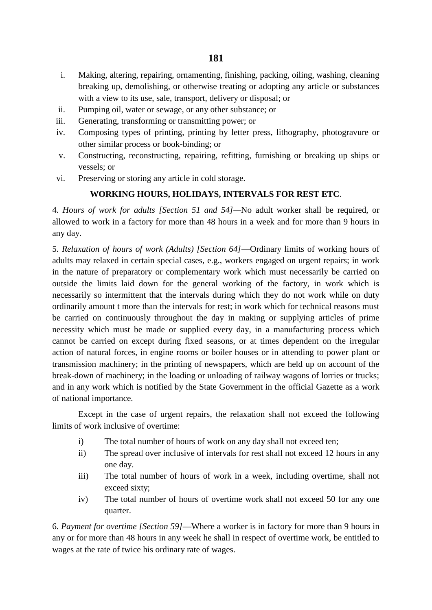- i. Making, altering, repairing, ornamenting, finishing, packing, oiling, washing, cleaning breaking up, demolishing, or otherwise treating or adopting any article or substances with a view to its use, sale, transport, delivery or disposal; or
- ii. Pumping oil, water or sewage, or any other substance; or
- iii. Generating, transforming or transmitting power; or
- iv. Composing types of printing, printing by letter press, lithography, photogravure or other similar process or book-binding; or
- v. Constructing, reconstructing, repairing, refitting, furnishing or breaking up ships or vessels; or
- vi. Preserving or storing any article in cold storage.

# **WORKING HOURS, HOLIDAYS, INTERVALS FOR REST ETC**.

4. *Hours of work for adults [Section 51 and 54]—*No adult worker shall be required, or allowed to work in a factory for more than 48 hours in a week and for more than 9 hours in any day.

5. *Relaxation of hours of work (Adults) [Section 64]*—Ordinary limits of working hours of adults may relaxed in certain special cases, e.g., workers engaged on urgent repairs; in work in the nature of preparatory or complementary work which must necessarily be carried on outside the limits laid down for the general working of the factory, in work which is necessarily so intermittent that the intervals during which they do not work while on duty ordinarily amount t more than the intervals for rest; in work which for technical reasons must be carried on continuously throughout the day in making or supplying articles of prime necessity which must be made or supplied every day, in a manufacturing process which cannot be carried on except during fixed seasons, or at times dependent on the irregular action of natural forces, in engine rooms or boiler houses or in attending to power plant or transmission machinery; in the printing of newspapers, which are held up on account of the break-down of machinery; in the loading or unloading of railway wagons of lorries or trucks; and in any work which is notified by the State Government in the official Gazette as a work of national importance.

Except in the case of urgent repairs, the relaxation shall not exceed the following limits of work inclusive of overtime:

- i) The total number of hours of work on any day shall not exceed ten;
- ii) The spread over inclusive of intervals for rest shall not exceed 12 hours in any one day.
- iii) The total number of hours of work in a week, including overtime, shall not exceed sixty;
- iv) The total number of hours of overtime work shall not exceed 50 for any one quarter.

6. *Payment for overtime [Section 59]*—Where a worker is in factory for more than 9 hours in any or for more than 48 hours in any week he shall in respect of overtime work, be entitled to wages at the rate of twice his ordinary rate of wages.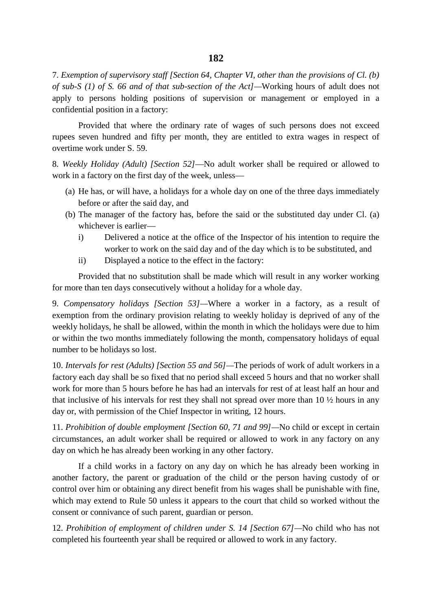7. *Exemption of supervisory staff [Section 64, Chapter VI, other than the provisions of Cl. (b) of sub-S (1) of S. 66 and of that sub-section of the Act]—*Working hours of adult does not apply to persons holding positions of supervision or management or employed in a confidential position in a factory:

Provided that where the ordinary rate of wages of such persons does not exceed rupees seven hundred and fifty per month, they are entitled to extra wages in respect of overtime work under S. 59.

8. *Weekly Holiday (Adult) [Section 52]*—No adult worker shall be required or allowed to work in a factory on the first day of the week, unless—

- (a) He has, or will have, a holidays for a whole day on one of the three days immediately before or after the said day, and
- (b) The manager of the factory has, before the said or the substituted day under Cl. (a) whichever is earlier
	- i) Delivered a notice at the office of the Inspector of his intention to require the worker to work on the said day and of the day which is to be substituted, and
	- ii) Displayed a notice to the effect in the factory:

Provided that no substitution shall be made which will result in any worker working for more than ten days consecutively without a holiday for a whole day.

9. *Compensatory holidays [Section 53]—*Where a worker in a factory, as a result of exemption from the ordinary provision relating to weekly holiday is deprived of any of the weekly holidays, he shall be allowed, within the month in which the holidays were due to him or within the two months immediately following the month, compensatory holidays of equal number to be holidays so lost.

10. *Intervals for rest (Adults) [Section 55 and 56]—*The periods of work of adult workers in a factory each day shall be so fixed that no period shall exceed 5 hours and that no worker shall work for more than 5 hours before he has had an intervals for rest of at least half an hour and that inclusive of his intervals for rest they shall not spread over more than 10 ½ hours in any day or, with permission of the Chief Inspector in writing, 12 hours.

11. *Prohibition of double employment [Section 60, 71 and 99]—*No child or except in certain circumstances, an adult worker shall be required or allowed to work in any factory on any day on which he has already been working in any other factory.

If a child works in a factory on any day on which he has already been working in another factory, the parent or graduation of the child or the person having custody of or control over him or obtaining any direct benefit from his wages shall be punishable with fine, which may extend to Rule 50 unless it appears to the court that child so worked without the consent or connivance of such parent, guardian or person.

12. *Prohibition of employment of children under S. 14 [Section 67]—*No child who has not completed his fourteenth year shall be required or allowed to work in any factory.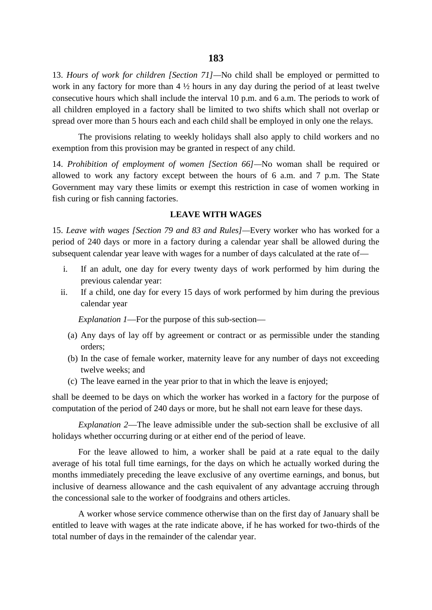13. *Hours of work for children [Section 71]—*No child shall be employed or permitted to work in any factory for more than 4 ½ hours in any day during the period of at least twelve consecutive hours which shall include the interval 10 p.m. and 6 a.m. The periods to work of all children employed in a factory shall be limited to two shifts which shall not overlap or spread over more than 5 hours each and each child shall be employed in only one the relays.

The provisions relating to weekly holidays shall also apply to child workers and no exemption from this provision may be granted in respect of any child.

14. *Prohibition of employment of women [Section 66]—*No woman shall be required or allowed to work any factory except between the hours of 6 a.m. and 7 p.m. The State Government may vary these limits or exempt this restriction in case of women working in fish curing or fish canning factories.

# **LEAVE WITH WAGES**

15. *Leave with wages [Section 79 and 83 and Rules]—*Every worker who has worked for a period of 240 days or more in a factory during a calendar year shall be allowed during the subsequent calendar year leave with wages for a number of days calculated at the rate of—

- i. If an adult, one day for every twenty days of work performed by him during the previous calendar year:
- ii. If a child, one day for every 15 days of work performed by him during the previous calendar year

*Explanation 1*—For the purpose of this sub-section—

- (a) Any days of lay off by agreement or contract or as permissible under the standing orders;
- (b) In the case of female worker, maternity leave for any number of days not exceeding twelve weeks; and
- (c) The leave earned in the year prior to that in which the leave is enjoyed;

shall be deemed to be days on which the worker has worked in a factory for the purpose of computation of the period of 240 days or more, but he shall not earn leave for these days.

*Explanation 2*—The leave admissible under the sub-section shall be exclusive of all holidays whether occurring during or at either end of the period of leave.

For the leave allowed to him, a worker shall be paid at a rate equal to the daily average of his total full time earnings, for the days on which he actually worked during the months immediately preceding the leave exclusive of any overtime earnings, and bonus, but inclusive of dearness allowance and the cash equivalent of any advantage accruing through the concessional sale to the worker of foodgrains and others articles.

A worker whose service commence otherwise than on the first day of January shall be entitled to leave with wages at the rate indicate above, if he has worked for two-thirds of the total number of days in the remainder of the calendar year.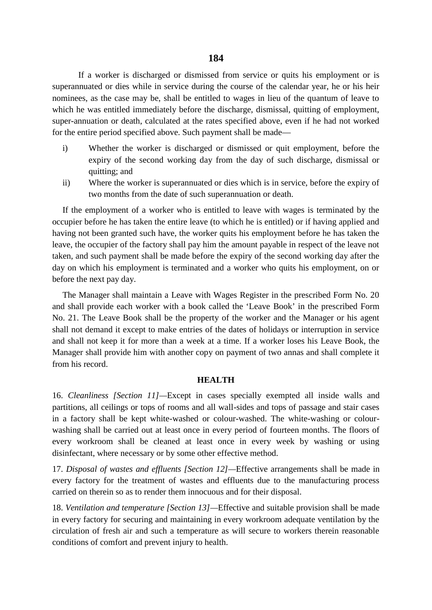If a worker is discharged or dismissed from service or quits his employment or is superannuated or dies while in service during the course of the calendar year, he or his heir nominees, as the case may be, shall be entitled to wages in lieu of the quantum of leave to which he was entitled immediately before the discharge, dismissal, quitting of employment, super-annuation or death, calculated at the rates specified above, even if he had not worked for the entire period specified above. Such payment shall be made—

- i) Whether the worker is discharged or dismissed or quit employment, before the expiry of the second working day from the day of such discharge, dismissal or quitting; and
- ii) Where the worker is superannuated or dies which is in service, before the expiry of two months from the date of such superannuation or death.

If the employment of a worker who is entitled to leave with wages is terminated by the occupier before he has taken the entire leave (to which he is entitled) or if having applied and having not been granted such have, the worker quits his employment before he has taken the leave, the occupier of the factory shall pay him the amount payable in respect of the leave not taken, and such payment shall be made before the expiry of the second working day after the day on which his employment is terminated and a worker who quits his employment, on or before the next pay day.

The Manager shall maintain a Leave with Wages Register in the prescribed Form No. 20 and shall provide each worker with a book called the 'Leave Book' in the prescribed Form No. 21. The Leave Book shall be the property of the worker and the Manager or his agent shall not demand it except to make entries of the dates of holidays or interruption in service and shall not keep it for more than a week at a time. If a worker loses his Leave Book, the Manager shall provide him with another copy on payment of two annas and shall complete it from his record.

#### **HEALTH**

16. *Cleanliness [Section 11]—*Except in cases specially exempted all inside walls and partitions, all ceilings or tops of rooms and all wall-sides and tops of passage and stair cases in a factory shall be kept white-washed or colour-washed. The white-washing or colour washing shall be carried out at least once in every period of fourteen months. The floors of every workroom shall be cleaned at least once in every week by washing or using disinfectant, where necessary or by some other effective method.

17. *Disposal of wastes and effluents [Section 12]—*Effective arrangements shall be made in every factory for the treatment of wastes and effluents due to the manufacturing process carried on therein so as to render them innocuous and for their disposal.

18. *Ventilation and temperature [Section 13]—*Effective and suitable provision shall be made in every factory for securing and maintaining in every workroom adequate ventilation by the circulation of fresh air and such a temperature as will secure to workers therein reasonable conditions of comfort and prevent injury to health.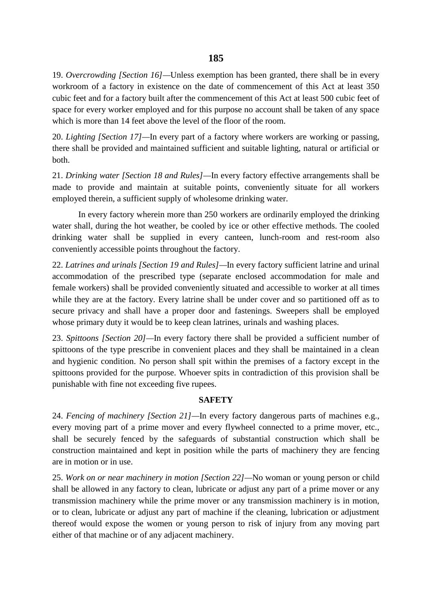19. *Overcrowding [Section 16]—*Unless exemption has been granted, there shall be in every workroom of a factory in existence on the date of commencement of this Act at least 350 cubic feet and for a factory built after the commencement of this Act at least 500 cubic feet of space for every worker employed and for this purpose no account shall be taken of any space which is more than 14 feet above the level of the floor of the room.

20. *Lighting [Section 17]—*In every part of a factory where workers are working or passing, there shall be provided and maintained sufficient and suitable lighting, natural or artificial or both.

21. *Drinking water [Section 18 and Rules]—*In every factory effective arrangements shall be made to provide and maintain at suitable points, conveniently situate for all workers employed therein, a sufficient supply of wholesome drinking water.

In every factory wherein more than 250 workers are ordinarily employed the drinking water shall, during the hot weather, be cooled by ice or other effective methods. The cooled drinking water shall be supplied in every canteen, lunch-room and rest-room also conveniently accessible points throughout the factory.

22. *Latrines and urinals [Section 19 and Rules]—*In every factory sufficient latrine and urinal accommodation of the prescribed type (separate enclosed accommodation for male and female workers) shall be provided conveniently situated and accessible to worker at all times while they are at the factory. Every latrine shall be under cover and so partitioned off as to secure privacy and shall have a proper door and fastenings. Sweepers shall be employed whose primary duty it would be to keep clean latrines, urinals and washing places.

23. *Spittoons [Section 20]—*In every factory there shall be provided a sufficient number of spittoons of the type prescribe in convenient places and they shall be maintained in a clean and hygienic condition. No person shall spit within the premises of a factory except in the spittoons provided for the purpose. Whoever spits in contradiction of this provision shall be punishable with fine not exceeding five rupees.

# **SAFETY**

24. *Fencing of machinery [Section 21]—*In every factory dangerous parts of machines e.g., every moving part of a prime mover and every flywheel connected to a prime mover, etc., shall be securely fenced by the safeguards of substantial construction which shall be construction maintained and kept in position while the parts of machinery they are fencing are in motion or in use.

25. *Work on or near machinery in motion [Section 22]—*No woman or young person or child shall be allowed in any factory to clean, lubricate or adjust any part of a prime mover or any transmission machinery while the prime mover or any transmission machinery is in motion, or to clean, lubricate or adjust any part of machine if the cleaning, lubrication or adjustment thereof would expose the women or young person to risk of injury from any moving part either of that machine or of any adjacent machinery.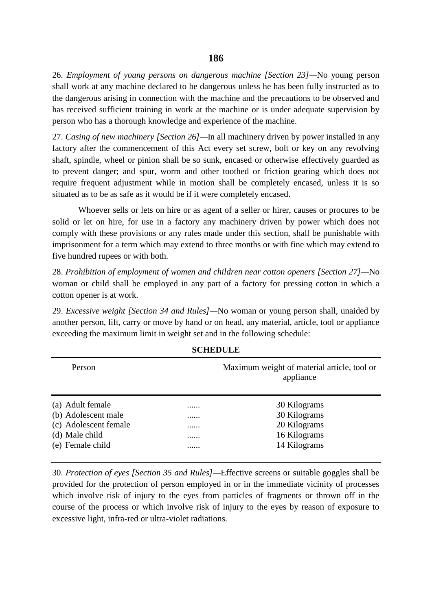26. *Employment of young persons on dangerous machine [Section 23]—*No young person shall work at any machine declared to be dangerous unless he has been fully instructed as to the dangerous arising in connection with the machine and the precautions to be observed and has received sufficient training in work at the machine or is under adequate supervision by person who has a thorough knowledge and experience of the machine.

27. *Casing of new machinery [Section 26]—*In all machinery driven by power installed in any factory after the commencement of this Act every set screw, bolt or key on any revolving shaft, spindle, wheel or pinion shall be so sunk, encased or otherwise effectively guarded as to prevent danger; and spur, worm and other toothed or friction gearing which does not require frequent adjustment while in motion shall be completely encased, unless it is so situated as to be as safe as it would be if it were completely encased.

Whoever sells or lets on hire or as agent of a seller or hirer, causes or procures to be solid or let on hire, for use in a factory any machinery driven by power which does not comply with these provisions or any rules made under this section, shall be punishable with imprisonment for a term which may extend to three months or with fine which may extend to five hundred rupees or with both.

28. *Prohibition of employment of women and children near cotton openers [Section 27]—*No woman or child shall be employed in any part of a factory for pressing cotton in which a cotton opener is at work.

29. *Excessive weight [Section 34 and Rules]—*No woman or young person shall, unaided by another person, lift, carry or move by hand or on head, any material, article, tool or appliance exceeding the maximum limit in weight set and in the following schedule:

|   | Maximum weight of material article, tool or<br>appliance |
|---|----------------------------------------------------------|
| . | 30 Kilograms                                             |
|   | 30 Kilograms                                             |
|   | 20 Kilograms                                             |
|   | 16 Kilograms                                             |
|   | 14 Kilograms                                             |
|   |                                                          |

# **SCHEDULE**

30. *Protection of eyes [Section 35 and Rules]—*Effective screens or suitable goggles shall be provided for the protection of person employed in or in the immediate vicinity of processes which involve risk of injury to the eyes from particles of fragments or thrown off in the course of the process or which involve risk of injury to the eyes by reason of exposure to excessive light, infra-red or ultra-violet radiations.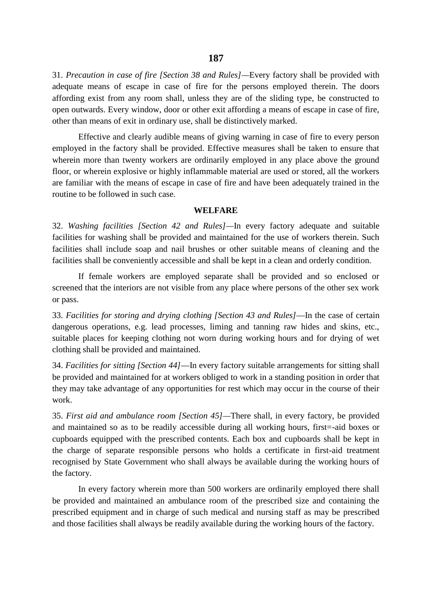31. *Precaution in case of fire [Section 38 and Rules]—*Every factory shall be provided with adequate means of escape in case of fire for the persons employed therein. The doors affording exist from any room shall, unless they are of the sliding type, be constructed to open outwards. Every window, door or other exit affording a means of escape in case of fire, other than means of exit in ordinary use, shall be distinctively marked.

Effective and clearly audible means of giving warning in case of fire to every person employed in the factory shall be provided. Effective measures shall be taken to ensure that wherein more than twenty workers are ordinarily employed in any place above the ground floor, or wherein explosive or highly inflammable material are used or stored, all the workers are familiar with the means of escape in case of fire and have been adequately trained in the routine to be followed in such case.

## **WELFARE**

32. *Washing facilities [Section 42 and Rules]—*In every factory adequate and suitable facilities for washing shall be provided and maintained for the use of workers therein. Such facilities shall include soap and nail brushes or other suitable means of cleaning and the facilities shall be conveniently accessible and shall be kept in a clean and orderly condition.

If female workers are employed separate shall be provided and so enclosed or screened that the interiors are not visible from any place where persons of the other sex work or pass.

33. *Facilities for storing and drying clothing [Section 43 and Rules]*—In the case of certain dangerous operations, e.g. lead processes, liming and tanning raw hides and skins, etc., suitable places for keeping clothing not worn during working hours and for drying of wet clothing shall be provided and maintained.

34. *Facilities for sitting [Section 44]*—In every factory suitable arrangements for sitting shall be provided and maintained for at workers obliged to work in a standing position in order that they may take advantage of any opportunities for rest which may occur in the course of their work.

35. *First aid and ambulance room [Section 45]—*There shall, in every factory, be provided and maintained so as to be readily accessible during all working hours, first=-aid boxes or cupboards equipped with the prescribed contents. Each box and cupboards shall be kept in the charge of separate responsible persons who holds a certificate in first-aid treatment recognised by State Government who shall always be available during the working hours of the factory.

In every factory wherein more than 500 workers are ordinarily employed there shall be provided and maintained an ambulance room of the prescribed size and containing the prescribed equipment and in charge of such medical and nursing staff as may be prescribed and those facilities shall always be readily available during the working hours of the factory.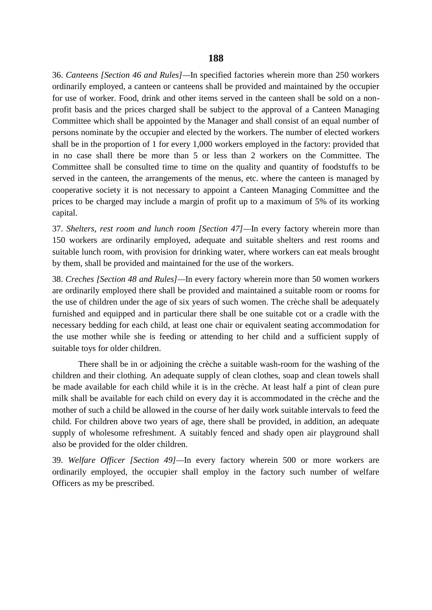36. *Canteens [Section 46 and Rules]—*In specified factories wherein more than 250 workers ordinarily employed, a canteen or canteens shall be provided and maintained by the occupier for use of worker. Food, drink and other items served in the canteen shall be sold on a non profit basis and the prices charged shall be subject to the approval of a Canteen Managing Committee which shall be appointed by the Manager and shall consist of an equal number of persons nominate by the occupier and elected by the workers. The number of elected workers shall be in the proportion of 1 for every 1,000 workers employed in the factory: provided that in no case shall there be more than 5 or less than 2 workers on the Committee. The Committee shall be consulted time to time on the quality and quantity of foodstuffs to be served in the canteen, the arrangements of the menus, etc. where the canteen is managed by cooperative society it is not necessary to appoint a Canteen Managing Committee and the prices to be charged may include a margin of profit up to a maximum of 5% of its working capital.

37. *Shelters, rest room and lunch room [Section 47]—*In every factory wherein more than 150 workers are ordinarily employed, adequate and suitable shelters and rest rooms and suitable lunch room, with provision for drinking water, where workers can eat meals brought by them, shall be provided and maintained for the use of the workers.

38. *Creches [Section 48 and Rules]—*In every factory wherein more than 50 women workers are ordinarily employed there shall be provided and maintained a suitable room or rooms for the use of children under the age of six years of such women. The crèche shall be adequately furnished and equipped and in particular there shall be one suitable cot or a cradle with the necessary bedding for each child, at least one chair or equivalent seating accommodation for the use mother while she is feeding or attending to her child and a sufficient supply of suitable toys for older children.

There shall be in or adjoining the crèche a suitable wash-room for the washing of the children and their clothing. An adequate supply of clean clothes, soap and clean towels shall be made available for each child while it is in the crèche. At least half a pint of clean pure milk shall be available for each child on every day it is accommodated in the crèche and the mother of such a child be allowed in the course of her daily work suitable intervals to feed the child. For children above two years of age, there shall be provided, in addition, an adequate supply of wholesome refreshment. A suitably fenced and shady open air playground shall also be provided for the older children.

39. *Welfare Officer [Section 49]—*In every factory wherein 500 or more workers are ordinarily employed, the occupier shall employ in the factory such number of welfare Officers as my be prescribed.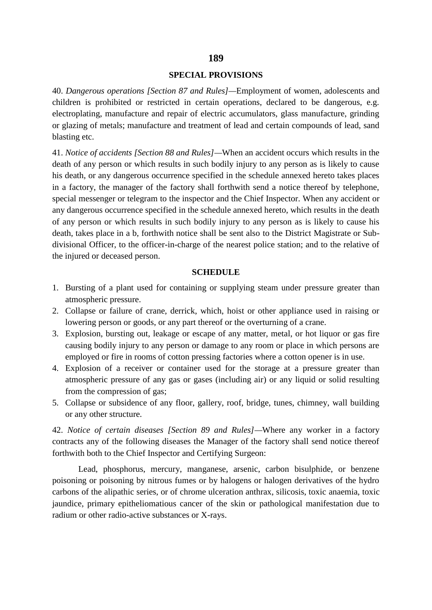# **SPECIAL PROVISIONS**

40. *Dangerous operations [Section 87 and Rules]—*Employment of women, adolescents and children is prohibited or restricted in certain operations, declared to be dangerous, e.g. electroplating, manufacture and repair of electric accumulators, glass manufacture, grinding or glazing of metals; manufacture and treatment of lead and certain compounds of lead, sand blasting etc.

41. *Notice of accidents [Section 88 and Rules]—*When an accident occurs which results in the death of any person or which results in such bodily injury to any person as is likely to cause his death, or any dangerous occurrence specified in the schedule annexed hereto takes places in a factory, the manager of the factory shall forthwith send a notice thereof by telephone, special messenger or telegram to the inspector and the Chief Inspector. When any accident or any dangerous occurrence specified in the schedule annexed hereto, which results in the death of any person or which results in such bodily injury to any person as is likely to cause his death, takes place in a b, forthwith notice shall be sent also to the District Magistrate or Sub divisional Officer, to the officer-in-charge of the nearest police station; and to the relative of the injured or deceased person.

#### **SCHEDULE**

- 1. Bursting of a plant used for containing or supplying steam under pressure greater than atmospheric pressure.
- 2. Collapse or failure of crane, derrick, which, hoist or other appliance used in raising or lowering person or goods, or any part thereof or the overturning of a crane.
- 3. Explosion, bursting out, leakage or escape of any matter, metal, or hot liquor or gas fire causing bodily injury to any person or damage to any room or place in which persons are employed or fire in rooms of cotton pressing factories where a cotton opener is in use.
- 4. Explosion of a receiver or container used for the storage at a pressure greater than atmospheric pressure of any gas or gases (including air) or any liquid or solid resulting from the compression of gas;
- 5. Collapse or subsidence of any floor, gallery, roof, bridge, tunes, chimney, wall building or any other structure.

42. *Notice of certain diseases [Section 89 and Rules]—*Where any worker in a factory contracts any of the following diseases the Manager of the factory shall send notice thereof forthwith both to the Chief Inspector and Certifying Surgeon:

Lead, phosphorus, mercury, manganese, arsenic, carbon bisulphide, or benzene poisoning or poisoning by nitrous fumes or by halogens or halogen derivatives of the hydro carbons of the alipathic series, or of chrome ulceration anthrax, silicosis, toxic anaemia, toxic jaundice, primary epitheliomatious cancer of the skin or pathological manifestation due to radium or other radio-active substances or X-rays.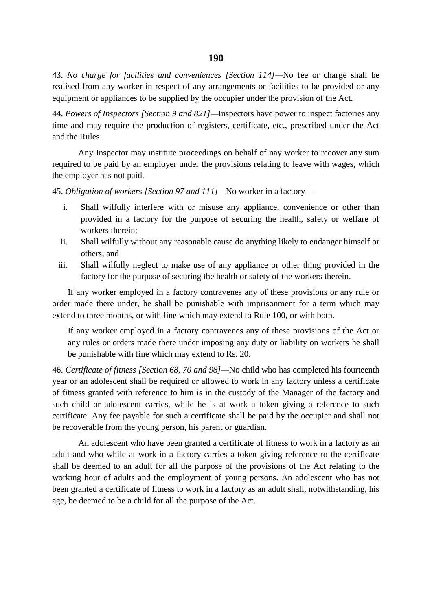43. *No charge for facilities and conveniences [Section 114]—*No fee or charge shall be realised from any worker in respect of any arrangements or facilities to be provided or any equipment or appliances to be supplied by the occupier under the provision of the Act.

44. *Powers of Inspectors [Section 9 and 821]—*Inspectors have power to inspect factories any time and may require the production of registers, certificate, etc., prescribed under the Act and the Rules.

Any Inspector may institute proceedings on behalf of nay worker to recover any sum required to be paid by an employer under the provisions relating to leave with wages, which the employer has not paid.

45. *Obligation of workers [Section 97 and 111]—*No worker in a factory—

- i. Shall wilfully interfere with or misuse any appliance, convenience or other than provided in a factory for the purpose of securing the health, safety or welfare of workers therein;
- ii. Shall wilfully without any reasonable cause do anything likely to endanger himself or others, and
- iii. Shall wilfully neglect to make use of any appliance or other thing provided in the factory for the purpose of securing the health or safety of the workers therein.

If any worker employed in a factory contravenes any of these provisions or any rule or order made there under, he shall be punishable with imprisonment for a term which may extend to three months, or with fine which may extend to Rule 100, or with both.

If any worker employed in a factory contravenes any of these provisions of the Act or any rules or orders made there under imposing any duty or liability on workers he shall be punishable with fine which may extend to Rs. 20.

46. *Certificate of fitness [Section 68, 70 and 98]—*No child who has completed his fourteenth year or an adolescent shall be required or allowed to work in any factory unless a certificate of fitness granted with reference to him is in the custody of the Manager of the factory and such child or adolescent carries, while he is at work a token giving a reference to such certificate. Any fee payable for such a certificate shall be paid by the occupier and shall not be recoverable from the young person, his parent or guardian.

An adolescent who have been granted a certificate of fitness to work in a factory as an adult and who while at work in a factory carries a token giving reference to the certificate shall be deemed to an adult for all the purpose of the provisions of the Act relating to the working hour of adults and the employment of young persons. An adolescent who has not been granted a certificate of fitness to work in a factory as an adult shall, notwithstanding, his age, be deemed to be a child for all the purpose of the Act.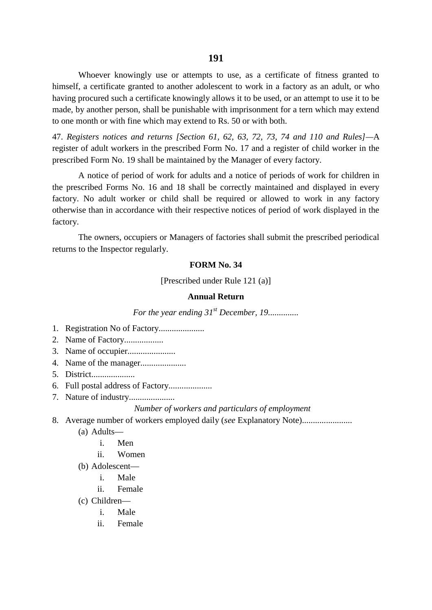Whoever knowingly use or attempts to use, as a certificate of fitness granted to himself, a certificate granted to another adolescent to work in a factory as an adult, or who having procured such a certificate knowingly allows it to be used, or an attempt to use it to be made, by another person, shall be punishable with imprisonment for a tern which may extend to one month or with fine which may extend to Rs. 50 or with both.

47. *Registers notices and returns [Section 61, 62, 63, 72, 73, 74 and 110 and Rules]—*A register of adult workers in the prescribed Form No. 17 and a register of child worker in the prescribed Form No. 19 shall be maintained by the Manager of every factory.

A notice of period of work for adults and a notice of periods of work for children in the prescribed Forms No. 16 and 18 shall be correctly maintained and displayed in every factory. No adult worker or child shall be required or allowed to work in any factory otherwise than in accordance with their respective notices of period of work displayed in the factory.

The owners, occupiers or Managers of factories shall submit the prescribed periodical returns to the Inspector regularly.

#### **FORM No. 34**

[Prescribed under Rule 121 (a)]

## **Annual Return**

*For the year ending 31<sup>st</sup> December, 19..............* 

- 1. Registration No of Factory.....................
- 2. Name of Factory..................
- 3. Name of occupier......................
- 4. Name of the manager.....................
- 5. District....................
- 6. Full postal address of Factory....................
- 7. Nature of industry.....................

## *Number of workers and particulars of employment*

- 8. Average number of workers employed daily (*see* Explanatory Note).......................
	- (a) Adults
		- i. Men
		- ii. Women
	- (b) Adolescent
		- i. Male
		- ii. Female
	- (c) Children
		- i. Male
		- ii. Female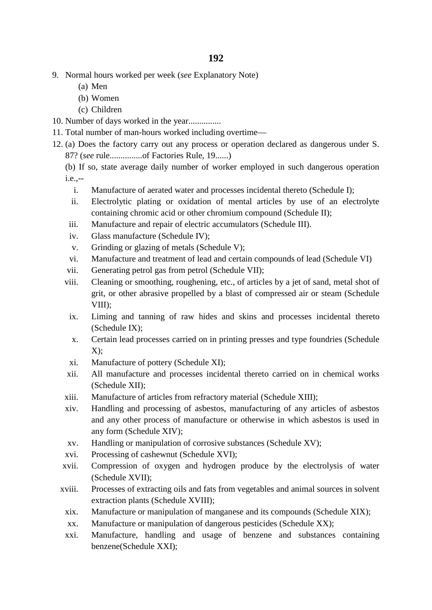- 9. Normal hours worked per week (*see* Explanatory Note)
	- (a) Men
	- (b) Women
	- (c) Children
- 10. Number of days worked in the year...............
- 11. Total number of man-hours worked including overtime—
- 12. (a) Does the factory carry out any process or operation declared as dangerous under S. 87? (*see* rule...............of Factories Rule, 19......)

(b) If so, state average daily number of worker employed in such dangerous operation i.e.,--

- i. Manufacture of aerated water and processes incidental thereto (Schedule I);
- ii. Electrolytic plating or oxidation of mental articles by use of an electrolyte containing chromic acid or other chromium compound (Schedule II);
- iii. Manufacture and repair of electric accumulators (Schedule III).
- iv. Glass manufacture (Schedule IV);
- v. Grinding or glazing of metals (Schedule V);
- vi. Manufacture and treatment of lead and certain compounds of lead (Schedule VI)
- vii. Generating petrol gas from petrol (Schedule VII);
- viii. Cleaning or smoothing, roughening, etc., of articles by a jet of sand, metal shot of grit, or other abrasive propelled by a blast of compressed air or steam (Schedule VIII);
- ix. Liming and tanning of raw hides and skins and processes incidental thereto (Schedule IX);
- x. Certain lead processes carried on in printing presses and type foundries (Schedule  $X$ :
- xi. Manufacture of pottery (Schedule XI);
- xii. All manufacture and processes incidental thereto carried on in chemical works (Schedule XII);
- xiii. Manufacture of articles from refractory material (Schedule XIII);
- xiv. Handling and processing of asbestos, manufacturing of any articles of asbestos and any other process of manufacture or otherwise in which asbestos is used in any form (Schedule XIV);
- xv. Handling or manipulation of corrosive substances (Schedule XV);
- xvi. Processing of cashewnut (Schedule XVI);
- xvii. Compression of oxygen and hydrogen produce by the electrolysis of water (Schedule XVII);
- xviii. Processes of extracting oils and fats from vegetables and animal sources in solvent extraction plants (Schedule XVIII);
	- xix. Manufacture or manipulation of manganese and its compounds (Schedule XIX);
	- xx. Manufacture or manipulation of dangerous pesticides (Schedule XX);
	- xxi. Manufacture, handling and usage of benzene and substances containing benzene(Schedule XXI);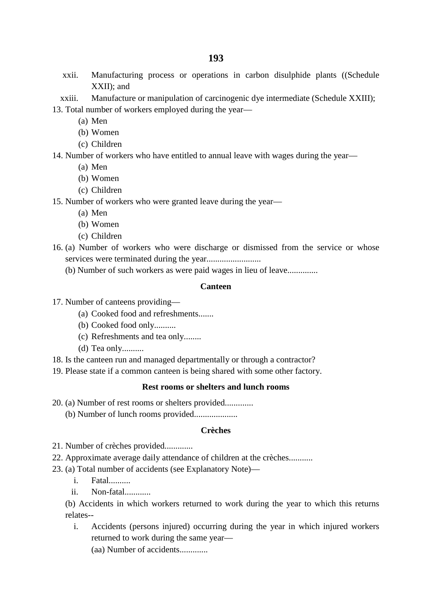- xxii. Manufacturing process or operations in carbon disulphide plants ((Schedule XXII); and
- xxiii. Manufacture or manipulation of carcinogenic dye intermediate (Schedule XXIII);
- 13. Total number of workers employed during the year—
	- (a) Men
	- (b) Women
	- (c) Children

14. Number of workers who have entitled to annual leave with wages during the year—

- (a) Men
- (b) Women
- (c) Children

15. Number of workers who were granted leave during the year—

- (a) Men
- (b) Women
- (c) Children
- 16. (a) Number of workers who were discharge or dismissed from the service or whose services were terminated during the year.........................
	- (b) Number of such workers as were paid wages in lieu of leave..............

# **Canteen**

- 17. Number of canteens providing—
	- (a) Cooked food and refreshments.......
	- (b) Cooked food only..........
	- (c) Refreshments and tea only........
	- $(d)$  Tea only..........
- 18. Is the canteen run and managed departmentally or through a contractor?
- 19. Please state if a common canteen is being shared with some other factory.

# **Rest rooms or shelters and lunch rooms**

- 20. (a) Number of rest rooms or shelters provided.............
	- (b) Number of lunch rooms provided....................

# **Crèches**

- 21. Number of crèches provided.............
- 22. Approximate average daily attendance of children at the crèches...........
- 23. (a) Total number of accidents (see Explanatory Note)
	- i. Fatal..........
	- ii. Non-fatal............

(b) Accidents in which workers returned to work during the year to which this returns relates--

- i. Accidents (persons injured) occurring during the year in which injured workers returned to work during the same year—
	- (aa) Number of accidents.............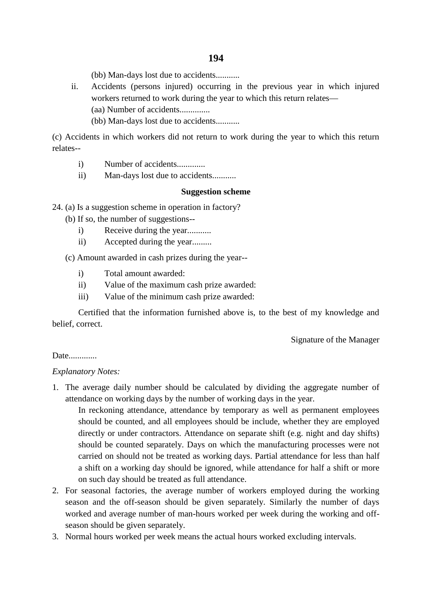(bb) Man-days lost due to accidents...........

- ii. Accidents (persons injured) occurring in the previous year in which injured workers returned to work during the year to which this return relates— (aa) Number of accidents..............
	- (bb) Man-days lost due to accidents...........

(c) Accidents in which workers did not return to work during the year to which this return relates--

- i) Number of accidents..............
- ii) Man-days lost due to accidents...........

# **Suggestion scheme**

24. (a) Is a suggestion scheme in operation in factory?

(b) If so, the number of suggestions--

- i) Receive during the year...........
- ii) Accepted during the year.........

(c) Amount awarded in cash prizes during the year--

- i) Total amount awarded:
- ii) Value of the maximum cash prize awarded:
- iii) Value of the minimum cash prize awarded:

Certified that the information furnished above is, to the best of my knowledge and belief, correct.

Signature of the Manager

# Date.............

# *Explanatory Notes:*

1. The average daily number should be calculated by dividing the aggregate number of attendance on working days by the number of working days in the year.

In reckoning attendance, attendance by temporary as well as permanent employees should be counted, and all employees should be include, whether they are employed directly or under contractors. Attendance on separate shift (e.g. night and day shifts) should be counted separately. Days on which the manufacturing processes were not carried on should not be treated as working days. Partial attendance for less than half a shift on a working day should be ignored, while attendance for half a shift or more on such day should be treated as full attendance.

- 2. For seasonal factories, the average number of workers employed during the working season and the off-season should be given separately. Similarly the number of days worked and average number of man-hours worked per week during the working and off season should be given separately.
- 3. Normal hours worked per week means the actual hours worked excluding intervals.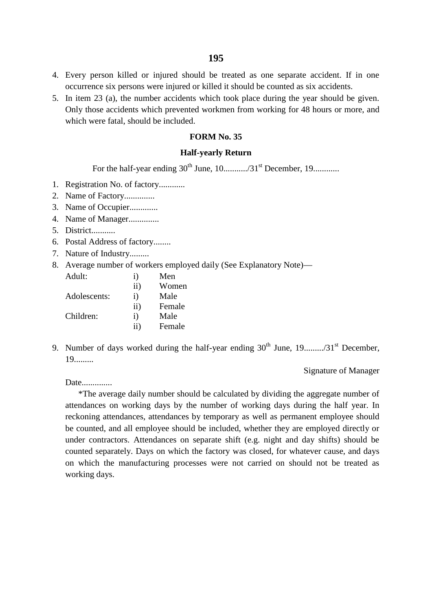- 4. Every person killed or injured should be treated as one separate accident. If in one occurrence six persons were injured or killed it should be counted as six accidents.
- 5. In item 23 (a), the number accidents which took place during the year should be given. Only those accidents which prevented workmen from working for 48 hours or more, and which were fatal, should be included.

#### **FORM No. 35**

#### **Half-yearly Return**

For the half-year ending 30th June, 10.........../31st December, 19............

- 1. Registration No. of factory............
- 2. Name of Factory..............
- 3. Name of Occupier.............
- 4. Name of Manager..............
- 5. District...........
- 6. Postal Address of factory........
- 7. Nature of Industry.........
- 8. Average number of workers employed daily (See Explanatory Note)—

| Adult:       | $\rm i)$   | Men    |
|--------------|------------|--------|
|              | $\rm ii)$  | Women  |
| Adolescents: | $\rm i)$   | Male   |
|              | $\rm ii)$  | Female |
| Children:    | $\ddot{1}$ | Male   |
|              | $\rm ii)$  | Female |

9. Number of days worked during the half-year ending 30th June, 19........./31st December, 19.........

Signature of Manager

Date..............

\*The average daily number should be calculated by dividing the aggregate number of attendances on working days by the number of working days during the half year. In reckoning attendances, attendances by temporary as well as permanent employee should be counted, and all employee should be included, whether they are employed directly or under contractors. Attendances on separate shift (e.g. night and day shifts) should be counted separately. Days on which the factory was closed, for whatever cause, and days on which the manufacturing processes were not carried on should not be treated as working days.